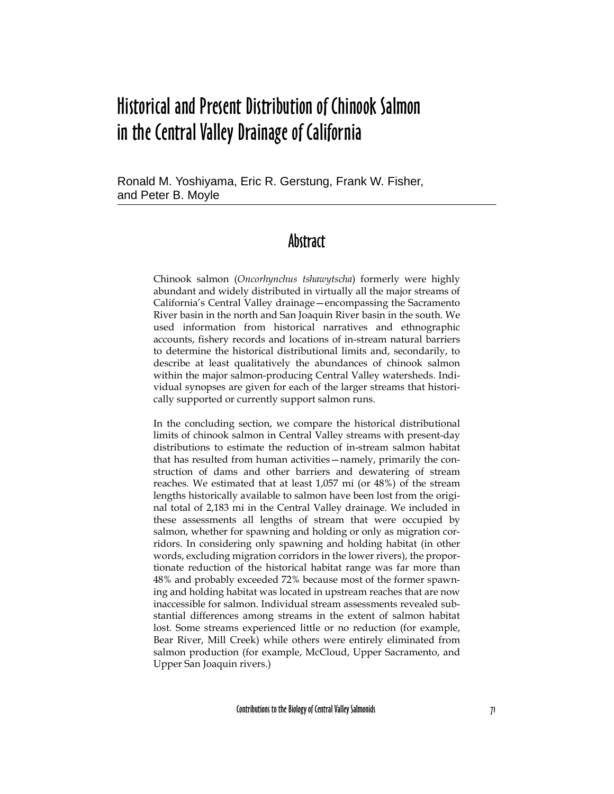# Historical and Present Distribution of Chinook Salmon in the Central Valley Drainage of California

Ronald M. Yoshiyama, Eric R. Gerstung, Frank W. Fisher, and Peter B. Moyle

#### Abstract

Chinook salmon (*Oncorhynchus tshawytscha*) formerly were highly abundant and widely distributed in virtually all the major streams of California's Central Valley drainage—encompassing the Sacramento River basin in the north and San Joaquin River basin in the south. We used information from historical narratives and ethnographic accounts, fishery records and locations of in-stream natural barriers to determine the historical distributional limits and, secondarily, to describe at least qualitatively the abundances of chinook salmon within the major salmon-producing Central Valley watersheds. Individual synopses are given for each of the larger streams that historically supported or currently support salmon runs.

In the concluding section, we compare the historical distributional limits of chinook salmon in Central Valley streams with present-day distributions to estimate the reduction of in-stream salmon habitat that has resulted from human activities—namely, primarily the construction of dams and other barriers and dewatering of stream reaches. We estimated that at least 1,057 mi (or 48%) of the stream lengths historically available to salmon have been lost from the original total of 2,183 mi in the Central Valley drainage. We included in these assessments all lengths of stream that were occupied by salmon, whether for spawning and holding or only as migration corridors. In considering only spawning and holding habitat (in other words, excluding migration corridors in the lower rivers), the proportionate reduction of the historical habitat range was far more than 48% and probably exceeded 72% because most of the former spawning and holding habitat was located in upstream reaches that are now inaccessible for salmon. Individual stream assessments revealed substantial differences among streams in the extent of salmon habitat lost. Some streams experienced little or no reduction (for example, Bear River, Mill Creek) while others were entirely eliminated from salmon production (for example, McCloud, Upper Sacramento, and Upper San Joaquin rivers.)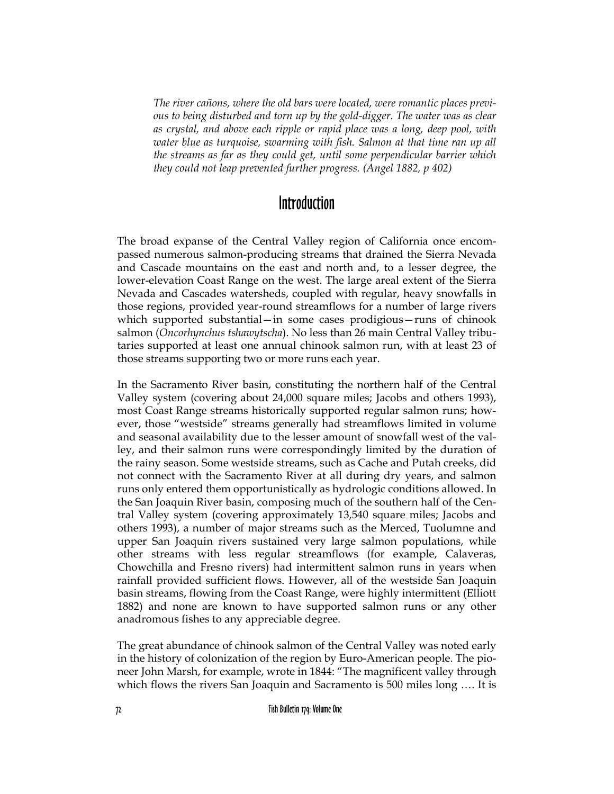*The river cañons, where the old bars were located, were romantic places previous to being disturbed and torn up by the gold-digger. The water was as clear as crystal, and above each ripple or rapid place was a long, deep pool, with water blue as turquoise, swarming with fish. Salmon at that time ran up all the streams as far as they could get, until some perpendicular barrier which they could not leap prevented further progress. (Angel 1882, p 402)*

## Introduction

The broad expanse of the Central Valley region of California once encompassed numerous salmon-producing streams that drained the Sierra Nevada and Cascade mountains on the east and north and, to a lesser degree, the lower-elevation Coast Range on the west. The large areal extent of the Sierra Nevada and Cascades watersheds, coupled with regular, heavy snowfalls in those regions, provided year-round streamflows for a number of large rivers which supported substantial—in some cases prodigious—runs of chinook salmon (*Oncorhynchus tshawytscha*). No less than 26 main Central Valley tributaries supported at least one annual chinook salmon run, with at least 23 of those streams supporting two or more runs each year.

In the Sacramento River basin, constituting the northern half of the Central Valley system (covering about 24,000 square miles; Jacobs and others 1993), most Coast Range streams historically supported regular salmon runs; however, those "westside" streams generally had streamflows limited in volume and seasonal availability due to the lesser amount of snowfall west of the valley, and their salmon runs were correspondingly limited by the duration of the rainy season. Some westside streams, such as Cache and Putah creeks, did not connect with the Sacramento River at all during dry years, and salmon runs only entered them opportunistically as hydrologic conditions allowed. In the San Joaquin River basin, composing much of the southern half of the Central Valley system (covering approximately 13,540 square miles; Jacobs and others 1993), a number of major streams such as the Merced, Tuolumne and upper San Joaquin rivers sustained very large salmon populations, while other streams with less regular streamflows (for example, Calaveras, Chowchilla and Fresno rivers) had intermittent salmon runs in years when rainfall provided sufficient flows. However, all of the westside San Joaquin basin streams, flowing from the Coast Range, were highly intermittent (Elliott 1882) and none are known to have supported salmon runs or any other anadromous fishes to any appreciable degree.

The great abundance of chinook salmon of the Central Valley was noted early in the history of colonization of the region by Euro-American people. The pioneer John Marsh, for example, wrote in 1844: "The magnificent valley through which flows the rivers San Joaquin and Sacramento is 500 miles long …. It is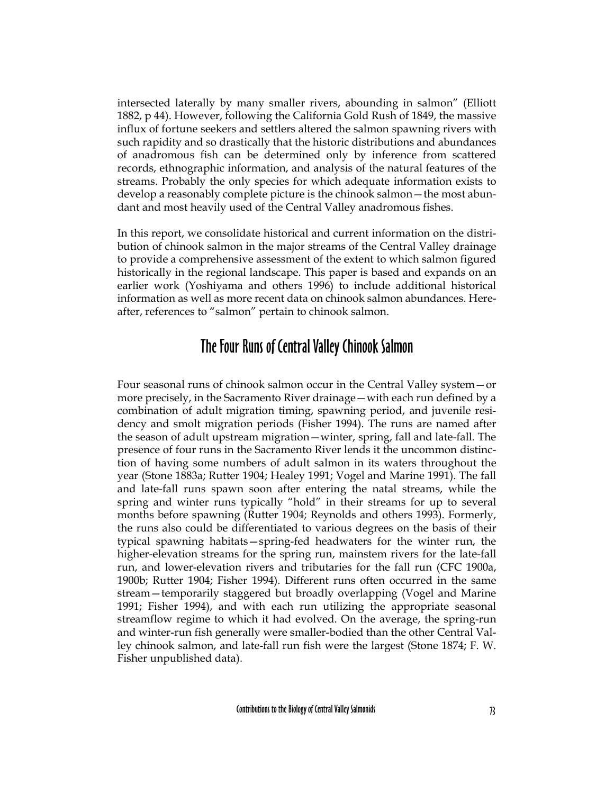intersected laterally by many smaller rivers, abounding in salmon" (Elliott 1882, p 44). However, following the California Gold Rush of 1849, the massive influx of fortune seekers and settlers altered the salmon spawning rivers with such rapidity and so drastically that the historic distributions and abundances of anadromous fish can be determined only by inference from scattered records, ethnographic information, and analysis of the natural features of the streams. Probably the only species for which adequate information exists to develop a reasonably complete picture is the chinook salmon—the most abundant and most heavily used of the Central Valley anadromous fishes.

In this report, we consolidate historical and current information on the distribution of chinook salmon in the major streams of the Central Valley drainage to provide a comprehensive assessment of the extent to which salmon figured historically in the regional landscape. This paper is based and expands on an earlier work (Yoshiyama and others 1996) to include additional historical information as well as more recent data on chinook salmon abundances. Hereafter, references to "salmon" pertain to chinook salmon.

### The Four Runs of Central Valley Chinook Salmon

Four seasonal runs of chinook salmon occur in the Central Valley system—or more precisely, in the Sacramento River drainage—with each run defined by a combination of adult migration timing, spawning period, and juvenile residency and smolt migration periods (Fisher 1994). The runs are named after the season of adult upstream migration—winter, spring, fall and late-fall. The presence of four runs in the Sacramento River lends it the uncommon distinction of having some numbers of adult salmon in its waters throughout the year (Stone 1883a; Rutter 1904; Healey 1991; Vogel and Marine 1991). The fall and late-fall runs spawn soon after entering the natal streams, while the spring and winter runs typically "hold" in their streams for up to several months before spawning (Rutter 1904; Reynolds and others 1993). Formerly, the runs also could be differentiated to various degrees on the basis of their typical spawning habitats—spring-fed headwaters for the winter run, the higher-elevation streams for the spring run, mainstem rivers for the late-fall run, and lower-elevation rivers and tributaries for the fall run (CFC 1900a, 1900b; Rutter 1904; Fisher 1994). Different runs often occurred in the same stream—temporarily staggered but broadly overlapping (Vogel and Marine 1991; Fisher 1994), and with each run utilizing the appropriate seasonal streamflow regime to which it had evolved. On the average, the spring-run and winter-run fish generally were smaller-bodied than the other Central Valley chinook salmon, and late-fall run fish were the largest (Stone 1874; F. W. Fisher unpublished data).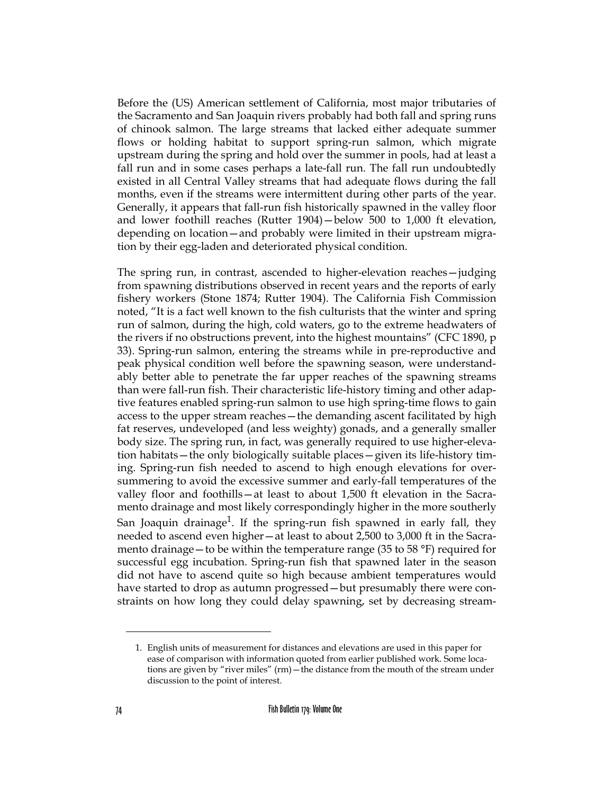Before the (US) American settlement of California, most major tributaries of the Sacramento and San Joaquin rivers probably had both fall and spring runs of chinook salmon. The large streams that lacked either adequate summer flows or holding habitat to support spring-run salmon, which migrate upstream during the spring and hold over the summer in pools, had at least a fall run and in some cases perhaps a late-fall run. The fall run undoubtedly existed in all Central Valley streams that had adequate flows during the fall months, even if the streams were intermittent during other parts of the year. Generally, it appears that fall-run fish historically spawned in the valley floor and lower foothill reaches (Rutter 1904)—below 500 to 1,000 ft elevation, depending on location—and probably were limited in their upstream migration by their egg-laden and deteriorated physical condition.

The spring run, in contrast, ascended to higher-elevation reaches—judging from spawning distributions observed in recent years and the reports of early fishery workers (Stone 1874; Rutter 1904). The California Fish Commission noted, "It is a fact well known to the fish culturists that the winter and spring run of salmon, during the high, cold waters, go to the extreme headwaters of the rivers if no obstructions prevent, into the highest mountains" (CFC 1890, p 33). Spring-run salmon, entering the streams while in pre-reproductive and peak physical condition well before the spawning season, were understandably better able to penetrate the far upper reaches of the spawning streams than were fall-run fish. Their characteristic life-history timing and other adaptive features enabled spring-run salmon to use high spring-time flows to gain access to the upper stream reaches—the demanding ascent facilitated by high fat reserves, undeveloped (and less weighty) gonads, and a generally smaller body size. The spring run, in fact, was generally required to use higher-elevation habitats—the only biologically suitable places—given its life-history timing. Spring-run fish needed to ascend to high enough elevations for oversummering to avoid the excessive summer and early-fall temperatures of the valley floor and foothills—at least to about 1,500 ft elevation in the Sacramento drainage and most likely correspondingly higher in the more southerly San Joaquin drainage<sup>1</sup>. If the spring-run fish spawned in early fall, they needed to ascend even higher—at least to about 2,500 to 3,000 ft in the Sacramento drainage — to be within the temperature range (35 to 58  $\degree$ F) required for successful egg incubation. Spring-run fish that spawned later in the season did not have to ascend quite so high because ambient temperatures would have started to drop as autumn progressed—but presumably there were constraints on how long they could delay spawning, set by decreasing stream-

<sup>1.</sup> English units of measurement for distances and elevations are used in this paper for ease of comparison with information quoted from earlier published work. Some locations are given by "river miles" (rm)—the distance from the mouth of the stream under discussion to the point of interest.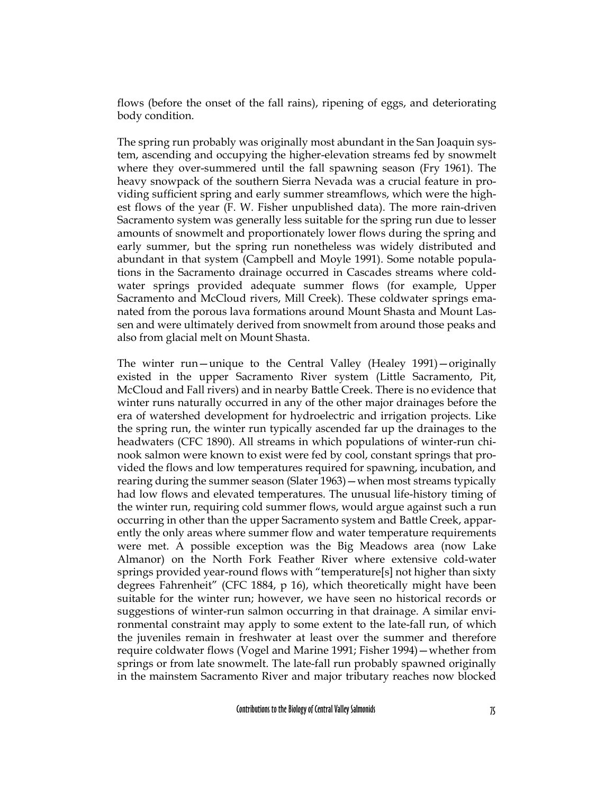flows (before the onset of the fall rains), ripening of eggs, and deteriorating body condition.

The spring run probably was originally most abundant in the San Joaquin system, ascending and occupying the higher-elevation streams fed by snowmelt where they over-summered until the fall spawning season (Fry 1961). The heavy snowpack of the southern Sierra Nevada was a crucial feature in providing sufficient spring and early summer streamflows, which were the highest flows of the year (F. W. Fisher unpublished data). The more rain-driven Sacramento system was generally less suitable for the spring run due to lesser amounts of snowmelt and proportionately lower flows during the spring and early summer, but the spring run nonetheless was widely distributed and abundant in that system (Campbell and Moyle 1991). Some notable populations in the Sacramento drainage occurred in Cascades streams where coldwater springs provided adequate summer flows (for example, Upper Sacramento and McCloud rivers, Mill Creek). These coldwater springs emanated from the porous lava formations around Mount Shasta and Mount Lassen and were ultimately derived from snowmelt from around those peaks and also from glacial melt on Mount Shasta.

The winter run—unique to the Central Valley (Healey 1991)—originally existed in the upper Sacramento River system (Little Sacramento, Pit, McCloud and Fall rivers) and in nearby Battle Creek. There is no evidence that winter runs naturally occurred in any of the other major drainages before the era of watershed development for hydroelectric and irrigation projects. Like the spring run, the winter run typically ascended far up the drainages to the headwaters (CFC 1890). All streams in which populations of winter-run chinook salmon were known to exist were fed by cool, constant springs that provided the flows and low temperatures required for spawning, incubation, and rearing during the summer season (Slater 1963)—when most streams typically had low flows and elevated temperatures. The unusual life-history timing of the winter run, requiring cold summer flows, would argue against such a run occurring in other than the upper Sacramento system and Battle Creek, apparently the only areas where summer flow and water temperature requirements were met. A possible exception was the Big Meadows area (now Lake Almanor) on the North Fork Feather River where extensive cold-water springs provided year-round flows with "temperature[s] not higher than sixty degrees Fahrenheit" (CFC 1884, p 16), which theoretically might have been suitable for the winter run; however, we have seen no historical records or suggestions of winter-run salmon occurring in that drainage. A similar environmental constraint may apply to some extent to the late-fall run, of which the juveniles remain in freshwater at least over the summer and therefore require coldwater flows (Vogel and Marine 1991; Fisher 1994)—whether from springs or from late snowmelt. The late-fall run probably spawned originally in the mainstem Sacramento River and major tributary reaches now blocked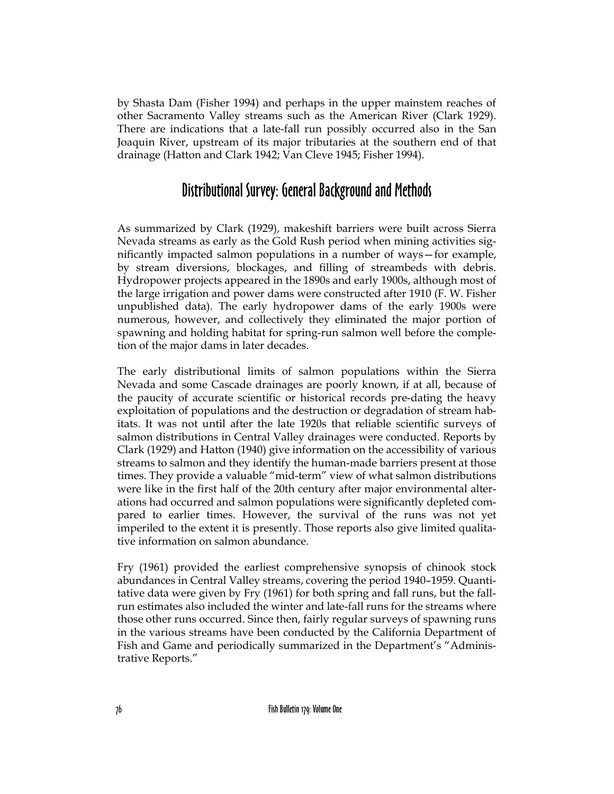by Shasta Dam (Fisher 1994) and perhaps in the upper mainstem reaches of other Sacramento Valley streams such as the American River (Clark 1929). There are indications that a late-fall run possibly occurred also in the San Joaquin River, upstream of its major tributaries at the southern end of that drainage (Hatton and Clark 1942; Van Cleve 1945; Fisher 1994).

#### Distributional Survey: General Background and Methods

As summarized by Clark (1929), makeshift barriers were built across Sierra Nevada streams as early as the Gold Rush period when mining activities significantly impacted salmon populations in a number of ways—for example, by stream diversions, blockages, and filling of streambeds with debris. Hydropower projects appeared in the 1890s and early 1900s, although most of the large irrigation and power dams were constructed after 1910 (F. W. Fisher unpublished data). The early hydropower dams of the early 1900s were numerous, however, and collectively they eliminated the major portion of spawning and holding habitat for spring-run salmon well before the completion of the major dams in later decades.

The early distributional limits of salmon populations within the Sierra Nevada and some Cascade drainages are poorly known, if at all, because of the paucity of accurate scientific or historical records pre-dating the heavy exploitation of populations and the destruction or degradation of stream habitats. It was not until after the late 1920s that reliable scientific surveys of salmon distributions in Central Valley drainages were conducted. Reports by Clark (1929) and Hatton (1940) give information on the accessibility of various streams to salmon and they identify the human-made barriers present at those times. They provide a valuable "mid-term" view of what salmon distributions were like in the first half of the 20th century after major environmental alterations had occurred and salmon populations were significantly depleted compared to earlier times. However, the survival of the runs was not yet imperiled to the extent it is presently. Those reports also give limited qualitative information on salmon abundance.

Fry (1961) provided the earliest comprehensive synopsis of chinook stock abundances in Central Valley streams, covering the period 1940–1959. Quantitative data were given by Fry (1961) for both spring and fall runs, but the fallrun estimates also included the winter and late-fall runs for the streams where those other runs occurred. Since then, fairly regular surveys of spawning runs in the various streams have been conducted by the California Department of Fish and Game and periodically summarized in the Department's "Administrative Reports."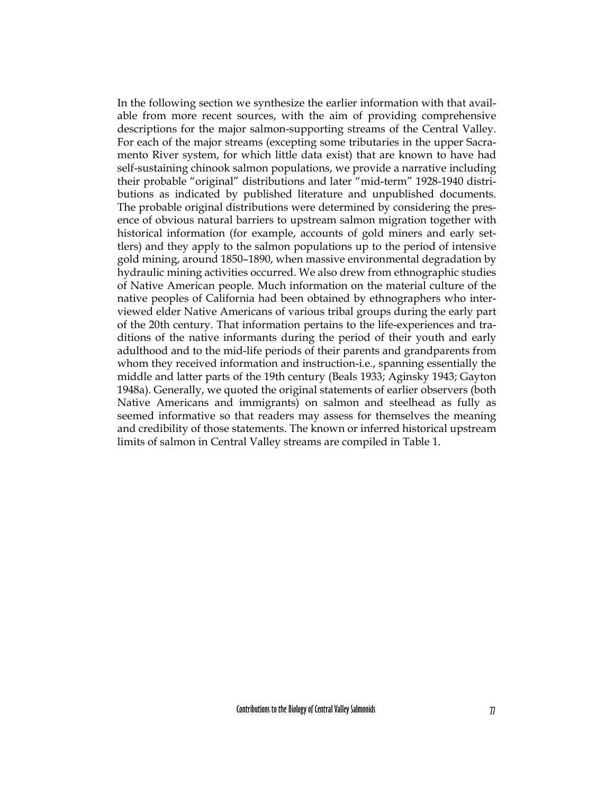In the following section we synthesize the earlier information with that available from more recent sources, with the aim of providing comprehensive descriptions for the major salmon-supporting streams of the Central Valley. For each of the major streams (excepting some tributaries in the upper Sacramento River system, for which little data exist) that are known to have had self-sustaining chinook salmon populations, we provide a narrative including their probable "original" distributions and later "mid-term" 1928-1940 distributions as indicated by published literature and unpublished documents. The probable original distributions were determined by considering the presence of obvious natural barriers to upstream salmon migration together with historical information (for example, accounts of gold miners and early settlers) and they apply to the salmon populations up to the period of intensive gold mining, around 1850–1890, when massive environmental degradation by hydraulic mining activities occurred. We also drew from ethnographic studies of Native American people. Much information on the material culture of the native peoples of California had been obtained by ethnographers who interviewed elder Native Americans of various tribal groups during the early part of the 20th century. That information pertains to the life-experiences and traditions of the native informants during the period of their youth and early adulthood and to the mid-life periods of their parents and grandparents from whom they received information and instruction-i.e., spanning essentially the middle and latter parts of the 19th century (Beals 1933; Aginsky 1943; Gayton 1948a). Generally, we quoted the original statements of earlier observers (both Native Americans and immigrants) on salmon and steelhead as fully as seemed informative so that readers may assess for themselves the meaning and credibility of those statements. The known or inferred historical upstream limits of salmon in Central Valley streams are compiled in Table 1.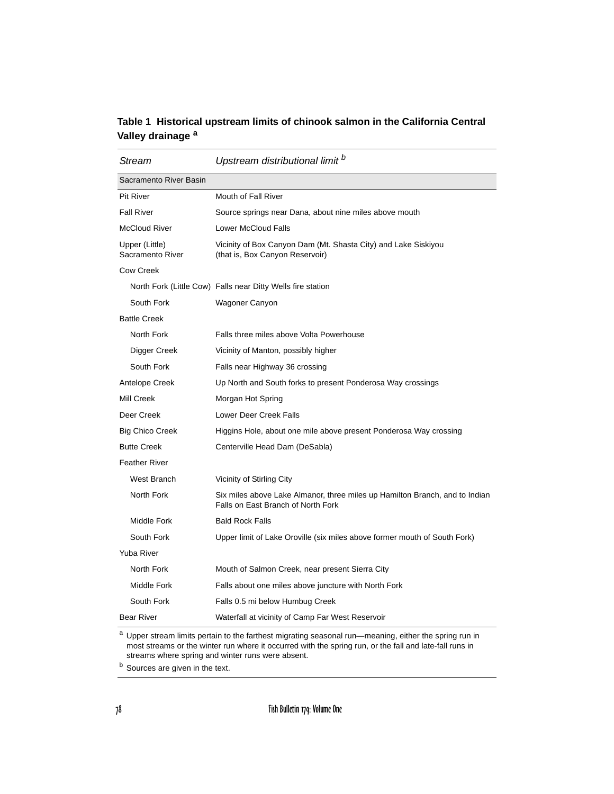#### **Table 1 Historical upstream limits of chinook salmon in the California Central Valley drainage <sup>a</sup>**

| Stream                             | Upstream distributional limit b                                                                                   |
|------------------------------------|-------------------------------------------------------------------------------------------------------------------|
| Sacramento River Basin             |                                                                                                                   |
| <b>Pit River</b>                   | Mouth of Fall River                                                                                               |
| <b>Fall River</b>                  | Source springs near Dana, about nine miles above mouth                                                            |
| <b>McCloud River</b>               | <b>Lower McCloud Falls</b>                                                                                        |
| Upper (Little)<br>Sacramento River | Vicinity of Box Canyon Dam (Mt. Shasta City) and Lake Siskiyou<br>(that is, Box Canyon Reservoir)                 |
| <b>Cow Creek</b>                   |                                                                                                                   |
|                                    | North Fork (Little Cow) Falls near Ditty Wells fire station                                                       |
| South Fork                         | Wagoner Canyon                                                                                                    |
| <b>Battle Creek</b>                |                                                                                                                   |
| North Fork                         | Falls three miles above Volta Powerhouse                                                                          |
| Digger Creek                       | Vicinity of Manton, possibly higher                                                                               |
| South Fork                         | Falls near Highway 36 crossing                                                                                    |
| Antelope Creek                     | Up North and South forks to present Ponderosa Way crossings                                                       |
| Mill Creek                         | Morgan Hot Spring                                                                                                 |
| Deer Creek                         | Lower Deer Creek Falls                                                                                            |
| <b>Big Chico Creek</b>             | Higgins Hole, about one mile above present Ponderosa Way crossing                                                 |
| <b>Butte Creek</b>                 | Centerville Head Dam (DeSabla)                                                                                    |
| <b>Feather River</b>               |                                                                                                                   |
| West Branch                        | Vicinity of Stirling City                                                                                         |
| North Fork                         | Six miles above Lake Almanor, three miles up Hamilton Branch, and to Indian<br>Falls on East Branch of North Fork |
| Middle Fork                        | <b>Bald Rock Falls</b>                                                                                            |
| South Fork                         | Upper limit of Lake Oroville (six miles above former mouth of South Fork)                                         |
| <b>Yuba River</b>                  |                                                                                                                   |
| North Fork                         | Mouth of Salmon Creek, near present Sierra City                                                                   |
| Middle Fork                        | Falls about one miles above juncture with North Fork                                                              |
| South Fork                         | Falls 0.5 mi below Humbug Creek                                                                                   |
| <b>Bear River</b>                  | Waterfall at vicinity of Camp Far West Reservoir                                                                  |

a Upper stream limits pertain to the farthest migrating seasonal run—meaning, either the spring run in most streams or the winter run where it occurred with the spring run, or the fall and late-fall runs in streams where spring and winter runs were absent.

**b** Sources are given in the text.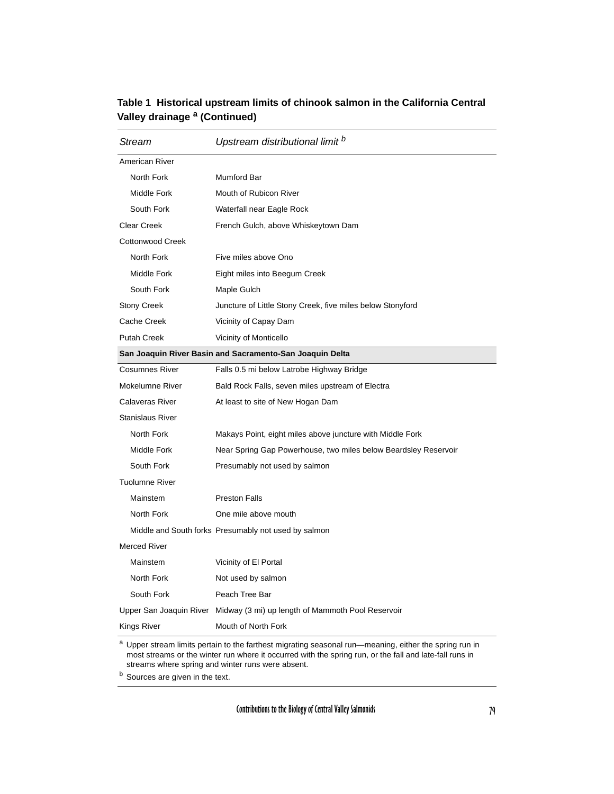| Stream                                                   | Upstream distributional limit <sup>b</sup>                                |
|----------------------------------------------------------|---------------------------------------------------------------------------|
| American River                                           |                                                                           |
| North Fork                                               | <b>Mumford Bar</b>                                                        |
| Middle Fork                                              | Mouth of Rubicon River                                                    |
| South Fork                                               | Waterfall near Eagle Rock                                                 |
| <b>Clear Creek</b>                                       | French Gulch, above Whiskeytown Dam                                       |
| <b>Cottonwood Creek</b>                                  |                                                                           |
| North Fork                                               | Five miles above Ono                                                      |
| Middle Fork                                              | Eight miles into Beegum Creek                                             |
| South Fork                                               | Maple Gulch                                                               |
| <b>Stony Creek</b>                                       | Juncture of Little Stony Creek, five miles below Stonyford                |
| Cache Creek                                              | Vicinity of Capay Dam                                                     |
| <b>Putah Creek</b>                                       | Vicinity of Monticello                                                    |
| San Joaquin River Basin and Sacramento-San Joaquin Delta |                                                                           |
| <b>Cosumnes River</b>                                    | Falls 0.5 mi below Latrobe Highway Bridge                                 |
| Mokelumne River                                          | Bald Rock Falls, seven miles upstream of Electra                          |
| <b>Calaveras River</b>                                   | At least to site of New Hogan Dam                                         |
| <b>Stanislaus River</b>                                  |                                                                           |
| North Fork                                               | Makays Point, eight miles above juncture with Middle Fork                 |
| Middle Fork                                              | Near Spring Gap Powerhouse, two miles below Beardsley Reservoir           |
| South Fork                                               | Presumably not used by salmon                                             |
| <b>Tuolumne River</b>                                    |                                                                           |
| Mainstem                                                 | <b>Preston Falls</b>                                                      |
| North Fork                                               | One mile above mouth                                                      |
|                                                          | Middle and South forks Presumably not used by salmon                      |
| <b>Merced River</b>                                      |                                                                           |
| Mainstem                                                 | Vicinity of El Portal                                                     |
| North Fork                                               | Not used by salmon                                                        |
| South Fork                                               | Peach Tree Bar                                                            |
|                                                          | Upper San Joaquin River Midway (3 mi) up length of Mammoth Pool Reservoir |
| Kings River                                              | Mouth of North Fork                                                       |

#### **Table 1 Historical upstream limits of chinook salmon in the California Central Valley drainage a (Continued)**

a Upper stream limits pertain to the farthest migrating seasonal run—meaning, either the spring run in most streams or the winter run where it occurred with the spring run, or the fall and late-fall runs in streams where spring and winter runs were absent.

**b** Sources are given in the text.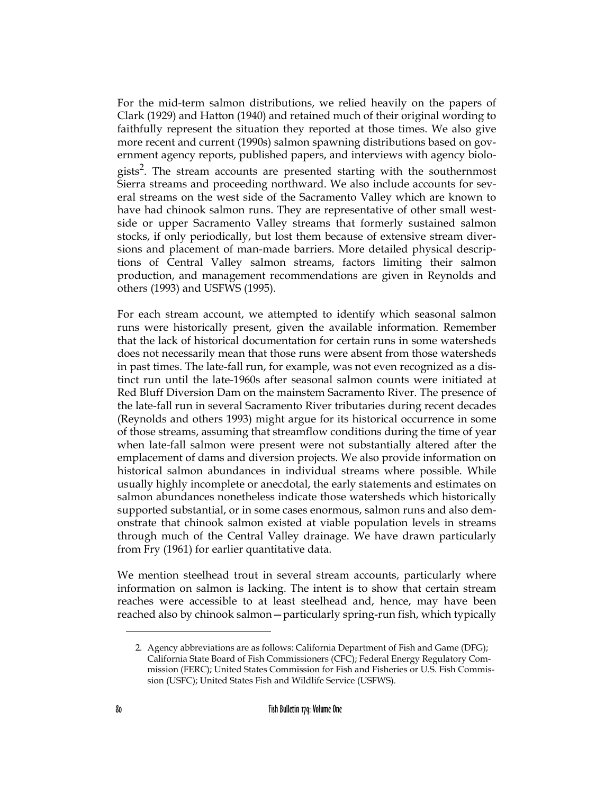For the mid-term salmon distributions, we relied heavily on the papers of Clark (1929) and Hatton (1940) and retained much of their original wording to faithfully represent the situation they reported at those times. We also give more recent and current (1990s) salmon spawning distributions based on government agency reports, published papers, and interviews with agency biologists<sup>2</sup>. The stream accounts are presented starting with the southernmost Sierra streams and proceeding northward. We also include accounts for several streams on the west side of the Sacramento Valley which are known to have had chinook salmon runs. They are representative of other small westside or upper Sacramento Valley streams that formerly sustained salmon stocks, if only periodically, but lost them because of extensive stream diversions and placement of man-made barriers. More detailed physical descriptions of Central Valley salmon streams, factors limiting their salmon production, and management recommendations are given in Reynolds and others (1993) and USFWS (1995).

For each stream account, we attempted to identify which seasonal salmon runs were historically present, given the available information. Remember that the lack of historical documentation for certain runs in some watersheds does not necessarily mean that those runs were absent from those watersheds in past times. The late-fall run, for example, was not even recognized as a distinct run until the late-1960s after seasonal salmon counts were initiated at Red Bluff Diversion Dam on the mainstem Sacramento River. The presence of the late-fall run in several Sacramento River tributaries during recent decades (Reynolds and others 1993) might argue for its historical occurrence in some of those streams, assuming that streamflow conditions during the time of year when late-fall salmon were present were not substantially altered after the emplacement of dams and diversion projects. We also provide information on historical salmon abundances in individual streams where possible. While usually highly incomplete or anecdotal, the early statements and estimates on salmon abundances nonetheless indicate those watersheds which historically supported substantial, or in some cases enormous, salmon runs and also demonstrate that chinook salmon existed at viable population levels in streams through much of the Central Valley drainage. We have drawn particularly from Fry (1961) for earlier quantitative data.

We mention steelhead trout in several stream accounts, particularly where information on salmon is lacking. The intent is to show that certain stream reaches were accessible to at least steelhead and, hence, may have been reached also by chinook salmon—particularly spring-run fish, which typically

<sup>2.</sup> Agency abbreviations are as follows: California Department of Fish and Game (DFG); California State Board of Fish Commissioners (CFC); Federal Energy Regulatory Commission (FERC); United States Commission for Fish and Fisheries or U.S. Fish Commission (USFC); United States Fish and Wildlife Service (USFWS).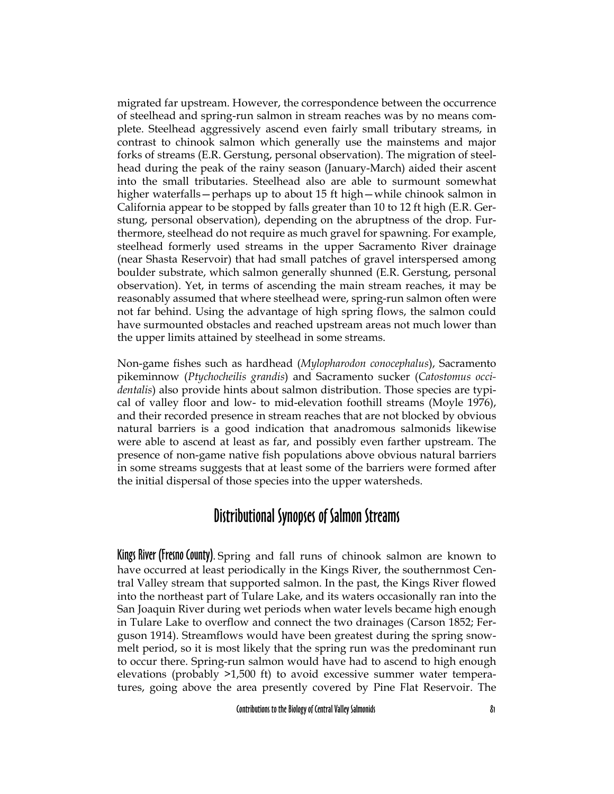migrated far upstream. However, the correspondence between the occurrence of steelhead and spring-run salmon in stream reaches was by no means complete. Steelhead aggressively ascend even fairly small tributary streams, in contrast to chinook salmon which generally use the mainstems and major forks of streams (E.R. Gerstung, personal observation). The migration of steelhead during the peak of the rainy season (January-March) aided their ascent into the small tributaries. Steelhead also are able to surmount somewhat higher waterfalls—perhaps up to about 15 ft high—while chinook salmon in California appear to be stopped by falls greater than 10 to 12 ft high (E.R. Gerstung, personal observation), depending on the abruptness of the drop. Furthermore, steelhead do not require as much gravel for spawning. For example, steelhead formerly used streams in the upper Sacramento River drainage (near Shasta Reservoir) that had small patches of gravel interspersed among boulder substrate, which salmon generally shunned (E.R. Gerstung, personal observation). Yet, in terms of ascending the main stream reaches, it may be reasonably assumed that where steelhead were, spring-run salmon often were not far behind. Using the advantage of high spring flows, the salmon could have surmounted obstacles and reached upstream areas not much lower than the upper limits attained by steelhead in some streams.

Non-game fishes such as hardhead (*Mylopharodon conocephalus*), Sacramento pikeminnow (*Ptychocheilis grandis*) and Sacramento sucker (*Catostomus occidentalis*) also provide hints about salmon distribution. Those species are typical of valley floor and low- to mid-elevation foothill streams (Moyle 1976), and their recorded presence in stream reaches that are not blocked by obvious natural barriers is a good indication that anadromous salmonids likewise were able to ascend at least as far, and possibly even farther upstream. The presence of non-game native fish populations above obvious natural barriers in some streams suggests that at least some of the barriers were formed after the initial dispersal of those species into the upper watersheds.

### Distributional Synopses of Salmon Streams

Kings River (Fresno County). Spring and fall runs of chinook salmon are known to have occurred at least periodically in the Kings River, the southernmost Central Valley stream that supported salmon. In the past, the Kings River flowed into the northeast part of Tulare Lake, and its waters occasionally ran into the San Joaquin River during wet periods when water levels became high enough in Tulare Lake to overflow and connect the two drainages (Carson 1852; Ferguson 1914). Streamflows would have been greatest during the spring snowmelt period, so it is most likely that the spring run was the predominant run to occur there. Spring-run salmon would have had to ascend to high enough elevations (probably >1,500 ft) to avoid excessive summer water temperatures, going above the area presently covered by Pine Flat Reservoir. The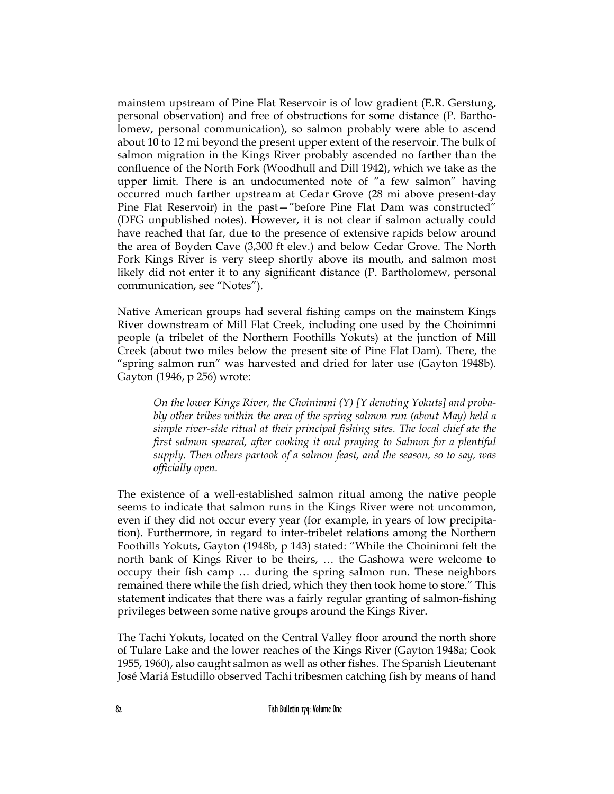mainstem upstream of Pine Flat Reservoir is of low gradient (E.R. Gerstung, personal observation) and free of obstructions for some distance (P. Bartholomew, personal communication), so salmon probably were able to ascend about 10 to 12 mi beyond the present upper extent of the reservoir. The bulk of salmon migration in the Kings River probably ascended no farther than the confluence of the North Fork (Woodhull and Dill 1942), which we take as the upper limit. There is an undocumented note of "a few salmon" having occurred much farther upstream at Cedar Grove (28 mi above present-day Pine Flat Reservoir) in the past—"before Pine Flat Dam was constructed" (DFG unpublished notes). However, it is not clear if salmon actually could have reached that far, due to the presence of extensive rapids below around the area of Boyden Cave (3,300 ft elev.) and below Cedar Grove. The North Fork Kings River is very steep shortly above its mouth, and salmon most likely did not enter it to any significant distance (P. Bartholomew, personal communication, see "Notes").

Native American groups had several fishing camps on the mainstem Kings River downstream of Mill Flat Creek, including one used by the Choinimni people (a tribelet of the Northern Foothills Yokuts) at the junction of Mill Creek (about two miles below the present site of Pine Flat Dam). There, the "spring salmon run" was harvested and dried for later use (Gayton 1948b). Gayton (1946, p 256) wrote:

*On the lower Kings River, the Choinimni (Y) [Y denoting Yokuts] and probably other tribes within the area of the spring salmon run (about May) held a simple river-side ritual at their principal fishing sites. The local chief ate the first salmon speared, after cooking it and praying to Salmon for a plentiful supply. Then others partook of a salmon feast, and the season, so to say, was officially open.*

The existence of a well-established salmon ritual among the native people seems to indicate that salmon runs in the Kings River were not uncommon, even if they did not occur every year (for example, in years of low precipitation). Furthermore, in regard to inter-tribelet relations among the Northern Foothills Yokuts, Gayton (1948b, p 143) stated: "While the Choinimni felt the north bank of Kings River to be theirs, … the Gashowa were welcome to occupy their fish camp … during the spring salmon run. These neighbors remained there while the fish dried, which they then took home to store." This statement indicates that there was a fairly regular granting of salmon-fishing privileges between some native groups around the Kings River.

The Tachi Yokuts, located on the Central Valley floor around the north shore of Tulare Lake and the lower reaches of the Kings River (Gayton 1948a; Cook 1955, 1960), also caught salmon as well as other fishes. The Spanish Lieutenant José Mariá Estudillo observed Tachi tribesmen catching fish by means of hand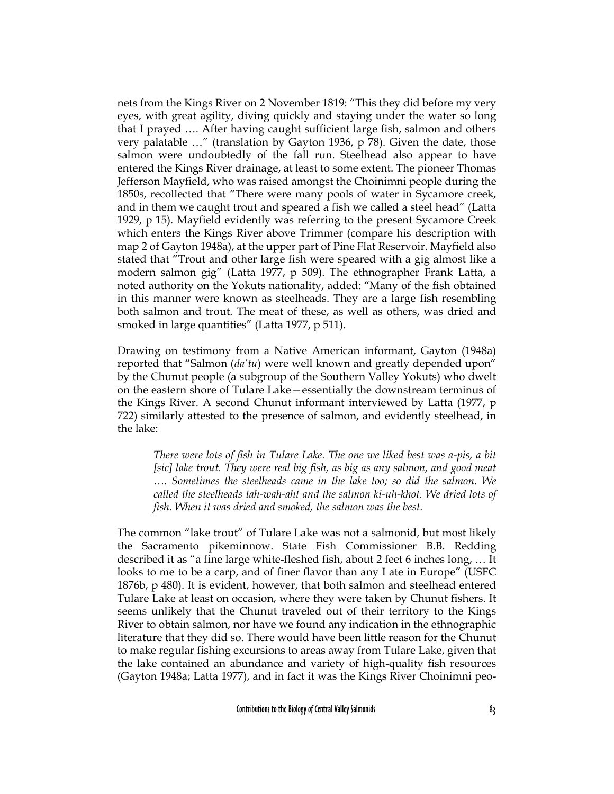nets from the Kings River on 2 November 1819: "This they did before my very eyes, with great agility, diving quickly and staying under the water so long that I prayed …. After having caught sufficient large fish, salmon and others very palatable …" (translation by Gayton 1936, p 78). Given the date, those salmon were undoubtedly of the fall run. Steelhead also appear to have entered the Kings River drainage, at least to some extent. The pioneer Thomas Jefferson Mayfield, who was raised amongst the Choinimni people during the 1850s, recollected that "There were many pools of water in Sycamore creek, and in them we caught trout and speared a fish we called a steel head" (Latta 1929, p 15). Mayfield evidently was referring to the present Sycamore Creek which enters the Kings River above Trimmer (compare his description with map 2 of Gayton 1948a), at the upper part of Pine Flat Reservoir. Mayfield also stated that "Trout and other large fish were speared with a gig almost like a modern salmon gig" (Latta 1977, p 509). The ethnographer Frank Latta, a noted authority on the Yokuts nationality, added: "Many of the fish obtained in this manner were known as steelheads. They are a large fish resembling both salmon and trout. The meat of these, as well as others, was dried and smoked in large quantities" (Latta 1977, p 511).

Drawing on testimony from a Native American informant, Gayton (1948a) reported that "Salmon (*da'tu*) were well known and greatly depended upon" by the Chunut people (a subgroup of the Southern Valley Yokuts) who dwelt on the eastern shore of Tulare Lake—essentially the downstream terminus of the Kings River. A second Chunut informant interviewed by Latta (1977, p 722) similarly attested to the presence of salmon, and evidently steelhead, in the lake:

*There were lots of fish in Tulare Lake. The one we liked best was a-pis, a bit [sic] lake trout. They were real big fish, as big as any salmon, and good meat …. Sometimes the steelheads came in the lake too; so did the salmon. We called the steelheads tah-wah-aht and the salmon ki-uh-khot. We dried lots of fish. When it was dried and smoked, the salmon was the best.*

The common "lake trout" of Tulare Lake was not a salmonid, but most likely the Sacramento pikeminnow. State Fish Commissioner B.B. Redding described it as "a fine large white-fleshed fish, about 2 feet 6 inches long, … It looks to me to be a carp, and of finer flavor than any I ate in Europe" (USFC 1876b, p 480). It is evident, however, that both salmon and steelhead entered Tulare Lake at least on occasion, where they were taken by Chunut fishers. It seems unlikely that the Chunut traveled out of their territory to the Kings River to obtain salmon, nor have we found any indication in the ethnographic literature that they did so. There would have been little reason for the Chunut to make regular fishing excursions to areas away from Tulare Lake, given that the lake contained an abundance and variety of high-quality fish resources (Gayton 1948a; Latta 1977), and in fact it was the Kings River Choinimni peo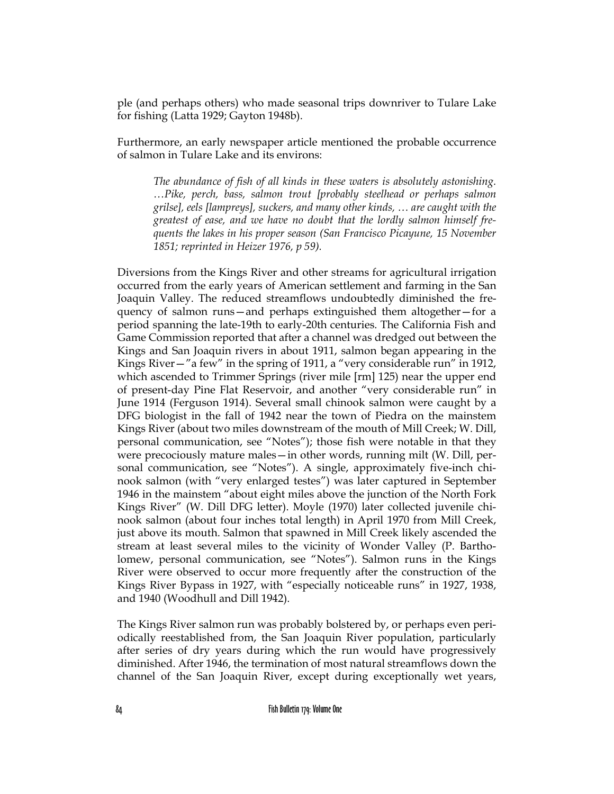ple (and perhaps others) who made seasonal trips downriver to Tulare Lake for fishing (Latta 1929; Gayton 1948b).

Furthermore, an early newspaper article mentioned the probable occurrence of salmon in Tulare Lake and its environs:

*The abundance of fish of all kinds in these waters is absolutely astonishing. …Pike, perch, bass, salmon trout [probably steelhead or perhaps salmon grilse], eels [lampreys], suckers, and many other kinds, … are caught with the greatest of ease, and we have no doubt that the lordly salmon himself frequents the lakes in his proper season (San Francisco Picayune, 15 November 1851; reprinted in Heizer 1976, p 59).*

Diversions from the Kings River and other streams for agricultural irrigation occurred from the early years of American settlement and farming in the San Joaquin Valley. The reduced streamflows undoubtedly diminished the frequency of salmon runs—and perhaps extinguished them altogether—for a period spanning the late-19th to early-20th centuries. The California Fish and Game Commission reported that after a channel was dredged out between the Kings and San Joaquin rivers in about 1911, salmon began appearing in the Kings River—"a few" in the spring of 1911, a "very considerable run" in 1912, which ascended to Trimmer Springs (river mile [rm] 125) near the upper end of present-day Pine Flat Reservoir, and another "very considerable run" in June 1914 (Ferguson 1914). Several small chinook salmon were caught by a DFG biologist in the fall of 1942 near the town of Piedra on the mainstem Kings River (about two miles downstream of the mouth of Mill Creek; W. Dill, personal communication, see "Notes"); those fish were notable in that they were precociously mature males—in other words, running milt (W. Dill, personal communication, see "Notes"). A single, approximately five-inch chinook salmon (with "very enlarged testes") was later captured in September 1946 in the mainstem "about eight miles above the junction of the North Fork Kings River" (W. Dill DFG letter). Moyle (1970) later collected juvenile chinook salmon (about four inches total length) in April 1970 from Mill Creek, just above its mouth. Salmon that spawned in Mill Creek likely ascended the stream at least several miles to the vicinity of Wonder Valley (P. Bartholomew, personal communication, see "Notes"). Salmon runs in the Kings River were observed to occur more frequently after the construction of the Kings River Bypass in 1927, with "especially noticeable runs" in 1927, 1938, and 1940 (Woodhull and Dill 1942).

The Kings River salmon run was probably bolstered by, or perhaps even periodically reestablished from, the San Joaquin River population, particularly after series of dry years during which the run would have progressively diminished. After 1946, the termination of most natural streamflows down the channel of the San Joaquin River, except during exceptionally wet years,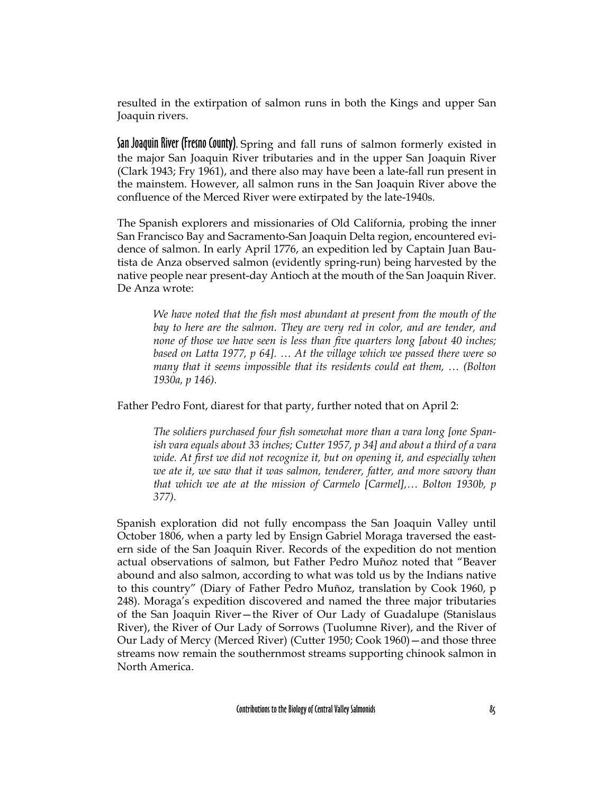resulted in the extirpation of salmon runs in both the Kings and upper San Joaquin rivers.

San Joaquin River (Fresno County). Spring and fall runs of salmon formerly existed in the major San Joaquin River tributaries and in the upper San Joaquin River (Clark 1943; Fry 1961), and there also may have been a late-fall run present in the mainstem. However, all salmon runs in the San Joaquin River above the confluence of the Merced River were extirpated by the late-1940s.

The Spanish explorers and missionaries of Old California, probing the inner San Francisco Bay and Sacramento-San Joaquin Delta region, encountered evidence of salmon. In early April 1776, an expedition led by Captain Juan Bautista de Anza observed salmon (evidently spring-run) being harvested by the native people near present-day Antioch at the mouth of the San Joaquin River. De Anza wrote:

*We have noted that the fish most abundant at present from the mouth of the bay to here are the salmon. They are very red in color, and are tender, and none of those we have seen is less than five quarters long [about 40 inches; based on Latta 1977, p 64]. … At the village which we passed there were so many that it seems impossible that its residents could eat them, … (Bolton 1930a, p 146).*

Father Pedro Font, diarest for that party, further noted that on April 2:

*The soldiers purchased four fish somewhat more than a vara long [one Spanish vara equals about 33 inches; Cutter 1957, p 34] and about a third of a vara wide. At first we did not recognize it, but on opening it, and especially when we ate it, we saw that it was salmon, tenderer, fatter, and more savory than that which we ate at the mission of Carmelo [Carmel],… Bolton 1930b, p 377).*

Spanish exploration did not fully encompass the San Joaquin Valley until October 1806, when a party led by Ensign Gabriel Moraga traversed the eastern side of the San Joaquin River. Records of the expedition do not mention actual observations of salmon, but Father Pedro Muñoz noted that "Beaver abound and also salmon, according to what was told us by the Indians native to this country" (Diary of Father Pedro Muñoz, translation by Cook 1960, p 248). Moraga's expedition discovered and named the three major tributaries of the San Joaquin River—the River of Our Lady of Guadalupe (Stanislaus River), the River of Our Lady of Sorrows (Tuolumne River), and the River of Our Lady of Mercy (Merced River) (Cutter 1950; Cook 1960)—and those three streams now remain the southernmost streams supporting chinook salmon in North America.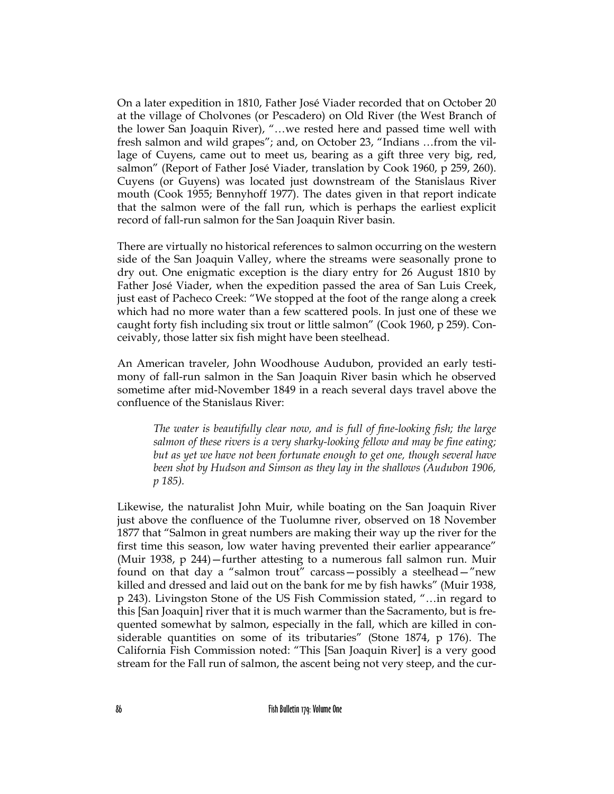On a later expedition in 1810, Father José Viader recorded that on October 20 at the village of Cholvones (or Pescadero) on Old River (the West Branch of the lower San Joaquin River), "…we rested here and passed time well with fresh salmon and wild grapes"; and, on October 23, "Indians …from the village of Cuyens, came out to meet us, bearing as a gift three very big, red, salmon" (Report of Father José Viader, translation by Cook 1960, p 259, 260). Cuyens (or Guyens) was located just downstream of the Stanislaus River mouth (Cook 1955; Bennyhoff 1977). The dates given in that report indicate that the salmon were of the fall run, which is perhaps the earliest explicit record of fall-run salmon for the San Joaquin River basin.

There are virtually no historical references to salmon occurring on the western side of the San Joaquin Valley, where the streams were seasonally prone to dry out. One enigmatic exception is the diary entry for 26 August 1810 by Father José Viader, when the expedition passed the area of San Luis Creek, just east of Pacheco Creek: "We stopped at the foot of the range along a creek which had no more water than a few scattered pools. In just one of these we caught forty fish including six trout or little salmon" (Cook 1960, p 259). Conceivably, those latter six fish might have been steelhead.

An American traveler, John Woodhouse Audubon, provided an early testimony of fall-run salmon in the San Joaquin River basin which he observed sometime after mid-November 1849 in a reach several days travel above the confluence of the Stanislaus River:

*The water is beautifully clear now, and is full of fine-looking fish; the large salmon of these rivers is a very sharky-looking fellow and may be fine eating; but as yet we have not been fortunate enough to get one, though several have been shot by Hudson and Simson as they lay in the shallows (Audubon 1906, p 185).*

Likewise, the naturalist John Muir, while boating on the San Joaquin River just above the confluence of the Tuolumne river, observed on 18 November 1877 that "Salmon in great numbers are making their way up the river for the first time this season, low water having prevented their earlier appearance" (Muir 1938, p 244)—further attesting to a numerous fall salmon run. Muir found on that day a "salmon trout" carcass—possibly a steelhead—"new killed and dressed and laid out on the bank for me by fish hawks" (Muir 1938, p 243). Livingston Stone of the US Fish Commission stated, "…in regard to this [San Joaquin] river that it is much warmer than the Sacramento, but is frequented somewhat by salmon, especially in the fall, which are killed in considerable quantities on some of its tributaries" (Stone 1874, p 176). The California Fish Commission noted: "This [San Joaquin River] is a very good stream for the Fall run of salmon, the ascent being not very steep, and the cur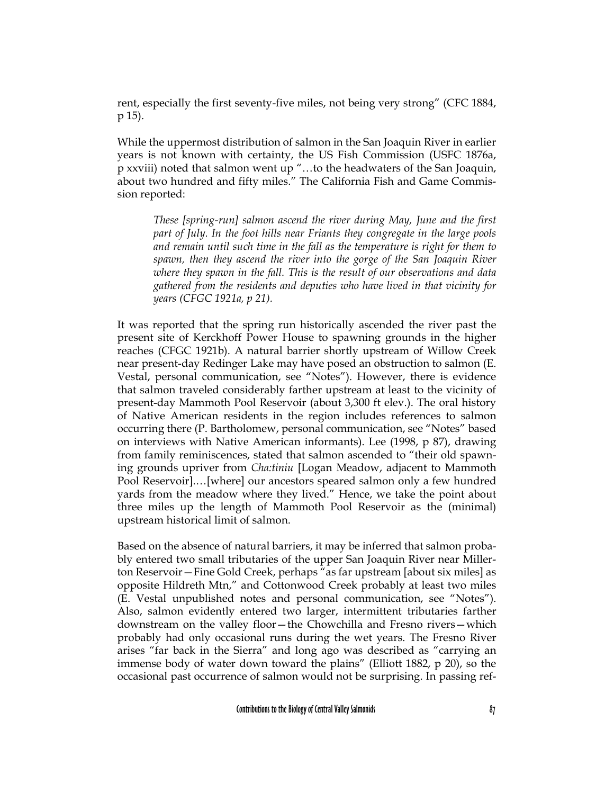rent, especially the first seventy-five miles, not being very strong" (CFC 1884, p 15).

While the uppermost distribution of salmon in the San Joaquin River in earlier years is not known with certainty, the US Fish Commission (USFC 1876a, p xxviii) noted that salmon went up "…to the headwaters of the San Joaquin, about two hundred and fifty miles." The California Fish and Game Commission reported:

*These [spring-run] salmon ascend the river during May, June and the first part of July. In the foot hills near Friants they congregate in the large pools and remain until such time in the fall as the temperature is right for them to spawn, then they ascend the river into the gorge of the San Joaquin River where they spawn in the fall. This is the result of our observations and data gathered from the residents and deputies who have lived in that vicinity for years (CFGC 1921a, p 21).*

It was reported that the spring run historically ascended the river past the present site of Kerckhoff Power House to spawning grounds in the higher reaches (CFGC 1921b). A natural barrier shortly upstream of Willow Creek near present-day Redinger Lake may have posed an obstruction to salmon (E. Vestal, personal communication, see "Notes"). However, there is evidence that salmon traveled considerably farther upstream at least to the vicinity of present-day Mammoth Pool Reservoir (about 3,300 ft elev.). The oral history of Native American residents in the region includes references to salmon occurring there (P. Bartholomew, personal communication, see "Notes" based on interviews with Native American informants). Lee (1998, p 87), drawing from family reminiscences, stated that salmon ascended to "their old spawning grounds upriver from *Cha:tiniu* [Logan Meadow, adjacent to Mammoth Pool Reservoir].…[where] our ancestors speared salmon only a few hundred yards from the meadow where they lived." Hence, we take the point about three miles up the length of Mammoth Pool Reservoir as the (minimal) upstream historical limit of salmon.

Based on the absence of natural barriers, it may be inferred that salmon probably entered two small tributaries of the upper San Joaquin River near Millerton Reservoir—Fine Gold Creek, perhaps "as far upstream [about six miles] as opposite Hildreth Mtn," and Cottonwood Creek probably at least two miles (E. Vestal unpublished notes and personal communication, see "Notes"). Also, salmon evidently entered two larger, intermittent tributaries farther downstream on the valley floor—the Chowchilla and Fresno rivers—which probably had only occasional runs during the wet years. The Fresno River arises "far back in the Sierra" and long ago was described as "carrying an immense body of water down toward the plains" (Elliott 1882, p 20), so the occasional past occurrence of salmon would not be surprising. In passing ref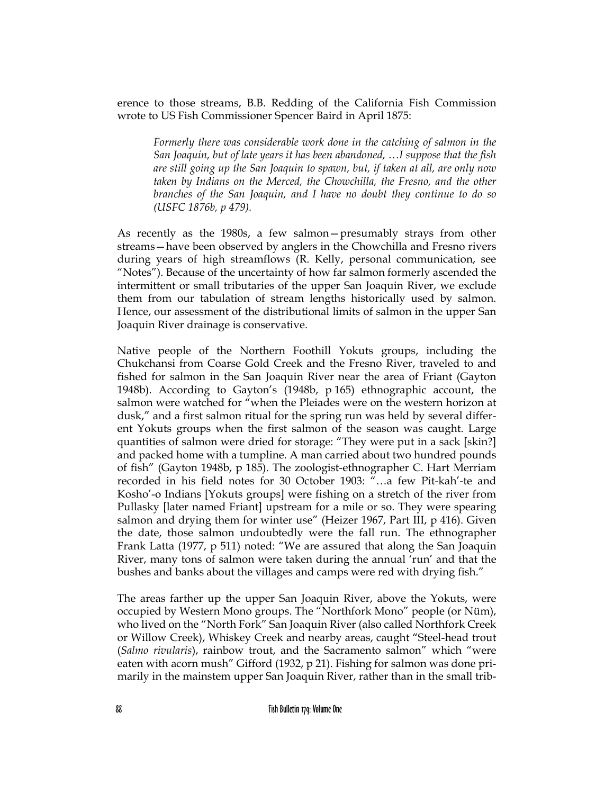erence to those streams, B.B. Redding of the California Fish Commission wrote to US Fish Commissioner Spencer Baird in April 1875:

*Formerly there was considerable work done in the catching of salmon in the San Joaquin, but of late years it has been abandoned, …I suppose that the fish are still going up the San Joaquin to spawn, but, if taken at all, are only now taken by Indians on the Merced, the Chowchilla, the Fresno, and the other branches of the San Joaquin, and I have no doubt they continue to do so (USFC 1876b, p 479).*

As recently as the 1980s, a few salmon—presumably strays from other streams—have been observed by anglers in the Chowchilla and Fresno rivers during years of high streamflows (R. Kelly, personal communication, see "Notes"). Because of the uncertainty of how far salmon formerly ascended the intermittent or small tributaries of the upper San Joaquin River, we exclude them from our tabulation of stream lengths historically used by salmon. Hence, our assessment of the distributional limits of salmon in the upper San Joaquin River drainage is conservative.

Native people of the Northern Foothill Yokuts groups, including the Chukchansi from Coarse Gold Creek and the Fresno River, traveled to and fished for salmon in the San Joaquin River near the area of Friant (Gayton 1948b). According to Gayton's (1948b, p 165) ethnographic account, the salmon were watched for "when the Pleiades were on the western horizon at dusk," and a first salmon ritual for the spring run was held by several different Yokuts groups when the first salmon of the season was caught. Large quantities of salmon were dried for storage: "They were put in a sack [skin?] and packed home with a tumpline. A man carried about two hundred pounds of fish" (Gayton 1948b, p 185). The zoologist-ethnographer C. Hart Merriam recorded in his field notes for 30 October 1903: "…a few Pit-kah'-te and Kosho'-o Indians [Yokuts groups] were fishing on a stretch of the river from Pullasky [later named Friant] upstream for a mile or so. They were spearing salmon and drying them for winter use" (Heizer 1967, Part III, p 416). Given the date, those salmon undoubtedly were the fall run. The ethnographer Frank Latta (1977, p 511) noted: "We are assured that along the San Joaquin River, many tons of salmon were taken during the annual 'run' and that the bushes and banks about the villages and camps were red with drying fish."

The areas farther up the upper San Joaquin River, above the Yokuts, were occupied by Western Mono groups. The "Northfork Mono" people (or Nüm), who lived on the "North Fork" San Joaquin River (also called Northfork Creek or Willow Creek), Whiskey Creek and nearby areas, caught "Steel-head trout (*Salmo rivularis*), rainbow trout, and the Sacramento salmon" which "were eaten with acorn mush" Gifford (1932, p 21). Fishing for salmon was done primarily in the mainstem upper San Joaquin River, rather than in the small trib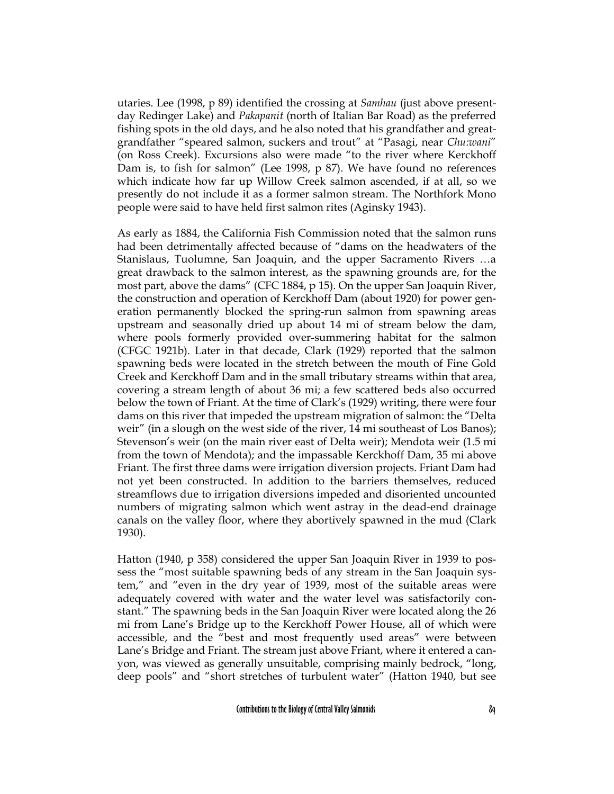utaries. Lee (1998, p 89) identified the crossing at *Samhau* (just above presentday Redinger Lake) and *Pakapanit* (north of Italian Bar Road) as the preferred fishing spots in the old days, and he also noted that his grandfather and greatgrandfather "speared salmon, suckers and trout" at "Pasagi, near *Chu:wani*" (on Ross Creek). Excursions also were made "to the river where Kerckhoff Dam is, to fish for salmon" (Lee 1998, p 87). We have found no references which indicate how far up Willow Creek salmon ascended, if at all, so we presently do not include it as a former salmon stream. The Northfork Mono people were said to have held first salmon rites (Aginsky 1943).

As early as 1884, the California Fish Commission noted that the salmon runs had been detrimentally affected because of "dams on the headwaters of the Stanislaus, Tuolumne, San Joaquin, and the upper Sacramento Rivers …a great drawback to the salmon interest, as the spawning grounds are, for the most part, above the dams" (CFC 1884, p 15). On the upper San Joaquin River, the construction and operation of Kerckhoff Dam (about 1920) for power generation permanently blocked the spring-run salmon from spawning areas upstream and seasonally dried up about 14 mi of stream below the dam, where pools formerly provided over-summering habitat for the salmon (CFGC 1921b). Later in that decade, Clark (1929) reported that the salmon spawning beds were located in the stretch between the mouth of Fine Gold Creek and Kerckhoff Dam and in the small tributary streams within that area, covering a stream length of about 36 mi; a few scattered beds also occurred below the town of Friant. At the time of Clark's (1929) writing, there were four dams on this river that impeded the upstream migration of salmon: the "Delta weir" (in a slough on the west side of the river, 14 mi southeast of Los Banos); Stevenson's weir (on the main river east of Delta weir); Mendota weir (1.5 mi from the town of Mendota); and the impassable Kerckhoff Dam, 35 mi above Friant. The first three dams were irrigation diversion projects. Friant Dam had not yet been constructed. In addition to the barriers themselves, reduced streamflows due to irrigation diversions impeded and disoriented uncounted numbers of migrating salmon which went astray in the dead-end drainage canals on the valley floor, where they abortively spawned in the mud (Clark 1930).

Hatton (1940, p 358) considered the upper San Joaquin River in 1939 to possess the "most suitable spawning beds of any stream in the San Joaquin system," and "even in the dry year of 1939, most of the suitable areas were adequately covered with water and the water level was satisfactorily constant." The spawning beds in the San Joaquin River were located along the 26 mi from Lane's Bridge up to the Kerckhoff Power House, all of which were accessible, and the "best and most frequently used areas" were between Lane's Bridge and Friant. The stream just above Friant, where it entered a canyon, was viewed as generally unsuitable, comprising mainly bedrock, "long, deep pools" and "short stretches of turbulent water" (Hatton 1940, but see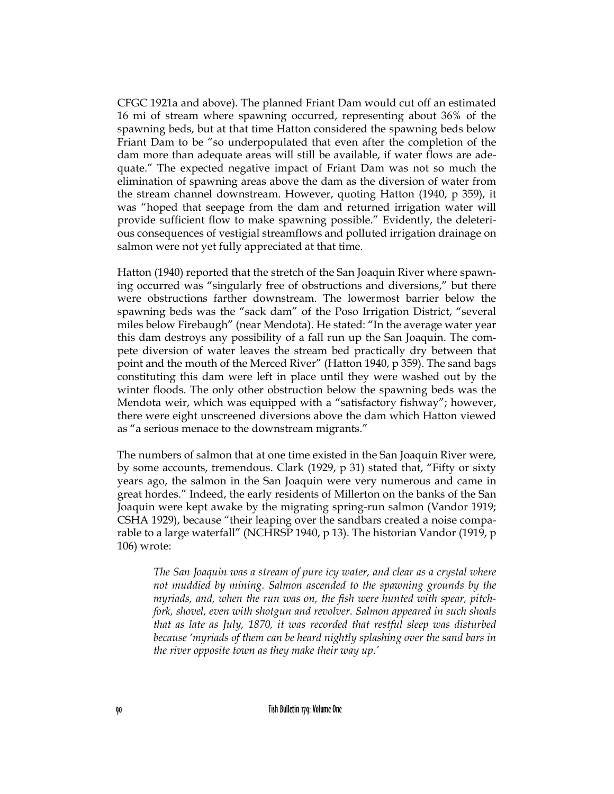CFGC 1921a and above). The planned Friant Dam would cut off an estimated 16 mi of stream where spawning occurred, representing about 36% of the spawning beds, but at that time Hatton considered the spawning beds below Friant Dam to be "so underpopulated that even after the completion of the dam more than adequate areas will still be available, if water flows are adequate." The expected negative impact of Friant Dam was not so much the elimination of spawning areas above the dam as the diversion of water from the stream channel downstream. However, quoting Hatton (1940, p 359), it was "hoped that seepage from the dam and returned irrigation water will provide sufficient flow to make spawning possible." Evidently, the deleterious consequences of vestigial streamflows and polluted irrigation drainage on salmon were not yet fully appreciated at that time.

Hatton (1940) reported that the stretch of the San Joaquin River where spawning occurred was "singularly free of obstructions and diversions," but there were obstructions farther downstream. The lowermost barrier below the spawning beds was the "sack dam" of the Poso Irrigation District, "several miles below Firebaugh" (near Mendota). He stated: "In the average water year this dam destroys any possibility of a fall run up the San Joaquin. The compete diversion of water leaves the stream bed practically dry between that point and the mouth of the Merced River" (Hatton 1940, p 359). The sand bags constituting this dam were left in place until they were washed out by the winter floods. The only other obstruction below the spawning beds was the Mendota weir, which was equipped with a "satisfactory fishway"; however, there were eight unscreened diversions above the dam which Hatton viewed as "a serious menace to the downstream migrants."

The numbers of salmon that at one time existed in the San Joaquin River were, by some accounts, tremendous. Clark (1929, p 31) stated that, "Fifty or sixty years ago, the salmon in the San Joaquin were very numerous and came in great hordes." Indeed, the early residents of Millerton on the banks of the San Joaquin were kept awake by the migrating spring-run salmon (Vandor 1919; CSHA 1929), because "their leaping over the sandbars created a noise comparable to a large waterfall" (NCHRSP 1940, p 13). The historian Vandor (1919, p 106) wrote:

*The San Joaquin was a stream of pure icy water, and clear as a crystal where not muddied by mining. Salmon ascended to the spawning grounds by the myriads, and, when the run was on, the fish were hunted with spear, pitchfork, shovel, even with shotgun and revolver. Salmon appeared in such shoals that as late as July, 1870, it was recorded that restful sleep was disturbed because 'myriads of them can be heard nightly splashing over the sand bars in the river opposite town as they make their way up.'*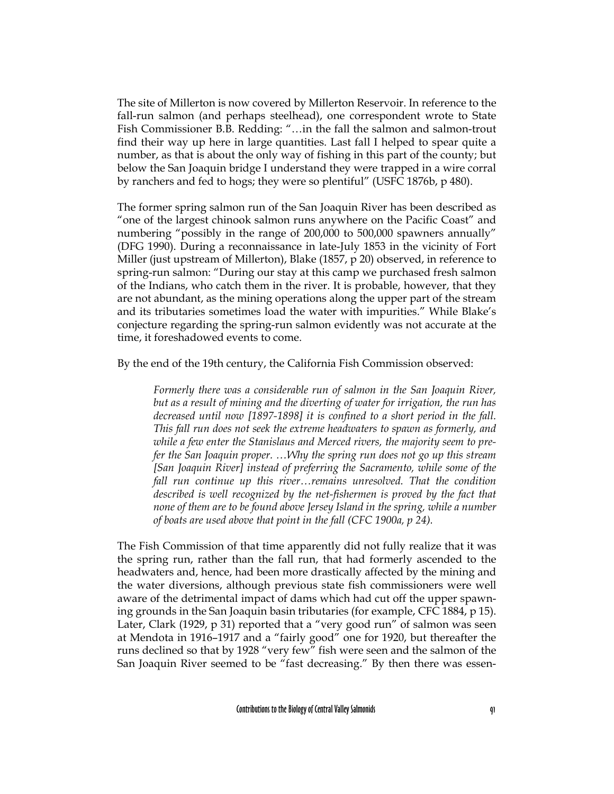The site of Millerton is now covered by Millerton Reservoir. In reference to the fall-run salmon (and perhaps steelhead), one correspondent wrote to State Fish Commissioner B.B. Redding: "…in the fall the salmon and salmon-trout find their way up here in large quantities. Last fall I helped to spear quite a number, as that is about the only way of fishing in this part of the county; but below the San Joaquin bridge I understand they were trapped in a wire corral by ranchers and fed to hogs; they were so plentiful" (USFC 1876b, p 480).

The former spring salmon run of the San Joaquin River has been described as "one of the largest chinook salmon runs anywhere on the Pacific Coast" and numbering "possibly in the range of 200,000 to 500,000 spawners annually" (DFG 1990). During a reconnaissance in late-July 1853 in the vicinity of Fort Miller (just upstream of Millerton), Blake (1857, p 20) observed, in reference to spring-run salmon: "During our stay at this camp we purchased fresh salmon of the Indians, who catch them in the river. It is probable, however, that they are not abundant, as the mining operations along the upper part of the stream and its tributaries sometimes load the water with impurities." While Blake's conjecture regarding the spring-run salmon evidently was not accurate at the time, it foreshadowed events to come.

By the end of the 19th century, the California Fish Commission observed:

*Formerly there was a considerable run of salmon in the San Joaquin River, but as a result of mining and the diverting of water for irrigation, the run has decreased until now [1897-1898] it is confined to a short period in the fall. This fall run does not seek the extreme headwaters to spawn as formerly, and while a few enter the Stanislaus and Merced rivers, the majority seem to prefer the San Joaquin proper. …Why the spring run does not go up this stream [San Joaquin River] instead of preferring the Sacramento, while some of the fall run continue up this river…remains unresolved. That the condition described is well recognized by the net-fishermen is proved by the fact that none of them are to be found above Jersey Island in the spring, while a number of boats are used above that point in the fall (CFC 1900a, p 24).*

The Fish Commission of that time apparently did not fully realize that it was the spring run, rather than the fall run, that had formerly ascended to the headwaters and, hence, had been more drastically affected by the mining and the water diversions, although previous state fish commissioners were well aware of the detrimental impact of dams which had cut off the upper spawning grounds in the San Joaquin basin tributaries (for example, CFC 1884, p 15). Later, Clark (1929, p 31) reported that a "very good run" of salmon was seen at Mendota in 1916–1917 and a "fairly good" one for 1920, but thereafter the runs declined so that by 1928 "very few" fish were seen and the salmon of the San Joaquin River seemed to be "fast decreasing." By then there was essen-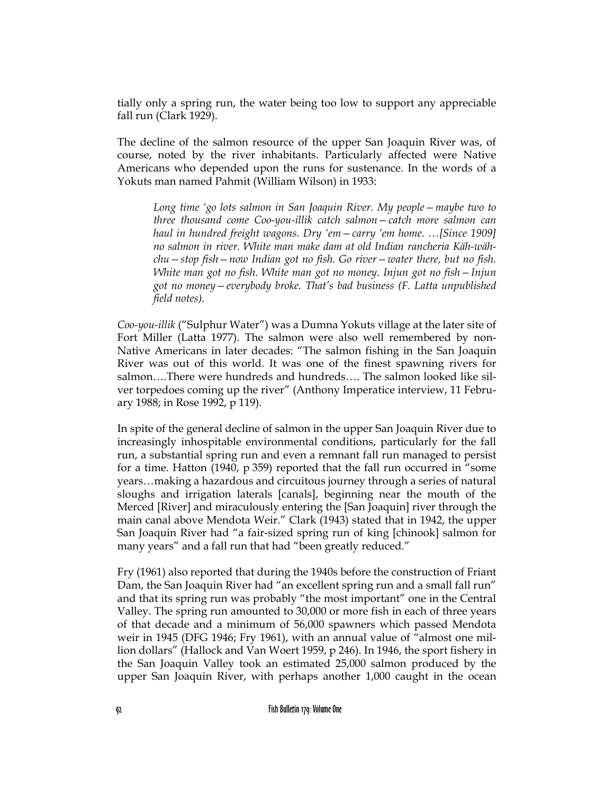tially only a spring run, the water being too low to support any appreciable fall run (Clark 1929).

The decline of the salmon resource of the upper San Joaquin River was, of course, noted by the river inhabitants. Particularly affected were Native Americans who depended upon the runs for sustenance. In the words of a Yokuts man named Pahmit (William Wilson) in 1933:

*Long time 'go lots salmon in San Joaquin River. My people—maybe two to three thousand come Coo-you-illik catch salmon—catch more salmon can haul in hundred freight wagons. Dry 'em—carry 'em home. …[Since 1909] no salmon in river. White man make dam at old Indian rancheria Käh-wähchu—stop fish—now Indian got no fish. Go river—water there, but no fish. White man got no fish. White man got no money. Injun got no fish—Injun got no money—everybody broke. That's bad business (F. Latta unpublished field notes).*

*Coo-you-illik* ("Sulphur Water") was a Dumna Yokuts village at the later site of Fort Miller (Latta 1977). The salmon were also well remembered by non-Native Americans in later decades: "The salmon fishing in the San Joaquin River was out of this world. It was one of the finest spawning rivers for salmon….There were hundreds and hundreds…. The salmon looked like silver torpedoes coming up the river" (Anthony Imperatice interview, 11 February 1988; in Rose 1992, p 119).

In spite of the general decline of salmon in the upper San Joaquin River due to increasingly inhospitable environmental conditions, particularly for the fall run, a substantial spring run and even a remnant fall run managed to persist for a time. Hatton (1940, p 359) reported that the fall run occurred in "some years…making a hazardous and circuitous journey through a series of natural sloughs and irrigation laterals [canals], beginning near the mouth of the Merced [River] and miraculously entering the [San Joaquin] river through the main canal above Mendota Weir." Clark (1943) stated that in 1942, the upper San Joaquin River had "a fair-sized spring run of king [chinook] salmon for many years" and a fall run that had "been greatly reduced."

Fry (1961) also reported that during the 1940s before the construction of Friant Dam, the San Joaquin River had "an excellent spring run and a small fall run" and that its spring run was probably "the most important" one in the Central Valley. The spring run amounted to 30,000 or more fish in each of three years of that decade and a minimum of 56,000 spawners which passed Mendota weir in 1945 (DFG 1946; Fry 1961), with an annual value of "almost one million dollars" (Hallock and Van Woert 1959, p 246). In 1946, the sport fishery in the San Joaquin Valley took an estimated 25,000 salmon produced by the upper San Joaquin River, with perhaps another 1,000 caught in the ocean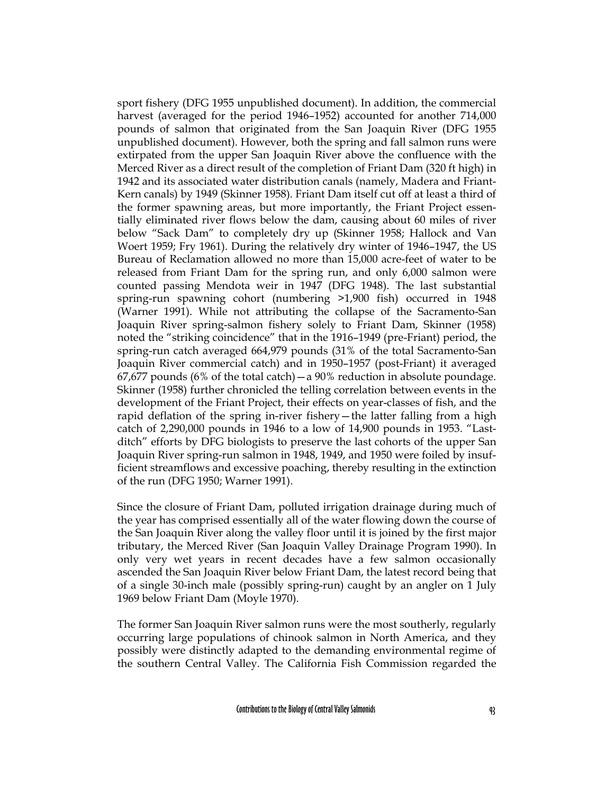sport fishery (DFG 1955 unpublished document). In addition, the commercial harvest (averaged for the period 1946–1952) accounted for another 714,000 pounds of salmon that originated from the San Joaquin River (DFG 1955 unpublished document). However, both the spring and fall salmon runs were extirpated from the upper San Joaquin River above the confluence with the Merced River as a direct result of the completion of Friant Dam (320 ft high) in 1942 and its associated water distribution canals (namely, Madera and Friant-Kern canals) by 1949 (Skinner 1958). Friant Dam itself cut off at least a third of the former spawning areas, but more importantly, the Friant Project essentially eliminated river flows below the dam, causing about 60 miles of river below "Sack Dam" to completely dry up (Skinner 1958; Hallock and Van Woert 1959; Fry 1961). During the relatively dry winter of 1946–1947, the US Bureau of Reclamation allowed no more than 15,000 acre-feet of water to be released from Friant Dam for the spring run, and only 6,000 salmon were counted passing Mendota weir in 1947 (DFG 1948). The last substantial spring-run spawning cohort (numbering >1,900 fish) occurred in 1948 (Warner 1991). While not attributing the collapse of the Sacramento-San Joaquin River spring-salmon fishery solely to Friant Dam, Skinner (1958) noted the "striking coincidence" that in the 1916–1949 (pre-Friant) period, the spring-run catch averaged 664,979 pounds (31% of the total Sacramento-San Joaquin River commercial catch) and in 1950–1957 (post-Friant) it averaged 67,677 pounds (6% of the total catch) — a 90% reduction in absolute poundage. Skinner (1958) further chronicled the telling correlation between events in the development of the Friant Project, their effects on year-classes of fish, and the rapid deflation of the spring in-river fishery—the latter falling from a high catch of 2,290,000 pounds in 1946 to a low of 14,900 pounds in 1953. "Lastditch" efforts by DFG biologists to preserve the last cohorts of the upper San Joaquin River spring-run salmon in 1948, 1949, and 1950 were foiled by insufficient streamflows and excessive poaching, thereby resulting in the extinction of the run (DFG 1950; Warner 1991).

Since the closure of Friant Dam, polluted irrigation drainage during much of the year has comprised essentially all of the water flowing down the course of the San Joaquin River along the valley floor until it is joined by the first major tributary, the Merced River (San Joaquin Valley Drainage Program 1990). In only very wet years in recent decades have a few salmon occasionally ascended the San Joaquin River below Friant Dam, the latest record being that of a single 30-inch male (possibly spring-run) caught by an angler on 1 July 1969 below Friant Dam (Moyle 1970).

The former San Joaquin River salmon runs were the most southerly, regularly occurring large populations of chinook salmon in North America, and they possibly were distinctly adapted to the demanding environmental regime of the southern Central Valley. The California Fish Commission regarded the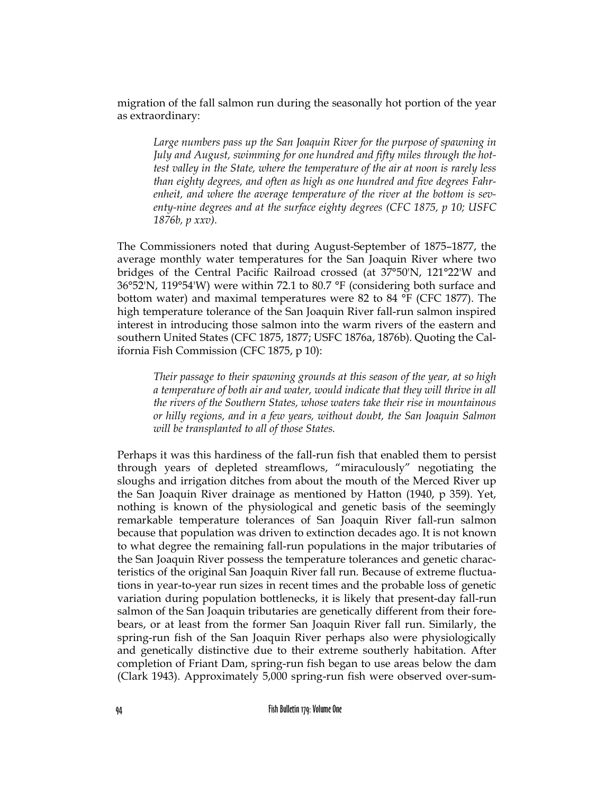migration of the fall salmon run during the seasonally hot portion of the year as extraordinary:

*Large numbers pass up the San Joaquin River for the purpose of spawning in July and August, swimming for one hundred and fifty miles through the hottest valley in the State, where the temperature of the air at noon is rarely less than eighty degrees, and often as high as one hundred and five degrees Fahrenheit, and where the average temperature of the river at the bottom is seventy-nine degrees and at the surface eighty degrees (CFC 1875, p 10; USFC 1876b, p xxv).*

The Commissioners noted that during August-September of 1875–1877, the average monthly water temperatures for the San Joaquin River where two bridges of the Central Pacific Railroad crossed (at 37°50'N, 121°22'W and 36°52'N, 119°54'W) were within 72.1 to 80.7 °F (considering both surface and bottom water) and maximal temperatures were 82 to 84 °F (CFC 1877). The high temperature tolerance of the San Joaquin River fall-run salmon inspired interest in introducing those salmon into the warm rivers of the eastern and southern United States (CFC 1875, 1877; USFC 1876a, 1876b). Quoting the California Fish Commission (CFC 1875, p 10):

*Their passage to their spawning grounds at this season of the year, at so high a temperature of both air and water, would indicate that they will thrive in all the rivers of the Southern States, whose waters take their rise in mountainous or hilly regions, and in a few years, without doubt, the San Joaquin Salmon will be transplanted to all of those States.*

Perhaps it was this hardiness of the fall-run fish that enabled them to persist through years of depleted streamflows, "miraculously" negotiating the sloughs and irrigation ditches from about the mouth of the Merced River up the San Joaquin River drainage as mentioned by Hatton (1940, p 359). Yet, nothing is known of the physiological and genetic basis of the seemingly remarkable temperature tolerances of San Joaquin River fall-run salmon because that population was driven to extinction decades ago. It is not known to what degree the remaining fall-run populations in the major tributaries of the San Joaquin River possess the temperature tolerances and genetic characteristics of the original San Joaquin River fall run. Because of extreme fluctuations in year-to-year run sizes in recent times and the probable loss of genetic variation during population bottlenecks, it is likely that present-day fall-run salmon of the San Joaquin tributaries are genetically different from their forebears, or at least from the former San Joaquin River fall run. Similarly, the spring-run fish of the San Joaquin River perhaps also were physiologically and genetically distinctive due to their extreme southerly habitation. After completion of Friant Dam, spring-run fish began to use areas below the dam (Clark 1943). Approximately 5,000 spring-run fish were observed over-sum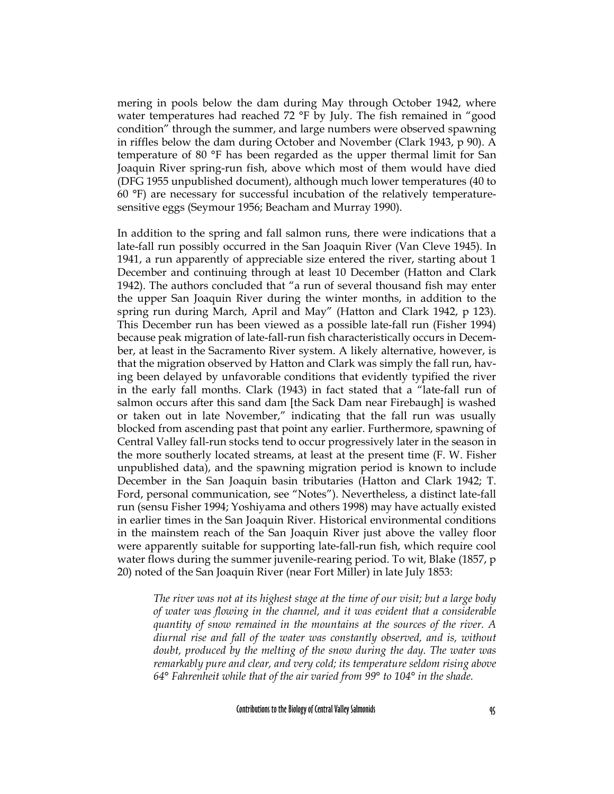mering in pools below the dam during May through October 1942, where water temperatures had reached 72 °F by July. The fish remained in "good condition" through the summer, and large numbers were observed spawning in riffles below the dam during October and November (Clark 1943, p 90). A temperature of 80 °F has been regarded as the upper thermal limit for San Joaquin River spring-run fish, above which most of them would have died (DFG 1955 unpublished document), although much lower temperatures (40 to 60 °F) are necessary for successful incubation of the relatively temperaturesensitive eggs (Seymour 1956; Beacham and Murray 1990).

In addition to the spring and fall salmon runs, there were indications that a late-fall run possibly occurred in the San Joaquin River (Van Cleve 1945). In 1941, a run apparently of appreciable size entered the river, starting about 1 December and continuing through at least 10 December (Hatton and Clark 1942). The authors concluded that "a run of several thousand fish may enter the upper San Joaquin River during the winter months, in addition to the spring run during March, April and May" (Hatton and Clark 1942, p 123). This December run has been viewed as a possible late-fall run (Fisher 1994) because peak migration of late-fall-run fish characteristically occurs in December, at least in the Sacramento River system. A likely alternative, however, is that the migration observed by Hatton and Clark was simply the fall run, having been delayed by unfavorable conditions that evidently typified the river in the early fall months. Clark (1943) in fact stated that a "late-fall run of salmon occurs after this sand dam [the Sack Dam near Firebaugh] is washed or taken out in late November," indicating that the fall run was usually blocked from ascending past that point any earlier. Furthermore, spawning of Central Valley fall-run stocks tend to occur progressively later in the season in the more southerly located streams, at least at the present time (F. W. Fisher unpublished data), and the spawning migration period is known to include December in the San Joaquin basin tributaries (Hatton and Clark 1942; T. Ford, personal communication, see "Notes"). Nevertheless, a distinct late-fall run (sensu Fisher 1994; Yoshiyama and others 1998) may have actually existed in earlier times in the San Joaquin River. Historical environmental conditions in the mainstem reach of the San Joaquin River just above the valley floor were apparently suitable for supporting late-fall-run fish, which require cool water flows during the summer juvenile-rearing period. To wit, Blake (1857, p 20) noted of the San Joaquin River (near Fort Miller) in late July 1853:

*The river was not at its highest stage at the time of our visit; but a large body of water was flowing in the channel, and it was evident that a considerable quantity of snow remained in the mountains at the sources of the river. A diurnal rise and fall of the water was constantly observed, and is, without doubt, produced by the melting of the snow during the day. The water was remarkably pure and clear, and very cold; its temperature seldom rising above 64° Fahrenheit while that of the air varied from 99° to 104° in the shade.*

Contributions to the Biology of Central Valley Salmonids 95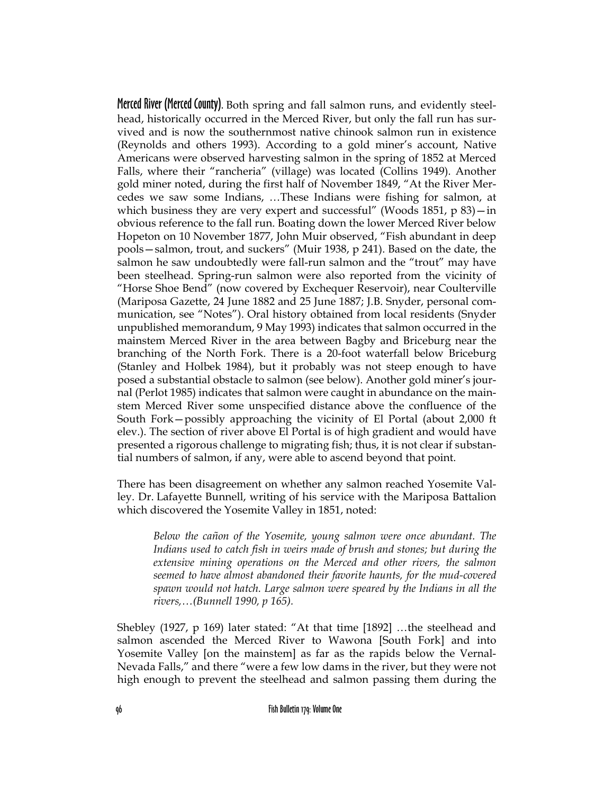Merced River (Merced County). Both spring and fall salmon runs, and evidently steelhead, historically occurred in the Merced River, but only the fall run has survived and is now the southernmost native chinook salmon run in existence (Reynolds and others 1993). According to a gold miner's account, Native Americans were observed harvesting salmon in the spring of 1852 at Merced Falls, where their "rancheria" (village) was located (Collins 1949). Another gold miner noted, during the first half of November 1849, "At the River Mercedes we saw some Indians, …These Indians were fishing for salmon, at which business they are very expert and successful" (Woods  $1851$ , p  $83$ ) - in obvious reference to the fall run. Boating down the lower Merced River below Hopeton on 10 November 1877, John Muir observed, "Fish abundant in deep pools—salmon, trout, and suckers" (Muir 1938, p 241). Based on the date, the salmon he saw undoubtedly were fall-run salmon and the "trout" may have been steelhead. Spring-run salmon were also reported from the vicinity of "Horse Shoe Bend" (now covered by Exchequer Reservoir), near Coulterville (Mariposa Gazette, 24 June 1882 and 25 June 1887; J.B. Snyder, personal communication, see "Notes"). Oral history obtained from local residents (Snyder unpublished memorandum, 9 May 1993) indicates that salmon occurred in the mainstem Merced River in the area between Bagby and Briceburg near the branching of the North Fork. There is a 20-foot waterfall below Briceburg (Stanley and Holbek 1984), but it probably was not steep enough to have posed a substantial obstacle to salmon (see below). Another gold miner's journal (Perlot 1985) indicates that salmon were caught in abundance on the mainstem Merced River some unspecified distance above the confluence of the South Fork—possibly approaching the vicinity of El Portal (about 2,000 ft elev.). The section of river above El Portal is of high gradient and would have presented a rigorous challenge to migrating fish; thus, it is not clear if substantial numbers of salmon, if any, were able to ascend beyond that point.

There has been disagreement on whether any salmon reached Yosemite Valley. Dr. Lafayette Bunnell, writing of his service with the Mariposa Battalion which discovered the Yosemite Valley in 1851, noted:

*Below the cañon of the Yosemite, young salmon were once abundant. The Indians used to catch fish in weirs made of brush and stones; but during the extensive mining operations on the Merced and other rivers, the salmon seemed to have almost abandoned their favorite haunts, for the mud-covered spawn would not hatch. Large salmon were speared by the Indians in all the rivers,…(Bunnell 1990, p 165).*

Shebley (1927, p 169) later stated: "At that time [1892] …the steelhead and salmon ascended the Merced River to Wawona [South Fork] and into Yosemite Valley [on the mainstem] as far as the rapids below the Vernal-Nevada Falls," and there "were a few low dams in the river, but they were not high enough to prevent the steelhead and salmon passing them during the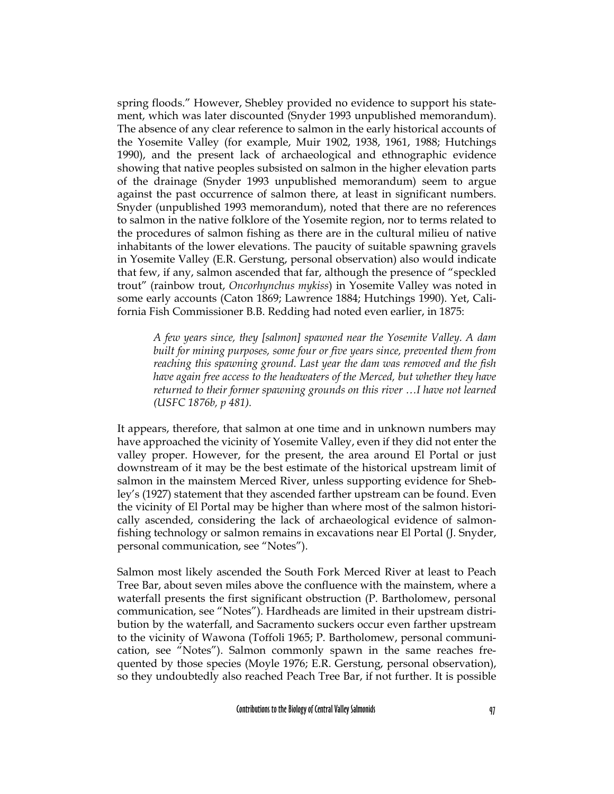spring floods." However, Shebley provided no evidence to support his statement, which was later discounted (Snyder 1993 unpublished memorandum). The absence of any clear reference to salmon in the early historical accounts of the Yosemite Valley (for example, Muir 1902, 1938, 1961, 1988; Hutchings 1990), and the present lack of archaeological and ethnographic evidence showing that native peoples subsisted on salmon in the higher elevation parts of the drainage (Snyder 1993 unpublished memorandum) seem to argue against the past occurrence of salmon there, at least in significant numbers. Snyder (unpublished 1993 memorandum), noted that there are no references to salmon in the native folklore of the Yosemite region, nor to terms related to the procedures of salmon fishing as there are in the cultural milieu of native inhabitants of the lower elevations. The paucity of suitable spawning gravels in Yosemite Valley (E.R. Gerstung, personal observation) also would indicate that few, if any, salmon ascended that far, although the presence of "speckled trout" (rainbow trout, *Oncorhynchus mykiss*) in Yosemite Valley was noted in some early accounts (Caton 1869; Lawrence 1884; Hutchings 1990). Yet, California Fish Commissioner B.B. Redding had noted even earlier, in 1875:

*A few years since, they [salmon] spawned near the Yosemite Valley. A dam built for mining purposes, some four or five years since, prevented them from reaching this spawning ground. Last year the dam was removed and the fish have again free access to the headwaters of the Merced, but whether they have returned to their former spawning grounds on this river …I have not learned (USFC 1876b, p 481).*

It appears, therefore, that salmon at one time and in unknown numbers may have approached the vicinity of Yosemite Valley, even if they did not enter the valley proper. However, for the present, the area around El Portal or just downstream of it may be the best estimate of the historical upstream limit of salmon in the mainstem Merced River, unless supporting evidence for Shebley's (1927) statement that they ascended farther upstream can be found. Even the vicinity of El Portal may be higher than where most of the salmon historically ascended, considering the lack of archaeological evidence of salmonfishing technology or salmon remains in excavations near El Portal (J. Snyder, personal communication, see "Notes").

Salmon most likely ascended the South Fork Merced River at least to Peach Tree Bar, about seven miles above the confluence with the mainstem, where a waterfall presents the first significant obstruction (P. Bartholomew, personal communication, see "Notes"). Hardheads are limited in their upstream distribution by the waterfall, and Sacramento suckers occur even farther upstream to the vicinity of Wawona (Toffoli 1965; P. Bartholomew, personal communication, see "Notes"). Salmon commonly spawn in the same reaches frequented by those species (Moyle 1976; E.R. Gerstung, personal observation), so they undoubtedly also reached Peach Tree Bar, if not further. It is possible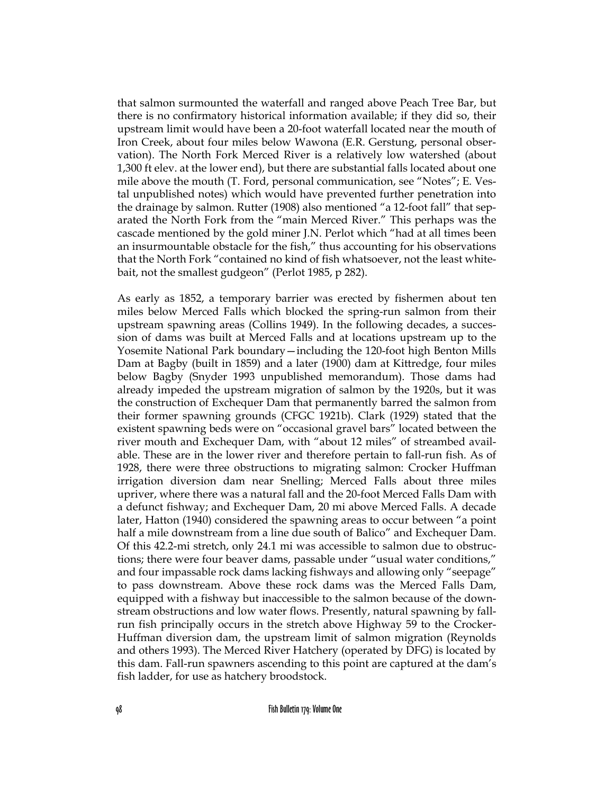that salmon surmounted the waterfall and ranged above Peach Tree Bar, but there is no confirmatory historical information available; if they did so, their upstream limit would have been a 20-foot waterfall located near the mouth of Iron Creek, about four miles below Wawona (E.R. Gerstung, personal observation). The North Fork Merced River is a relatively low watershed (about 1,300 ft elev. at the lower end), but there are substantial falls located about one mile above the mouth (T. Ford, personal communication, see "Notes"; E. Vestal unpublished notes) which would have prevented further penetration into the drainage by salmon. Rutter (1908) also mentioned "a 12-foot fall" that separated the North Fork from the "main Merced River." This perhaps was the cascade mentioned by the gold miner J.N. Perlot which "had at all times been an insurmountable obstacle for the fish," thus accounting for his observations that the North Fork "contained no kind of fish whatsoever, not the least whitebait, not the smallest gudgeon" (Perlot 1985, p 282).

As early as 1852, a temporary barrier was erected by fishermen about ten miles below Merced Falls which blocked the spring-run salmon from their upstream spawning areas (Collins 1949). In the following decades, a succession of dams was built at Merced Falls and at locations upstream up to the Yosemite National Park boundary—including the 120-foot high Benton Mills Dam at Bagby (built in 1859) and a later (1900) dam at Kittredge, four miles below Bagby (Snyder 1993 unpublished memorandum). Those dams had already impeded the upstream migration of salmon by the 1920s, but it was the construction of Exchequer Dam that permanently barred the salmon from their former spawning grounds (CFGC 1921b). Clark (1929) stated that the existent spawning beds were on "occasional gravel bars" located between the river mouth and Exchequer Dam, with "about 12 miles" of streambed available. These are in the lower river and therefore pertain to fall-run fish. As of 1928, there were three obstructions to migrating salmon: Crocker Huffman irrigation diversion dam near Snelling; Merced Falls about three miles upriver, where there was a natural fall and the 20-foot Merced Falls Dam with a defunct fishway; and Exchequer Dam, 20 mi above Merced Falls. A decade later, Hatton (1940) considered the spawning areas to occur between "a point half a mile downstream from a line due south of Balico" and Exchequer Dam. Of this 42.2-mi stretch, only 24.1 mi was accessible to salmon due to obstructions; there were four beaver dams, passable under "usual water conditions," and four impassable rock dams lacking fishways and allowing only "seepage" to pass downstream. Above these rock dams was the Merced Falls Dam, equipped with a fishway but inaccessible to the salmon because of the downstream obstructions and low water flows. Presently, natural spawning by fallrun fish principally occurs in the stretch above Highway 59 to the Crocker-Huffman diversion dam, the upstream limit of salmon migration (Reynolds and others 1993). The Merced River Hatchery (operated by DFG) is located by this dam. Fall-run spawners ascending to this point are captured at the dam's fish ladder, for use as hatchery broodstock.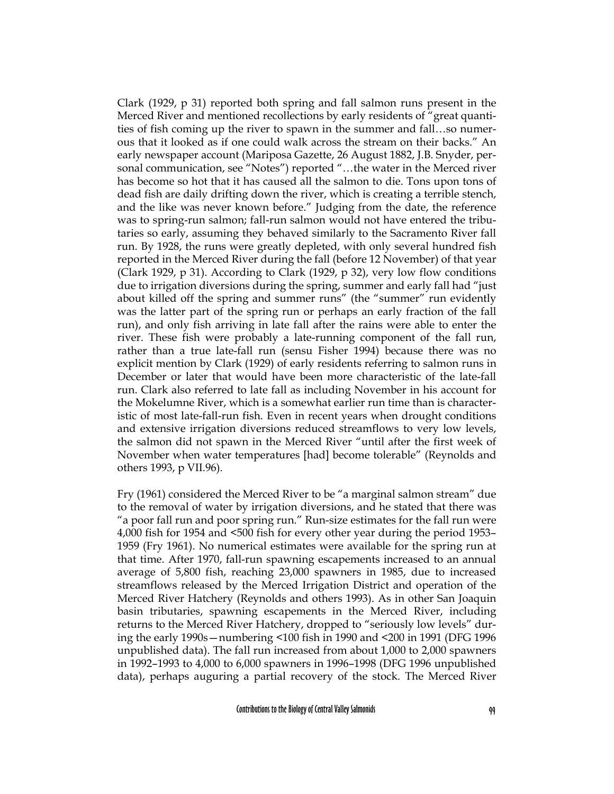Clark (1929, p 31) reported both spring and fall salmon runs present in the Merced River and mentioned recollections by early residents of "great quantities of fish coming up the river to spawn in the summer and fall…so numerous that it looked as if one could walk across the stream on their backs." An early newspaper account (Mariposa Gazette, 26 August 1882, J.B. Snyder, personal communication, see "Notes") reported "…the water in the Merced river has become so hot that it has caused all the salmon to die. Tons upon tons of dead fish are daily drifting down the river, which is creating a terrible stench, and the like was never known before." Judging from the date, the reference was to spring-run salmon; fall-run salmon would not have entered the tributaries so early, assuming they behaved similarly to the Sacramento River fall run. By 1928, the runs were greatly depleted, with only several hundred fish reported in the Merced River during the fall (before 12 November) of that year (Clark 1929, p 31). According to Clark (1929, p 32), very low flow conditions due to irrigation diversions during the spring, summer and early fall had "just about killed off the spring and summer runs" (the "summer" run evidently was the latter part of the spring run or perhaps an early fraction of the fall run), and only fish arriving in late fall after the rains were able to enter the river. These fish were probably a late-running component of the fall run, rather than a true late-fall run (sensu Fisher 1994) because there was no explicit mention by Clark (1929) of early residents referring to salmon runs in December or later that would have been more characteristic of the late-fall run. Clark also referred to late fall as including November in his account for the Mokelumne River, which is a somewhat earlier run time than is characteristic of most late-fall-run fish. Even in recent years when drought conditions and extensive irrigation diversions reduced streamflows to very low levels, the salmon did not spawn in the Merced River "until after the first week of November when water temperatures [had] become tolerable" (Reynolds and others 1993, p VII.96).

Fry (1961) considered the Merced River to be "a marginal salmon stream" due to the removal of water by irrigation diversions, and he stated that there was "a poor fall run and poor spring run." Run-size estimates for the fall run were 4,000 fish for 1954 and <500 fish for every other year during the period 1953– 1959 (Fry 1961). No numerical estimates were available for the spring run at that time. After 1970, fall-run spawning escapements increased to an annual average of 5,800 fish, reaching 23,000 spawners in 1985, due to increased streamflows released by the Merced Irrigation District and operation of the Merced River Hatchery (Reynolds and others 1993). As in other San Joaquin basin tributaries, spawning escapements in the Merced River, including returns to the Merced River Hatchery, dropped to "seriously low levels" during the early 1990s—numbering <100 fish in 1990 and <200 in 1991 (DFG 1996 unpublished data). The fall run increased from about 1,000 to 2,000 spawners in 1992–1993 to 4,000 to 6,000 spawners in 1996–1998 (DFG 1996 unpublished data), perhaps auguring a partial recovery of the stock. The Merced River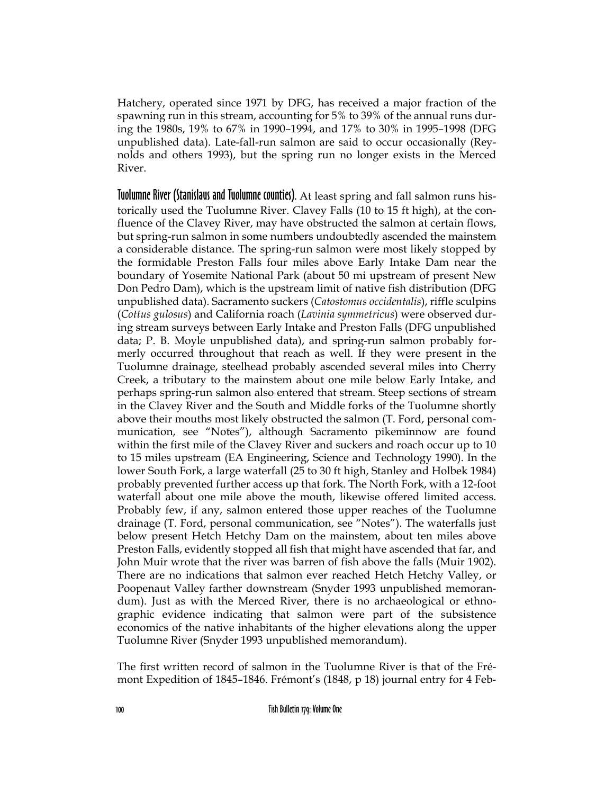Hatchery, operated since 1971 by DFG, has received a major fraction of the spawning run in this stream, accounting for 5% to 39% of the annual runs during the 1980s, 19% to 67% in 1990–1994, and 17% to 30% in 1995–1998 (DFG unpublished data). Late-fall-run salmon are said to occur occasionally (Reynolds and others 1993), but the spring run no longer exists in the Merced River.

Tuolumne River (Stanislaus and Tuolumne counties). At least spring and fall salmon runs historically used the Tuolumne River. Clavey Falls (10 to 15 ft high), at the confluence of the Clavey River, may have obstructed the salmon at certain flows, but spring-run salmon in some numbers undoubtedly ascended the mainstem a considerable distance. The spring-run salmon were most likely stopped by the formidable Preston Falls four miles above Early Intake Dam near the boundary of Yosemite National Park (about 50 mi upstream of present New Don Pedro Dam), which is the upstream limit of native fish distribution (DFG unpublished data). Sacramento suckers (*Catostomus occidentalis*), riffle sculpins (*Cottus gulosus*) and California roach (*Lavinia symmetricus*) were observed during stream surveys between Early Intake and Preston Falls (DFG unpublished data; P. B. Moyle unpublished data), and spring-run salmon probably formerly occurred throughout that reach as well. If they were present in the Tuolumne drainage, steelhead probably ascended several miles into Cherry Creek, a tributary to the mainstem about one mile below Early Intake, and perhaps spring-run salmon also entered that stream. Steep sections of stream in the Clavey River and the South and Middle forks of the Tuolumne shortly above their mouths most likely obstructed the salmon (T. Ford, personal communication, see "Notes"), although Sacramento pikeminnow are found within the first mile of the Clavey River and suckers and roach occur up to 10 to 15 miles upstream (EA Engineering, Science and Technology 1990). In the lower South Fork, a large waterfall (25 to 30 ft high, Stanley and Holbek 1984) probably prevented further access up that fork. The North Fork, with a 12-foot waterfall about one mile above the mouth, likewise offered limited access. Probably few, if any, salmon entered those upper reaches of the Tuolumne drainage (T. Ford, personal communication, see "Notes"). The waterfalls just below present Hetch Hetchy Dam on the mainstem, about ten miles above Preston Falls, evidently stopped all fish that might have ascended that far, and John Muir wrote that the river was barren of fish above the falls (Muir 1902). There are no indications that salmon ever reached Hetch Hetchy Valley, or Poopenaut Valley farther downstream (Snyder 1993 unpublished memorandum). Just as with the Merced River, there is no archaeological or ethnographic evidence indicating that salmon were part of the subsistence economics of the native inhabitants of the higher elevations along the upper Tuolumne River (Snyder 1993 unpublished memorandum).

The first written record of salmon in the Tuolumne River is that of the Frémont Expedition of 1845–1846. Frémont's (1848, p 18) journal entry for 4 Feb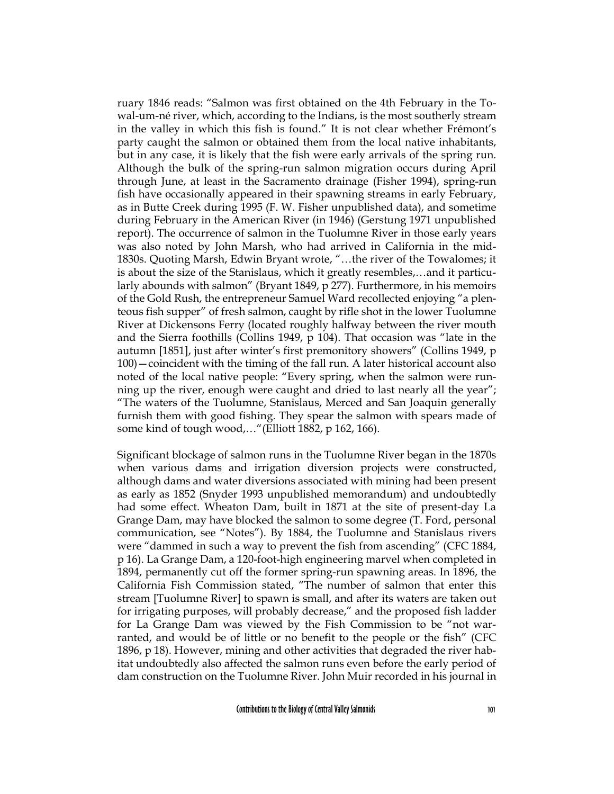ruary 1846 reads: "Salmon was first obtained on the 4th February in the Towal-um-né river, which, according to the Indians, is the most southerly stream in the valley in which this fish is found." It is not clear whether Frémont's party caught the salmon or obtained them from the local native inhabitants, but in any case, it is likely that the fish were early arrivals of the spring run. Although the bulk of the spring-run salmon migration occurs during April through June, at least in the Sacramento drainage (Fisher 1994), spring-run fish have occasionally appeared in their spawning streams in early February, as in Butte Creek during 1995 (F. W. Fisher unpublished data), and sometime during February in the American River (in 1946) (Gerstung 1971 unpublished report). The occurrence of salmon in the Tuolumne River in those early years was also noted by John Marsh, who had arrived in California in the mid-1830s. Quoting Marsh, Edwin Bryant wrote, "…the river of the Towalomes; it is about the size of the Stanislaus, which it greatly resembles,…and it particularly abounds with salmon" (Bryant 1849, p 277). Furthermore, in his memoirs of the Gold Rush, the entrepreneur Samuel Ward recollected enjoying "a plenteous fish supper" of fresh salmon, caught by rifle shot in the lower Tuolumne River at Dickensons Ferry (located roughly halfway between the river mouth and the Sierra foothills (Collins 1949, p 104). That occasion was "late in the autumn [1851], just after winter's first premonitory showers" (Collins 1949, p 100)—coincident with the timing of the fall run. A later historical account also noted of the local native people: "Every spring, when the salmon were running up the river, enough were caught and dried to last nearly all the year"; "The waters of the Tuolumne, Stanislaus, Merced and San Joaquin generally furnish them with good fishing. They spear the salmon with spears made of some kind of tough wood,…"(Elliott 1882, p 162, 166).

Significant blockage of salmon runs in the Tuolumne River began in the 1870s when various dams and irrigation diversion projects were constructed, although dams and water diversions associated with mining had been present as early as 1852 (Snyder 1993 unpublished memorandum) and undoubtedly had some effect. Wheaton Dam, built in 1871 at the site of present-day La Grange Dam, may have blocked the salmon to some degree (T. Ford, personal communication, see "Notes"). By 1884, the Tuolumne and Stanislaus rivers were "dammed in such a way to prevent the fish from ascending" (CFC 1884, p 16). La Grange Dam, a 120-foot-high engineering marvel when completed in 1894, permanently cut off the former spring-run spawning areas. In 1896, the California Fish Commission stated, "The number of salmon that enter this stream [Tuolumne River] to spawn is small, and after its waters are taken out for irrigating purposes, will probably decrease," and the proposed fish ladder for La Grange Dam was viewed by the Fish Commission to be "not warranted, and would be of little or no benefit to the people or the fish" (CFC 1896, p 18). However, mining and other activities that degraded the river habitat undoubtedly also affected the salmon runs even before the early period of dam construction on the Tuolumne River. John Muir recorded in his journal in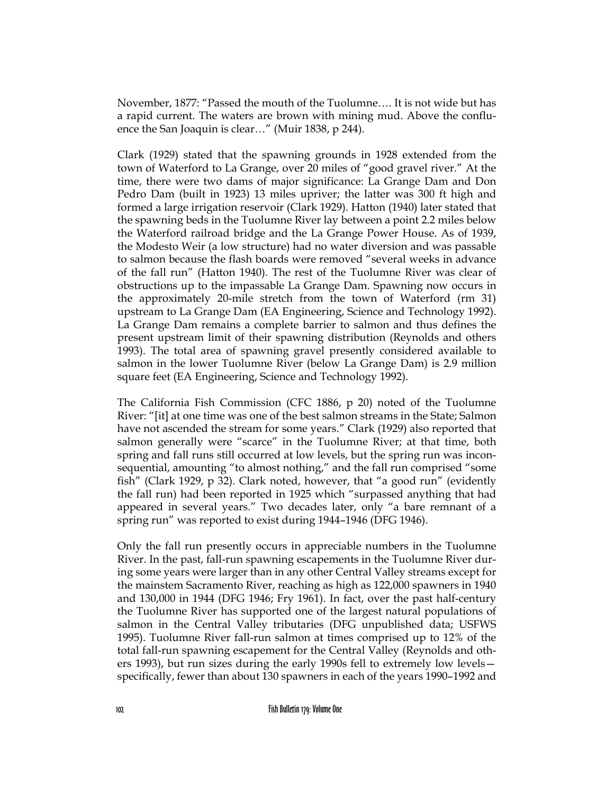November, 1877: "Passed the mouth of the Tuolumne…. It is not wide but has a rapid current. The waters are brown with mining mud. Above the confluence the San Joaquin is clear…" (Muir 1838, p 244).

Clark (1929) stated that the spawning grounds in 1928 extended from the town of Waterford to La Grange, over 20 miles of "good gravel river." At the time, there were two dams of major significance: La Grange Dam and Don Pedro Dam (built in 1923) 13 miles upriver; the latter was 300 ft high and formed a large irrigation reservoir (Clark 1929). Hatton (1940) later stated that the spawning beds in the Tuolumne River lay between a point 2.2 miles below the Waterford railroad bridge and the La Grange Power House. As of 1939, the Modesto Weir (a low structure) had no water diversion and was passable to salmon because the flash boards were removed "several weeks in advance of the fall run" (Hatton 1940). The rest of the Tuolumne River was clear of obstructions up to the impassable La Grange Dam. Spawning now occurs in the approximately 20-mile stretch from the town of Waterford (rm 31) upstream to La Grange Dam (EA Engineering, Science and Technology 1992). La Grange Dam remains a complete barrier to salmon and thus defines the present upstream limit of their spawning distribution (Reynolds and others 1993). The total area of spawning gravel presently considered available to salmon in the lower Tuolumne River (below La Grange Dam) is 2.9 million square feet (EA Engineering, Science and Technology 1992).

The California Fish Commission (CFC 1886, p 20) noted of the Tuolumne River: "[it] at one time was one of the best salmon streams in the State; Salmon have not ascended the stream for some years." Clark (1929) also reported that salmon generally were "scarce" in the Tuolumne River; at that time, both spring and fall runs still occurred at low levels, but the spring run was inconsequential, amounting "to almost nothing," and the fall run comprised "some fish" (Clark 1929, p 32). Clark noted, however, that "a good run" (evidently the fall run) had been reported in 1925 which "surpassed anything that had appeared in several years." Two decades later, only "a bare remnant of a spring run" was reported to exist during 1944–1946 (DFG 1946).

Only the fall run presently occurs in appreciable numbers in the Tuolumne River. In the past, fall-run spawning escapements in the Tuolumne River during some years were larger than in any other Central Valley streams except for the mainstem Sacramento River, reaching as high as 122,000 spawners in 1940 and 130,000 in 1944 (DFG 1946; Fry 1961). In fact, over the past half-century the Tuolumne River has supported one of the largest natural populations of salmon in the Central Valley tributaries (DFG unpublished data; USFWS 1995). Tuolumne River fall-run salmon at times comprised up to 12% of the total fall-run spawning escapement for the Central Valley (Reynolds and others 1993), but run sizes during the early 1990s fell to extremely low levels specifically, fewer than about 130 spawners in each of the years 1990–1992 and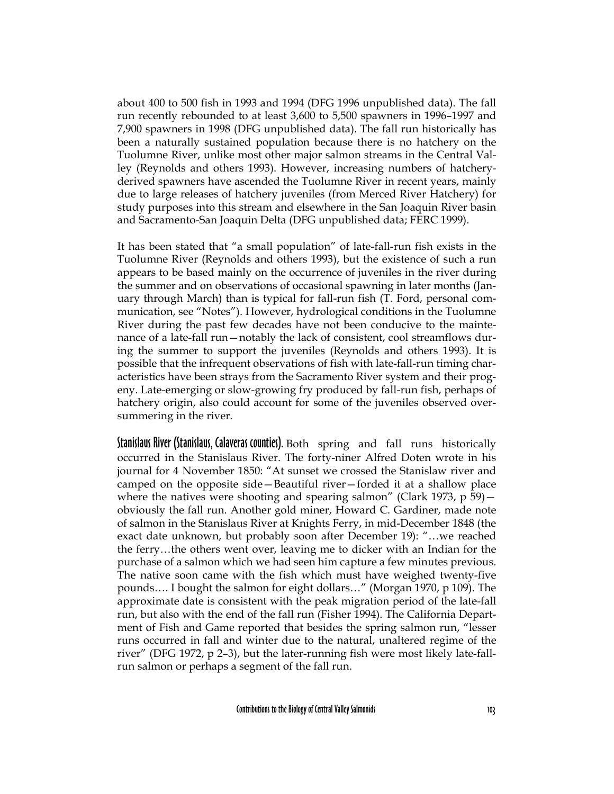about 400 to 500 fish in 1993 and 1994 (DFG 1996 unpublished data). The fall run recently rebounded to at least 3,600 to 5,500 spawners in 1996–1997 and 7,900 spawners in 1998 (DFG unpublished data). The fall run historically has been a naturally sustained population because there is no hatchery on the Tuolumne River, unlike most other major salmon streams in the Central Valley (Reynolds and others 1993). However, increasing numbers of hatcheryderived spawners have ascended the Tuolumne River in recent years, mainly due to large releases of hatchery juveniles (from Merced River Hatchery) for study purposes into this stream and elsewhere in the San Joaquin River basin and Sacramento-San Joaquin Delta (DFG unpublished data; FERC 1999).

It has been stated that "a small population" of late-fall-run fish exists in the Tuolumne River (Reynolds and others 1993), but the existence of such a run appears to be based mainly on the occurrence of juveniles in the river during the summer and on observations of occasional spawning in later months (January through March) than is typical for fall-run fish (T. Ford, personal communication, see "Notes"). However, hydrological conditions in the Tuolumne River during the past few decades have not been conducive to the maintenance of a late-fall run—notably the lack of consistent, cool streamflows during the summer to support the juveniles (Reynolds and others 1993). It is possible that the infrequent observations of fish with late-fall-run timing characteristics have been strays from the Sacramento River system and their progeny. Late-emerging or slow-growing fry produced by fall-run fish, perhaps of hatchery origin, also could account for some of the juveniles observed oversummering in the river.

Stanislaus River (Stanislaus, Calaveras counties). Both spring and fall runs historically occurred in the Stanislaus River. The forty-niner Alfred Doten wrote in his journal for 4 November 1850: "At sunset we crossed the Stanislaw river and camped on the opposite side—Beautiful river—forded it at a shallow place where the natives were shooting and spearing salmon" (Clark 1973, p 59) obviously the fall run. Another gold miner, Howard C. Gardiner, made note of salmon in the Stanislaus River at Knights Ferry, in mid-December 1848 (the exact date unknown, but probably soon after December 19): "…we reached the ferry…the others went over, leaving me to dicker with an Indian for the purchase of a salmon which we had seen him capture a few minutes previous. The native soon came with the fish which must have weighed twenty-five pounds…. I bought the salmon for eight dollars…" (Morgan 1970, p 109). The approximate date is consistent with the peak migration period of the late-fall run, but also with the end of the fall run (Fisher 1994). The California Department of Fish and Game reported that besides the spring salmon run, "lesser runs occurred in fall and winter due to the natural, unaltered regime of the river" (DFG 1972, p 2–3), but the later-running fish were most likely late-fallrun salmon or perhaps a segment of the fall run.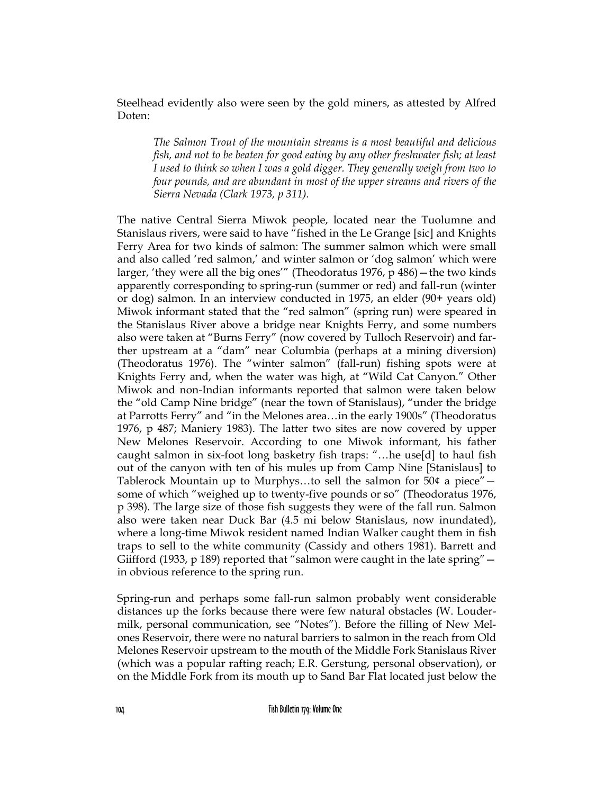Steelhead evidently also were seen by the gold miners, as attested by Alfred Doten:

*The Salmon Trout of the mountain streams is a most beautiful and delicious fish, and not to be beaten for good eating by any other freshwater fish; at least I used to think so when I was a gold digger. They generally weigh from two to four pounds, and are abundant in most of the upper streams and rivers of the Sierra Nevada (Clark 1973, p 311).*

The native Central Sierra Miwok people, located near the Tuolumne and Stanislaus rivers, were said to have "fished in the Le Grange [sic] and Knights Ferry Area for two kinds of salmon: The summer salmon which were small and also called 'red salmon,' and winter salmon or 'dog salmon' which were larger, 'they were all the big ones'" (Theodoratus 1976, p 486)—the two kinds apparently corresponding to spring-run (summer or red) and fall-run (winter or dog) salmon. In an interview conducted in 1975, an elder (90+ years old) Miwok informant stated that the "red salmon" (spring run) were speared in the Stanislaus River above a bridge near Knights Ferry, and some numbers also were taken at "Burns Ferry" (now covered by Tulloch Reservoir) and farther upstream at a "dam" near Columbia (perhaps at a mining diversion) (Theodoratus 1976). The "winter salmon" (fall-run) fishing spots were at Knights Ferry and, when the water was high, at "Wild Cat Canyon." Other Miwok and non-Indian informants reported that salmon were taken below the "old Camp Nine bridge" (near the town of Stanislaus), "under the bridge at Parrotts Ferry" and "in the Melones area…in the early 1900s" (Theodoratus 1976, p 487; Maniery 1983). The latter two sites are now covered by upper New Melones Reservoir. According to one Miwok informant, his father caught salmon in six-foot long basketry fish traps: "…he use[d] to haul fish out of the canyon with ten of his mules up from Camp Nine [Stanislaus] to Tablerock Mountain up to Murphys...to sell the salmon for  $50¢$  a piece"  $$ some of which "weighed up to twenty-five pounds or so" (Theodoratus 1976, p 398). The large size of those fish suggests they were of the fall run. Salmon also were taken near Duck Bar (4.5 mi below Stanislaus, now inundated), where a long-time Miwok resident named Indian Walker caught them in fish traps to sell to the white community (Cassidy and others 1981). Barrett and Giifford (1933, p 189) reported that "salmon were caught in the late spring" in obvious reference to the spring run.

Spring-run and perhaps some fall-run salmon probably went considerable distances up the forks because there were few natural obstacles (W. Loudermilk, personal communication, see "Notes"). Before the filling of New Melones Reservoir, there were no natural barriers to salmon in the reach from Old Melones Reservoir upstream to the mouth of the Middle Fork Stanislaus River (which was a popular rafting reach; E.R. Gerstung, personal observation), or on the Middle Fork from its mouth up to Sand Bar Flat located just below the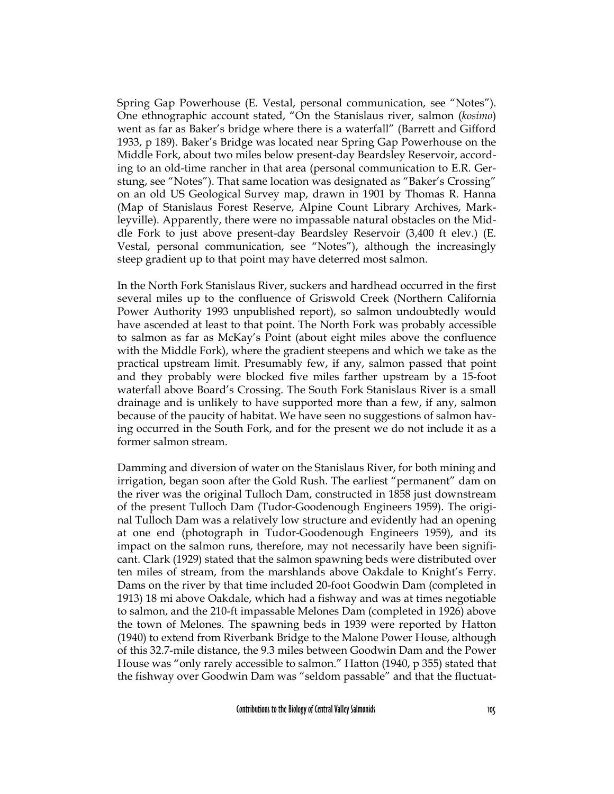Spring Gap Powerhouse (E. Vestal, personal communication, see "Notes"). One ethnographic account stated, "On the Stanislaus river, salmon (*kosimo*) went as far as Baker's bridge where there is a waterfall" (Barrett and Gifford 1933, p 189). Baker's Bridge was located near Spring Gap Powerhouse on the Middle Fork, about two miles below present-day Beardsley Reservoir, according to an old-time rancher in that area (personal communication to E.R. Gerstung, see "Notes"). That same location was designated as "Baker's Crossing" on an old US Geological Survey map, drawn in 1901 by Thomas R. Hanna (Map of Stanislaus Forest Reserve, Alpine Count Library Archives, Markleyville). Apparently, there were no impassable natural obstacles on the Middle Fork to just above present-day Beardsley Reservoir (3,400 ft elev.) (E. Vestal, personal communication, see "Notes"), although the increasingly steep gradient up to that point may have deterred most salmon.

In the North Fork Stanislaus River, suckers and hardhead occurred in the first several miles up to the confluence of Griswold Creek (Northern California Power Authority 1993 unpublished report), so salmon undoubtedly would have ascended at least to that point. The North Fork was probably accessible to salmon as far as McKay's Point (about eight miles above the confluence with the Middle Fork), where the gradient steepens and which we take as the practical upstream limit. Presumably few, if any, salmon passed that point and they probably were blocked five miles farther upstream by a 15-foot waterfall above Board's Crossing. The South Fork Stanislaus River is a small drainage and is unlikely to have supported more than a few, if any, salmon because of the paucity of habitat. We have seen no suggestions of salmon having occurred in the South Fork, and for the present we do not include it as a former salmon stream.

Damming and diversion of water on the Stanislaus River, for both mining and irrigation, began soon after the Gold Rush. The earliest "permanent" dam on the river was the original Tulloch Dam, constructed in 1858 just downstream of the present Tulloch Dam (Tudor-Goodenough Engineers 1959). The original Tulloch Dam was a relatively low structure and evidently had an opening at one end (photograph in Tudor-Goodenough Engineers 1959), and its impact on the salmon runs, therefore, may not necessarily have been significant. Clark (1929) stated that the salmon spawning beds were distributed over ten miles of stream, from the marshlands above Oakdale to Knight's Ferry. Dams on the river by that time included 20-foot Goodwin Dam (completed in 1913) 18 mi above Oakdale, which had a fishway and was at times negotiable to salmon, and the 210-ft impassable Melones Dam (completed in 1926) above the town of Melones. The spawning beds in 1939 were reported by Hatton (1940) to extend from Riverbank Bridge to the Malone Power House, although of this 32.7-mile distance, the 9.3 miles between Goodwin Dam and the Power House was "only rarely accessible to salmon." Hatton (1940, p 355) stated that the fishway over Goodwin Dam was "seldom passable" and that the fluctuat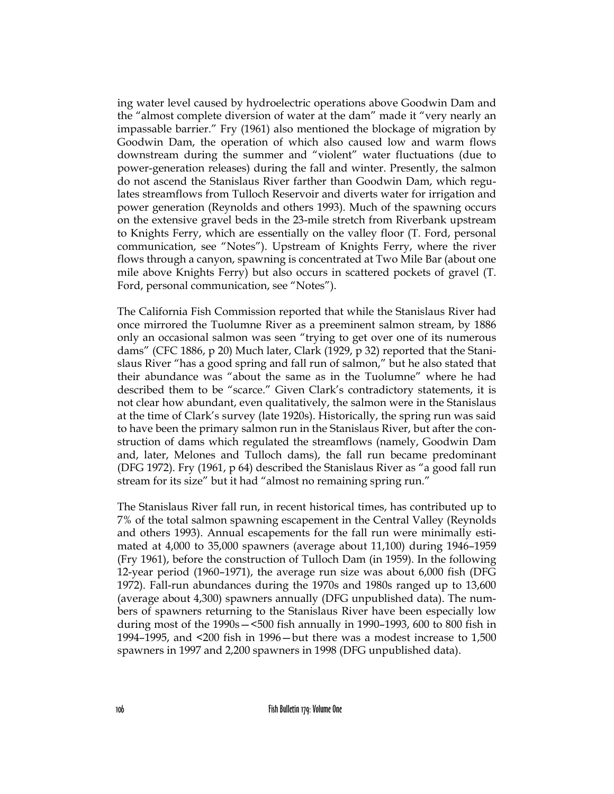ing water level caused by hydroelectric operations above Goodwin Dam and the "almost complete diversion of water at the dam" made it "very nearly an impassable barrier." Fry (1961) also mentioned the blockage of migration by Goodwin Dam, the operation of which also caused low and warm flows downstream during the summer and "violent" water fluctuations (due to power-generation releases) during the fall and winter. Presently, the salmon do not ascend the Stanislaus River farther than Goodwin Dam, which regulates streamflows from Tulloch Reservoir and diverts water for irrigation and power generation (Reynolds and others 1993). Much of the spawning occurs on the extensive gravel beds in the 23-mile stretch from Riverbank upstream to Knights Ferry, which are essentially on the valley floor (T. Ford, personal communication, see "Notes"). Upstream of Knights Ferry, where the river flows through a canyon, spawning is concentrated at Two Mile Bar (about one mile above Knights Ferry) but also occurs in scattered pockets of gravel (T. Ford, personal communication, see "Notes").

The California Fish Commission reported that while the Stanislaus River had once mirrored the Tuolumne River as a preeminent salmon stream, by 1886 only an occasional salmon was seen "trying to get over one of its numerous dams" (CFC 1886, p 20) Much later, Clark (1929, p 32) reported that the Stanislaus River "has a good spring and fall run of salmon," but he also stated that their abundance was "about the same as in the Tuolumne" where he had described them to be "scarce." Given Clark's contradictory statements, it is not clear how abundant, even qualitatively, the salmon were in the Stanislaus at the time of Clark's survey (late 1920s). Historically, the spring run was said to have been the primary salmon run in the Stanislaus River, but after the construction of dams which regulated the streamflows (namely, Goodwin Dam and, later, Melones and Tulloch dams), the fall run became predominant (DFG 1972). Fry (1961, p 64) described the Stanislaus River as "a good fall run stream for its size" but it had "almost no remaining spring run."

The Stanislaus River fall run, in recent historical times, has contributed up to 7% of the total salmon spawning escapement in the Central Valley (Reynolds and others 1993). Annual escapements for the fall run were minimally estimated at 4,000 to 35,000 spawners (average about 11,100) during 1946–1959 (Fry 1961), before the construction of Tulloch Dam (in 1959). In the following 12-year period (1960–1971), the average run size was about 6,000 fish (DFG 1972). Fall-run abundances during the 1970s and 1980s ranged up to 13,600 (average about 4,300) spawners annually (DFG unpublished data). The numbers of spawners returning to the Stanislaus River have been especially low during most of the 1990s—<500 fish annually in 1990–1993, 600 to 800 fish in 1994–1995, and <200 fish in 1996—but there was a modest increase to 1,500 spawners in 1997 and 2,200 spawners in 1998 (DFG unpublished data).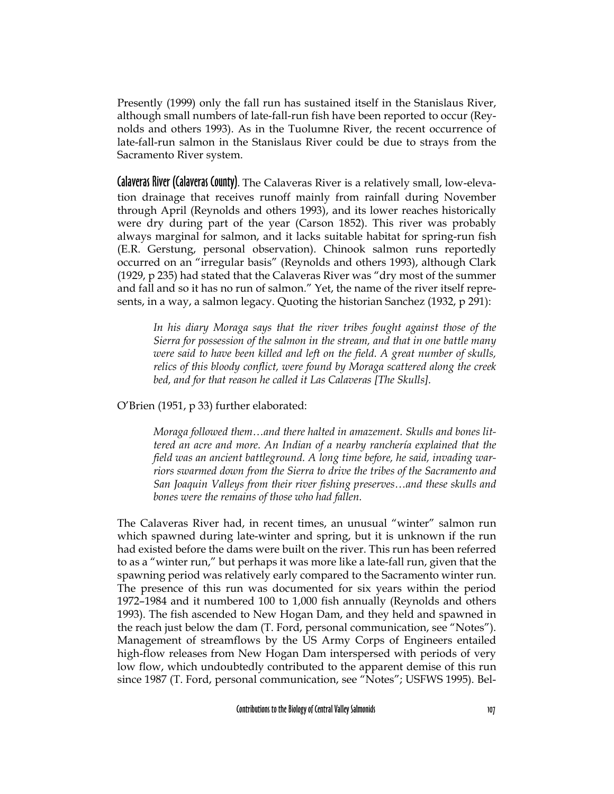Presently (1999) only the fall run has sustained itself in the Stanislaus River, although small numbers of late-fall-run fish have been reported to occur (Reynolds and others 1993). As in the Tuolumne River, the recent occurrence of late-fall-run salmon in the Stanislaus River could be due to strays from the Sacramento River system.

Calaveras River (Calaveras County). The Calaveras River is a relatively small, low-elevation drainage that receives runoff mainly from rainfall during November through April (Reynolds and others 1993), and its lower reaches historically were dry during part of the year (Carson 1852). This river was probably always marginal for salmon, and it lacks suitable habitat for spring-run fish (E.R. Gerstung, personal observation). Chinook salmon runs reportedly occurred on an "irregular basis" (Reynolds and others 1993), although Clark (1929, p 235) had stated that the Calaveras River was "dry most of the summer and fall and so it has no run of salmon." Yet, the name of the river itself represents, in a way, a salmon legacy. Quoting the historian Sanchez (1932, p 291):

*In his diary Moraga says that the river tribes fought against those of the Sierra for possession of the salmon in the stream, and that in one battle many were said to have been killed and left on the field. A great number of skulls, relics of this bloody conflict, were found by Moraga scattered along the creek bed, and for that reason he called it Las Calaveras [The Skulls].*

O'Brien (1951, p 33) further elaborated:

*Moraga followed them…and there halted in amazement. Skulls and bones littered an acre and more. An Indian of a nearby ranchería explained that the field was an ancient battleground. A long time before, he said, invading warriors swarmed down from the Sierra to drive the tribes of the Sacramento and San Joaquin Valleys from their river fishing preserves…and these skulls and bones were the remains of those who had fallen.*

The Calaveras River had, in recent times, an unusual "winter" salmon run which spawned during late-winter and spring, but it is unknown if the run had existed before the dams were built on the river. This run has been referred to as a "winter run," but perhaps it was more like a late-fall run, given that the spawning period was relatively early compared to the Sacramento winter run. The presence of this run was documented for six years within the period 1972–1984 and it numbered 100 to 1,000 fish annually (Reynolds and others 1993). The fish ascended to New Hogan Dam, and they held and spawned in the reach just below the dam (T. Ford, personal communication, see "Notes"). Management of streamflows by the US Army Corps of Engineers entailed high-flow releases from New Hogan Dam interspersed with periods of very low flow, which undoubtedly contributed to the apparent demise of this run since 1987 (T. Ford, personal communication, see "Notes"; USFWS 1995). Bel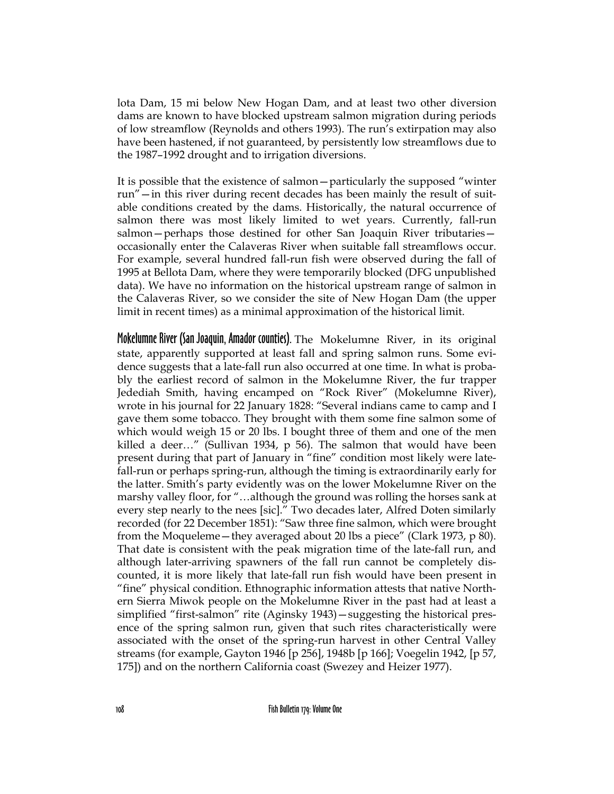lota Dam, 15 mi below New Hogan Dam, and at least two other diversion dams are known to have blocked upstream salmon migration during periods of low streamflow (Reynolds and others 1993). The run's extirpation may also have been hastened, if not guaranteed, by persistently low streamflows due to the 1987–1992 drought and to irrigation diversions.

It is possible that the existence of salmon—particularly the supposed "winter run"—in this river during recent decades has been mainly the result of suitable conditions created by the dams. Historically, the natural occurrence of salmon there was most likely limited to wet years. Currently, fall-run salmon—perhaps those destined for other San Joaquin River tributaries occasionally enter the Calaveras River when suitable fall streamflows occur. For example, several hundred fall-run fish were observed during the fall of 1995 at Bellota Dam, where they were temporarily blocked (DFG unpublished data). We have no information on the historical upstream range of salmon in the Calaveras River, so we consider the site of New Hogan Dam (the upper limit in recent times) as a minimal approximation of the historical limit.

Mokelumne River (San Joaquin, Amador counties). The Mokelumne River, in its original state, apparently supported at least fall and spring salmon runs. Some evidence suggests that a late-fall run also occurred at one time. In what is probably the earliest record of salmon in the Mokelumne River, the fur trapper Jedediah Smith, having encamped on "Rock River" (Mokelumne River), wrote in his journal for 22 January 1828: "Several indians came to camp and I gave them some tobacco. They brought with them some fine salmon some of which would weigh 15 or 20 lbs. I bought three of them and one of the men killed a deer…" (Sullivan 1934, p 56). The salmon that would have been present during that part of January in "fine" condition most likely were latefall-run or perhaps spring-run, although the timing is extraordinarily early for the latter. Smith's party evidently was on the lower Mokelumne River on the marshy valley floor, for "…although the ground was rolling the horses sank at every step nearly to the nees [sic]." Two decades later, Alfred Doten similarly recorded (for 22 December 1851): "Saw three fine salmon, which were brought from the Moqueleme—they averaged about 20 lbs a piece" (Clark 1973, p 80). That date is consistent with the peak migration time of the late-fall run, and although later-arriving spawners of the fall run cannot be completely discounted, it is more likely that late-fall run fish would have been present in "fine" physical condition. Ethnographic information attests that native Northern Sierra Miwok people on the Mokelumne River in the past had at least a simplified "first-salmon" rite (Aginsky 1943)—suggesting the historical presence of the spring salmon run, given that such rites characteristically were associated with the onset of the spring-run harvest in other Central Valley streams (for example, Gayton 1946 [p 256], 1948b [p 166]; Voegelin 1942, [p 57, 175]) and on the northern California coast (Swezey and Heizer 1977).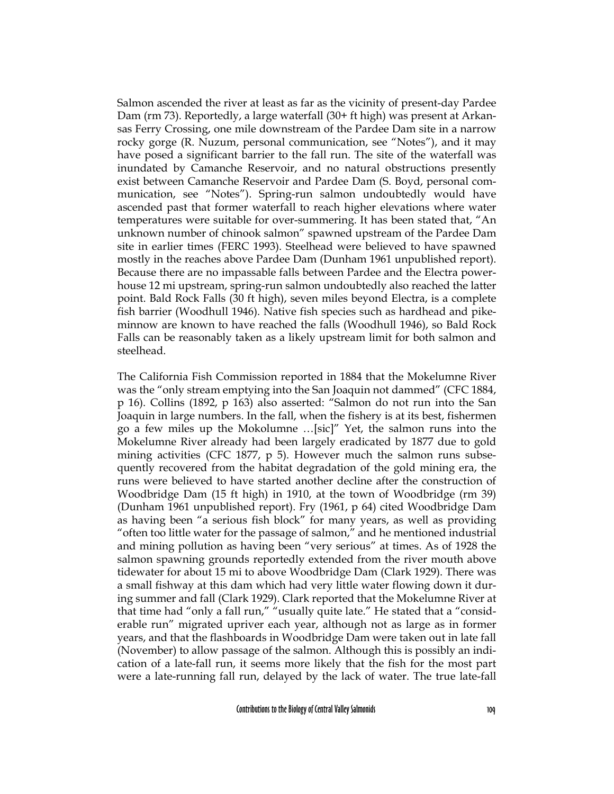Salmon ascended the river at least as far as the vicinity of present-day Pardee Dam (rm 73). Reportedly, a large waterfall (30+ ft high) was present at Arkansas Ferry Crossing, one mile downstream of the Pardee Dam site in a narrow rocky gorge (R. Nuzum, personal communication, see "Notes"), and it may have posed a significant barrier to the fall run. The site of the waterfall was inundated by Camanche Reservoir, and no natural obstructions presently exist between Camanche Reservoir and Pardee Dam (S. Boyd, personal communication, see "Notes"). Spring-run salmon undoubtedly would have ascended past that former waterfall to reach higher elevations where water temperatures were suitable for over-summering. It has been stated that, "An unknown number of chinook salmon" spawned upstream of the Pardee Dam site in earlier times (FERC 1993). Steelhead were believed to have spawned mostly in the reaches above Pardee Dam (Dunham 1961 unpublished report). Because there are no impassable falls between Pardee and the Electra powerhouse 12 mi upstream, spring-run salmon undoubtedly also reached the latter point. Bald Rock Falls (30 ft high), seven miles beyond Electra, is a complete fish barrier (Woodhull 1946). Native fish species such as hardhead and pikeminnow are known to have reached the falls (Woodhull 1946), so Bald Rock Falls can be reasonably taken as a likely upstream limit for both salmon and steelhead.

The California Fish Commission reported in 1884 that the Mokelumne River was the "only stream emptying into the San Joaquin not dammed" (CFC 1884, p 16). Collins (1892, p 163) also asserted: "Salmon do not run into the San Joaquin in large numbers. In the fall, when the fishery is at its best, fishermen go a few miles up the Mokolumne …[sic]" Yet, the salmon runs into the Mokelumne River already had been largely eradicated by 1877 due to gold mining activities (CFC 1877, p 5). However much the salmon runs subsequently recovered from the habitat degradation of the gold mining era, the runs were believed to have started another decline after the construction of Woodbridge Dam (15 ft high) in 1910, at the town of Woodbridge (rm 39) (Dunham 1961 unpublished report). Fry (1961, p 64) cited Woodbridge Dam as having been "a serious fish block" for many years, as well as providing "often too little water for the passage of salmon," and he mentioned industrial and mining pollution as having been "very serious" at times. As of 1928 the salmon spawning grounds reportedly extended from the river mouth above tidewater for about 15 mi to above Woodbridge Dam (Clark 1929). There was a small fishway at this dam which had very little water flowing down it during summer and fall (Clark 1929). Clark reported that the Mokelumne River at that time had "only a fall run," "usually quite late." He stated that a "considerable run" migrated upriver each year, although not as large as in former years, and that the flashboards in Woodbridge Dam were taken out in late fall (November) to allow passage of the salmon. Although this is possibly an indication of a late-fall run, it seems more likely that the fish for the most part were a late-running fall run, delayed by the lack of water. The true late-fall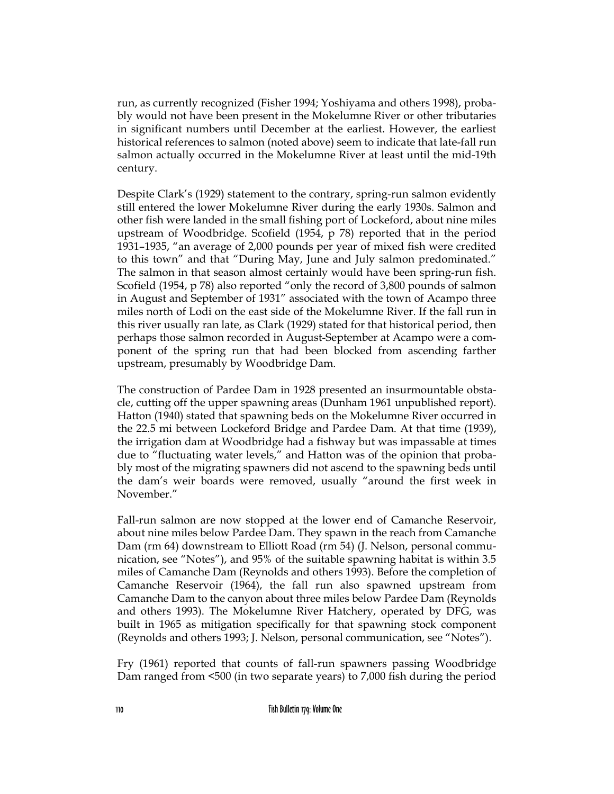run, as currently recognized (Fisher 1994; Yoshiyama and others 1998), probably would not have been present in the Mokelumne River or other tributaries in significant numbers until December at the earliest. However, the earliest historical references to salmon (noted above) seem to indicate that late-fall run salmon actually occurred in the Mokelumne River at least until the mid-19th century.

Despite Clark's (1929) statement to the contrary, spring-run salmon evidently still entered the lower Mokelumne River during the early 1930s. Salmon and other fish were landed in the small fishing port of Lockeford, about nine miles upstream of Woodbridge. Scofield (1954, p 78) reported that in the period 1931–1935, "an average of 2,000 pounds per year of mixed fish were credited to this town" and that "During May, June and July salmon predominated." The salmon in that season almost certainly would have been spring-run fish. Scofield (1954, p 78) also reported "only the record of 3,800 pounds of salmon in August and September of 1931" associated with the town of Acampo three miles north of Lodi on the east side of the Mokelumne River. If the fall run in this river usually ran late, as Clark (1929) stated for that historical period, then perhaps those salmon recorded in August-September at Acampo were a component of the spring run that had been blocked from ascending farther upstream, presumably by Woodbridge Dam.

The construction of Pardee Dam in 1928 presented an insurmountable obstacle, cutting off the upper spawning areas (Dunham 1961 unpublished report). Hatton (1940) stated that spawning beds on the Mokelumne River occurred in the 22.5 mi between Lockeford Bridge and Pardee Dam. At that time (1939), the irrigation dam at Woodbridge had a fishway but was impassable at times due to "fluctuating water levels," and Hatton was of the opinion that probably most of the migrating spawners did not ascend to the spawning beds until the dam's weir boards were removed, usually "around the first week in November."

Fall-run salmon are now stopped at the lower end of Camanche Reservoir, about nine miles below Pardee Dam. They spawn in the reach from Camanche Dam (rm 64) downstream to Elliott Road (rm 54) (J. Nelson, personal communication, see "Notes"), and 95% of the suitable spawning habitat is within 3.5 miles of Camanche Dam (Reynolds and others 1993). Before the completion of Camanche Reservoir (1964), the fall run also spawned upstream from Camanche Dam to the canyon about three miles below Pardee Dam (Reynolds and others 1993). The Mokelumne River Hatchery, operated by DFG, was built in 1965 as mitigation specifically for that spawning stock component (Reynolds and others 1993; J. Nelson, personal communication, see "Notes").

Fry (1961) reported that counts of fall-run spawners passing Woodbridge Dam ranged from <500 (in two separate years) to 7,000 fish during the period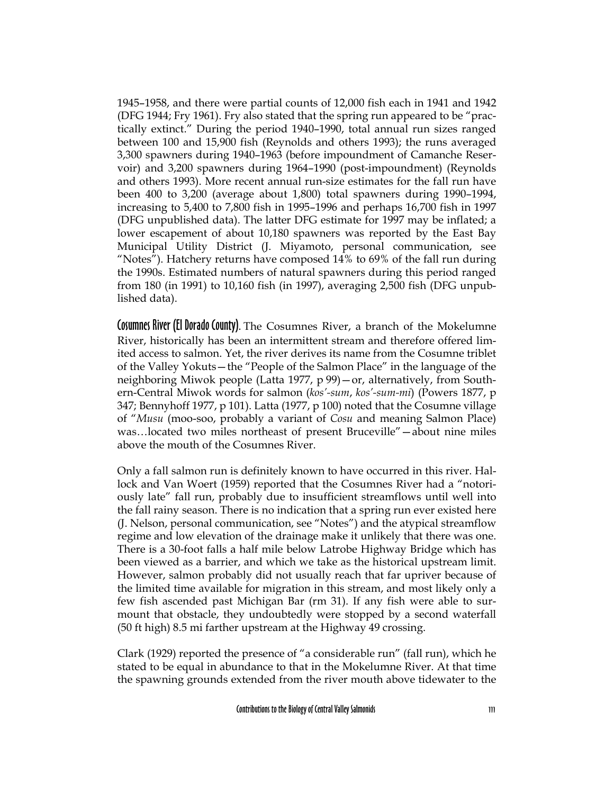1945–1958, and there were partial counts of 12,000 fish each in 1941 and 1942 (DFG 1944; Fry 1961). Fry also stated that the spring run appeared to be "practically extinct." During the period 1940–1990, total annual run sizes ranged between 100 and 15,900 fish (Reynolds and others 1993); the runs averaged 3,300 spawners during 1940–1963 (before impoundment of Camanche Reservoir) and 3,200 spawners during 1964–1990 (post-impoundment) (Reynolds and others 1993). More recent annual run-size estimates for the fall run have been 400 to 3,200 (average about 1,800) total spawners during 1990–1994, increasing to 5,400 to 7,800 fish in 1995–1996 and perhaps 16,700 fish in 1997 (DFG unpublished data). The latter DFG estimate for 1997 may be inflated; a lower escapement of about 10,180 spawners was reported by the East Bay Municipal Utility District (J. Miyamoto, personal communication, see "Notes"). Hatchery returns have composed 14% to 69% of the fall run during the 1990s. Estimated numbers of natural spawners during this period ranged from 180 (in 1991) to 10,160 fish (in 1997), averaging 2,500 fish (DFG unpublished data).

Cosumnes River (El Dorado County). The Cosumnes River, a branch of the Mokelumne River, historically has been an intermittent stream and therefore offered limited access to salmon. Yet, the river derives its name from the Cosumne triblet of the Valley Yokuts—the "People of the Salmon Place" in the language of the neighboring Miwok people (Latta 1977, p 99)—or, alternatively, from Southern-Central Miwok words for salmon (*kos'-sum*, *kos'-sum-mi*) (Powers 1877, p 347; Bennyhoff 1977, p 101). Latta (1977, p 100) noted that the Cosumne village of "*Musu* (moo-soo, probably a variant of *Cosu* and meaning Salmon Place) was…located two miles northeast of present Bruceville"—about nine miles above the mouth of the Cosumnes River.

Only a fall salmon run is definitely known to have occurred in this river. Hallock and Van Woert (1959) reported that the Cosumnes River had a "notoriously late" fall run, probably due to insufficient streamflows until well into the fall rainy season. There is no indication that a spring run ever existed here (J. Nelson, personal communication, see "Notes") and the atypical streamflow regime and low elevation of the drainage make it unlikely that there was one. There is a 30-foot falls a half mile below Latrobe Highway Bridge which has been viewed as a barrier, and which we take as the historical upstream limit. However, salmon probably did not usually reach that far upriver because of the limited time available for migration in this stream, and most likely only a few fish ascended past Michigan Bar (rm 31). If any fish were able to surmount that obstacle, they undoubtedly were stopped by a second waterfall (50 ft high) 8.5 mi farther upstream at the Highway 49 crossing.

Clark (1929) reported the presence of "a considerable run" (fall run), which he stated to be equal in abundance to that in the Mokelumne River. At that time the spawning grounds extended from the river mouth above tidewater to the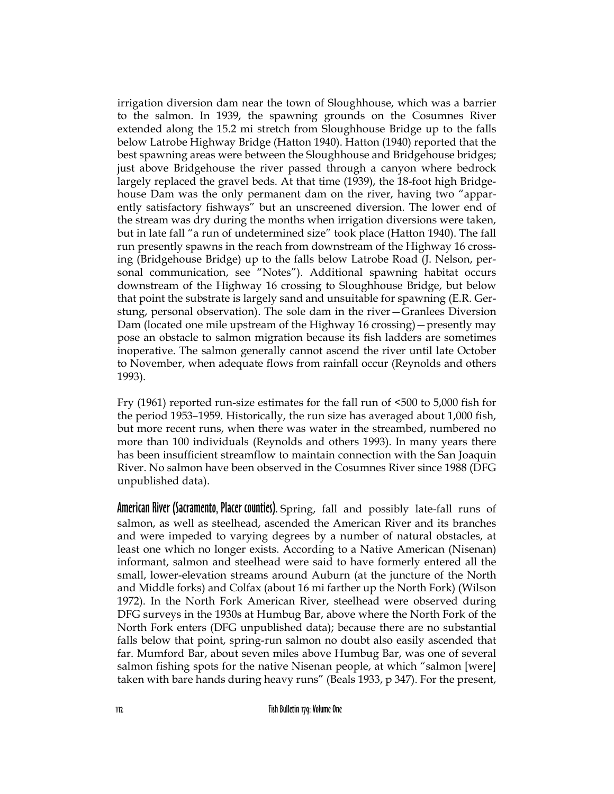irrigation diversion dam near the town of Sloughhouse, which was a barrier to the salmon. In 1939, the spawning grounds on the Cosumnes River extended along the 15.2 mi stretch from Sloughhouse Bridge up to the falls below Latrobe Highway Bridge (Hatton 1940). Hatton (1940) reported that the best spawning areas were between the Sloughhouse and Bridgehouse bridges; just above Bridgehouse the river passed through a canyon where bedrock largely replaced the gravel beds. At that time (1939), the 18-foot high Bridgehouse Dam was the only permanent dam on the river, having two "apparently satisfactory fishways" but an unscreened diversion. The lower end of the stream was dry during the months when irrigation diversions were taken, but in late fall "a run of undetermined size" took place (Hatton 1940). The fall run presently spawns in the reach from downstream of the Highway 16 crossing (Bridgehouse Bridge) up to the falls below Latrobe Road (J. Nelson, personal communication, see "Notes"). Additional spawning habitat occurs downstream of the Highway 16 crossing to Sloughhouse Bridge, but below that point the substrate is largely sand and unsuitable for spawning (E.R. Gerstung, personal observation). The sole dam in the river—Granlees Diversion Dam (located one mile upstream of the Highway 16 crossing)—presently may pose an obstacle to salmon migration because its fish ladders are sometimes inoperative. The salmon generally cannot ascend the river until late October to November, when adequate flows from rainfall occur (Reynolds and others 1993).

Fry (1961) reported run-size estimates for the fall run of <500 to 5,000 fish for the period 1953–1959. Historically, the run size has averaged about 1,000 fish, but more recent runs, when there was water in the streambed, numbered no more than 100 individuals (Reynolds and others 1993). In many years there has been insufficient streamflow to maintain connection with the San Joaquin River. No salmon have been observed in the Cosumnes River since 1988 (DFG unpublished data).

American River (Sacramento, Placer counties). Spring, fall and possibly late-fall runs of salmon, as well as steelhead, ascended the American River and its branches and were impeded to varying degrees by a number of natural obstacles, at least one which no longer exists. According to a Native American (Nisenan) informant, salmon and steelhead were said to have formerly entered all the small, lower-elevation streams around Auburn (at the juncture of the North and Middle forks) and Colfax (about 16 mi farther up the North Fork) (Wilson 1972). In the North Fork American River, steelhead were observed during DFG surveys in the 1930s at Humbug Bar, above where the North Fork of the North Fork enters (DFG unpublished data); because there are no substantial falls below that point, spring-run salmon no doubt also easily ascended that far. Mumford Bar, about seven miles above Humbug Bar, was one of several salmon fishing spots for the native Nisenan people, at which "salmon [were] taken with bare hands during heavy runs" (Beals 1933, p 347). For the present,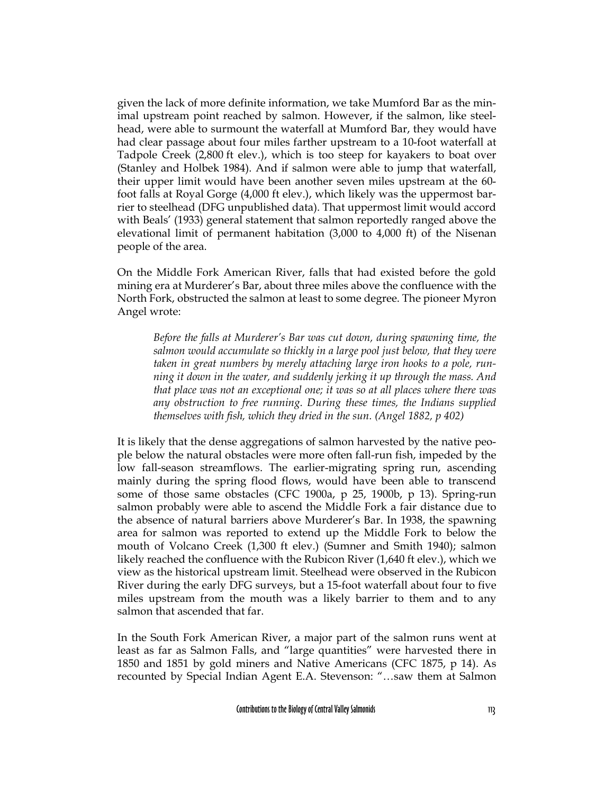given the lack of more definite information, we take Mumford Bar as the minimal upstream point reached by salmon. However, if the salmon, like steelhead, were able to surmount the waterfall at Mumford Bar, they would have had clear passage about four miles farther upstream to a 10-foot waterfall at Tadpole Creek (2,800 ft elev.), which is too steep for kayakers to boat over (Stanley and Holbek 1984). And if salmon were able to jump that waterfall, their upper limit would have been another seven miles upstream at the 60 foot falls at Royal Gorge (4,000 ft elev.), which likely was the uppermost barrier to steelhead (DFG unpublished data). That uppermost limit would accord with Beals' (1933) general statement that salmon reportedly ranged above the elevational limit of permanent habitation (3,000 to 4,000 ft) of the Nisenan people of the area.

On the Middle Fork American River, falls that had existed before the gold mining era at Murderer's Bar, about three miles above the confluence with the North Fork, obstructed the salmon at least to some degree. The pioneer Myron Angel wrote:

*Before the falls at Murderer's Bar was cut down, during spawning time, the salmon would accumulate so thickly in a large pool just below, that they were taken in great numbers by merely attaching large iron hooks to a pole, running it down in the water, and suddenly jerking it up through the mass. And that place was not an exceptional one; it was so at all places where there was any obstruction to free running. During these times, the Indians supplied themselves with fish, which they dried in the sun. (Angel 1882, p 402)*

It is likely that the dense aggregations of salmon harvested by the native people below the natural obstacles were more often fall-run fish, impeded by the low fall-season streamflows. The earlier-migrating spring run, ascending mainly during the spring flood flows, would have been able to transcend some of those same obstacles (CFC 1900a, p 25, 1900b, p 13). Spring-run salmon probably were able to ascend the Middle Fork a fair distance due to the absence of natural barriers above Murderer's Bar. In 1938, the spawning area for salmon was reported to extend up the Middle Fork to below the mouth of Volcano Creek (1,300 ft elev.) (Sumner and Smith 1940); salmon likely reached the confluence with the Rubicon River (1,640 ft elev.), which we view as the historical upstream limit. Steelhead were observed in the Rubicon River during the early DFG surveys, but a 15-foot waterfall about four to five miles upstream from the mouth was a likely barrier to them and to any salmon that ascended that far.

In the South Fork American River, a major part of the salmon runs went at least as far as Salmon Falls, and "large quantities" were harvested there in 1850 and 1851 by gold miners and Native Americans (CFC 1875, p 14). As recounted by Special Indian Agent E.A. Stevenson: "…saw them at Salmon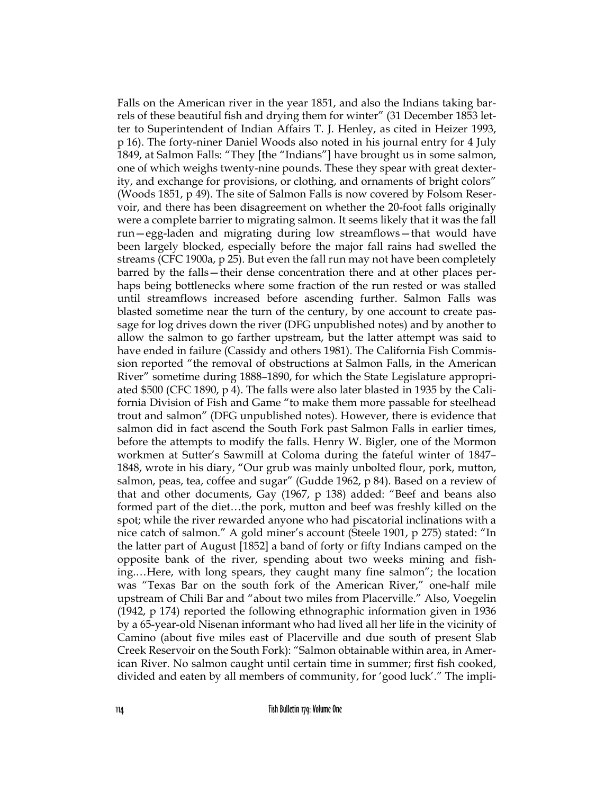Falls on the American river in the year 1851, and also the Indians taking barrels of these beautiful fish and drying them for winter" (31 December 1853 letter to Superintendent of Indian Affairs T. J. Henley, as cited in Heizer 1993, p 16). The forty-niner Daniel Woods also noted in his journal entry for 4 July 1849, at Salmon Falls: "They [the "Indians"] have brought us in some salmon, one of which weighs twenty-nine pounds. These they spear with great dexterity, and exchange for provisions, or clothing, and ornaments of bright colors" (Woods 1851, p 49). The site of Salmon Falls is now covered by Folsom Reservoir, and there has been disagreement on whether the 20-foot falls originally were a complete barrier to migrating salmon. It seems likely that it was the fall run—egg-laden and migrating during low streamflows—that would have been largely blocked, especially before the major fall rains had swelled the streams (CFC 1900a, p 25). But even the fall run may not have been completely barred by the falls—their dense concentration there and at other places perhaps being bottlenecks where some fraction of the run rested or was stalled until streamflows increased before ascending further. Salmon Falls was blasted sometime near the turn of the century, by one account to create passage for log drives down the river (DFG unpublished notes) and by another to allow the salmon to go farther upstream, but the latter attempt was said to have ended in failure (Cassidy and others 1981). The California Fish Commission reported "the removal of obstructions at Salmon Falls, in the American River" sometime during 1888–1890, for which the State Legislature appropriated \$500 (CFC 1890, p 4). The falls were also later blasted in 1935 by the California Division of Fish and Game "to make them more passable for steelhead trout and salmon" (DFG unpublished notes). However, there is evidence that salmon did in fact ascend the South Fork past Salmon Falls in earlier times, before the attempts to modify the falls. Henry W. Bigler, one of the Mormon workmen at Sutter's Sawmill at Coloma during the fateful winter of 1847– 1848, wrote in his diary, "Our grub was mainly unbolted flour, pork, mutton, salmon, peas, tea, coffee and sugar" (Gudde 1962, p 84). Based on a review of that and other documents, Gay (1967, p 138) added: "Beef and beans also formed part of the diet…the pork, mutton and beef was freshly killed on the spot; while the river rewarded anyone who had piscatorial inclinations with a nice catch of salmon." A gold miner's account (Steele 1901, p 275) stated: "In the latter part of August [1852] a band of forty or fifty Indians camped on the opposite bank of the river, spending about two weeks mining and fishing.…Here, with long spears, they caught many fine salmon"; the location was "Texas Bar on the south fork of the American River," one-half mile upstream of Chili Bar and "about two miles from Placerville." Also, Voegelin (1942, p 174) reported the following ethnographic information given in 1936 by a 65-year-old Nisenan informant who had lived all her life in the vicinity of Camino (about five miles east of Placerville and due south of present Slab Creek Reservoir on the South Fork): "Salmon obtainable within area, in American River. No salmon caught until certain time in summer; first fish cooked, divided and eaten by all members of community, for 'good luck'." The impli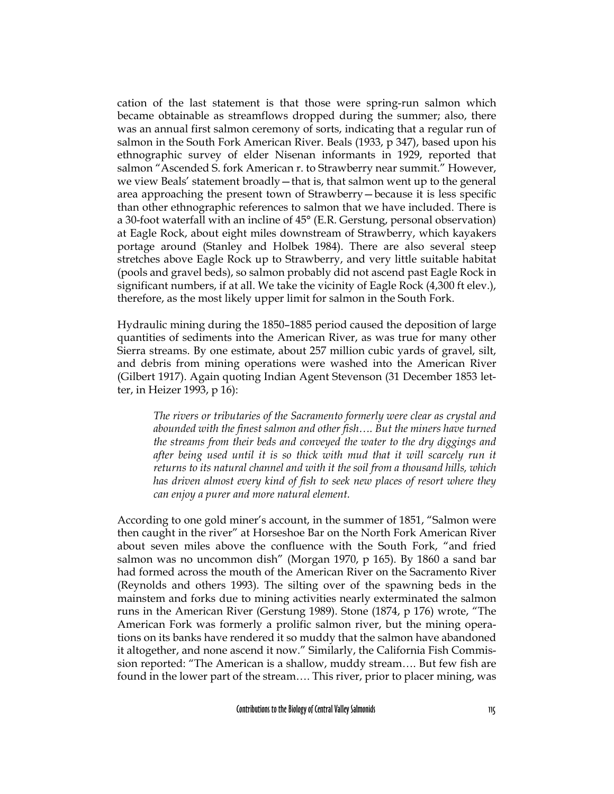cation of the last statement is that those were spring-run salmon which became obtainable as streamflows dropped during the summer; also, there was an annual first salmon ceremony of sorts, indicating that a regular run of salmon in the South Fork American River. Beals (1933, p 347), based upon his ethnographic survey of elder Nisenan informants in 1929, reported that salmon "Ascended S. fork American r. to Strawberry near summit." However, we view Beals' statement broadly—that is, that salmon went up to the general area approaching the present town of Strawberry—because it is less specific than other ethnographic references to salmon that we have included. There is a 30-foot waterfall with an incline of 45° (E.R. Gerstung, personal observation) at Eagle Rock, about eight miles downstream of Strawberry, which kayakers portage around (Stanley and Holbek 1984). There are also several steep stretches above Eagle Rock up to Strawberry, and very little suitable habitat (pools and gravel beds), so salmon probably did not ascend past Eagle Rock in significant numbers, if at all. We take the vicinity of Eagle Rock (4,300 ft elev.), therefore, as the most likely upper limit for salmon in the South Fork.

Hydraulic mining during the 1850–1885 period caused the deposition of large quantities of sediments into the American River, as was true for many other Sierra streams. By one estimate, about 257 million cubic yards of gravel, silt, and debris from mining operations were washed into the American River (Gilbert 1917). Again quoting Indian Agent Stevenson (31 December 1853 letter, in Heizer 1993, p 16):

*The rivers or tributaries of the Sacramento formerly were clear as crystal and abounded with the finest salmon and other fish…. But the miners have turned the streams from their beds and conveyed the water to the dry diggings and after being used until it is so thick with mud that it will scarcely run it returns to its natural channel and with it the soil from a thousand hills, which has driven almost every kind of fish to seek new places of resort where they can enjoy a purer and more natural element.*

According to one gold miner's account, in the summer of 1851, "Salmon were then caught in the river" at Horseshoe Bar on the North Fork American River about seven miles above the confluence with the South Fork, "and fried salmon was no uncommon dish" (Morgan 1970, p 165). By 1860 a sand bar had formed across the mouth of the American River on the Sacramento River (Reynolds and others 1993). The silting over of the spawning beds in the mainstem and forks due to mining activities nearly exterminated the salmon runs in the American River (Gerstung 1989). Stone (1874, p 176) wrote, "The American Fork was formerly a prolific salmon river, but the mining operations on its banks have rendered it so muddy that the salmon have abandoned it altogether, and none ascend it now." Similarly, the California Fish Commission reported: "The American is a shallow, muddy stream…. But few fish are found in the lower part of the stream…. This river, prior to placer mining, was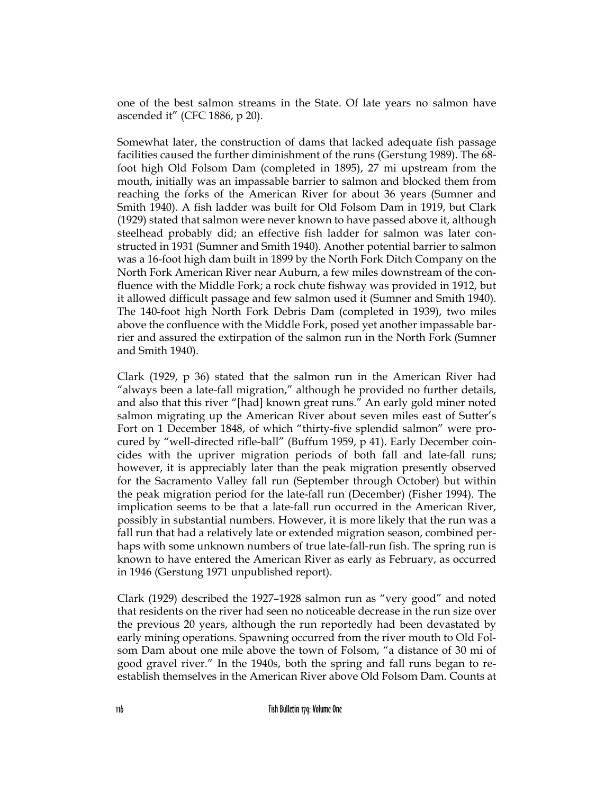one of the best salmon streams in the State. Of late years no salmon have ascended it" (CFC 1886, p 20).

Somewhat later, the construction of dams that lacked adequate fish passage facilities caused the further diminishment of the runs (Gerstung 1989). The 68 foot high Old Folsom Dam (completed in 1895), 27 mi upstream from the mouth, initially was an impassable barrier to salmon and blocked them from reaching the forks of the American River for about 36 years (Sumner and Smith 1940). A fish ladder was built for Old Folsom Dam in 1919, but Clark (1929) stated that salmon were never known to have passed above it, although steelhead probably did; an effective fish ladder for salmon was later constructed in 1931 (Sumner and Smith 1940). Another potential barrier to salmon was a 16-foot high dam built in 1899 by the North Fork Ditch Company on the North Fork American River near Auburn, a few miles downstream of the confluence with the Middle Fork; a rock chute fishway was provided in 1912, but it allowed difficult passage and few salmon used it (Sumner and Smith 1940). The 140-foot high North Fork Debris Dam (completed in 1939), two miles above the confluence with the Middle Fork, posed yet another impassable barrier and assured the extirpation of the salmon run in the North Fork (Sumner and Smith 1940).

Clark (1929, p 36) stated that the salmon run in the American River had "always been a late-fall migration," although he provided no further details, and also that this river "[had] known great runs." An early gold miner noted salmon migrating up the American River about seven miles east of Sutter's Fort on 1 December 1848, of which "thirty-five splendid salmon" were procured by "well-directed rifle-ball" (Buffum 1959, p 41). Early December coincides with the upriver migration periods of both fall and late-fall runs; however, it is appreciably later than the peak migration presently observed for the Sacramento Valley fall run (September through October) but within the peak migration period for the late-fall run (December) (Fisher 1994). The implication seems to be that a late-fall run occurred in the American River, possibly in substantial numbers. However, it is more likely that the run was a fall run that had a relatively late or extended migration season, combined perhaps with some unknown numbers of true late-fall-run fish. The spring run is known to have entered the American River as early as February, as occurred in 1946 (Gerstung 1971 unpublished report).

Clark (1929) described the 1927–1928 salmon run as "very good" and noted that residents on the river had seen no noticeable decrease in the run size over the previous 20 years, although the run reportedly had been devastated by early mining operations. Spawning occurred from the river mouth to Old Folsom Dam about one mile above the town of Folsom, "a distance of 30 mi of good gravel river." In the 1940s, both the spring and fall runs began to reestablish themselves in the American River above Old Folsom Dam. Counts at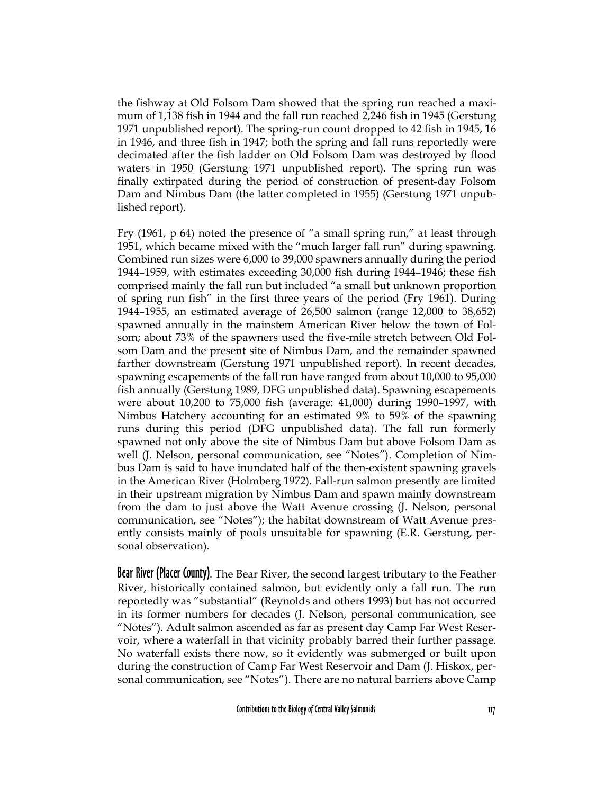the fishway at Old Folsom Dam showed that the spring run reached a maximum of 1,138 fish in 1944 and the fall run reached 2,246 fish in 1945 (Gerstung 1971 unpublished report). The spring-run count dropped to 42 fish in 1945, 16 in 1946, and three fish in 1947; both the spring and fall runs reportedly were decimated after the fish ladder on Old Folsom Dam was destroyed by flood waters in 1950 (Gerstung 1971 unpublished report). The spring run was finally extirpated during the period of construction of present-day Folsom Dam and Nimbus Dam (the latter completed in 1955) (Gerstung 1971 unpublished report).

Fry (1961, p 64) noted the presence of "a small spring run," at least through 1951, which became mixed with the "much larger fall run" during spawning. Combined run sizes were 6,000 to 39,000 spawners annually during the period 1944–1959, with estimates exceeding 30,000 fish during 1944–1946; these fish comprised mainly the fall run but included "a small but unknown proportion of spring run fish" in the first three years of the period (Fry 1961). During 1944–1955, an estimated average of 26,500 salmon (range 12,000 to 38,652) spawned annually in the mainstem American River below the town of Folsom; about 73% of the spawners used the five-mile stretch between Old Folsom Dam and the present site of Nimbus Dam, and the remainder spawned farther downstream (Gerstung 1971 unpublished report). In recent decades, spawning escapements of the fall run have ranged from about 10,000 to 95,000 fish annually (Gerstung 1989, DFG unpublished data). Spawning escapements were about 10,200 to 75,000 fish (average: 41,000) during 1990–1997, with Nimbus Hatchery accounting for an estimated 9% to 59% of the spawning runs during this period (DFG unpublished data). The fall run formerly spawned not only above the site of Nimbus Dam but above Folsom Dam as well (J. Nelson, personal communication, see "Notes"). Completion of Nimbus Dam is said to have inundated half of the then-existent spawning gravels in the American River (Holmberg 1972). Fall-run salmon presently are limited in their upstream migration by Nimbus Dam and spawn mainly downstream from the dam to just above the Watt Avenue crossing (J. Nelson, personal communication, see "Notes"); the habitat downstream of Watt Avenue presently consists mainly of pools unsuitable for spawning (E.R. Gerstung, personal observation).

Bear River (Placer County). The Bear River, the second largest tributary to the Feather River, historically contained salmon, but evidently only a fall run. The run reportedly was "substantial" (Reynolds and others 1993) but has not occurred in its former numbers for decades (J. Nelson, personal communication, see "Notes"). Adult salmon ascended as far as present day Camp Far West Reservoir, where a waterfall in that vicinity probably barred their further passage. No waterfall exists there now, so it evidently was submerged or built upon during the construction of Camp Far West Reservoir and Dam (J. Hiskox, personal communication, see "Notes"). There are no natural barriers above Camp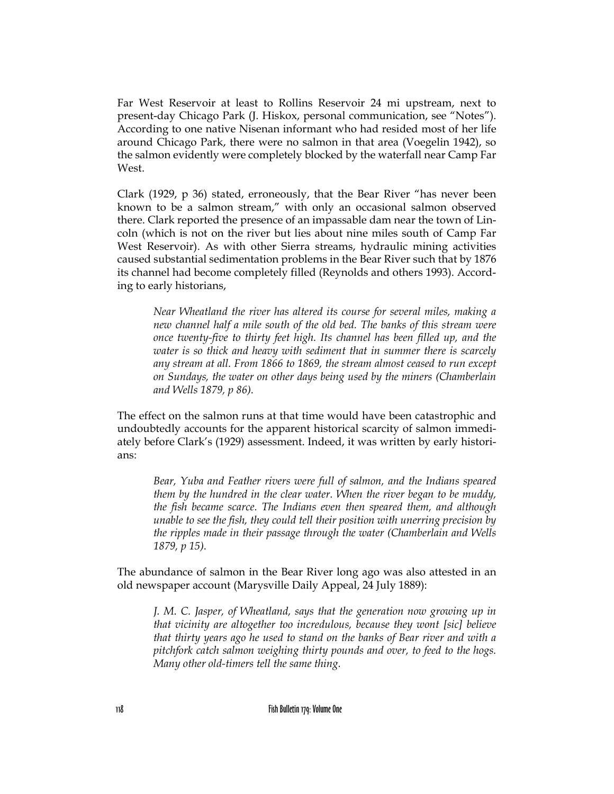Far West Reservoir at least to Rollins Reservoir 24 mi upstream, next to present-day Chicago Park (J. Hiskox, personal communication, see "Notes"). According to one native Nisenan informant who had resided most of her life around Chicago Park, there were no salmon in that area (Voegelin 1942), so the salmon evidently were completely blocked by the waterfall near Camp Far West.

Clark (1929, p 36) stated, erroneously, that the Bear River "has never been known to be a salmon stream," with only an occasional salmon observed there. Clark reported the presence of an impassable dam near the town of Lincoln (which is not on the river but lies about nine miles south of Camp Far West Reservoir). As with other Sierra streams, hydraulic mining activities caused substantial sedimentation problems in the Bear River such that by 1876 its channel had become completely filled (Reynolds and others 1993). According to early historians,

*Near Wheatland the river has altered its course for several miles, making a new channel half a mile south of the old bed. The banks of this stream were once twenty-five to thirty feet high. Its channel has been filled up, and the water is so thick and heavy with sediment that in summer there is scarcely any stream at all. From 1866 to 1869, the stream almost ceased to run except on Sundays, the water on other days being used by the miners (Chamberlain and Wells 1879, p 86).*

The effect on the salmon runs at that time would have been catastrophic and undoubtedly accounts for the apparent historical scarcity of salmon immediately before Clark's (1929) assessment. Indeed, it was written by early historians:

*Bear, Yuba and Feather rivers were full of salmon, and the Indians speared them by the hundred in the clear water. When the river began to be muddy, the fish became scarce. The Indians even then speared them, and although unable to see the fish, they could tell their position with unerring precision by the ripples made in their passage through the water (Chamberlain and Wells 1879, p 15).*

The abundance of salmon in the Bear River long ago was also attested in an old newspaper account (Marysville Daily Appeal, 24 July 1889):

*J. M. C. Jasper, of Wheatland, says that the generation now growing up in that vicinity are altogether too incredulous, because they wont [sic] believe that thirty years ago he used to stand on the banks of Bear river and with a pitchfork catch salmon weighing thirty pounds and over, to feed to the hogs. Many other old-timers tell the same thing.*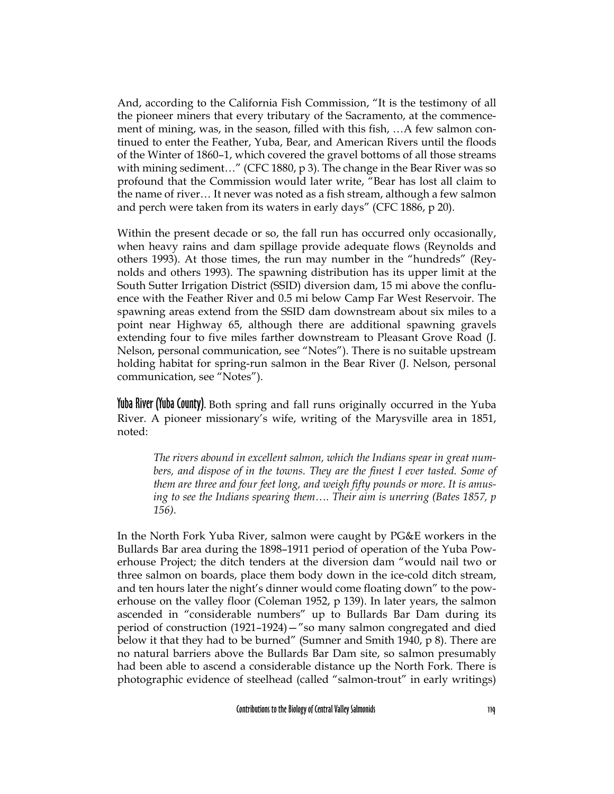And, according to the California Fish Commission, "It is the testimony of all the pioneer miners that every tributary of the Sacramento, at the commencement of mining, was, in the season, filled with this fish, …A few salmon continued to enter the Feather, Yuba, Bear, and American Rivers until the floods of the Winter of 1860–1, which covered the gravel bottoms of all those streams with mining sediment…" (CFC 1880, p 3). The change in the Bear River was so profound that the Commission would later write, "Bear has lost all claim to the name of river… It never was noted as a fish stream, although a few salmon and perch were taken from its waters in early days" (CFC 1886, p 20).

Within the present decade or so, the fall run has occurred only occasionally, when heavy rains and dam spillage provide adequate flows (Reynolds and others 1993). At those times, the run may number in the "hundreds" (Reynolds and others 1993). The spawning distribution has its upper limit at the South Sutter Irrigation District (SSID) diversion dam, 15 mi above the confluence with the Feather River and 0.5 mi below Camp Far West Reservoir. The spawning areas extend from the SSID dam downstream about six miles to a point near Highway 65, although there are additional spawning gravels extending four to five miles farther downstream to Pleasant Grove Road (J. Nelson, personal communication, see "Notes"). There is no suitable upstream holding habitat for spring-run salmon in the Bear River (J. Nelson, personal communication, see "Notes").

Yuba River (Yuba County). Both spring and fall runs originally occurred in the Yuba River. A pioneer missionary's wife, writing of the Marysville area in 1851, noted:

*The rivers abound in excellent salmon, which the Indians spear in great numbers, and dispose of in the towns. They are the finest I ever tasted. Some of them are three and four feet long, and weigh fifty pounds or more. It is amusing to see the Indians spearing them…. Their aim is unerring (Bates 1857, p 156).*

In the North Fork Yuba River, salmon were caught by PG&E workers in the Bullards Bar area during the 1898–1911 period of operation of the Yuba Powerhouse Project; the ditch tenders at the diversion dam "would nail two or three salmon on boards, place them body down in the ice-cold ditch stream, and ten hours later the night's dinner would come floating down" to the powerhouse on the valley floor (Coleman 1952, p 139). In later years, the salmon ascended in "considerable numbers" up to Bullards Bar Dam during its period of construction (1921–1924)—"so many salmon congregated and died below it that they had to be burned" (Sumner and Smith 1940, p 8). There are no natural barriers above the Bullards Bar Dam site, so salmon presumably had been able to ascend a considerable distance up the North Fork. There is photographic evidence of steelhead (called "salmon-trout" in early writings)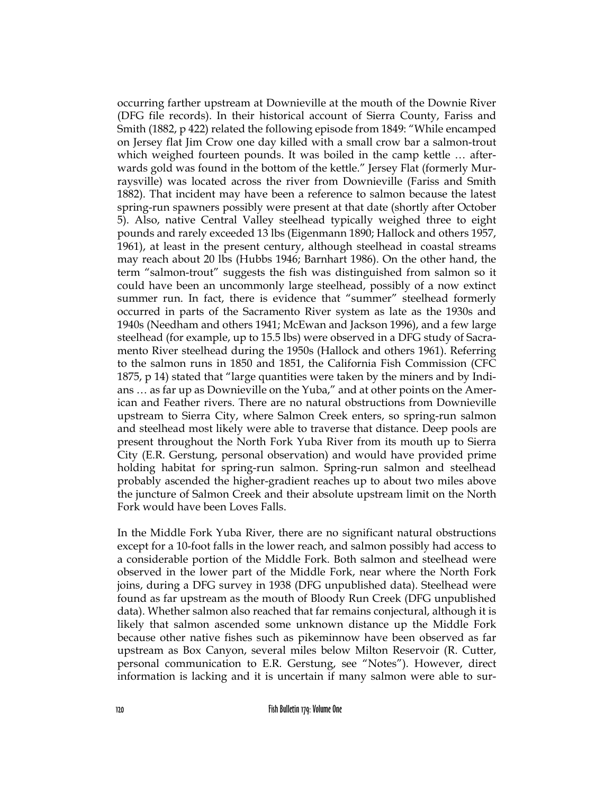occurring farther upstream at Downieville at the mouth of the Downie River (DFG file records). In their historical account of Sierra County, Fariss and Smith (1882, p 422) related the following episode from 1849: "While encamped on Jersey flat Jim Crow one day killed with a small crow bar a salmon-trout which weighed fourteen pounds. It was boiled in the camp kettle … afterwards gold was found in the bottom of the kettle." Jersey Flat (formerly Murraysville) was located across the river from Downieville (Fariss and Smith 1882). That incident may have been a reference to salmon because the latest spring-run spawners possibly were present at that date (shortly after October 5). Also, native Central Valley steelhead typically weighed three to eight pounds and rarely exceeded 13 lbs (Eigenmann 1890; Hallock and others 1957, 1961), at least in the present century, although steelhead in coastal streams may reach about 20 lbs (Hubbs 1946; Barnhart 1986). On the other hand, the term "salmon-trout" suggests the fish was distinguished from salmon so it could have been an uncommonly large steelhead, possibly of a now extinct summer run. In fact, there is evidence that "summer" steelhead formerly occurred in parts of the Sacramento River system as late as the 1930s and 1940s (Needham and others 1941; McEwan and Jackson 1996), and a few large steelhead (for example, up to 15.5 lbs) were observed in a DFG study of Sacramento River steelhead during the 1950s (Hallock and others 1961). Referring to the salmon runs in 1850 and 1851, the California Fish Commission (CFC 1875, p 14) stated that "large quantities were taken by the miners and by Indians … as far up as Downieville on the Yuba," and at other points on the American and Feather rivers. There are no natural obstructions from Downieville upstream to Sierra City, where Salmon Creek enters, so spring-run salmon and steelhead most likely were able to traverse that distance. Deep pools are present throughout the North Fork Yuba River from its mouth up to Sierra City (E.R. Gerstung, personal observation) and would have provided prime holding habitat for spring-run salmon. Spring-run salmon and steelhead probably ascended the higher-gradient reaches up to about two miles above the juncture of Salmon Creek and their absolute upstream limit on the North Fork would have been Loves Falls.

In the Middle Fork Yuba River, there are no significant natural obstructions except for a 10-foot falls in the lower reach, and salmon possibly had access to a considerable portion of the Middle Fork. Both salmon and steelhead were observed in the lower part of the Middle Fork, near where the North Fork joins, during a DFG survey in 1938 (DFG unpublished data). Steelhead were found as far upstream as the mouth of Bloody Run Creek (DFG unpublished data). Whether salmon also reached that far remains conjectural, although it is likely that salmon ascended some unknown distance up the Middle Fork because other native fishes such as pikeminnow have been observed as far upstream as Box Canyon, several miles below Milton Reservoir (R. Cutter, personal communication to E.R. Gerstung, see "Notes"). However, direct information is lacking and it is uncertain if many salmon were able to sur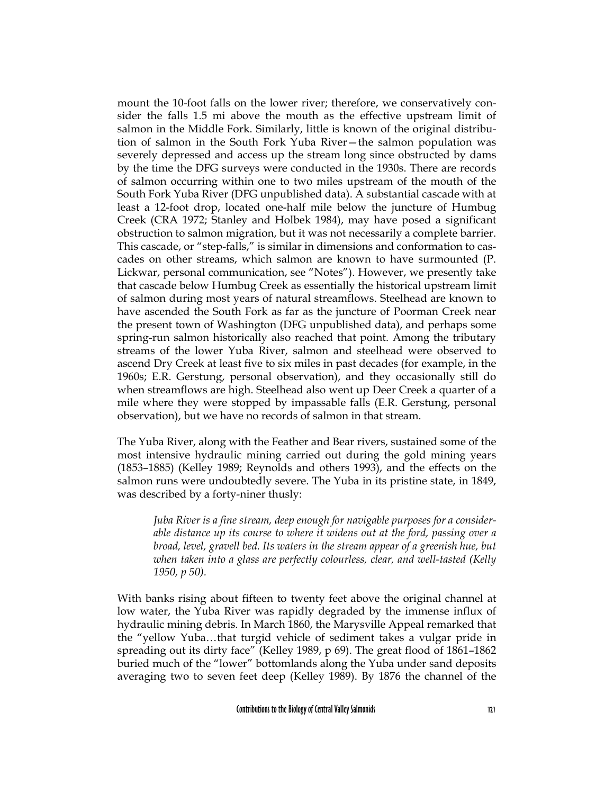mount the 10-foot falls on the lower river; therefore, we conservatively consider the falls 1.5 mi above the mouth as the effective upstream limit of salmon in the Middle Fork. Similarly, little is known of the original distribution of salmon in the South Fork Yuba River—the salmon population was severely depressed and access up the stream long since obstructed by dams by the time the DFG surveys were conducted in the 1930s. There are records of salmon occurring within one to two miles upstream of the mouth of the South Fork Yuba River (DFG unpublished data). A substantial cascade with at least a 12-foot drop, located one-half mile below the juncture of Humbug Creek (CRA 1972; Stanley and Holbek 1984), may have posed a significant obstruction to salmon migration, but it was not necessarily a complete barrier. This cascade, or "step-falls," is similar in dimensions and conformation to cascades on other streams, which salmon are known to have surmounted (P. Lickwar, personal communication, see "Notes"). However, we presently take that cascade below Humbug Creek as essentially the historical upstream limit of salmon during most years of natural streamflows. Steelhead are known to have ascended the South Fork as far as the juncture of Poorman Creek near the present town of Washington (DFG unpublished data), and perhaps some spring-run salmon historically also reached that point. Among the tributary streams of the lower Yuba River, salmon and steelhead were observed to ascend Dry Creek at least five to six miles in past decades (for example, in the 1960s; E.R. Gerstung, personal observation), and they occasionally still do when streamflows are high. Steelhead also went up Deer Creek a quarter of a mile where they were stopped by impassable falls (E.R. Gerstung, personal observation), but we have no records of salmon in that stream.

The Yuba River, along with the Feather and Bear rivers, sustained some of the most intensive hydraulic mining carried out during the gold mining years (1853–1885) (Kelley 1989; Reynolds and others 1993), and the effects on the salmon runs were undoubtedly severe. The Yuba in its pristine state, in 1849, was described by a forty-niner thusly:

*Juba River is a fine stream, deep enough for navigable purposes for a considerable distance up its course to where it widens out at the ford, passing over a broad, level, gravell bed. Its waters in the stream appear of a greenish hue, but when taken into a glass are perfectly colourless, clear, and well-tasted (Kelly 1950, p 50).* 

With banks rising about fifteen to twenty feet above the original channel at low water, the Yuba River was rapidly degraded by the immense influx of hydraulic mining debris. In March 1860, the Marysville Appeal remarked that the "yellow Yuba…that turgid vehicle of sediment takes a vulgar pride in spreading out its dirty face" (Kelley 1989, p 69). The great flood of 1861–1862 buried much of the "lower" bottomlands along the Yuba under sand deposits averaging two to seven feet deep (Kelley 1989). By 1876 the channel of the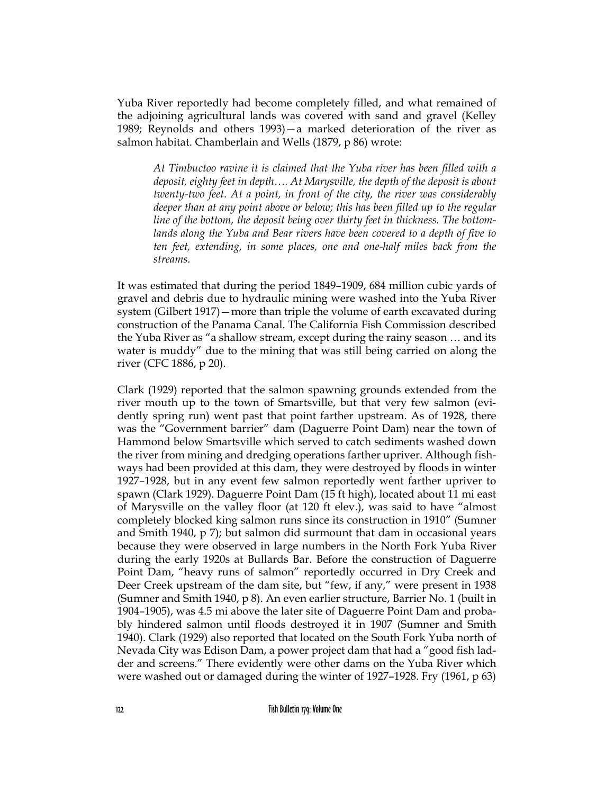Yuba River reportedly had become completely filled, and what remained of the adjoining agricultural lands was covered with sand and gravel (Kelley 1989; Reynolds and others 1993)—a marked deterioration of the river as salmon habitat. Chamberlain and Wells (1879, p 86) wrote:

*At Timbuctoo ravine it is claimed that the Yuba river has been filled with a deposit, eighty feet in depth…. At Marysville, the depth of the deposit is about twenty-two feet. At a point, in front of the city, the river was considerably deeper than at any point above or below; this has been filled up to the regular line of the bottom, the deposit being over thirty feet in thickness. The bottomlands along the Yuba and Bear rivers have been covered to a depth of five to ten feet, extending, in some places, one and one-half miles back from the streams.*

It was estimated that during the period 1849–1909, 684 million cubic yards of gravel and debris due to hydraulic mining were washed into the Yuba River system (Gilbert 1917)—more than triple the volume of earth excavated during construction of the Panama Canal. The California Fish Commission described the Yuba River as "a shallow stream, except during the rainy season … and its water is muddy" due to the mining that was still being carried on along the river (CFC 1886, p 20).

Clark (1929) reported that the salmon spawning grounds extended from the river mouth up to the town of Smartsville, but that very few salmon (evidently spring run) went past that point farther upstream. As of 1928, there was the "Government barrier" dam (Daguerre Point Dam) near the town of Hammond below Smartsville which served to catch sediments washed down the river from mining and dredging operations farther upriver. Although fishways had been provided at this dam, they were destroyed by floods in winter 1927–1928, but in any event few salmon reportedly went farther upriver to spawn (Clark 1929). Daguerre Point Dam (15 ft high), located about 11 mi east of Marysville on the valley floor (at 120 ft elev.), was said to have "almost completely blocked king salmon runs since its construction in 1910" (Sumner and Smith 1940, p 7); but salmon did surmount that dam in occasional years because they were observed in large numbers in the North Fork Yuba River during the early 1920s at Bullards Bar. Before the construction of Daguerre Point Dam, "heavy runs of salmon" reportedly occurred in Dry Creek and Deer Creek upstream of the dam site, but "few, if any," were present in 1938 (Sumner and Smith 1940, p 8). An even earlier structure, Barrier No. 1 (built in 1904–1905), was 4.5 mi above the later site of Daguerre Point Dam and probably hindered salmon until floods destroyed it in 1907 (Sumner and Smith 1940). Clark (1929) also reported that located on the South Fork Yuba north of Nevada City was Edison Dam, a power project dam that had a "good fish ladder and screens." There evidently were other dams on the Yuba River which were washed out or damaged during the winter of 1927–1928. Fry (1961, p 63)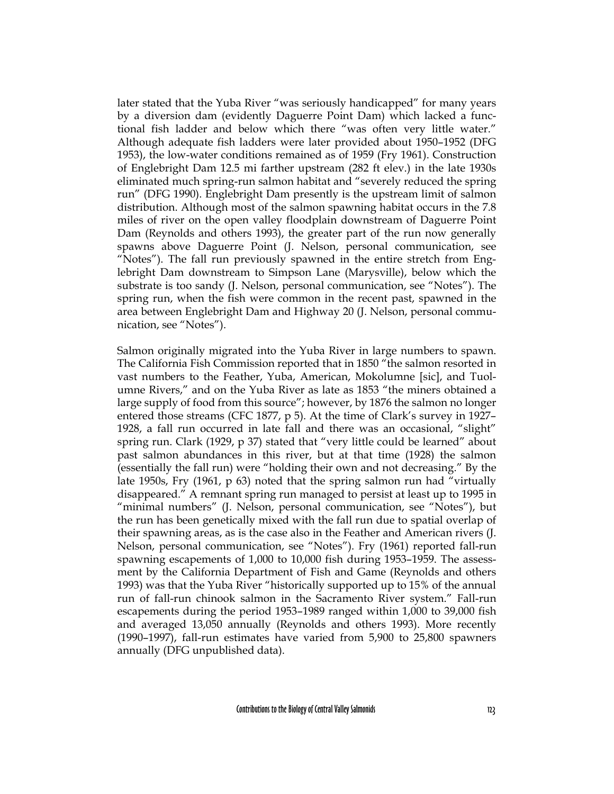later stated that the Yuba River "was seriously handicapped" for many years by a diversion dam (evidently Daguerre Point Dam) which lacked a functional fish ladder and below which there "was often very little water." Although adequate fish ladders were later provided about 1950–1952 (DFG 1953), the low-water conditions remained as of 1959 (Fry 1961). Construction of Englebright Dam 12.5 mi farther upstream (282 ft elev.) in the late 1930s eliminated much spring-run salmon habitat and "severely reduced the spring run" (DFG 1990). Englebright Dam presently is the upstream limit of salmon distribution. Although most of the salmon spawning habitat occurs in the 7.8 miles of river on the open valley floodplain downstream of Daguerre Point Dam (Reynolds and others 1993), the greater part of the run now generally spawns above Daguerre Point (J. Nelson, personal communication, see "Notes"). The fall run previously spawned in the entire stretch from Englebright Dam downstream to Simpson Lane (Marysville), below which the substrate is too sandy (J. Nelson, personal communication, see "Notes"). The spring run, when the fish were common in the recent past, spawned in the area between Englebright Dam and Highway 20 (J. Nelson, personal communication, see "Notes").

Salmon originally migrated into the Yuba River in large numbers to spawn. The California Fish Commission reported that in 1850 "the salmon resorted in vast numbers to the Feather, Yuba, American, Mokolumne [sic], and Tuolumne Rivers," and on the Yuba River as late as 1853 "the miners obtained a large supply of food from this source"; however, by 1876 the salmon no longer entered those streams (CFC 1877, p 5). At the time of Clark's survey in 1927– 1928, a fall run occurred in late fall and there was an occasional, "slight" spring run. Clark (1929, p 37) stated that "very little could be learned" about past salmon abundances in this river, but at that time (1928) the salmon (essentially the fall run) were "holding their own and not decreasing." By the late 1950s, Fry (1961, p 63) noted that the spring salmon run had "virtually disappeared." A remnant spring run managed to persist at least up to 1995 in "minimal numbers" (J. Nelson, personal communication, see "Notes"), but the run has been genetically mixed with the fall run due to spatial overlap of their spawning areas, as is the case also in the Feather and American rivers (J. Nelson, personal communication, see "Notes"). Fry (1961) reported fall-run spawning escapements of 1,000 to 10,000 fish during 1953–1959. The assessment by the California Department of Fish and Game (Reynolds and others 1993) was that the Yuba River "historically supported up to 15% of the annual run of fall-run chinook salmon in the Sacramento River system." Fall-run escapements during the period 1953–1989 ranged within 1,000 to 39,000 fish and averaged 13,050 annually (Reynolds and others 1993). More recently (1990–1997), fall-run estimates have varied from 5,900 to 25,800 spawners annually (DFG unpublished data).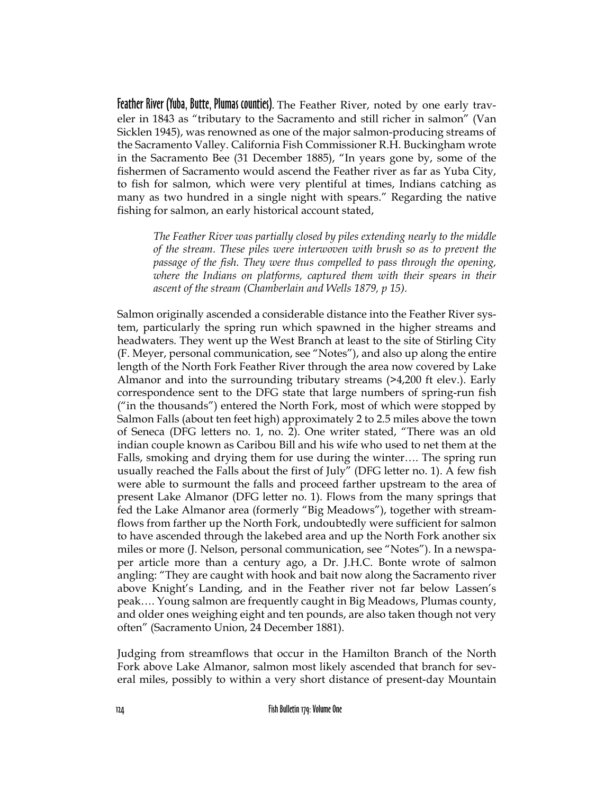Feather River (Yuba, Butte, Plumas counties). The Feather River, noted by one early traveler in 1843 as "tributary to the Sacramento and still richer in salmon" (Van Sicklen 1945), was renowned as one of the major salmon-producing streams of the Sacramento Valley. California Fish Commissioner R.H. Buckingham wrote in the Sacramento Bee (31 December 1885), "In years gone by, some of the fishermen of Sacramento would ascend the Feather river as far as Yuba City, to fish for salmon, which were very plentiful at times, Indians catching as many as two hundred in a single night with spears." Regarding the native fishing for salmon, an early historical account stated,

*The Feather River was partially closed by piles extending nearly to the middle of the stream. These piles were interwoven with brush so as to prevent the passage of the fish. They were thus compelled to pass through the opening, where the Indians on platforms, captured them with their spears in their ascent of the stream (Chamberlain and Wells 1879, p 15).*

Salmon originally ascended a considerable distance into the Feather River system, particularly the spring run which spawned in the higher streams and headwaters. They went up the West Branch at least to the site of Stirling City (F. Meyer, personal communication, see "Notes"), and also up along the entire length of the North Fork Feather River through the area now covered by Lake Almanor and into the surrounding tributary streams (>4,200 ft elev.). Early correspondence sent to the DFG state that large numbers of spring-run fish ("in the thousands") entered the North Fork, most of which were stopped by Salmon Falls (about ten feet high) approximately 2 to 2.5 miles above the town of Seneca (DFG letters no. 1, no. 2). One writer stated, "There was an old indian couple known as Caribou Bill and his wife who used to net them at the Falls, smoking and drying them for use during the winter…. The spring run usually reached the Falls about the first of July" (DFG letter no. 1). A few fish were able to surmount the falls and proceed farther upstream to the area of present Lake Almanor (DFG letter no. 1). Flows from the many springs that fed the Lake Almanor area (formerly "Big Meadows"), together with streamflows from farther up the North Fork, undoubtedly were sufficient for salmon to have ascended through the lakebed area and up the North Fork another six miles or more (J. Nelson, personal communication, see "Notes"). In a newspaper article more than a century ago, a Dr. J.H.C. Bonte wrote of salmon angling: "They are caught with hook and bait now along the Sacramento river above Knight's Landing, and in the Feather river not far below Lassen's peak…. Young salmon are frequently caught in Big Meadows, Plumas county, and older ones weighing eight and ten pounds, are also taken though not very often" (Sacramento Union, 24 December 1881).

Judging from streamflows that occur in the Hamilton Branch of the North Fork above Lake Almanor, salmon most likely ascended that branch for several miles, possibly to within a very short distance of present-day Mountain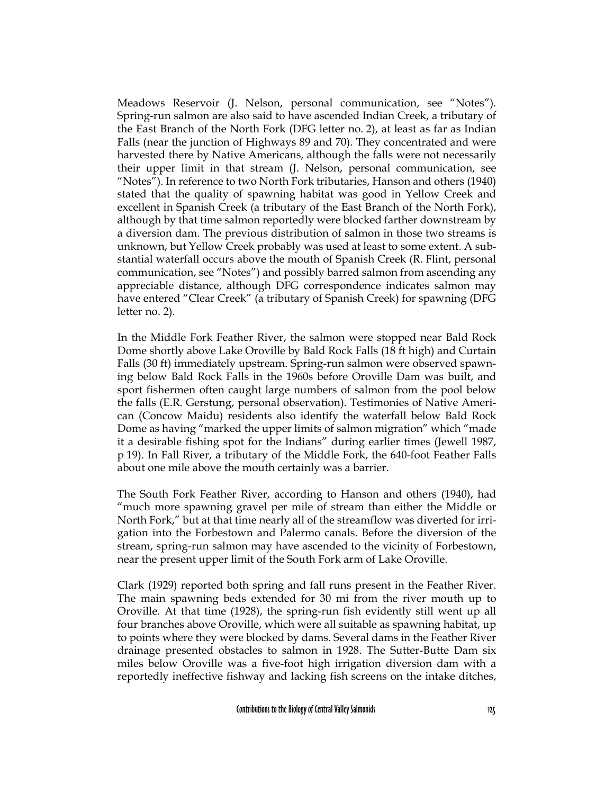Meadows Reservoir (J. Nelson, personal communication, see "Notes"). Spring-run salmon are also said to have ascended Indian Creek, a tributary of the East Branch of the North Fork (DFG letter no. 2), at least as far as Indian Falls (near the junction of Highways 89 and 70). They concentrated and were harvested there by Native Americans, although the falls were not necessarily their upper limit in that stream (J. Nelson, personal communication, see "Notes"). In reference to two North Fork tributaries, Hanson and others (1940) stated that the quality of spawning habitat was good in Yellow Creek and excellent in Spanish Creek (a tributary of the East Branch of the North Fork), although by that time salmon reportedly were blocked farther downstream by a diversion dam. The previous distribution of salmon in those two streams is unknown, but Yellow Creek probably was used at least to some extent. A substantial waterfall occurs above the mouth of Spanish Creek (R. Flint, personal communication, see "Notes") and possibly barred salmon from ascending any appreciable distance, although DFG correspondence indicates salmon may have entered "Clear Creek" (a tributary of Spanish Creek) for spawning (DFG letter no. 2).

In the Middle Fork Feather River, the salmon were stopped near Bald Rock Dome shortly above Lake Oroville by Bald Rock Falls (18 ft high) and Curtain Falls (30 ft) immediately upstream. Spring-run salmon were observed spawning below Bald Rock Falls in the 1960s before Oroville Dam was built, and sport fishermen often caught large numbers of salmon from the pool below the falls (E.R. Gerstung, personal observation). Testimonies of Native American (Concow Maidu) residents also identify the waterfall below Bald Rock Dome as having "marked the upper limits of salmon migration" which "made it a desirable fishing spot for the Indians" during earlier times (Jewell 1987, p 19). In Fall River, a tributary of the Middle Fork, the 640-foot Feather Falls about one mile above the mouth certainly was a barrier.

The South Fork Feather River, according to Hanson and others (1940), had "much more spawning gravel per mile of stream than either the Middle or North Fork," but at that time nearly all of the streamflow was diverted for irrigation into the Forbestown and Palermo canals. Before the diversion of the stream, spring-run salmon may have ascended to the vicinity of Forbestown, near the present upper limit of the South Fork arm of Lake Oroville.

Clark (1929) reported both spring and fall runs present in the Feather River. The main spawning beds extended for 30 mi from the river mouth up to Oroville. At that time (1928), the spring-run fish evidently still went up all four branches above Oroville, which were all suitable as spawning habitat, up to points where they were blocked by dams. Several dams in the Feather River drainage presented obstacles to salmon in 1928. The Sutter-Butte Dam six miles below Oroville was a five-foot high irrigation diversion dam with a reportedly ineffective fishway and lacking fish screens on the intake ditches,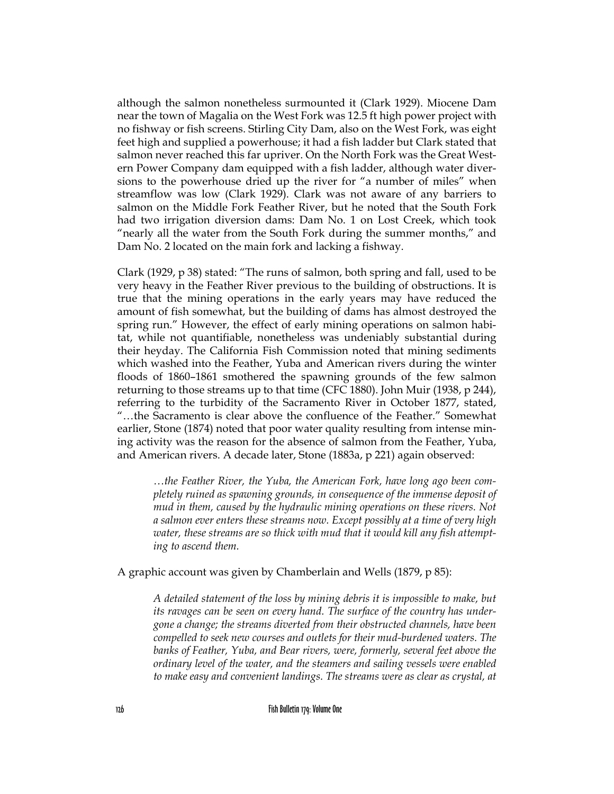although the salmon nonetheless surmounted it (Clark 1929). Miocene Dam near the town of Magalia on the West Fork was 12.5 ft high power project with no fishway or fish screens. Stirling City Dam, also on the West Fork, was eight feet high and supplied a powerhouse; it had a fish ladder but Clark stated that salmon never reached this far upriver. On the North Fork was the Great Western Power Company dam equipped with a fish ladder, although water diversions to the powerhouse dried up the river for "a number of miles" when streamflow was low (Clark 1929). Clark was not aware of any barriers to salmon on the Middle Fork Feather River, but he noted that the South Fork had two irrigation diversion dams: Dam No. 1 on Lost Creek, which took "nearly all the water from the South Fork during the summer months," and Dam No. 2 located on the main fork and lacking a fishway.

Clark (1929, p 38) stated: "The runs of salmon, both spring and fall, used to be very heavy in the Feather River previous to the building of obstructions. It is true that the mining operations in the early years may have reduced the amount of fish somewhat, but the building of dams has almost destroyed the spring run." However, the effect of early mining operations on salmon habitat, while not quantifiable, nonetheless was undeniably substantial during their heyday. The California Fish Commission noted that mining sediments which washed into the Feather, Yuba and American rivers during the winter floods of 1860–1861 smothered the spawning grounds of the few salmon returning to those streams up to that time (CFC 1880). John Muir (1938, p 244), referring to the turbidity of the Sacramento River in October 1877, stated, "…the Sacramento is clear above the confluence of the Feather." Somewhat earlier, Stone (1874) noted that poor water quality resulting from intense mining activity was the reason for the absence of salmon from the Feather, Yuba, and American rivers. A decade later, Stone (1883a, p 221) again observed:

*…the Feather River, the Yuba, the American Fork, have long ago been completely ruined as spawning grounds, in consequence of the immense deposit of mud in them, caused by the hydraulic mining operations on these rivers. Not a salmon ever enters these streams now. Except possibly at a time of very high water, these streams are so thick with mud that it would kill any fish attempting to ascend them.*

A graphic account was given by Chamberlain and Wells (1879, p 85):

*A detailed statement of the loss by mining debris it is impossible to make, but its ravages can be seen on every hand. The surface of the country has undergone a change; the streams diverted from their obstructed channels, have been compelled to seek new courses and outlets for their mud-burdened waters. The banks of Feather, Yuba, and Bear rivers, were, formerly, several feet above the ordinary level of the water, and the steamers and sailing vessels were enabled to make easy and convenient landings. The streams were as clear as crystal, at*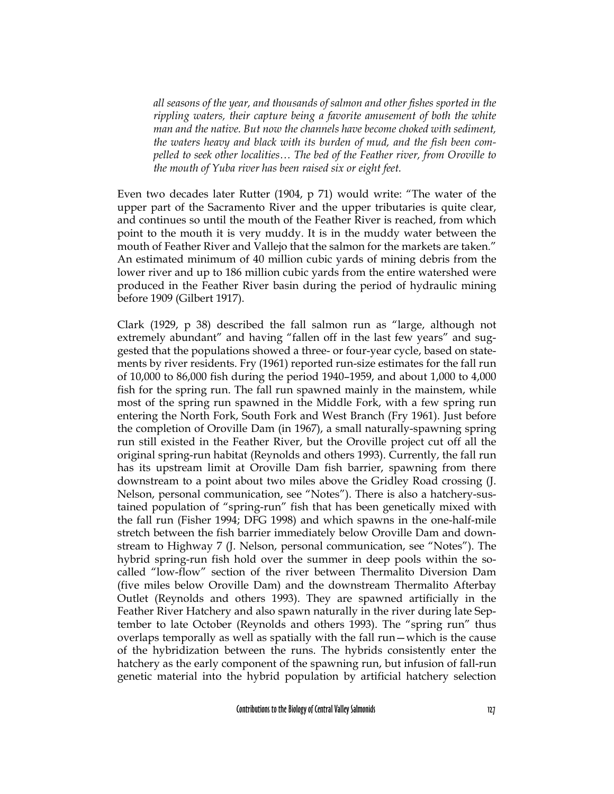*all seasons of the year, and thousands of salmon and other fishes sported in the rippling waters, their capture being a favorite amusement of both the white man and the native. But now the channels have become choked with sediment, the waters heavy and black with its burden of mud, and the fish been compelled to seek other localities… The bed of the Feather river, from Oroville to the mouth of Yuba river has been raised six or eight feet.*

Even two decades later Rutter (1904, p 71) would write: "The water of the upper part of the Sacramento River and the upper tributaries is quite clear, and continues so until the mouth of the Feather River is reached, from which point to the mouth it is very muddy. It is in the muddy water between the mouth of Feather River and Vallejo that the salmon for the markets are taken." An estimated minimum of 40 million cubic yards of mining debris from the lower river and up to 186 million cubic yards from the entire watershed were produced in the Feather River basin during the period of hydraulic mining before 1909 (Gilbert 1917).

Clark (1929, p 38) described the fall salmon run as "large, although not extremely abundant" and having "fallen off in the last few years" and suggested that the populations showed a three- or four-year cycle, based on statements by river residents. Fry (1961) reported run-size estimates for the fall run of 10,000 to 86,000 fish during the period 1940–1959, and about 1,000 to 4,000 fish for the spring run. The fall run spawned mainly in the mainstem, while most of the spring run spawned in the Middle Fork, with a few spring run entering the North Fork, South Fork and West Branch (Fry 1961). Just before the completion of Oroville Dam (in 1967), a small naturally-spawning spring run still existed in the Feather River, but the Oroville project cut off all the original spring-run habitat (Reynolds and others 1993). Currently, the fall run has its upstream limit at Oroville Dam fish barrier, spawning from there downstream to a point about two miles above the Gridley Road crossing (J. Nelson, personal communication, see "Notes"). There is also a hatchery-sustained population of "spring-run" fish that has been genetically mixed with the fall run (Fisher 1994; DFG 1998) and which spawns in the one-half-mile stretch between the fish barrier immediately below Oroville Dam and downstream to Highway 7 (J. Nelson, personal communication, see "Notes"). The hybrid spring-run fish hold over the summer in deep pools within the socalled "low-flow" section of the river between Thermalito Diversion Dam (five miles below Oroville Dam) and the downstream Thermalito Afterbay Outlet (Reynolds and others 1993). They are spawned artificially in the Feather River Hatchery and also spawn naturally in the river during late September to late October (Reynolds and others 1993). The "spring run" thus overlaps temporally as well as spatially with the fall run—which is the cause of the hybridization between the runs. The hybrids consistently enter the hatchery as the early component of the spawning run, but infusion of fall-run genetic material into the hybrid population by artificial hatchery selection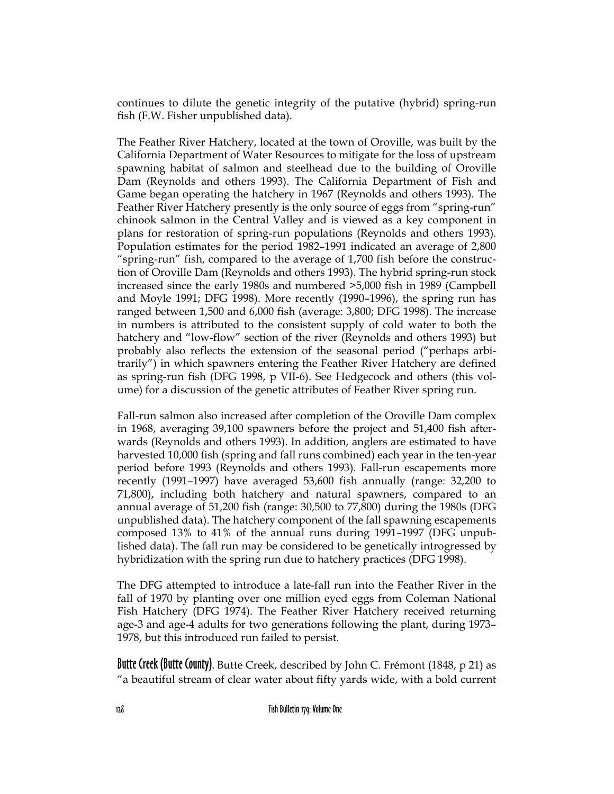continues to dilute the genetic integrity of the putative (hybrid) spring-run fish (F.W. Fisher unpublished data).

The Feather River Hatchery, located at the town of Oroville, was built by the California Department of Water Resources to mitigate for the loss of upstream spawning habitat of salmon and steelhead due to the building of Oroville Dam (Reynolds and others 1993). The California Department of Fish and Game began operating the hatchery in 1967 (Reynolds and others 1993). The Feather River Hatchery presently is the only source of eggs from "spring-run" chinook salmon in the Central Valley and is viewed as a key component in plans for restoration of spring-run populations (Reynolds and others 1993). Population estimates for the period 1982–1991 indicated an average of 2,800 "spring-run" fish, compared to the average of 1,700 fish before the construction of Oroville Dam (Reynolds and others 1993). The hybrid spring-run stock increased since the early 1980s and numbered >5,000 fish in 1989 (Campbell and Moyle 1991; DFG 1998). More recently (1990–1996), the spring run has ranged between 1,500 and 6,000 fish (average: 3,800; DFG 1998). The increase in numbers is attributed to the consistent supply of cold water to both the hatchery and "low-flow" section of the river (Reynolds and others 1993) but probably also reflects the extension of the seasonal period ("perhaps arbitrarily") in which spawners entering the Feather River Hatchery are defined as spring-run fish (DFG 1998, p VII-6). See Hedgecock and others (this volume) for a discussion of the genetic attributes of Feather River spring run.

Fall-run salmon also increased after completion of the Oroville Dam complex in 1968, averaging 39,100 spawners before the project and 51,400 fish afterwards (Reynolds and others 1993). In addition, anglers are estimated to have harvested 10,000 fish (spring and fall runs combined) each year in the ten-year period before 1993 (Reynolds and others 1993). Fall-run escapements more recently (1991–1997) have averaged 53,600 fish annually (range: 32,200 to 71,800), including both hatchery and natural spawners, compared to an annual average of 51,200 fish (range: 30,500 to 77,800) during the 1980s (DFG unpublished data). The hatchery component of the fall spawning escapements composed 13% to 41% of the annual runs during 1991–1997 (DFG unpublished data). The fall run may be considered to be genetically introgressed by hybridization with the spring run due to hatchery practices (DFG 1998).

The DFG attempted to introduce a late-fall run into the Feather River in the fall of 1970 by planting over one million eyed eggs from Coleman National Fish Hatchery (DFG 1974). The Feather River Hatchery received returning age-3 and age-4 adults for two generations following the plant, during 1973– 1978, but this introduced run failed to persist.

**Butte Creek (Butte County).** Butte Creek, described by John C. Frémont (1848, p 21) as "a beautiful stream of clear water about fifty yards wide, with a bold current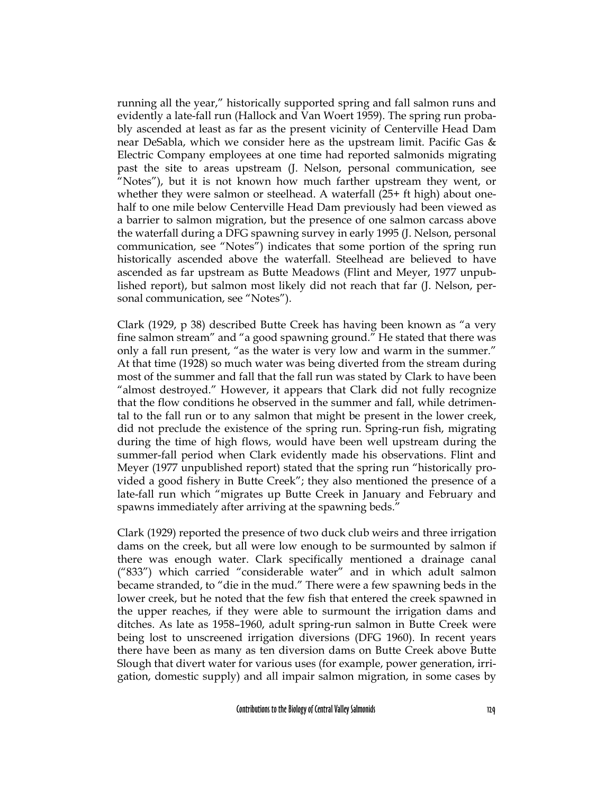running all the year," historically supported spring and fall salmon runs and evidently a late-fall run (Hallock and Van Woert 1959). The spring run probably ascended at least as far as the present vicinity of Centerville Head Dam near DeSabla, which we consider here as the upstream limit. Pacific Gas & Electric Company employees at one time had reported salmonids migrating past the site to areas upstream (J. Nelson, personal communication, see "Notes"), but it is not known how much farther upstream they went, or whether they were salmon or steelhead. A waterfall (25+ ft high) about onehalf to one mile below Centerville Head Dam previously had been viewed as a barrier to salmon migration, but the presence of one salmon carcass above the waterfall during a DFG spawning survey in early 1995 (J. Nelson, personal communication, see "Notes") indicates that some portion of the spring run historically ascended above the waterfall. Steelhead are believed to have ascended as far upstream as Butte Meadows (Flint and Meyer, 1977 unpublished report), but salmon most likely did not reach that far (J. Nelson, personal communication, see "Notes").

Clark (1929, p 38) described Butte Creek has having been known as "a very fine salmon stream" and "a good spawning ground." He stated that there was only a fall run present, "as the water is very low and warm in the summer." At that time (1928) so much water was being diverted from the stream during most of the summer and fall that the fall run was stated by Clark to have been "almost destroyed." However, it appears that Clark did not fully recognize that the flow conditions he observed in the summer and fall, while detrimental to the fall run or to any salmon that might be present in the lower creek, did not preclude the existence of the spring run. Spring-run fish, migrating during the time of high flows, would have been well upstream during the summer-fall period when Clark evidently made his observations. Flint and Meyer (1977 unpublished report) stated that the spring run "historically provided a good fishery in Butte Creek"; they also mentioned the presence of a late-fall run which "migrates up Butte Creek in January and February and spawns immediately after arriving at the spawning beds."

Clark (1929) reported the presence of two duck club weirs and three irrigation dams on the creek, but all were low enough to be surmounted by salmon if there was enough water. Clark specifically mentioned a drainage canal ("833") which carried "considerable water" and in which adult salmon became stranded, to "die in the mud." There were a few spawning beds in the lower creek, but he noted that the few fish that entered the creek spawned in the upper reaches, if they were able to surmount the irrigation dams and ditches. As late as 1958–1960, adult spring-run salmon in Butte Creek were being lost to unscreened irrigation diversions (DFG 1960). In recent years there have been as many as ten diversion dams on Butte Creek above Butte Slough that divert water for various uses (for example, power generation, irrigation, domestic supply) and all impair salmon migration, in some cases by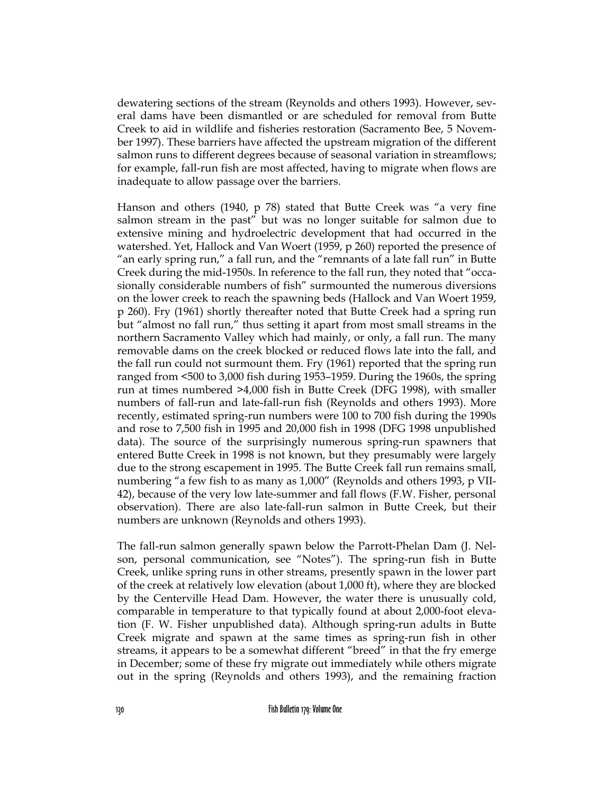dewatering sections of the stream (Reynolds and others 1993). However, several dams have been dismantled or are scheduled for removal from Butte Creek to aid in wildlife and fisheries restoration (Sacramento Bee, 5 November 1997). These barriers have affected the upstream migration of the different salmon runs to different degrees because of seasonal variation in streamflows; for example, fall-run fish are most affected, having to migrate when flows are inadequate to allow passage over the barriers.

Hanson and others (1940, p 78) stated that Butte Creek was "a very fine salmon stream in the past" but was no longer suitable for salmon due to extensive mining and hydroelectric development that had occurred in the watershed. Yet, Hallock and Van Woert (1959, p 260) reported the presence of "an early spring run," a fall run, and the "remnants of a late fall run" in Butte Creek during the mid-1950s. In reference to the fall run, they noted that "occasionally considerable numbers of fish" surmounted the numerous diversions on the lower creek to reach the spawning beds (Hallock and Van Woert 1959, p 260). Fry (1961) shortly thereafter noted that Butte Creek had a spring run but "almost no fall run," thus setting it apart from most small streams in the northern Sacramento Valley which had mainly, or only, a fall run. The many removable dams on the creek blocked or reduced flows late into the fall, and the fall run could not surmount them. Fry (1961) reported that the spring run ranged from <500 to 3,000 fish during 1953–1959. During the 1960s, the spring run at times numbered >4,000 fish in Butte Creek (DFG 1998), with smaller numbers of fall-run and late-fall-run fish (Reynolds and others 1993). More recently, estimated spring-run numbers were 100 to 700 fish during the 1990s and rose to 7,500 fish in 1995 and 20,000 fish in 1998 (DFG 1998 unpublished data). The source of the surprisingly numerous spring-run spawners that entered Butte Creek in 1998 is not known, but they presumably were largely due to the strong escapement in 1995. The Butte Creek fall run remains small, numbering "a few fish to as many as 1,000" (Reynolds and others 1993, p VII-42), because of the very low late-summer and fall flows (F.W. Fisher, personal observation). There are also late-fall-run salmon in Butte Creek, but their numbers are unknown (Reynolds and others 1993).

The fall-run salmon generally spawn below the Parrott-Phelan Dam (J. Nelson, personal communication, see "Notes"). The spring-run fish in Butte Creek, unlike spring runs in other streams, presently spawn in the lower part of the creek at relatively low elevation (about 1,000 ft), where they are blocked by the Centerville Head Dam. However, the water there is unusually cold, comparable in temperature to that typically found at about 2,000-foot elevation (F. W. Fisher unpublished data). Although spring-run adults in Butte Creek migrate and spawn at the same times as spring-run fish in other streams, it appears to be a somewhat different "breed" in that the fry emerge in December; some of these fry migrate out immediately while others migrate out in the spring (Reynolds and others 1993), and the remaining fraction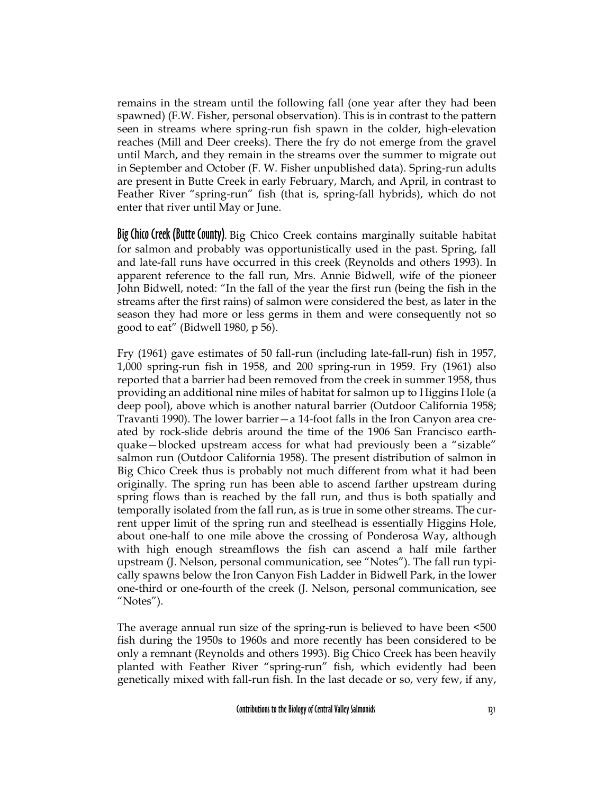remains in the stream until the following fall (one year after they had been spawned) (F.W. Fisher, personal observation). This is in contrast to the pattern seen in streams where spring-run fish spawn in the colder, high-elevation reaches (Mill and Deer creeks). There the fry do not emerge from the gravel until March, and they remain in the streams over the summer to migrate out in September and October (F. W. Fisher unpublished data). Spring-run adults are present in Butte Creek in early February, March, and April, in contrast to Feather River "spring-run" fish (that is, spring-fall hybrids), which do not enter that river until May or June.

Big Chico Creek (Butte County). Big Chico Creek contains marginally suitable habitat for salmon and probably was opportunistically used in the past. Spring, fall and late-fall runs have occurred in this creek (Reynolds and others 1993). In apparent reference to the fall run, Mrs. Annie Bidwell, wife of the pioneer John Bidwell, noted: "In the fall of the year the first run (being the fish in the streams after the first rains) of salmon were considered the best, as later in the season they had more or less germs in them and were consequently not so good to eat" (Bidwell 1980, p 56).

Fry (1961) gave estimates of 50 fall-run (including late-fall-run) fish in 1957, 1,000 spring-run fish in 1958, and 200 spring-run in 1959. Fry (1961) also reported that a barrier had been removed from the creek in summer 1958, thus providing an additional nine miles of habitat for salmon up to Higgins Hole (a deep pool), above which is another natural barrier (Outdoor California 1958; Travanti 1990). The lower barrier—a 14-foot falls in the Iron Canyon area created by rock-slide debris around the time of the 1906 San Francisco earthquake—blocked upstream access for what had previously been a "sizable" salmon run (Outdoor California 1958). The present distribution of salmon in Big Chico Creek thus is probably not much different from what it had been originally. The spring run has been able to ascend farther upstream during spring flows than is reached by the fall run, and thus is both spatially and temporally isolated from the fall run, as is true in some other streams. The current upper limit of the spring run and steelhead is essentially Higgins Hole, about one-half to one mile above the crossing of Ponderosa Way, although with high enough streamflows the fish can ascend a half mile farther upstream (J. Nelson, personal communication, see "Notes"). The fall run typically spawns below the Iron Canyon Fish Ladder in Bidwell Park, in the lower one-third or one-fourth of the creek (J. Nelson, personal communication, see "Notes").

The average annual run size of the spring-run is believed to have been <500 fish during the 1950s to 1960s and more recently has been considered to be only a remnant (Reynolds and others 1993). Big Chico Creek has been heavily planted with Feather River "spring-run" fish, which evidently had been genetically mixed with fall-run fish. In the last decade or so, very few, if any,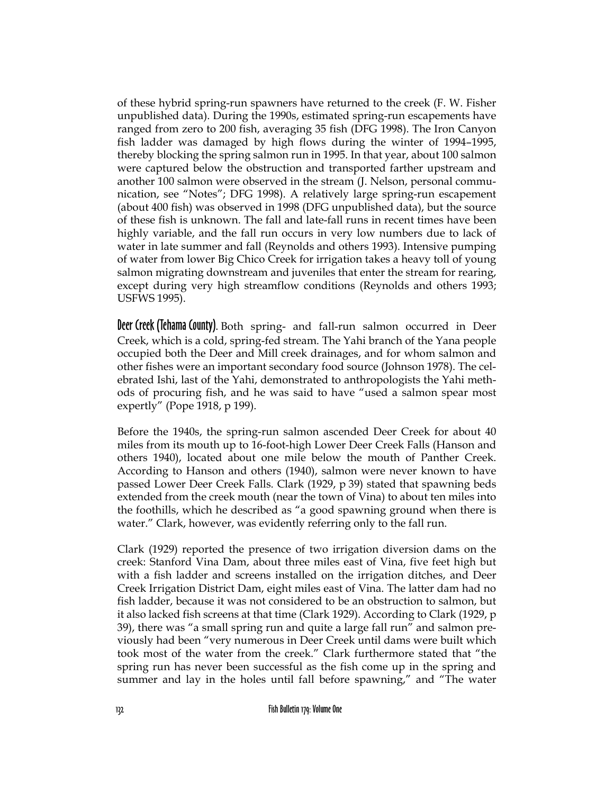of these hybrid spring-run spawners have returned to the creek (F. W. Fisher unpublished data). During the 1990s, estimated spring-run escapements have ranged from zero to 200 fish, averaging 35 fish (DFG 1998). The Iron Canyon fish ladder was damaged by high flows during the winter of 1994–1995, thereby blocking the spring salmon run in 1995. In that year, about 100 salmon were captured below the obstruction and transported farther upstream and another 100 salmon were observed in the stream (J. Nelson, personal communication, see "Notes"; DFG 1998). A relatively large spring-run escapement (about 400 fish) was observed in 1998 (DFG unpublished data), but the source of these fish is unknown. The fall and late-fall runs in recent times have been highly variable, and the fall run occurs in very low numbers due to lack of water in late summer and fall (Reynolds and others 1993). Intensive pumping of water from lower Big Chico Creek for irrigation takes a heavy toll of young salmon migrating downstream and juveniles that enter the stream for rearing, except during very high streamflow conditions (Reynolds and others 1993; USFWS 1995).

Deer Creek (Tehama County). Both spring- and fall-run salmon occurred in Deer Creek, which is a cold, spring-fed stream. The Yahi branch of the Yana people occupied both the Deer and Mill creek drainages, and for whom salmon and other fishes were an important secondary food source (Johnson 1978). The celebrated Ishi, last of the Yahi, demonstrated to anthropologists the Yahi methods of procuring fish, and he was said to have "used a salmon spear most expertly" (Pope 1918, p 199).

Before the 1940s, the spring-run salmon ascended Deer Creek for about 40 miles from its mouth up to 16-foot-high Lower Deer Creek Falls (Hanson and others 1940), located about one mile below the mouth of Panther Creek. According to Hanson and others (1940), salmon were never known to have passed Lower Deer Creek Falls. Clark (1929, p 39) stated that spawning beds extended from the creek mouth (near the town of Vina) to about ten miles into the foothills, which he described as "a good spawning ground when there is water." Clark, however, was evidently referring only to the fall run.

Clark (1929) reported the presence of two irrigation diversion dams on the creek: Stanford Vina Dam, about three miles east of Vina, five feet high but with a fish ladder and screens installed on the irrigation ditches, and Deer Creek Irrigation District Dam, eight miles east of Vina. The latter dam had no fish ladder, because it was not considered to be an obstruction to salmon, but it also lacked fish screens at that time (Clark 1929). According to Clark (1929, p 39), there was "a small spring run and quite a large fall run" and salmon previously had been "very numerous in Deer Creek until dams were built which took most of the water from the creek." Clark furthermore stated that "the spring run has never been successful as the fish come up in the spring and summer and lay in the holes until fall before spawning," and "The water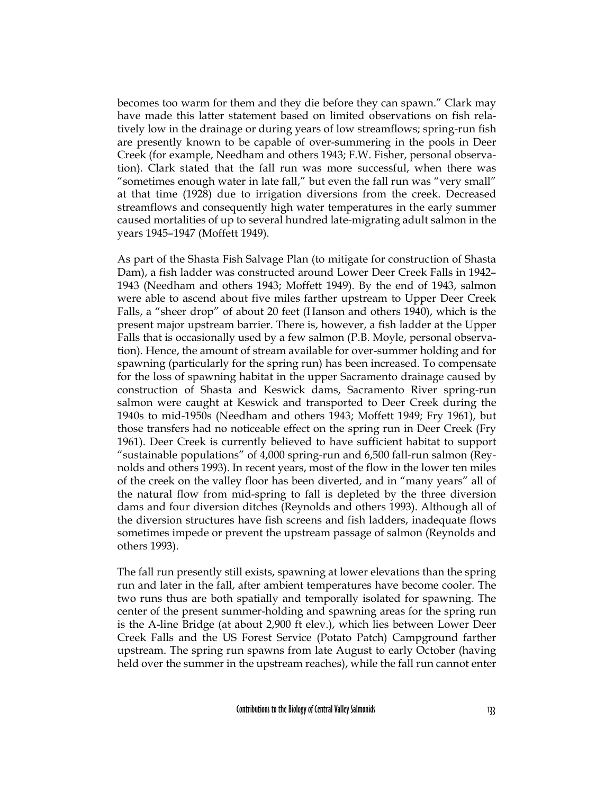becomes too warm for them and they die before they can spawn." Clark may have made this latter statement based on limited observations on fish relatively low in the drainage or during years of low streamflows; spring-run fish are presently known to be capable of over-summering in the pools in Deer Creek (for example, Needham and others 1943; F.W. Fisher, personal observation). Clark stated that the fall run was more successful, when there was "sometimes enough water in late fall," but even the fall run was "very small" at that time (1928) due to irrigation diversions from the creek. Decreased streamflows and consequently high water temperatures in the early summer caused mortalities of up to several hundred late-migrating adult salmon in the years 1945–1947 (Moffett 1949).

As part of the Shasta Fish Salvage Plan (to mitigate for construction of Shasta Dam), a fish ladder was constructed around Lower Deer Creek Falls in 1942– 1943 (Needham and others 1943; Moffett 1949). By the end of 1943, salmon were able to ascend about five miles farther upstream to Upper Deer Creek Falls, a "sheer drop" of about 20 feet (Hanson and others 1940), which is the present major upstream barrier. There is, however, a fish ladder at the Upper Falls that is occasionally used by a few salmon (P.B. Moyle, personal observation). Hence, the amount of stream available for over-summer holding and for spawning (particularly for the spring run) has been increased. To compensate for the loss of spawning habitat in the upper Sacramento drainage caused by construction of Shasta and Keswick dams, Sacramento River spring-run salmon were caught at Keswick and transported to Deer Creek during the 1940s to mid-1950s (Needham and others 1943; Moffett 1949; Fry 1961), but those transfers had no noticeable effect on the spring run in Deer Creek (Fry 1961). Deer Creek is currently believed to have sufficient habitat to support "sustainable populations" of 4,000 spring-run and 6,500 fall-run salmon (Reynolds and others 1993). In recent years, most of the flow in the lower ten miles of the creek on the valley floor has been diverted, and in "many years" all of the natural flow from mid-spring to fall is depleted by the three diversion dams and four diversion ditches (Reynolds and others 1993). Although all of the diversion structures have fish screens and fish ladders, inadequate flows sometimes impede or prevent the upstream passage of salmon (Reynolds and others 1993).

The fall run presently still exists, spawning at lower elevations than the spring run and later in the fall, after ambient temperatures have become cooler. The two runs thus are both spatially and temporally isolated for spawning. The center of the present summer-holding and spawning areas for the spring run is the A-line Bridge (at about 2,900 ft elev.), which lies between Lower Deer Creek Falls and the US Forest Service (Potato Patch) Campground farther upstream. The spring run spawns from late August to early October (having held over the summer in the upstream reaches), while the fall run cannot enter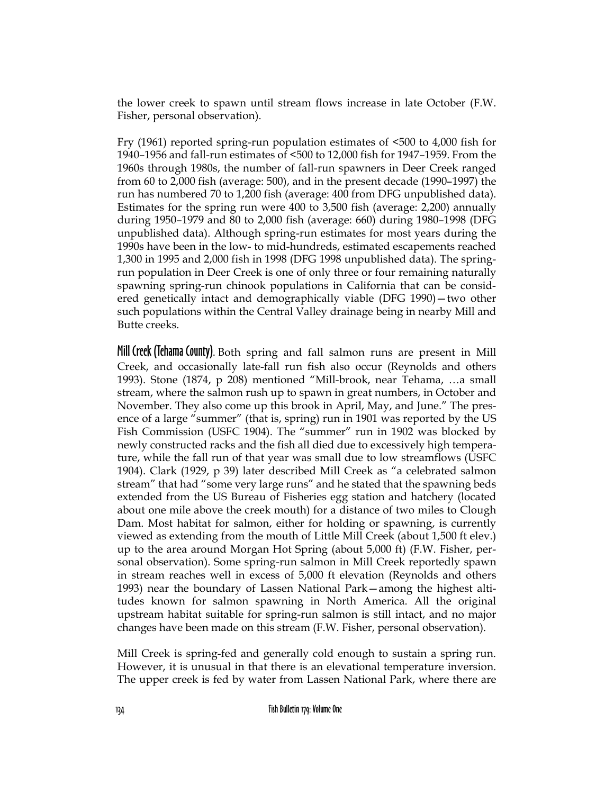the lower creek to spawn until stream flows increase in late October (F.W. Fisher, personal observation).

Fry (1961) reported spring-run population estimates of <500 to 4,000 fish for 1940–1956 and fall-run estimates of <500 to 12,000 fish for 1947–1959. From the 1960s through 1980s, the number of fall-run spawners in Deer Creek ranged from 60 to 2,000 fish (average: 500), and in the present decade (1990–1997) the run has numbered 70 to 1,200 fish (average: 400 from DFG unpublished data). Estimates for the spring run were 400 to 3,500 fish (average: 2,200) annually during 1950–1979 and 80 to 2,000 fish (average: 660) during 1980–1998 (DFG unpublished data). Although spring-run estimates for most years during the 1990s have been in the low- to mid-hundreds, estimated escapements reached 1,300 in 1995 and 2,000 fish in 1998 (DFG 1998 unpublished data). The springrun population in Deer Creek is one of only three or four remaining naturally spawning spring-run chinook populations in California that can be considered genetically intact and demographically viable (DFG 1990)—two other such populations within the Central Valley drainage being in nearby Mill and Butte creeks.

Mill Creek (Tehama County). Both spring and fall salmon runs are present in Mill Creek, and occasionally late-fall run fish also occur (Reynolds and others 1993). Stone (1874, p 208) mentioned "Mill-brook, near Tehama, …a small stream, where the salmon rush up to spawn in great numbers, in October and November. They also come up this brook in April, May, and June." The presence of a large "summer" (that is, spring) run in 1901 was reported by the US Fish Commission (USFC 1904). The "summer" run in 1902 was blocked by newly constructed racks and the fish all died due to excessively high temperature, while the fall run of that year was small due to low streamflows (USFC 1904). Clark (1929, p 39) later described Mill Creek as "a celebrated salmon stream" that had "some very large runs" and he stated that the spawning beds extended from the US Bureau of Fisheries egg station and hatchery (located about one mile above the creek mouth) for a distance of two miles to Clough Dam. Most habitat for salmon, either for holding or spawning, is currently viewed as extending from the mouth of Little Mill Creek (about 1,500 ft elev.) up to the area around Morgan Hot Spring (about 5,000 ft) (F.W. Fisher, personal observation). Some spring-run salmon in Mill Creek reportedly spawn in stream reaches well in excess of 5,000 ft elevation (Reynolds and others 1993) near the boundary of Lassen National Park—among the highest altitudes known for salmon spawning in North America. All the original upstream habitat suitable for spring-run salmon is still intact, and no major changes have been made on this stream (F.W. Fisher, personal observation).

Mill Creek is spring-fed and generally cold enough to sustain a spring run. However, it is unusual in that there is an elevational temperature inversion. The upper creek is fed by water from Lassen National Park, where there are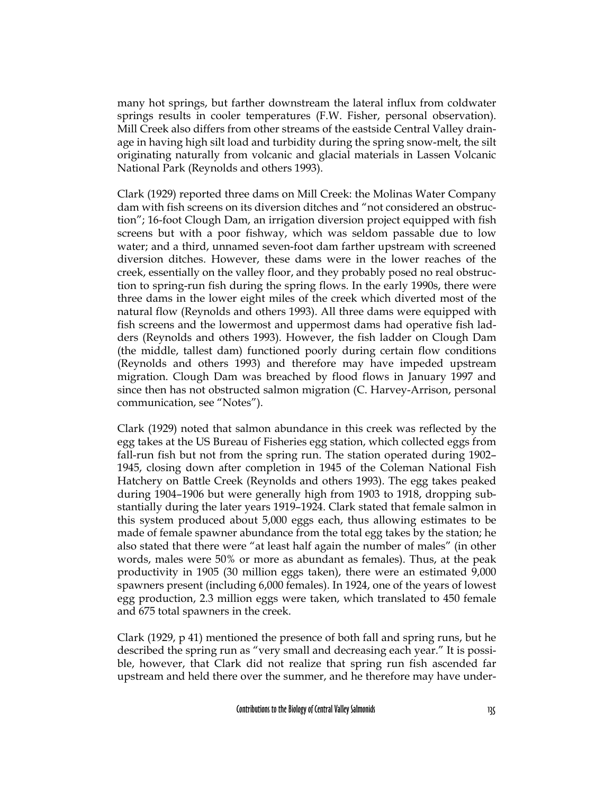many hot springs, but farther downstream the lateral influx from coldwater springs results in cooler temperatures (F.W. Fisher, personal observation). Mill Creek also differs from other streams of the eastside Central Valley drainage in having high silt load and turbidity during the spring snow-melt, the silt originating naturally from volcanic and glacial materials in Lassen Volcanic National Park (Reynolds and others 1993).

Clark (1929) reported three dams on Mill Creek: the Molinas Water Company dam with fish screens on its diversion ditches and "not considered an obstruction"; 16-foot Clough Dam, an irrigation diversion project equipped with fish screens but with a poor fishway, which was seldom passable due to low water; and a third, unnamed seven-foot dam farther upstream with screened diversion ditches. However, these dams were in the lower reaches of the creek, essentially on the valley floor, and they probably posed no real obstruction to spring-run fish during the spring flows. In the early 1990s, there were three dams in the lower eight miles of the creek which diverted most of the natural flow (Reynolds and others 1993). All three dams were equipped with fish screens and the lowermost and uppermost dams had operative fish ladders (Reynolds and others 1993). However, the fish ladder on Clough Dam (the middle, tallest dam) functioned poorly during certain flow conditions (Reynolds and others 1993) and therefore may have impeded upstream migration. Clough Dam was breached by flood flows in January 1997 and since then has not obstructed salmon migration (C. Harvey-Arrison, personal communication, see "Notes").

Clark (1929) noted that salmon abundance in this creek was reflected by the egg takes at the US Bureau of Fisheries egg station, which collected eggs from fall-run fish but not from the spring run. The station operated during 1902– 1945, closing down after completion in 1945 of the Coleman National Fish Hatchery on Battle Creek (Reynolds and others 1993). The egg takes peaked during 1904–1906 but were generally high from 1903 to 1918, dropping substantially during the later years 1919–1924. Clark stated that female salmon in this system produced about 5,000 eggs each, thus allowing estimates to be made of female spawner abundance from the total egg takes by the station; he also stated that there were "at least half again the number of males" (in other words, males were 50% or more as abundant as females). Thus, at the peak productivity in 1905 (30 million eggs taken), there were an estimated 9,000 spawners present (including 6,000 females). In 1924, one of the years of lowest egg production, 2.3 million eggs were taken, which translated to 450 female and 675 total spawners in the creek.

Clark (1929, p 41) mentioned the presence of both fall and spring runs, but he described the spring run as "very small and decreasing each year." It is possible, however, that Clark did not realize that spring run fish ascended far upstream and held there over the summer, and he therefore may have under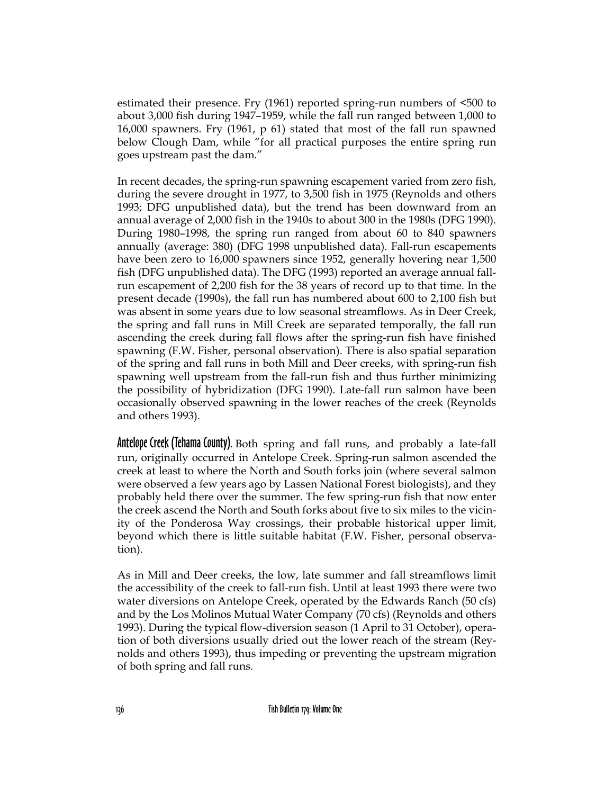estimated their presence. Fry (1961) reported spring-run numbers of <500 to about 3,000 fish during 1947–1959, while the fall run ranged between 1,000 to 16,000 spawners. Fry (1961, p 61) stated that most of the fall run spawned below Clough Dam, while "for all practical purposes the entire spring run goes upstream past the dam."

In recent decades, the spring-run spawning escapement varied from zero fish, during the severe drought in 1977, to 3,500 fish in 1975 (Reynolds and others 1993; DFG unpublished data), but the trend has been downward from an annual average of 2,000 fish in the 1940s to about 300 in the 1980s (DFG 1990). During 1980–1998, the spring run ranged from about 60 to 840 spawners annually (average: 380) (DFG 1998 unpublished data). Fall-run escapements have been zero to 16,000 spawners since 1952, generally hovering near 1,500 fish (DFG unpublished data). The DFG (1993) reported an average annual fallrun escapement of 2,200 fish for the 38 years of record up to that time. In the present decade (1990s), the fall run has numbered about 600 to 2,100 fish but was absent in some years due to low seasonal streamflows. As in Deer Creek, the spring and fall runs in Mill Creek are separated temporally, the fall run ascending the creek during fall flows after the spring-run fish have finished spawning (F.W. Fisher, personal observation). There is also spatial separation of the spring and fall runs in both Mill and Deer creeks, with spring-run fish spawning well upstream from the fall-run fish and thus further minimizing the possibility of hybridization (DFG 1990). Late-fall run salmon have been occasionally observed spawning in the lower reaches of the creek (Reynolds and others 1993).

Antelope Creek (Tehama County). Both spring and fall runs, and probably a late-fall run, originally occurred in Antelope Creek. Spring-run salmon ascended the creek at least to where the North and South forks join (where several salmon were observed a few years ago by Lassen National Forest biologists), and they probably held there over the summer. The few spring-run fish that now enter the creek ascend the North and South forks about five to six miles to the vicinity of the Ponderosa Way crossings, their probable historical upper limit, beyond which there is little suitable habitat (F.W. Fisher, personal observation).

As in Mill and Deer creeks, the low, late summer and fall streamflows limit the accessibility of the creek to fall-run fish. Until at least 1993 there were two water diversions on Antelope Creek, operated by the Edwards Ranch (50 cfs) and by the Los Molinos Mutual Water Company (70 cfs) (Reynolds and others 1993). During the typical flow-diversion season (1 April to 31 October), operation of both diversions usually dried out the lower reach of the stream (Reynolds and others 1993), thus impeding or preventing the upstream migration of both spring and fall runs.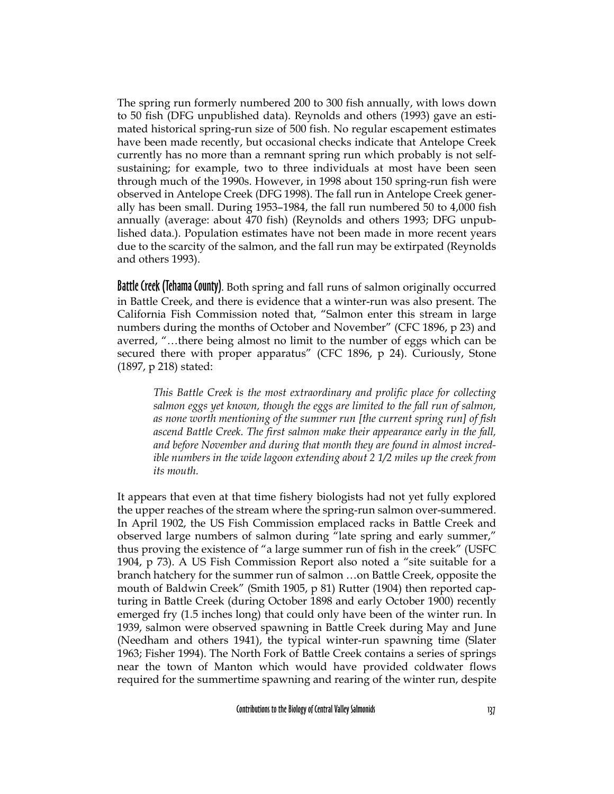The spring run formerly numbered 200 to 300 fish annually, with lows down to 50 fish (DFG unpublished data). Reynolds and others (1993) gave an estimated historical spring-run size of 500 fish. No regular escapement estimates have been made recently, but occasional checks indicate that Antelope Creek currently has no more than a remnant spring run which probably is not selfsustaining; for example, two to three individuals at most have been seen through much of the 1990s. However, in 1998 about 150 spring-run fish were observed in Antelope Creek (DFG 1998). The fall run in Antelope Creek generally has been small. During 1953–1984, the fall run numbered 50 to 4,000 fish annually (average: about 470 fish) (Reynolds and others 1993; DFG unpublished data.). Population estimates have not been made in more recent years due to the scarcity of the salmon, and the fall run may be extirpated (Reynolds and others 1993).

Battle Creek (Tehama County). Both spring and fall runs of salmon originally occurred in Battle Creek, and there is evidence that a winter-run was also present. The California Fish Commission noted that, "Salmon enter this stream in large numbers during the months of October and November" (CFC 1896, p 23) and averred, "…there being almost no limit to the number of eggs which can be secured there with proper apparatus" (CFC 1896, p 24). Curiously, Stone (1897, p 218) stated:

*This Battle Creek is the most extraordinary and prolific place for collecting salmon eggs yet known, though the eggs are limited to the fall run of salmon, as none worth mentioning of the summer run [the current spring run] of fish ascend Battle Creek. The first salmon make their appearance early in the fall, and before November and during that month they are found in almost incredible numbers in the wide lagoon extending about 2 1/2 miles up the creek from its mouth.*

It appears that even at that time fishery biologists had not yet fully explored the upper reaches of the stream where the spring-run salmon over-summered. In April 1902, the US Fish Commission emplaced racks in Battle Creek and observed large numbers of salmon during "late spring and early summer," thus proving the existence of "a large summer run of fish in the creek" (USFC 1904, p 73). A US Fish Commission Report also noted a "site suitable for a branch hatchery for the summer run of salmon …on Battle Creek, opposite the mouth of Baldwin Creek" (Smith 1905, p 81) Rutter (1904) then reported capturing in Battle Creek (during October 1898 and early October 1900) recently emerged fry (1.5 inches long) that could only have been of the winter run. In 1939, salmon were observed spawning in Battle Creek during May and June (Needham and others 1941), the typical winter-run spawning time (Slater 1963; Fisher 1994). The North Fork of Battle Creek contains a series of springs near the town of Manton which would have provided coldwater flows required for the summertime spawning and rearing of the winter run, despite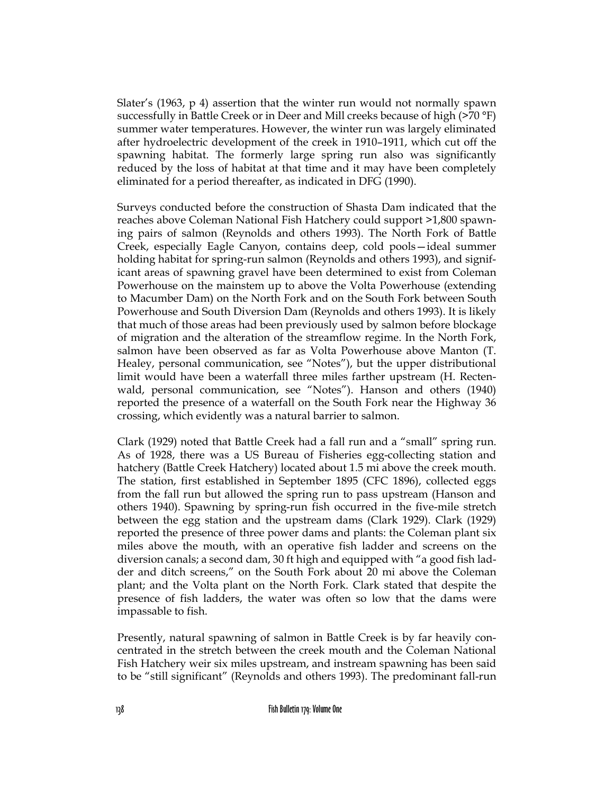Slater's (1963, p 4) assertion that the winter run would not normally spawn successfully in Battle Creek or in Deer and Mill creeks because of high (>70 °F) summer water temperatures. However, the winter run was largely eliminated after hydroelectric development of the creek in 1910–1911, which cut off the spawning habitat. The formerly large spring run also was significantly reduced by the loss of habitat at that time and it may have been completely eliminated for a period thereafter, as indicated in DFG (1990).

Surveys conducted before the construction of Shasta Dam indicated that the reaches above Coleman National Fish Hatchery could support >1,800 spawning pairs of salmon (Reynolds and others 1993). The North Fork of Battle Creek, especially Eagle Canyon, contains deep, cold pools—ideal summer holding habitat for spring-run salmon (Reynolds and others 1993), and significant areas of spawning gravel have been determined to exist from Coleman Powerhouse on the mainstem up to above the Volta Powerhouse (extending to Macumber Dam) on the North Fork and on the South Fork between South Powerhouse and South Diversion Dam (Reynolds and others 1993). It is likely that much of those areas had been previously used by salmon before blockage of migration and the alteration of the streamflow regime. In the North Fork, salmon have been observed as far as Volta Powerhouse above Manton (T. Healey, personal communication, see "Notes"), but the upper distributional limit would have been a waterfall three miles farther upstream (H. Rectenwald, personal communication, see "Notes"). Hanson and others (1940) reported the presence of a waterfall on the South Fork near the Highway 36 crossing, which evidently was a natural barrier to salmon.

Clark (1929) noted that Battle Creek had a fall run and a "small" spring run. As of 1928, there was a US Bureau of Fisheries egg-collecting station and hatchery (Battle Creek Hatchery) located about 1.5 mi above the creek mouth. The station, first established in September 1895 (CFC 1896), collected eggs from the fall run but allowed the spring run to pass upstream (Hanson and others 1940). Spawning by spring-run fish occurred in the five-mile stretch between the egg station and the upstream dams (Clark 1929). Clark (1929) reported the presence of three power dams and plants: the Coleman plant six miles above the mouth, with an operative fish ladder and screens on the diversion canals; a second dam, 30 ft high and equipped with "a good fish ladder and ditch screens," on the South Fork about 20 mi above the Coleman plant; and the Volta plant on the North Fork. Clark stated that despite the presence of fish ladders, the water was often so low that the dams were impassable to fish.

Presently, natural spawning of salmon in Battle Creek is by far heavily concentrated in the stretch between the creek mouth and the Coleman National Fish Hatchery weir six miles upstream, and instream spawning has been said to be "still significant" (Reynolds and others 1993). The predominant fall-run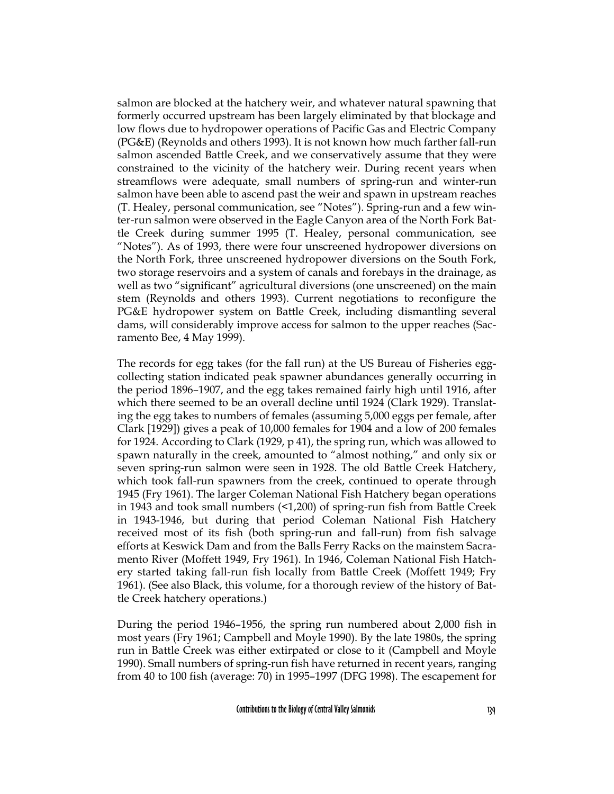salmon are blocked at the hatchery weir, and whatever natural spawning that formerly occurred upstream has been largely eliminated by that blockage and low flows due to hydropower operations of Pacific Gas and Electric Company (PG&E) (Reynolds and others 1993). It is not known how much farther fall-run salmon ascended Battle Creek, and we conservatively assume that they were constrained to the vicinity of the hatchery weir. During recent years when streamflows were adequate, small numbers of spring-run and winter-run salmon have been able to ascend past the weir and spawn in upstream reaches (T. Healey, personal communication, see "Notes"). Spring-run and a few winter-run salmon were observed in the Eagle Canyon area of the North Fork Battle Creek during summer 1995 (T. Healey, personal communication, see "Notes"). As of 1993, there were four unscreened hydropower diversions on the North Fork, three unscreened hydropower diversions on the South Fork, two storage reservoirs and a system of canals and forebays in the drainage, as well as two "significant" agricultural diversions (one unscreened) on the main stem (Reynolds and others 1993). Current negotiations to reconfigure the PG&E hydropower system on Battle Creek, including dismantling several dams, will considerably improve access for salmon to the upper reaches (Sacramento Bee, 4 May 1999).

The records for egg takes (for the fall run) at the US Bureau of Fisheries eggcollecting station indicated peak spawner abundances generally occurring in the period 1896–1907, and the egg takes remained fairly high until 1916, after which there seemed to be an overall decline until 1924 (Clark 1929). Translating the egg takes to numbers of females (assuming 5,000 eggs per female, after Clark [1929]) gives a peak of 10,000 females for 1904 and a low of 200 females for 1924. According to Clark (1929, p 41), the spring run, which was allowed to spawn naturally in the creek, amounted to "almost nothing," and only six or seven spring-run salmon were seen in 1928. The old Battle Creek Hatchery, which took fall-run spawners from the creek, continued to operate through 1945 (Fry 1961). The larger Coleman National Fish Hatchery began operations in 1943 and took small numbers (<1,200) of spring-run fish from Battle Creek in 1943-1946, but during that period Coleman National Fish Hatchery received most of its fish (both spring-run and fall-run) from fish salvage efforts at Keswick Dam and from the Balls Ferry Racks on the mainstem Sacramento River (Moffett 1949, Fry 1961). In 1946, Coleman National Fish Hatchery started taking fall-run fish locally from Battle Creek (Moffett 1949; Fry 1961). (See also Black, this volume, for a thorough review of the history of Battle Creek hatchery operations.)

During the period 1946–1956, the spring run numbered about 2,000 fish in most years (Fry 1961; Campbell and Moyle 1990). By the late 1980s, the spring run in Battle Creek was either extirpated or close to it (Campbell and Moyle 1990). Small numbers of spring-run fish have returned in recent years, ranging from 40 to 100 fish (average: 70) in 1995–1997 (DFG 1998). The escapement for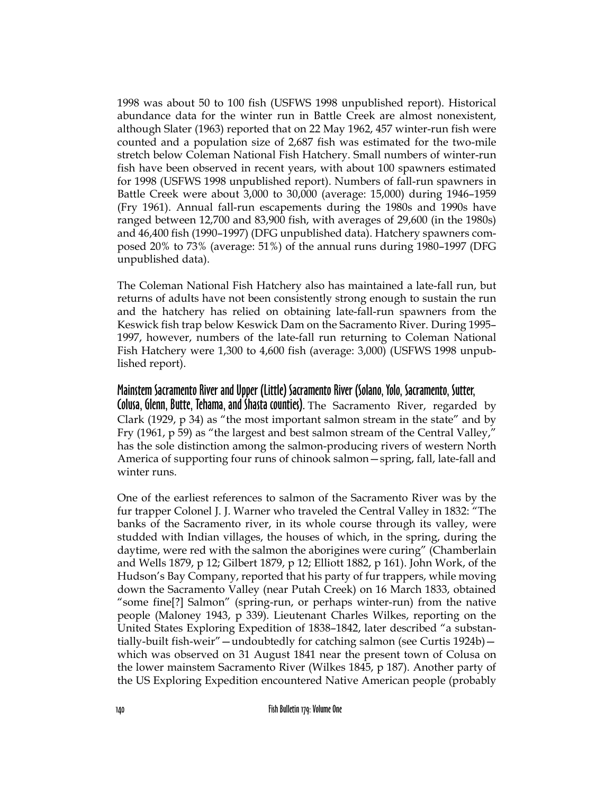1998 was about 50 to 100 fish (USFWS 1998 unpublished report). Historical abundance data for the winter run in Battle Creek are almost nonexistent, although Slater (1963) reported that on 22 May 1962, 457 winter-run fish were counted and a population size of 2,687 fish was estimated for the two-mile stretch below Coleman National Fish Hatchery. Small numbers of winter-run fish have been observed in recent years, with about 100 spawners estimated for 1998 (USFWS 1998 unpublished report). Numbers of fall-run spawners in Battle Creek were about 3,000 to 30,000 (average: 15,000) during 1946–1959 (Fry 1961). Annual fall-run escapements during the 1980s and 1990s have ranged between 12,700 and 83,900 fish, with averages of 29,600 (in the 1980s) and 46,400 fish (1990–1997) (DFG unpublished data). Hatchery spawners composed 20% to 73% (average: 51%) of the annual runs during 1980–1997 (DFG unpublished data).

The Coleman National Fish Hatchery also has maintained a late-fall run, but returns of adults have not been consistently strong enough to sustain the run and the hatchery has relied on obtaining late-fall-run spawners from the Keswick fish trap below Keswick Dam on the Sacramento River. During 1995– 1997, however, numbers of the late-fall run returning to Coleman National Fish Hatchery were 1,300 to 4,600 fish (average: 3,000) (USFWS 1998 unpublished report).

## Mainstem Sacramento River and Upper (Little) Sacramento River (Solano, Yolo, Sacramento, Sutter,

Colusa, Glenn, Butte, Tehama, and Shasta counties). The Sacramento River, regarded by Clark (1929, p 34) as "the most important salmon stream in the state" and by Fry (1961, p 59) as "the largest and best salmon stream of the Central Valley," has the sole distinction among the salmon-producing rivers of western North America of supporting four runs of chinook salmon—spring, fall, late-fall and winter runs.

One of the earliest references to salmon of the Sacramento River was by the fur trapper Colonel J. J. Warner who traveled the Central Valley in 1832: "The banks of the Sacramento river, in its whole course through its valley, were studded with Indian villages, the houses of which, in the spring, during the daytime, were red with the salmon the aborigines were curing" (Chamberlain and Wells 1879, p 12; Gilbert 1879, p 12; Elliott 1882, p 161). John Work, of the Hudson's Bay Company, reported that his party of fur trappers, while moving down the Sacramento Valley (near Putah Creek) on 16 March 1833, obtained "some fine[?] Salmon" (spring-run, or perhaps winter-run) from the native people (Maloney 1943, p 339). Lieutenant Charles Wilkes, reporting on the United States Exploring Expedition of 1838–1842, later described "a substantially-built fish-weir"—undoubtedly for catching salmon (see Curtis 1924b) which was observed on 31 August 1841 near the present town of Colusa on the lower mainstem Sacramento River (Wilkes 1845, p 187). Another party of the US Exploring Expedition encountered Native American people (probably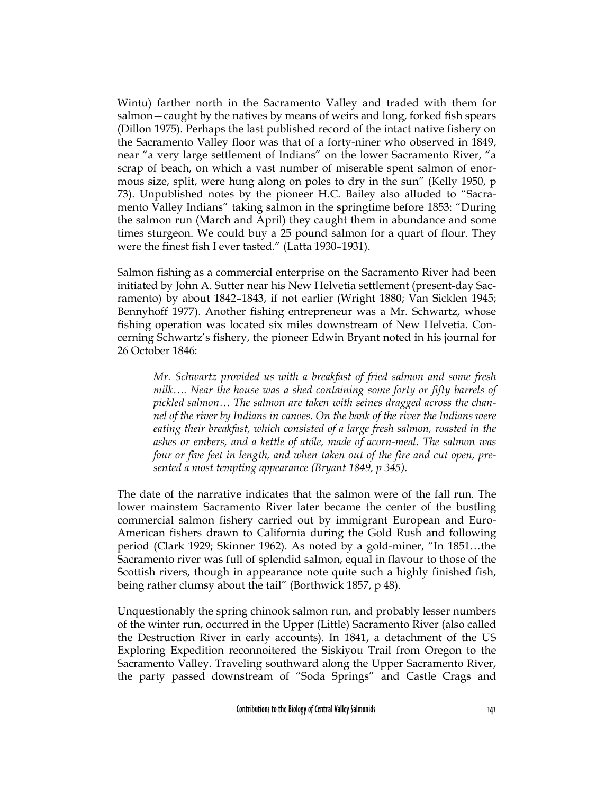Wintu) farther north in the Sacramento Valley and traded with them for salmon—caught by the natives by means of weirs and long, forked fish spears (Dillon 1975). Perhaps the last published record of the intact native fishery on the Sacramento Valley floor was that of a forty-niner who observed in 1849, near "a very large settlement of Indians" on the lower Sacramento River, "a scrap of beach, on which a vast number of miserable spent salmon of enormous size, split, were hung along on poles to dry in the sun" (Kelly 1950, p 73). Unpublished notes by the pioneer H.C. Bailey also alluded to "Sacramento Valley Indians" taking salmon in the springtime before 1853: "During the salmon run (March and April) they caught them in abundance and some times sturgeon. We could buy a 25 pound salmon for a quart of flour. They were the finest fish I ever tasted." (Latta 1930–1931).

Salmon fishing as a commercial enterprise on the Sacramento River had been initiated by John A. Sutter near his New Helvetia settlement (present-day Sacramento) by about 1842–1843, if not earlier (Wright 1880; Van Sicklen 1945; Bennyhoff 1977). Another fishing entrepreneur was a Mr. Schwartz, whose fishing operation was located six miles downstream of New Helvetia. Concerning Schwartz's fishery, the pioneer Edwin Bryant noted in his journal for 26 October 1846:

*Mr. Schwartz provided us with a breakfast of fried salmon and some fresh milk…. Near the house was a shed containing some forty or fifty barrels of pickled salmon… The salmon are taken with seines dragged across the channel of the river by Indians in canoes. On the bank of the river the Indians were eating their breakfast, which consisted of a large fresh salmon, roasted in the ashes or embers, and a kettle of atóle, made of acorn-meal. The salmon was four or five feet in length, and when taken out of the fire and cut open, presented a most tempting appearance (Bryant 1849, p 345).*

The date of the narrative indicates that the salmon were of the fall run. The lower mainstem Sacramento River later became the center of the bustling commercial salmon fishery carried out by immigrant European and Euro-American fishers drawn to California during the Gold Rush and following period (Clark 1929; Skinner 1962). As noted by a gold-miner, "In 1851…the Sacramento river was full of splendid salmon, equal in flavour to those of the Scottish rivers, though in appearance note quite such a highly finished fish, being rather clumsy about the tail" (Borthwick 1857, p 48).

Unquestionably the spring chinook salmon run, and probably lesser numbers of the winter run, occurred in the Upper (Little) Sacramento River (also called the Destruction River in early accounts). In 1841, a detachment of the US Exploring Expedition reconnoitered the Siskiyou Trail from Oregon to the Sacramento Valley. Traveling southward along the Upper Sacramento River, the party passed downstream of "Soda Springs" and Castle Crags and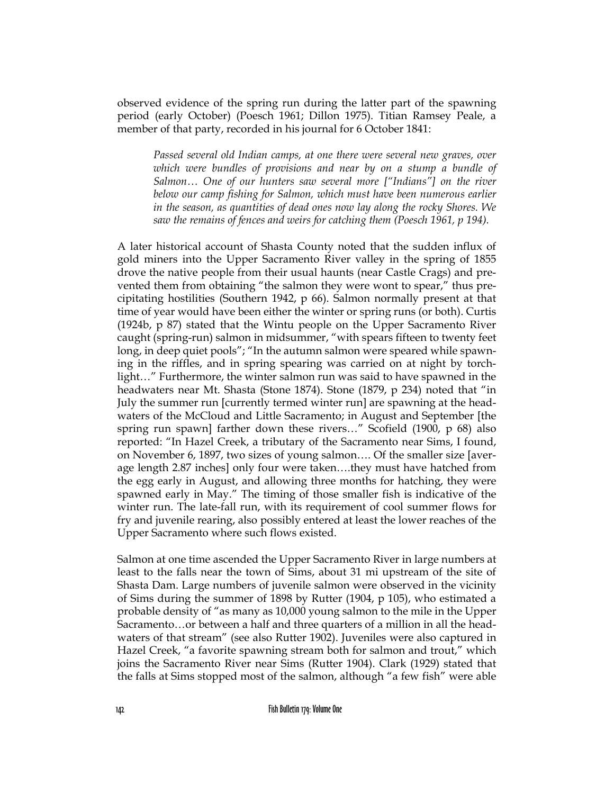observed evidence of the spring run during the latter part of the spawning period (early October) (Poesch 1961; Dillon 1975). Titian Ramsey Peale, a member of that party, recorded in his journal for 6 October 1841:

*Passed several old Indian camps, at one there were several new graves, over which were bundles of provisions and near by on a stump a bundle of Salmon… One of our hunters saw several more ["Indians"] on the river below our camp fishing for Salmon, which must have been numerous earlier in the season, as quantities of dead ones now lay along the rocky Shores. We saw the remains of fences and weirs for catching them (Poesch 1961, p 194).*

A later historical account of Shasta County noted that the sudden influx of gold miners into the Upper Sacramento River valley in the spring of 1855 drove the native people from their usual haunts (near Castle Crags) and prevented them from obtaining "the salmon they were wont to spear," thus precipitating hostilities (Southern 1942, p 66). Salmon normally present at that time of year would have been either the winter or spring runs (or both). Curtis (1924b, p 87) stated that the Wintu people on the Upper Sacramento River caught (spring-run) salmon in midsummer, "with spears fifteen to twenty feet long, in deep quiet pools"; "In the autumn salmon were speared while spawning in the riffles, and in spring spearing was carried on at night by torchlight…" Furthermore, the winter salmon run was said to have spawned in the headwaters near Mt. Shasta (Stone 1874). Stone (1879, p 234) noted that "in July the summer run [currently termed winter run] are spawning at the headwaters of the McCloud and Little Sacramento; in August and September [the spring run spawn] farther down these rivers…" Scofield (1900, p 68) also reported: "In Hazel Creek, a tributary of the Sacramento near Sims, I found, on November 6, 1897, two sizes of young salmon…. Of the smaller size [average length 2.87 inches] only four were taken….they must have hatched from the egg early in August, and allowing three months for hatching, they were spawned early in May." The timing of those smaller fish is indicative of the winter run. The late-fall run, with its requirement of cool summer flows for fry and juvenile rearing, also possibly entered at least the lower reaches of the Upper Sacramento where such flows existed.

Salmon at one time ascended the Upper Sacramento River in large numbers at least to the falls near the town of Sims, about 31 mi upstream of the site of Shasta Dam. Large numbers of juvenile salmon were observed in the vicinity of Sims during the summer of 1898 by Rutter (1904, p 105), who estimated a probable density of "as many as 10,000 young salmon to the mile in the Upper Sacramento…or between a half and three quarters of a million in all the headwaters of that stream" (see also Rutter 1902). Juveniles were also captured in Hazel Creek, "a favorite spawning stream both for salmon and trout," which joins the Sacramento River near Sims (Rutter 1904). Clark (1929) stated that the falls at Sims stopped most of the salmon, although "a few fish" were able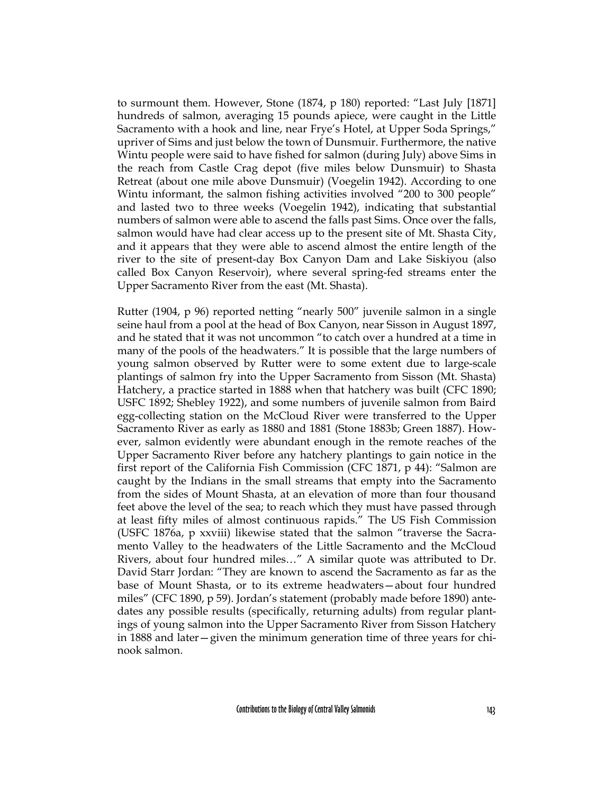to surmount them. However, Stone (1874, p 180) reported: "Last July [1871] hundreds of salmon, averaging 15 pounds apiece, were caught in the Little Sacramento with a hook and line, near Frye's Hotel, at Upper Soda Springs," upriver of Sims and just below the town of Dunsmuir. Furthermore, the native Wintu people were said to have fished for salmon (during July) above Sims in the reach from Castle Crag depot (five miles below Dunsmuir) to Shasta Retreat (about one mile above Dunsmuir) (Voegelin 1942). According to one Wintu informant, the salmon fishing activities involved "200 to 300 people" and lasted two to three weeks (Voegelin 1942), indicating that substantial numbers of salmon were able to ascend the falls past Sims. Once over the falls, salmon would have had clear access up to the present site of Mt. Shasta City, and it appears that they were able to ascend almost the entire length of the river to the site of present-day Box Canyon Dam and Lake Siskiyou (also called Box Canyon Reservoir), where several spring-fed streams enter the Upper Sacramento River from the east (Mt. Shasta).

Rutter (1904, p 96) reported netting "nearly 500" juvenile salmon in a single seine haul from a pool at the head of Box Canyon, near Sisson in August 1897, and he stated that it was not uncommon "to catch over a hundred at a time in many of the pools of the headwaters." It is possible that the large numbers of young salmon observed by Rutter were to some extent due to large-scale plantings of salmon fry into the Upper Sacramento from Sisson (Mt. Shasta) Hatchery, a practice started in 1888 when that hatchery was built (CFC 1890; USFC 1892; Shebley 1922), and some numbers of juvenile salmon from Baird egg-collecting station on the McCloud River were transferred to the Upper Sacramento River as early as 1880 and 1881 (Stone 1883b; Green 1887). However, salmon evidently were abundant enough in the remote reaches of the Upper Sacramento River before any hatchery plantings to gain notice in the first report of the California Fish Commission (CFC 1871, p 44): "Salmon are caught by the Indians in the small streams that empty into the Sacramento from the sides of Mount Shasta, at an elevation of more than four thousand feet above the level of the sea; to reach which they must have passed through at least fifty miles of almost continuous rapids." The US Fish Commission (USFC 1876a, p xxviii) likewise stated that the salmon "traverse the Sacramento Valley to the headwaters of the Little Sacramento and the McCloud Rivers, about four hundred miles…" A similar quote was attributed to Dr. David Starr Jordan: "They are known to ascend the Sacramento as far as the base of Mount Shasta, or to its extreme headwaters—about four hundred miles" (CFC 1890, p 59). Jordan's statement (probably made before 1890) antedates any possible results (specifically, returning adults) from regular plantings of young salmon into the Upper Sacramento River from Sisson Hatchery in 1888 and later—given the minimum generation time of three years for chinook salmon.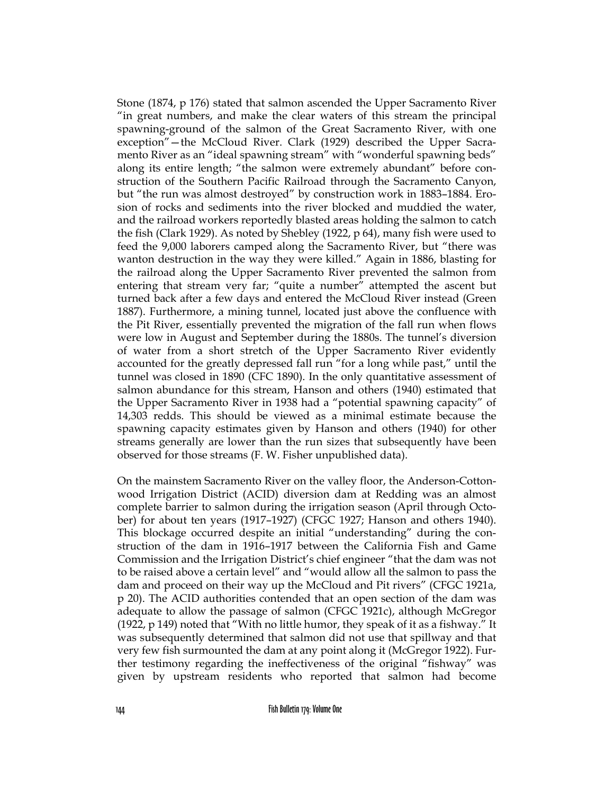Stone (1874, p 176) stated that salmon ascended the Upper Sacramento River "in great numbers, and make the clear waters of this stream the principal spawning-ground of the salmon of the Great Sacramento River, with one exception"—the McCloud River. Clark (1929) described the Upper Sacramento River as an "ideal spawning stream" with "wonderful spawning beds" along its entire length; "the salmon were extremely abundant" before construction of the Southern Pacific Railroad through the Sacramento Canyon, but "the run was almost destroyed" by construction work in 1883–1884. Erosion of rocks and sediments into the river blocked and muddied the water, and the railroad workers reportedly blasted areas holding the salmon to catch the fish (Clark 1929). As noted by Shebley (1922, p 64), many fish were used to feed the 9,000 laborers camped along the Sacramento River, but "there was wanton destruction in the way they were killed." Again in 1886, blasting for the railroad along the Upper Sacramento River prevented the salmon from entering that stream very far; "quite a number" attempted the ascent but turned back after a few days and entered the McCloud River instead (Green 1887). Furthermore, a mining tunnel, located just above the confluence with the Pit River, essentially prevented the migration of the fall run when flows were low in August and September during the 1880s. The tunnel's diversion of water from a short stretch of the Upper Sacramento River evidently accounted for the greatly depressed fall run "for a long while past," until the tunnel was closed in 1890 (CFC 1890). In the only quantitative assessment of salmon abundance for this stream, Hanson and others (1940) estimated that the Upper Sacramento River in 1938 had a "potential spawning capacity" of 14,303 redds. This should be viewed as a minimal estimate because the spawning capacity estimates given by Hanson and others (1940) for other streams generally are lower than the run sizes that subsequently have been observed for those streams (F. W. Fisher unpublished data).

On the mainstem Sacramento River on the valley floor, the Anderson-Cottonwood Irrigation District (ACID) diversion dam at Redding was an almost complete barrier to salmon during the irrigation season (April through October) for about ten years (1917–1927) (CFGC 1927; Hanson and others 1940). This blockage occurred despite an initial "understanding" during the construction of the dam in 1916–1917 between the California Fish and Game Commission and the Irrigation District's chief engineer "that the dam was not to be raised above a certain level" and "would allow all the salmon to pass the dam and proceed on their way up the McCloud and Pit rivers" (CFGC 1921a, p 20). The ACID authorities contended that an open section of the dam was adequate to allow the passage of salmon (CFGC 1921c), although McGregor (1922, p 149) noted that "With no little humor, they speak of it as a fishway." It was subsequently determined that salmon did not use that spillway and that very few fish surmounted the dam at any point along it (McGregor 1922). Further testimony regarding the ineffectiveness of the original "fishway" was given by upstream residents who reported that salmon had become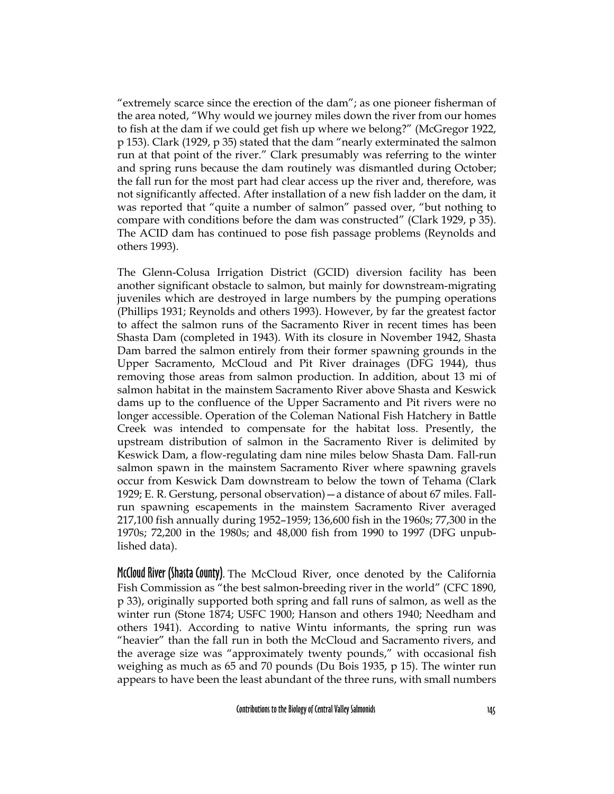"extremely scarce since the erection of the dam"; as one pioneer fisherman of the area noted, "Why would we journey miles down the river from our homes to fish at the dam if we could get fish up where we belong?" (McGregor 1922, p 153). Clark (1929, p 35) stated that the dam "nearly exterminated the salmon run at that point of the river." Clark presumably was referring to the winter and spring runs because the dam routinely was dismantled during October; the fall run for the most part had clear access up the river and, therefore, was not significantly affected. After installation of a new fish ladder on the dam, it was reported that "quite a number of salmon" passed over, "but nothing to compare with conditions before the dam was constructed" (Clark 1929, p 35). The ACID dam has continued to pose fish passage problems (Reynolds and others 1993).

The Glenn-Colusa Irrigation District (GCID) diversion facility has been another significant obstacle to salmon, but mainly for downstream-migrating juveniles which are destroyed in large numbers by the pumping operations (Phillips 1931; Reynolds and others 1993). However, by far the greatest factor to affect the salmon runs of the Sacramento River in recent times has been Shasta Dam (completed in 1943). With its closure in November 1942, Shasta Dam barred the salmon entirely from their former spawning grounds in the Upper Sacramento, McCloud and Pit River drainages (DFG 1944), thus removing those areas from salmon production. In addition, about 13 mi of salmon habitat in the mainstem Sacramento River above Shasta and Keswick dams up to the confluence of the Upper Sacramento and Pit rivers were no longer accessible. Operation of the Coleman National Fish Hatchery in Battle Creek was intended to compensate for the habitat loss. Presently, the upstream distribution of salmon in the Sacramento River is delimited by Keswick Dam, a flow-regulating dam nine miles below Shasta Dam. Fall-run salmon spawn in the mainstem Sacramento River where spawning gravels occur from Keswick Dam downstream to below the town of Tehama (Clark 1929; E. R. Gerstung, personal observation)—a distance of about 67 miles. Fallrun spawning escapements in the mainstem Sacramento River averaged 217,100 fish annually during 1952–1959; 136,600 fish in the 1960s; 77,300 in the 1970s; 72,200 in the 1980s; and 48,000 fish from 1990 to 1997 (DFG unpublished data).

McCloud River (Shasta County). The McCloud River, once denoted by the California Fish Commission as "the best salmon-breeding river in the world" (CFC 1890, p 33), originally supported both spring and fall runs of salmon, as well as the winter run (Stone 1874; USFC 1900; Hanson and others 1940; Needham and others 1941). According to native Wintu informants, the spring run was "heavier" than the fall run in both the McCloud and Sacramento rivers, and the average size was "approximately twenty pounds," with occasional fish weighing as much as 65 and 70 pounds (Du Bois 1935, p 15). The winter run appears to have been the least abundant of the three runs, with small numbers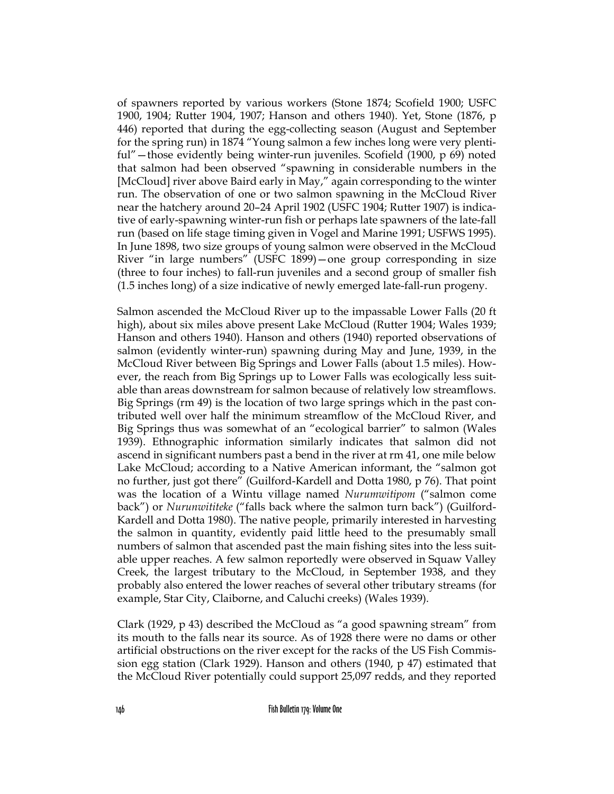of spawners reported by various workers (Stone 1874; Scofield 1900; USFC 1900, 1904; Rutter 1904, 1907; Hanson and others 1940). Yet, Stone (1876, p 446) reported that during the egg-collecting season (August and September for the spring run) in 1874 "Young salmon a few inches long were very plentiful"—those evidently being winter-run juveniles. Scofield (1900, p 69) noted that salmon had been observed "spawning in considerable numbers in the [McCloud] river above Baird early in May," again corresponding to the winter run. The observation of one or two salmon spawning in the McCloud River near the hatchery around 20–24 April 1902 (USFC 1904; Rutter 1907) is indicative of early-spawning winter-run fish or perhaps late spawners of the late-fall run (based on life stage timing given in Vogel and Marine 1991; USFWS 1995). In June 1898, two size groups of young salmon were observed in the McCloud River "in large numbers" (USFC 1899)—one group corresponding in size (three to four inches) to fall-run juveniles and a second group of smaller fish (1.5 inches long) of a size indicative of newly emerged late-fall-run progeny.

Salmon ascended the McCloud River up to the impassable Lower Falls (20 ft high), about six miles above present Lake McCloud (Rutter 1904; Wales 1939; Hanson and others 1940). Hanson and others (1940) reported observations of salmon (evidently winter-run) spawning during May and June, 1939, in the McCloud River between Big Springs and Lower Falls (about 1.5 miles). However, the reach from Big Springs up to Lower Falls was ecologically less suitable than areas downstream for salmon because of relatively low streamflows. Big Springs (rm 49) is the location of two large springs which in the past contributed well over half the minimum streamflow of the McCloud River, and Big Springs thus was somewhat of an "ecological barrier" to salmon (Wales 1939). Ethnographic information similarly indicates that salmon did not ascend in significant numbers past a bend in the river at rm 41, one mile below Lake McCloud; according to a Native American informant, the "salmon got no further, just got there" (Guilford-Kardell and Dotta 1980, p 76). That point was the location of a Wintu village named *Nurumwitipom* ("salmon come back") or *Nurunwititeke* ("falls back where the salmon turn back") (Guilford-Kardell and Dotta 1980). The native people, primarily interested in harvesting the salmon in quantity, evidently paid little heed to the presumably small numbers of salmon that ascended past the main fishing sites into the less suitable upper reaches. A few salmon reportedly were observed in Squaw Valley Creek, the largest tributary to the McCloud, in September 1938, and they probably also entered the lower reaches of several other tributary streams (for example, Star City, Claiborne, and Caluchi creeks) (Wales 1939).

Clark (1929, p 43) described the McCloud as "a good spawning stream" from its mouth to the falls near its source. As of 1928 there were no dams or other artificial obstructions on the river except for the racks of the US Fish Commission egg station (Clark 1929). Hanson and others (1940, p 47) estimated that the McCloud River potentially could support 25,097 redds, and they reported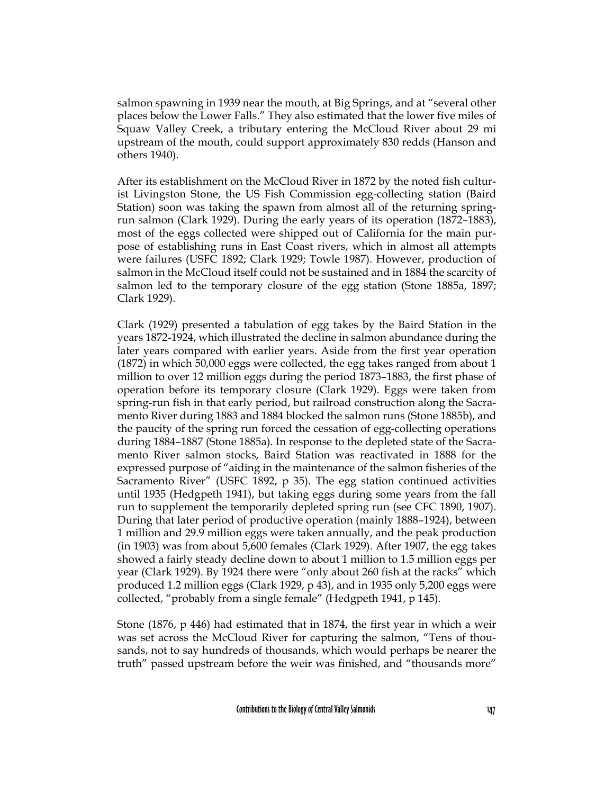salmon spawning in 1939 near the mouth, at Big Springs, and at "several other places below the Lower Falls." They also estimated that the lower five miles of Squaw Valley Creek, a tributary entering the McCloud River about 29 mi upstream of the mouth, could support approximately 830 redds (Hanson and others 1940).

After its establishment on the McCloud River in 1872 by the noted fish culturist Livingston Stone, the US Fish Commission egg-collecting station (Baird Station) soon was taking the spawn from almost all of the returning springrun salmon (Clark 1929). During the early years of its operation (1872–1883), most of the eggs collected were shipped out of California for the main purpose of establishing runs in East Coast rivers, which in almost all attempts were failures (USFC 1892; Clark 1929; Towle 1987). However, production of salmon in the McCloud itself could not be sustained and in 1884 the scarcity of salmon led to the temporary closure of the egg station (Stone 1885a, 1897; Clark 1929).

Clark (1929) presented a tabulation of egg takes by the Baird Station in the years 1872-1924, which illustrated the decline in salmon abundance during the later years compared with earlier years. Aside from the first year operation (1872) in which 50,000 eggs were collected, the egg takes ranged from about 1 million to over 12 million eggs during the period 1873–1883, the first phase of operation before its temporary closure (Clark 1929). Eggs were taken from spring-run fish in that early period, but railroad construction along the Sacramento River during 1883 and 1884 blocked the salmon runs (Stone 1885b), and the paucity of the spring run forced the cessation of egg-collecting operations during 1884–1887 (Stone 1885a). In response to the depleted state of the Sacramento River salmon stocks, Baird Station was reactivated in 1888 for the expressed purpose of "aiding in the maintenance of the salmon fisheries of the Sacramento River" (USFC 1892, p 35). The egg station continued activities until 1935 (Hedgpeth 1941), but taking eggs during some years from the fall run to supplement the temporarily depleted spring run (see CFC 1890, 1907). During that later period of productive operation (mainly 1888–1924), between 1 million and 29.9 million eggs were taken annually, and the peak production (in 1903) was from about 5,600 females (Clark 1929). After 1907, the egg takes showed a fairly steady decline down to about 1 million to 1.5 million eggs per year (Clark 1929). By 1924 there were "only about 260 fish at the racks" which produced 1.2 million eggs (Clark 1929, p 43), and in 1935 only 5,200 eggs were collected, "probably from a single female" (Hedgpeth 1941, p 145).

Stone (1876, p 446) had estimated that in 1874, the first year in which a weir was set across the McCloud River for capturing the salmon, "Tens of thousands, not to say hundreds of thousands, which would perhaps be nearer the truth" passed upstream before the weir was finished, and "thousands more"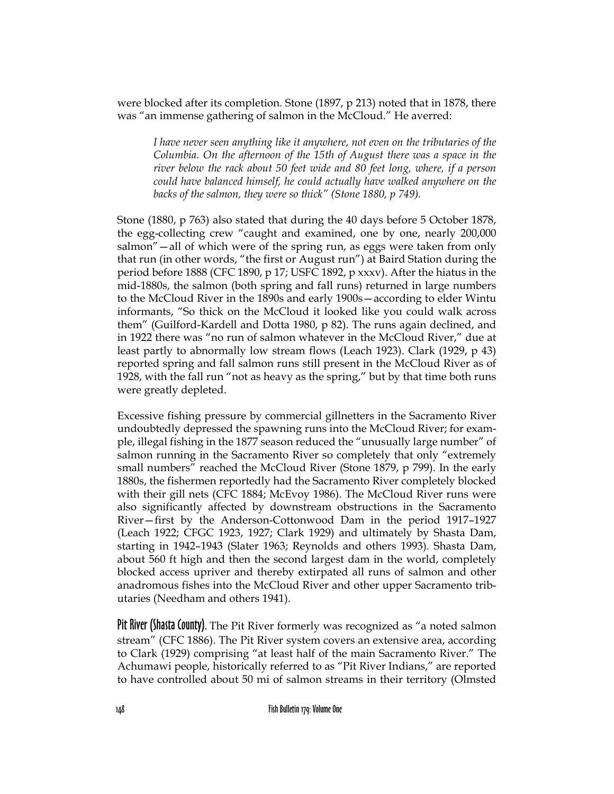were blocked after its completion. Stone (1897, p 213) noted that in 1878, there was "an immense gathering of salmon in the McCloud." He averred:

*I have never seen anything like it anywhere, not even on the tributaries of the Columbia. On the afternoon of the 15th of August there was a space in the river below the rack about 50 feet wide and 80 feet long, where, if a person could have balanced himself, he could actually have walked anywhere on the backs of the salmon, they were so thick" (Stone 1880, p 749).*

Stone (1880, p 763) also stated that during the 40 days before 5 October 1878, the egg-collecting crew "caught and examined, one by one, nearly 200,000 salmon"—all of which were of the spring run, as eggs were taken from only that run (in other words, "the first or August run") at Baird Station during the period before 1888 (CFC 1890, p 17; USFC 1892, p xxxv). After the hiatus in the mid-1880s, the salmon (both spring and fall runs) returned in large numbers to the McCloud River in the 1890s and early 1900s—according to elder Wintu informants, "So thick on the McCloud it looked like you could walk across them" (Guilford-Kardell and Dotta 1980, p 82). The runs again declined, and in 1922 there was "no run of salmon whatever in the McCloud River," due at least partly to abnormally low stream flows (Leach 1923). Clark (1929, p 43) reported spring and fall salmon runs still present in the McCloud River as of 1928, with the fall run "not as heavy as the spring," but by that time both runs were greatly depleted.

Excessive fishing pressure by commercial gillnetters in the Sacramento River undoubtedly depressed the spawning runs into the McCloud River; for example, illegal fishing in the 1877 season reduced the "unusually large number" of salmon running in the Sacramento River so completely that only "extremely small numbers" reached the McCloud River (Stone 1879, p 799). In the early 1880s, the fishermen reportedly had the Sacramento River completely blocked with their gill nets (CFC 1884; McEvoy 1986). The McCloud River runs were also significantly affected by downstream obstructions in the Sacramento River—first by the Anderson-Cottonwood Dam in the period 1917–1927 (Leach 1922; CFGC 1923, 1927; Clark 1929) and ultimately by Shasta Dam, starting in 1942–1943 (Slater 1963; Reynolds and others 1993). Shasta Dam, about 560 ft high and then the second largest dam in the world, completely blocked access upriver and thereby extirpated all runs of salmon and other anadromous fishes into the McCloud River and other upper Sacramento tributaries (Needham and others 1941).

Pit River (Shasta County). The Pit River formerly was recognized as "a noted salmon stream" (CFC 1886). The Pit River system covers an extensive area, according to Clark (1929) comprising "at least half of the main Sacramento River." The Achumawi people, historically referred to as "Pit River Indians," are reported to have controlled about 50 mi of salmon streams in their territory (Olmsted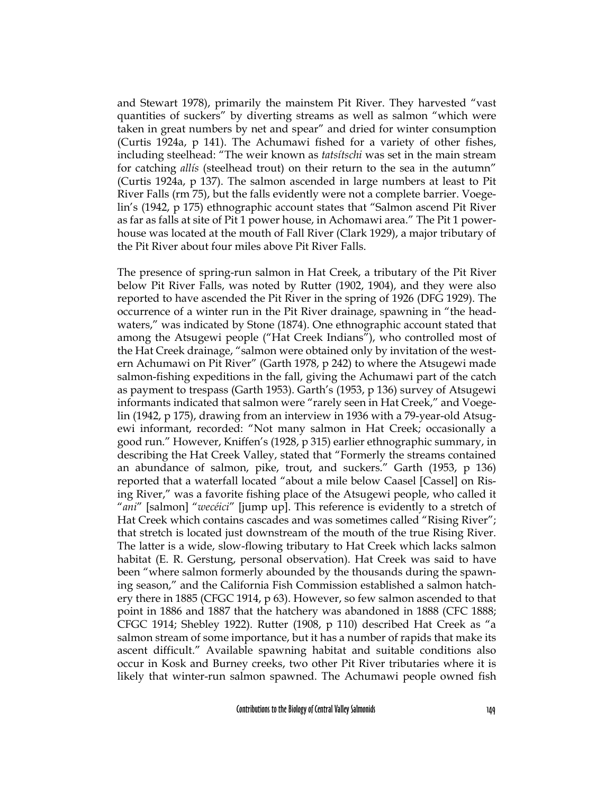and Stewart 1978), primarily the mainstem Pit River. They harvested "vast quantities of suckers" by diverting streams as well as salmon "which were taken in great numbers by net and spear" and dried for winter consumption (Curtis 1924a, p 141). The Achumawi fished for a variety of other fishes, including steelhead: "The weir known as *tatsítschi* was set in the main stream for catching *allís* (steelhead trout) on their return to the sea in the autumn" (Curtis 1924a, p 137). The salmon ascended in large numbers at least to Pit River Falls (rm 75), but the falls evidently were not a complete barrier. Voegelin's (1942, p 175) ethnographic account states that "Salmon ascend Pit River as far as falls at site of Pit 1 power house, in Achomawi area." The Pit 1 powerhouse was located at the mouth of Fall River (Clark 1929), a major tributary of the Pit River about four miles above Pit River Falls.

The presence of spring-run salmon in Hat Creek, a tributary of the Pit River below Pit River Falls, was noted by Rutter (1902, 1904), and they were also reported to have ascended the Pit River in the spring of 1926 (DFG 1929). The occurrence of a winter run in the Pit River drainage, spawning in "the headwaters," was indicated by Stone (1874). One ethnographic account stated that among the Atsugewi people ("Hat Creek Indians"), who controlled most of the Hat Creek drainage, "salmon were obtained only by invitation of the western Achumawi on Pit River" (Garth 1978, p 242) to where the Atsugewi made salmon-fishing expeditions in the fall, giving the Achumawi part of the catch as payment to trespass (Garth 1953). Garth's (1953, p 136) survey of Atsugewi informants indicated that salmon were "rarely seen in Hat Creek," and Voegelin (1942, p 175), drawing from an interview in 1936 with a 79-year-old Atsugewi informant, recorded: "Not many salmon in Hat Creek; occasionally a good run." However, Kniffen's (1928, p 315) earlier ethnographic summary, in describing the Hat Creek Valley, stated that "Formerly the streams contained an abundance of salmon, pike, trout, and suckers." Garth (1953, p 136) reported that a waterfall located "about a mile below Caasel [Cassel] on Rising River," was a favorite fishing place of the Atsugewi people, who called it "*ani*" [salmon] "*wecéici*" [jump up]. This reference is evidently to a stretch of Hat Creek which contains cascades and was sometimes called "Rising River"; that stretch is located just downstream of the mouth of the true Rising River. The latter is a wide, slow-flowing tributary to Hat Creek which lacks salmon habitat (E. R. Gerstung, personal observation). Hat Creek was said to have been "where salmon formerly abounded by the thousands during the spawning season," and the California Fish Commission established a salmon hatchery there in 1885 (CFGC 1914, p 63). However, so few salmon ascended to that point in 1886 and 1887 that the hatchery was abandoned in 1888 (CFC 1888; CFGC 1914; Shebley 1922). Rutter (1908, p 110) described Hat Creek as "a salmon stream of some importance, but it has a number of rapids that make its ascent difficult." Available spawning habitat and suitable conditions also occur in Kosk and Burney creeks, two other Pit River tributaries where it is likely that winter-run salmon spawned. The Achumawi people owned fish

Contributions to the Biology of Central Valley Salmonids 149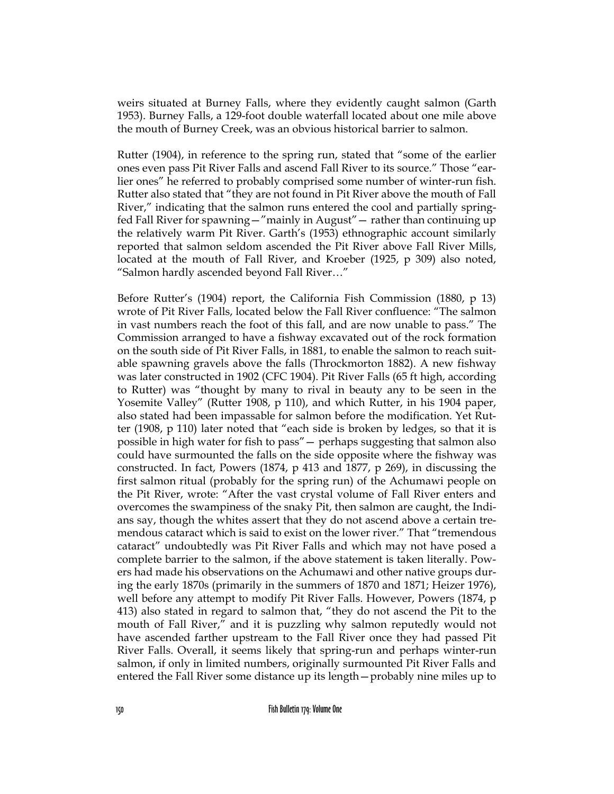weirs situated at Burney Falls, where they evidently caught salmon (Garth 1953). Burney Falls, a 129-foot double waterfall located about one mile above the mouth of Burney Creek, was an obvious historical barrier to salmon.

Rutter (1904), in reference to the spring run, stated that "some of the earlier ones even pass Pit River Falls and ascend Fall River to its source." Those "earlier ones" he referred to probably comprised some number of winter-run fish. Rutter also stated that "they are not found in Pit River above the mouth of Fall River," indicating that the salmon runs entered the cool and partially springfed Fall River for spawning—"mainly in August"— rather than continuing up the relatively warm Pit River. Garth's (1953) ethnographic account similarly reported that salmon seldom ascended the Pit River above Fall River Mills, located at the mouth of Fall River, and Kroeber (1925, p 309) also noted, "Salmon hardly ascended beyond Fall River…"

Before Rutter's (1904) report, the California Fish Commission (1880, p 13) wrote of Pit River Falls, located below the Fall River confluence: "The salmon in vast numbers reach the foot of this fall, and are now unable to pass." The Commission arranged to have a fishway excavated out of the rock formation on the south side of Pit River Falls, in 1881, to enable the salmon to reach suitable spawning gravels above the falls (Throckmorton 1882). A new fishway was later constructed in 1902 (CFC 1904). Pit River Falls (65 ft high, according to Rutter) was "thought by many to rival in beauty any to be seen in the Yosemite Valley" (Rutter 1908, p 110), and which Rutter, in his 1904 paper, also stated had been impassable for salmon before the modification. Yet Rutter (1908, p 110) later noted that "each side is broken by ledges, so that it is possible in high water for fish to pass"— perhaps suggesting that salmon also could have surmounted the falls on the side opposite where the fishway was constructed. In fact, Powers (1874, p 413 and 1877, p 269), in discussing the first salmon ritual (probably for the spring run) of the Achumawi people on the Pit River, wrote: "After the vast crystal volume of Fall River enters and overcomes the swampiness of the snaky Pit, then salmon are caught, the Indians say, though the whites assert that they do not ascend above a certain tremendous cataract which is said to exist on the lower river." That "tremendous cataract" undoubtedly was Pit River Falls and which may not have posed a complete barrier to the salmon, if the above statement is taken literally. Powers had made his observations on the Achumawi and other native groups during the early 1870s (primarily in the summers of 1870 and 1871; Heizer 1976), well before any attempt to modify Pit River Falls. However, Powers (1874, p 413) also stated in regard to salmon that, "they do not ascend the Pit to the mouth of Fall River," and it is puzzling why salmon reputedly would not have ascended farther upstream to the Fall River once they had passed Pit River Falls. Overall, it seems likely that spring-run and perhaps winter-run salmon, if only in limited numbers, originally surmounted Pit River Falls and entered the Fall River some distance up its length—probably nine miles up to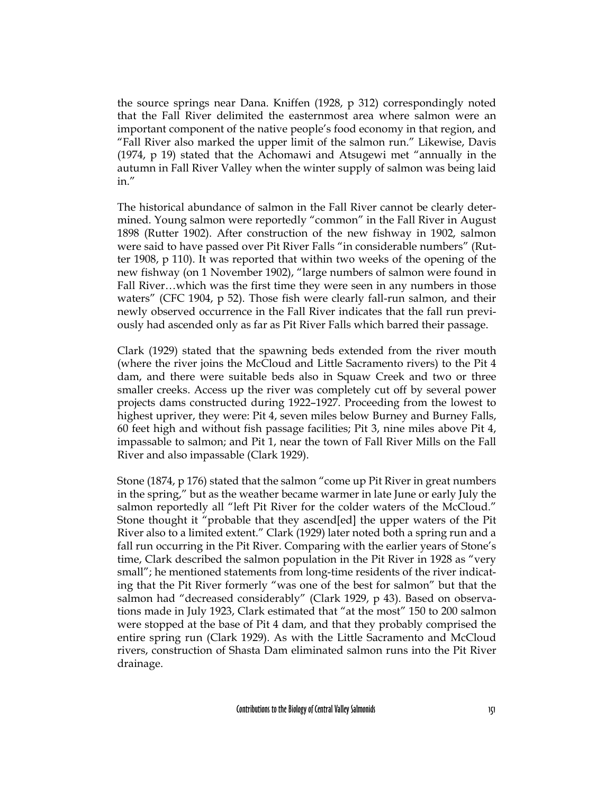the source springs near Dana. Kniffen (1928, p 312) correspondingly noted that the Fall River delimited the easternmost area where salmon were an important component of the native people's food economy in that region, and "Fall River also marked the upper limit of the salmon run." Likewise, Davis (1974, p 19) stated that the Achomawi and Atsugewi met "annually in the autumn in Fall River Valley when the winter supply of salmon was being laid in."

The historical abundance of salmon in the Fall River cannot be clearly determined. Young salmon were reportedly "common" in the Fall River in August 1898 (Rutter 1902). After construction of the new fishway in 1902, salmon were said to have passed over Pit River Falls "in considerable numbers" (Rutter 1908, p 110). It was reported that within two weeks of the opening of the new fishway (on 1 November 1902), "large numbers of salmon were found in Fall River…which was the first time they were seen in any numbers in those waters" (CFC 1904, p 52). Those fish were clearly fall-run salmon, and their newly observed occurrence in the Fall River indicates that the fall run previously had ascended only as far as Pit River Falls which barred their passage.

Clark (1929) stated that the spawning beds extended from the river mouth (where the river joins the McCloud and Little Sacramento rivers) to the Pit 4 dam, and there were suitable beds also in Squaw Creek and two or three smaller creeks. Access up the river was completely cut off by several power projects dams constructed during 1922–1927. Proceeding from the lowest to highest upriver, they were: Pit 4, seven miles below Burney and Burney Falls, 60 feet high and without fish passage facilities; Pit 3, nine miles above Pit 4, impassable to salmon; and Pit 1, near the town of Fall River Mills on the Fall River and also impassable (Clark 1929).

Stone (1874, p 176) stated that the salmon "come up Pit River in great numbers in the spring," but as the weather became warmer in late June or early July the salmon reportedly all "left Pit River for the colder waters of the McCloud." Stone thought it "probable that they ascend[ed] the upper waters of the Pit River also to a limited extent." Clark (1929) later noted both a spring run and a fall run occurring in the Pit River. Comparing with the earlier years of Stone's time, Clark described the salmon population in the Pit River in 1928 as "very small"; he mentioned statements from long-time residents of the river indicating that the Pit River formerly "was one of the best for salmon" but that the salmon had "decreased considerably" (Clark 1929, p 43). Based on observations made in July 1923, Clark estimated that "at the most" 150 to 200 salmon were stopped at the base of Pit 4 dam, and that they probably comprised the entire spring run (Clark 1929). As with the Little Sacramento and McCloud rivers, construction of Shasta Dam eliminated salmon runs into the Pit River drainage.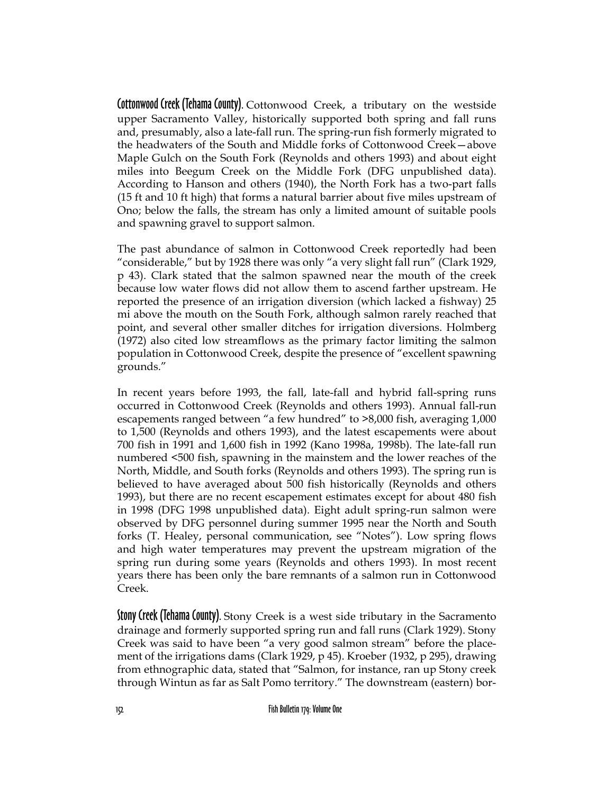Cottonwood Creek (Tehama County). Cottonwood Creek, a tributary on the westside upper Sacramento Valley, historically supported both spring and fall runs and, presumably, also a late-fall run. The spring-run fish formerly migrated to the headwaters of the South and Middle forks of Cottonwood Creek—above Maple Gulch on the South Fork (Reynolds and others 1993) and about eight miles into Beegum Creek on the Middle Fork (DFG unpublished data). According to Hanson and others (1940), the North Fork has a two-part falls (15 ft and 10 ft high) that forms a natural barrier about five miles upstream of Ono; below the falls, the stream has only a limited amount of suitable pools and spawning gravel to support salmon.

The past abundance of salmon in Cottonwood Creek reportedly had been "considerable," but by 1928 there was only "a very slight fall run" (Clark 1929, p 43). Clark stated that the salmon spawned near the mouth of the creek because low water flows did not allow them to ascend farther upstream. He reported the presence of an irrigation diversion (which lacked a fishway) 25 mi above the mouth on the South Fork, although salmon rarely reached that point, and several other smaller ditches for irrigation diversions. Holmberg (1972) also cited low streamflows as the primary factor limiting the salmon population in Cottonwood Creek, despite the presence of "excellent spawning grounds."

In recent years before 1993, the fall, late-fall and hybrid fall-spring runs occurred in Cottonwood Creek (Reynolds and others 1993). Annual fall-run escapements ranged between "a few hundred" to >8,000 fish, averaging 1,000 to 1,500 (Reynolds and others 1993), and the latest escapements were about 700 fish in 1991 and 1,600 fish in 1992 (Kano 1998a, 1998b). The late-fall run numbered <500 fish, spawning in the mainstem and the lower reaches of the North, Middle, and South forks (Reynolds and others 1993). The spring run is believed to have averaged about 500 fish historically (Reynolds and others 1993), but there are no recent escapement estimates except for about 480 fish in 1998 (DFG 1998 unpublished data). Eight adult spring-run salmon were observed by DFG personnel during summer 1995 near the North and South forks (T. Healey, personal communication, see "Notes"). Low spring flows and high water temperatures may prevent the upstream migration of the spring run during some years (Reynolds and others 1993). In most recent years there has been only the bare remnants of a salmon run in Cottonwood Creek.

Stony Creek (Tehama County). Stony Creek is a west side tributary in the Sacramento drainage and formerly supported spring run and fall runs (Clark 1929). Stony Creek was said to have been "a very good salmon stream" before the placement of the irrigations dams (Clark 1929, p 45). Kroeber (1932, p 295), drawing from ethnographic data, stated that "Salmon, for instance, ran up Stony creek through Wintun as far as Salt Pomo territory." The downstream (eastern) bor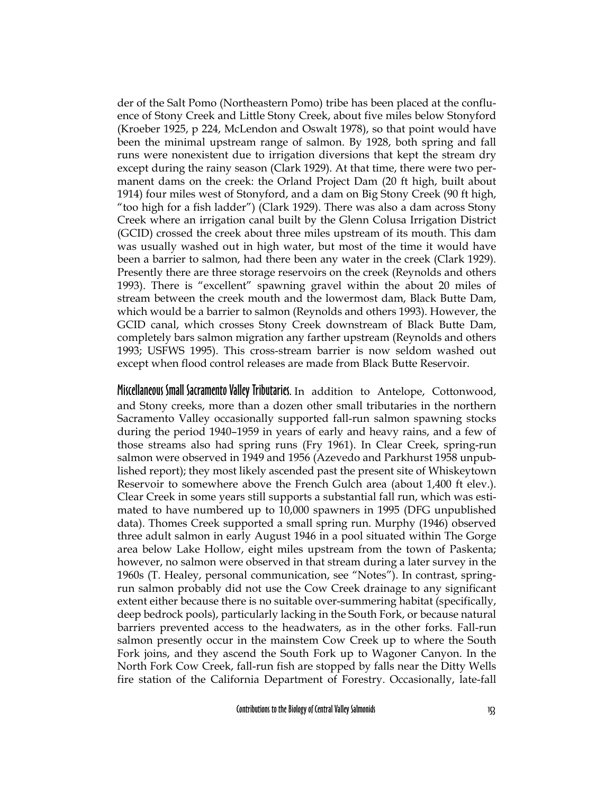der of the Salt Pomo (Northeastern Pomo) tribe has been placed at the confluence of Stony Creek and Little Stony Creek, about five miles below Stonyford (Kroeber 1925, p 224, McLendon and Oswalt 1978), so that point would have been the minimal upstream range of salmon. By 1928, both spring and fall runs were nonexistent due to irrigation diversions that kept the stream dry except during the rainy season (Clark 1929). At that time, there were two permanent dams on the creek: the Orland Project Dam (20 ft high, built about 1914) four miles west of Stonyford, and a dam on Big Stony Creek (90 ft high, "too high for a fish ladder") (Clark 1929). There was also a dam across Stony Creek where an irrigation canal built by the Glenn Colusa Irrigation District (GCID) crossed the creek about three miles upstream of its mouth. This dam was usually washed out in high water, but most of the time it would have been a barrier to salmon, had there been any water in the creek (Clark 1929). Presently there are three storage reservoirs on the creek (Reynolds and others 1993). There is "excellent" spawning gravel within the about 20 miles of stream between the creek mouth and the lowermost dam, Black Butte Dam, which would be a barrier to salmon (Reynolds and others 1993). However, the GCID canal, which crosses Stony Creek downstream of Black Butte Dam, completely bars salmon migration any farther upstream (Reynolds and others 1993; USFWS 1995). This cross-stream barrier is now seldom washed out except when flood control releases are made from Black Butte Reservoir.

Miscellaneous Small Sacramento Valley Tributaries. In addition to Antelope, Cottonwood, and Stony creeks, more than a dozen other small tributaries in the northern Sacramento Valley occasionally supported fall-run salmon spawning stocks during the period 1940–1959 in years of early and heavy rains, and a few of those streams also had spring runs (Fry 1961). In Clear Creek, spring-run salmon were observed in 1949 and 1956 (Azevedo and Parkhurst 1958 unpublished report); they most likely ascended past the present site of Whiskeytown Reservoir to somewhere above the French Gulch area (about 1,400 ft elev.). Clear Creek in some years still supports a substantial fall run, which was estimated to have numbered up to 10,000 spawners in 1995 (DFG unpublished data). Thomes Creek supported a small spring run. Murphy (1946) observed three adult salmon in early August 1946 in a pool situated within The Gorge area below Lake Hollow, eight miles upstream from the town of Paskenta; however, no salmon were observed in that stream during a later survey in the 1960s (T. Healey, personal communication, see "Notes"). In contrast, springrun salmon probably did not use the Cow Creek drainage to any significant extent either because there is no suitable over-summering habitat (specifically, deep bedrock pools), particularly lacking in the South Fork, or because natural barriers prevented access to the headwaters, as in the other forks. Fall-run salmon presently occur in the mainstem Cow Creek up to where the South Fork joins, and they ascend the South Fork up to Wagoner Canyon. In the North Fork Cow Creek, fall-run fish are stopped by falls near the Ditty Wells fire station of the California Department of Forestry. Occasionally, late-fall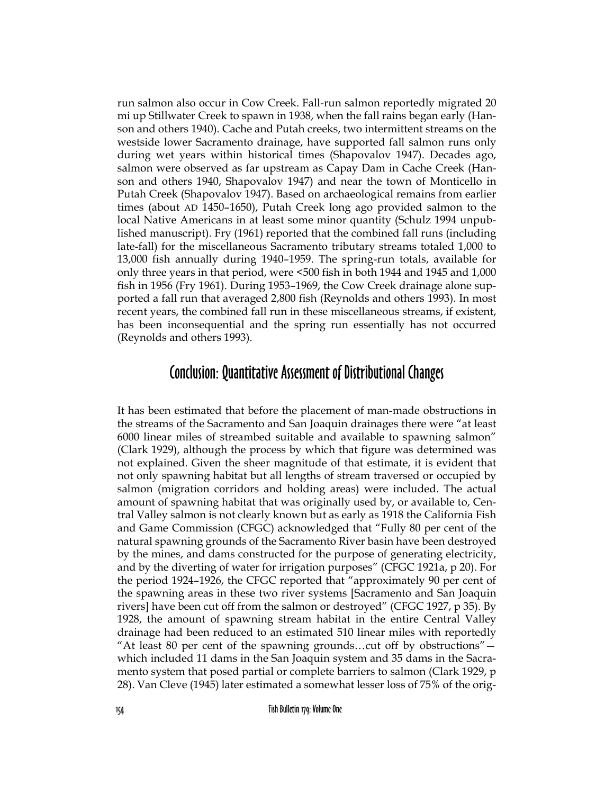run salmon also occur in Cow Creek. Fall-run salmon reportedly migrated 20 mi up Stillwater Creek to spawn in 1938, when the fall rains began early (Hanson and others 1940). Cache and Putah creeks, two intermittent streams on the westside lower Sacramento drainage, have supported fall salmon runs only during wet years within historical times (Shapovalov 1947). Decades ago, salmon were observed as far upstream as Capay Dam in Cache Creek (Hanson and others 1940, Shapovalov 1947) and near the town of Monticello in Putah Creek (Shapovalov 1947). Based on archaeological remains from earlier times (about AD 1450–1650), Putah Creek long ago provided salmon to the local Native Americans in at least some minor quantity (Schulz 1994 unpublished manuscript). Fry (1961) reported that the combined fall runs (including late-fall) for the miscellaneous Sacramento tributary streams totaled 1,000 to 13,000 fish annually during 1940–1959. The spring-run totals, available for only three years in that period, were <500 fish in both 1944 and 1945 and 1,000 fish in 1956 (Fry 1961). During 1953–1969, the Cow Creek drainage alone supported a fall run that averaged 2,800 fish (Reynolds and others 1993). In most recent years, the combined fall run in these miscellaneous streams, if existent, has been inconsequential and the spring run essentially has not occurred (Reynolds and others 1993).

### Conclusion: Quantitative Assessment of Distributional Changes

It has been estimated that before the placement of man-made obstructions in the streams of the Sacramento and San Joaquin drainages there were "at least 6000 linear miles of streambed suitable and available to spawning salmon" (Clark 1929), although the process by which that figure was determined was not explained. Given the sheer magnitude of that estimate, it is evident that not only spawning habitat but all lengths of stream traversed or occupied by salmon (migration corridors and holding areas) were included. The actual amount of spawning habitat that was originally used by, or available to, Central Valley salmon is not clearly known but as early as 1918 the California Fish and Game Commission (CFGC) acknowledged that "Fully 80 per cent of the natural spawning grounds of the Sacramento River basin have been destroyed by the mines, and dams constructed for the purpose of generating electricity, and by the diverting of water for irrigation purposes" (CFGC 1921a, p 20). For the period 1924–1926, the CFGC reported that "approximately 90 per cent of the spawning areas in these two river systems [Sacramento and San Joaquin rivers] have been cut off from the salmon or destroyed" (CFGC 1927, p 35). By 1928, the amount of spawning stream habitat in the entire Central Valley drainage had been reduced to an estimated 510 linear miles with reportedly "At least 80 per cent of the spawning grounds…cut off by obstructions" which included 11 dams in the San Joaquin system and 35 dams in the Sacramento system that posed partial or complete barriers to salmon (Clark 1929, p 28). Van Cleve (1945) later estimated a somewhat lesser loss of 75% of the orig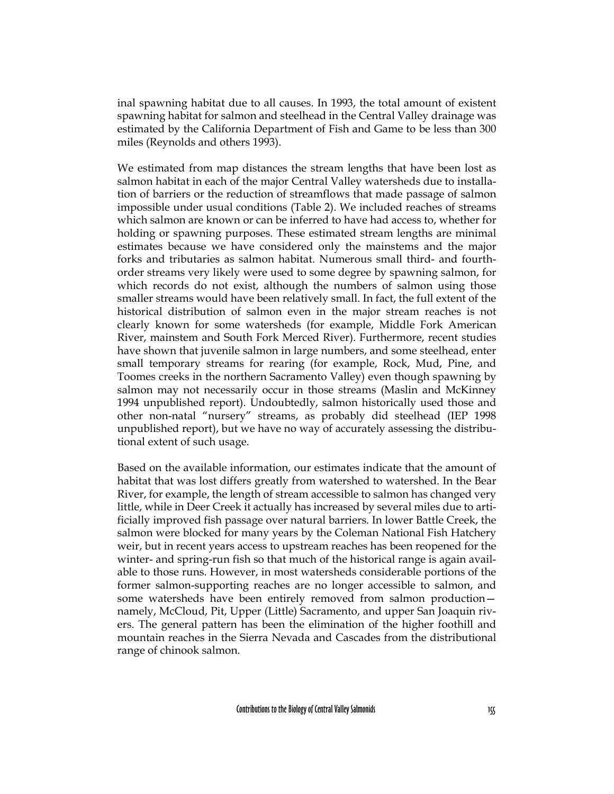inal spawning habitat due to all causes. In 1993, the total amount of existent spawning habitat for salmon and steelhead in the Central Valley drainage was estimated by the California Department of Fish and Game to be less than 300 miles (Reynolds and others 1993).

We estimated from map distances the stream lengths that have been lost as salmon habitat in each of the major Central Valley watersheds due to installation of barriers or the reduction of streamflows that made passage of salmon impossible under usual conditions (Table 2). We included reaches of streams which salmon are known or can be inferred to have had access to, whether for holding or spawning purposes. These estimated stream lengths are minimal estimates because we have considered only the mainstems and the major forks and tributaries as salmon habitat. Numerous small third- and fourthorder streams very likely were used to some degree by spawning salmon, for which records do not exist, although the numbers of salmon using those smaller streams would have been relatively small. In fact, the full extent of the historical distribution of salmon even in the major stream reaches is not clearly known for some watersheds (for example, Middle Fork American River, mainstem and South Fork Merced River). Furthermore, recent studies have shown that juvenile salmon in large numbers, and some steelhead, enter small temporary streams for rearing (for example, Rock, Mud, Pine, and Toomes creeks in the northern Sacramento Valley) even though spawning by salmon may not necessarily occur in those streams (Maslin and McKinney 1994 unpublished report). Undoubtedly, salmon historically used those and other non-natal "nursery" streams, as probably did steelhead (IEP 1998 unpublished report), but we have no way of accurately assessing the distributional extent of such usage.

Based on the available information, our estimates indicate that the amount of habitat that was lost differs greatly from watershed to watershed. In the Bear River, for example, the length of stream accessible to salmon has changed very little, while in Deer Creek it actually has increased by several miles due to artificially improved fish passage over natural barriers. In lower Battle Creek, the salmon were blocked for many years by the Coleman National Fish Hatchery weir, but in recent years access to upstream reaches has been reopened for the winter- and spring-run fish so that much of the historical range is again available to those runs. However, in most watersheds considerable portions of the former salmon-supporting reaches are no longer accessible to salmon, and some watersheds have been entirely removed from salmon production namely, McCloud, Pit, Upper (Little) Sacramento, and upper San Joaquin rivers. The general pattern has been the elimination of the higher foothill and mountain reaches in the Sierra Nevada and Cascades from the distributional range of chinook salmon.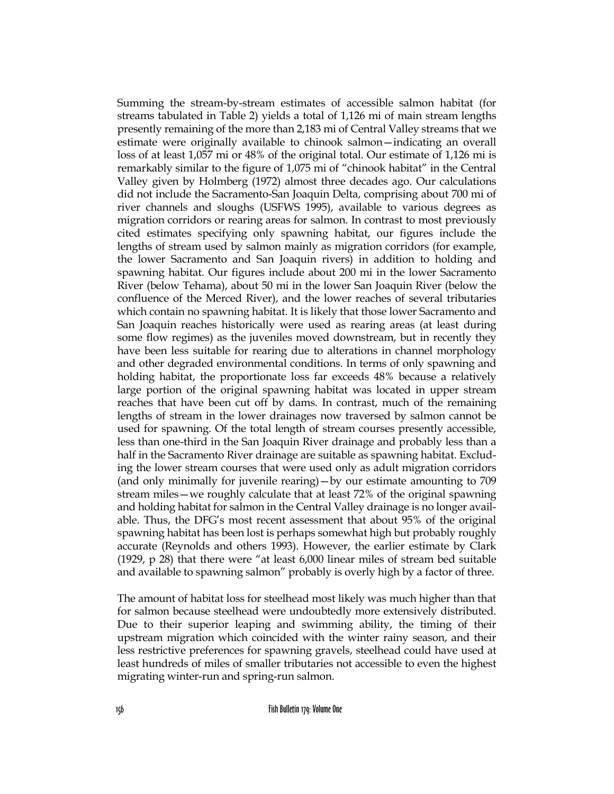Summing the stream-by-stream estimates of accessible salmon habitat (for streams tabulated in Table 2) yields a total of 1,126 mi of main stream lengths presently remaining of the more than 2,183 mi of Central Valley streams that we estimate were originally available to chinook salmon—indicating an overall loss of at least 1,057 mi or 48% of the original total. Our estimate of 1,126 mi is remarkably similar to the figure of 1,075 mi of "chinook habitat" in the Central Valley given by Holmberg (1972) almost three decades ago. Our calculations did not include the Sacramento-San Joaquin Delta, comprising about 700 mi of river channels and sloughs (USFWS 1995), available to various degrees as migration corridors or rearing areas for salmon. In contrast to most previously cited estimates specifying only spawning habitat, our figures include the lengths of stream used by salmon mainly as migration corridors (for example, the lower Sacramento and San Joaquin rivers) in addition to holding and spawning habitat. Our figures include about 200 mi in the lower Sacramento River (below Tehama), about 50 mi in the lower San Joaquin River (below the confluence of the Merced River), and the lower reaches of several tributaries which contain no spawning habitat. It is likely that those lower Sacramento and San Joaquin reaches historically were used as rearing areas (at least during some flow regimes) as the juveniles moved downstream, but in recently they have been less suitable for rearing due to alterations in channel morphology and other degraded environmental conditions. In terms of only spawning and holding habitat, the proportionate loss far exceeds 48% because a relatively large portion of the original spawning habitat was located in upper stream reaches that have been cut off by dams. In contrast, much of the remaining lengths of stream in the lower drainages now traversed by salmon cannot be used for spawning. Of the total length of stream courses presently accessible, less than one-third in the San Joaquin River drainage and probably less than a half in the Sacramento River drainage are suitable as spawning habitat. Excluding the lower stream courses that were used only as adult migration corridors (and only minimally for juvenile rearing)—by our estimate amounting to 709 stream miles—we roughly calculate that at least 72% of the original spawning and holding habitat for salmon in the Central Valley drainage is no longer available. Thus, the DFG's most recent assessment that about 95% of the original spawning habitat has been lost is perhaps somewhat high but probably roughly accurate (Reynolds and others 1993). However, the earlier estimate by Clark (1929, p 28) that there were "at least 6,000 linear miles of stream bed suitable and available to spawning salmon" probably is overly high by a factor of three.

The amount of habitat loss for steelhead most likely was much higher than that for salmon because steelhead were undoubtedly more extensively distributed. Due to their superior leaping and swimming ability, the timing of their upstream migration which coincided with the winter rainy season, and their less restrictive preferences for spawning gravels, steelhead could have used at least hundreds of miles of smaller tributaries not accessible to even the highest migrating winter-run and spring-run salmon.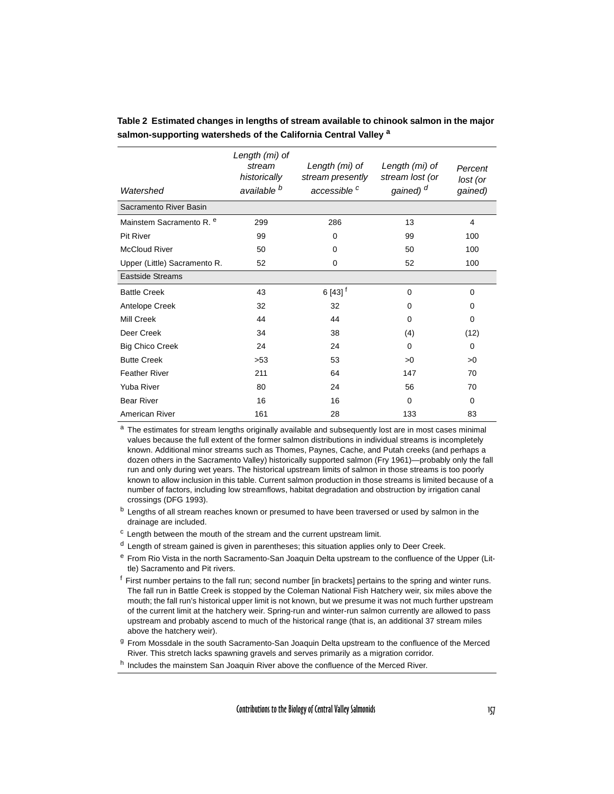| Watershed                           | Length (mi) of<br>stream<br>historically<br>available <sup>b</sup> | Length (mi) of<br>stream presently<br>accessible <sup>c</sup> | Length (mi) of<br>stream lost (or<br>gained) <sup>d</sup> | Percent<br>lost (or<br>gained) |
|-------------------------------------|--------------------------------------------------------------------|---------------------------------------------------------------|-----------------------------------------------------------|--------------------------------|
| Sacramento River Basin              |                                                                    |                                                               |                                                           |                                |
| Mainstem Sacramento R. <sup>e</sup> | 299                                                                | 286                                                           | 13                                                        | 4                              |
| <b>Pit River</b>                    | 99                                                                 | 0                                                             | 99                                                        | 100                            |
| <b>McCloud River</b>                | 50                                                                 | $\Omega$                                                      | 50                                                        | 100                            |
| Upper (Little) Sacramento R.        | 52                                                                 | 0                                                             | 52                                                        | 100                            |
| <b>Eastside Streams</b>             |                                                                    |                                                               |                                                           |                                |
| <b>Battle Creek</b>                 | 43                                                                 | $6[43]$ <sup>†</sup>                                          | $\Omega$                                                  | $\Omega$                       |
| Antelope Creek                      | 32                                                                 | 32                                                            | 0                                                         | 0                              |
| Mill Creek                          | 44                                                                 | 44                                                            | $\Omega$                                                  | $\Omega$                       |
| Deer Creek                          | 34                                                                 | 38                                                            | (4)                                                       | (12)                           |
| <b>Big Chico Creek</b>              | 24                                                                 | 24                                                            | $\Omega$                                                  | 0                              |
| <b>Butte Creek</b>                  | >53                                                                | 53                                                            | >0                                                        | >0                             |
| <b>Feather River</b>                | 211                                                                | 64                                                            | 147                                                       | 70                             |
| <b>Yuba River</b>                   | 80                                                                 | 24                                                            | 56                                                        | 70                             |
| <b>Bear River</b>                   | 16                                                                 | 16                                                            | $\Omega$                                                  | $\Omega$                       |
| <b>American River</b>               | 161                                                                | 28                                                            | 133                                                       | 83                             |

**Table 2 Estimated changes in lengths of stream available to chinook salmon in the major salmon-supporting watersheds of the California Central Valley a**

<sup>a</sup> The estimates for stream lengths originally available and subsequently lost are in most cases minimal values because the full extent of the former salmon distributions in individual streams is incompletely known. Additional minor streams such as Thomes, Paynes, Cache, and Putah creeks (and perhaps a dozen others in the Sacramento Valley) historically supported salmon (Fry 1961)—probably only the fall run and only during wet years. The historical upstream limits of salmon in those streams is too poorly known to allow inclusion in this table. Current salmon production in those streams is limited because of a number of factors, including low streamflows, habitat degradation and obstruction by irrigation canal crossings (DFG 1993).

- <sup>b</sup> Lengths of all stream reaches known or presumed to have been traversed or used by salmon in the drainage are included.
- $c$  Length between the mouth of the stream and the current upstream limit.
- d Length of stream gained is given in parentheses; this situation applies only to Deer Creek.
- e From Rio Vista in the north Sacramento-San Joaquin Delta upstream to the confluence of the Upper (Little) Sacramento and Pit rivers.
- $<sup>f</sup>$  First number pertains to the fall run; second number [in brackets] pertains to the spring and winter runs.</sup> The fall run in Battle Creek is stopped by the Coleman National Fish Hatchery weir, six miles above the mouth; the fall run's historical upper limit is not known, but we presume it was not much further upstream of the current limit at the hatchery weir. Spring-run and winter-run salmon currently are allowed to pass upstream and probably ascend to much of the historical range (that is, an additional 37 stream miles above the hatchery weir).
- g From Mossdale in the south Sacramento-San Joaquin Delta upstream to the confluence of the Merced River. This stretch lacks spawning gravels and serves primarily as a migration corridor.
- h Includes the mainstem San Joaquin River above the confluence of the Merced River.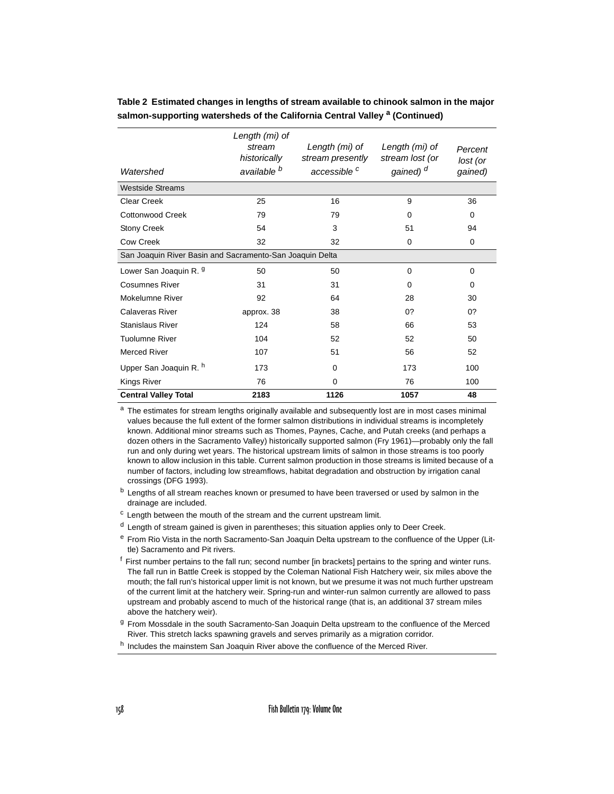| Watershed                                                | Length (mi) of<br>stream<br>historically<br>available <sup>b</sup> | Length (mi) of<br>stream presently<br>accessible <sup>c</sup> | Length (mi) of<br>stream lost (or<br>gained) <sup>d</sup> | Percent<br>lost (or<br>gained) |  |  |
|----------------------------------------------------------|--------------------------------------------------------------------|---------------------------------------------------------------|-----------------------------------------------------------|--------------------------------|--|--|
|                                                          |                                                                    |                                                               |                                                           |                                |  |  |
| <b>Westside Streams</b>                                  |                                                                    |                                                               |                                                           |                                |  |  |
| Clear Creek                                              | 25                                                                 | 16                                                            | 9                                                         | 36                             |  |  |
| Cottonwood Creek                                         | 79                                                                 | 79                                                            | $\Omega$                                                  | $\Omega$                       |  |  |
| <b>Stony Creek</b>                                       | 54                                                                 | 3                                                             | 51                                                        | 94                             |  |  |
| <b>Cow Creek</b>                                         | 32                                                                 | 32                                                            | $\mathbf 0$                                               | 0                              |  |  |
| San Joaquin River Basin and Sacramento-San Joaquin Delta |                                                                    |                                                               |                                                           |                                |  |  |
| Lower San Joaquin R. 9                                   | 50                                                                 | 50                                                            | $\Omega$                                                  | 0                              |  |  |
| <b>Cosumnes River</b>                                    | 31                                                                 | 31                                                            | $\Omega$                                                  | $\Omega$                       |  |  |
| Mokelumne River                                          | 92                                                                 | 64                                                            | 28                                                        | 30                             |  |  |
| Calaveras River                                          | approx. 38                                                         | 38                                                            | 0?                                                        | 0?                             |  |  |
| <b>Stanislaus River</b>                                  | 124                                                                | 58                                                            | 66                                                        | 53                             |  |  |
| <b>Tuolumne River</b>                                    | 104                                                                | 52                                                            | 52                                                        | 50                             |  |  |
| <b>Merced River</b>                                      | 107                                                                | 51                                                            | 56                                                        | 52                             |  |  |
| Upper San Joaquin R. h                                   | 173                                                                | $\Omega$                                                      | 173                                                       | 100                            |  |  |
| <b>Kings River</b>                                       | 76                                                                 | 0                                                             | 76                                                        | 100                            |  |  |
| <b>Central Valley Total</b>                              | 2183                                                               | 1126                                                          | 1057                                                      | 48                             |  |  |

**Table 2 Estimated changes in lengths of stream available to chinook salmon in the major**  salmon-supporting watersheds of the California Central Valley <sup>a</sup> (Continued)

<sup>a</sup> The estimates for stream lengths originally available and subsequently lost are in most cases minimal values because the full extent of the former salmon distributions in individual streams is incompletely known. Additional minor streams such as Thomes, Paynes, Cache, and Putah creeks (and perhaps a dozen others in the Sacramento Valley) historically supported salmon (Fry 1961)—probably only the fall run and only during wet years. The historical upstream limits of salmon in those streams is too poorly known to allow inclusion in this table. Current salmon production in those streams is limited because of a number of factors, including low streamflows, habitat degradation and obstruction by irrigation canal crossings (DFG 1993).

- c Length between the mouth of the stream and the current upstream limit.
- $<sup>d</sup>$  Length of stream gained is given in parentheses; this situation applies only to Deer Creek.</sup>
- e From Rio Vista in the north Sacramento-San Joaquin Delta upstream to the confluence of the Upper (Little) Sacramento and Pit rivers.
- $<sup>f</sup>$  First number pertains to the fall run; second number [in brackets] pertains to the spring and winter runs.</sup> The fall run in Battle Creek is stopped by the Coleman National Fish Hatchery weir, six miles above the mouth; the fall run's historical upper limit is not known, but we presume it was not much further upstream of the current limit at the hatchery weir. Spring-run and winter-run salmon currently are allowed to pass upstream and probably ascend to much of the historical range (that is, an additional 37 stream miles above the hatchery weir).
- <sup>g</sup> From Mossdale in the south Sacramento-San Joaquin Delta upstream to the confluence of the Merced River. This stretch lacks spawning gravels and serves primarily as a migration corridor.
- h Includes the mainstem San Joaquin River above the confluence of the Merced River.

<sup>&</sup>lt;sup>b</sup> Lengths of all stream reaches known or presumed to have been traversed or used by salmon in the drainage are included.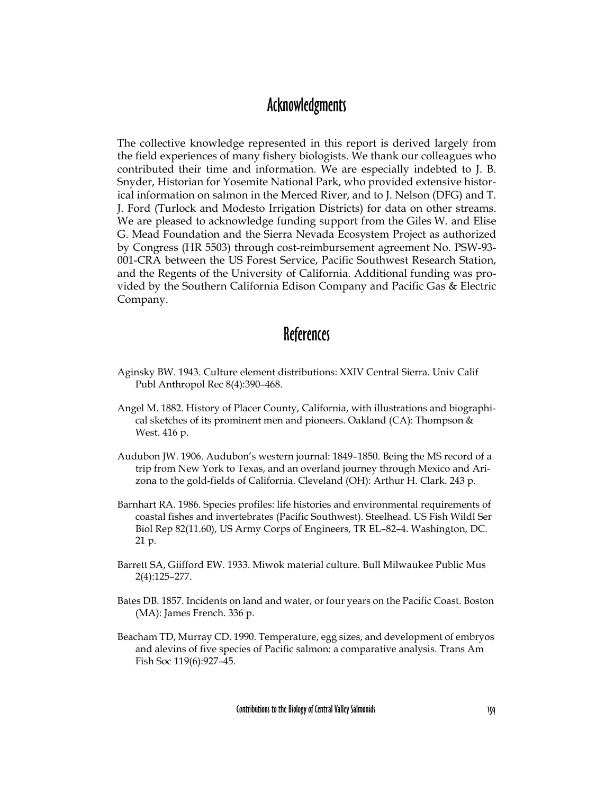## Acknowledgments

The collective knowledge represented in this report is derived largely from the field experiences of many fishery biologists. We thank our colleagues who contributed their time and information. We are especially indebted to J. B. Snyder, Historian for Yosemite National Park, who provided extensive historical information on salmon in the Merced River, and to J. Nelson (DFG) and T. J. Ford (Turlock and Modesto Irrigation Districts) for data on other streams. We are pleased to acknowledge funding support from the Giles W. and Elise G. Mead Foundation and the Sierra Nevada Ecosystem Project as authorized by Congress (HR 5503) through cost-reimbursement agreement No. PSW-93- 001-CRA between the US Forest Service, Pacific Southwest Research Station, and the Regents of the University of California. Additional funding was provided by the Southern California Edison Company and Pacific Gas & Electric Company.

# **References**

- Aginsky BW. 1943. Culture element distributions: XXIV Central Sierra. Univ Calif Publ Anthropol Rec 8(4):390–468.
- Angel M. 1882. History of Placer County, California, with illustrations and biographical sketches of its prominent men and pioneers. Oakland (CA): Thompson  $&$ West. 416 p.
- Audubon JW. 1906. Audubon's western journal: 1849–1850. Being the MS record of a trip from New York to Texas, and an overland journey through Mexico and Arizona to the gold-fields of California. Cleveland (OH): Arthur H. Clark. 243 p.
- Barnhart RA. 1986. Species profiles: life histories and environmental requirements of coastal fishes and invertebrates (Pacific Southwest). Steelhead. US Fish Wildl Ser Biol Rep 82(11.60), US Army Corps of Engineers, TR EL–82–4. Washington, DC. 21 p.
- Barrett SA, Giifford EW. 1933. Miwok material culture. Bull Milwaukee Public Mus 2(4):125–277.
- Bates DB. 1857. Incidents on land and water, or four years on the Pacific Coast. Boston (MA): James French. 336 p.
- Beacham TD, Murray CD. 1990. Temperature, egg sizes, and development of embryos and alevins of five species of Pacific salmon: a comparative analysis. Trans Am Fish Soc 119(6):927–45.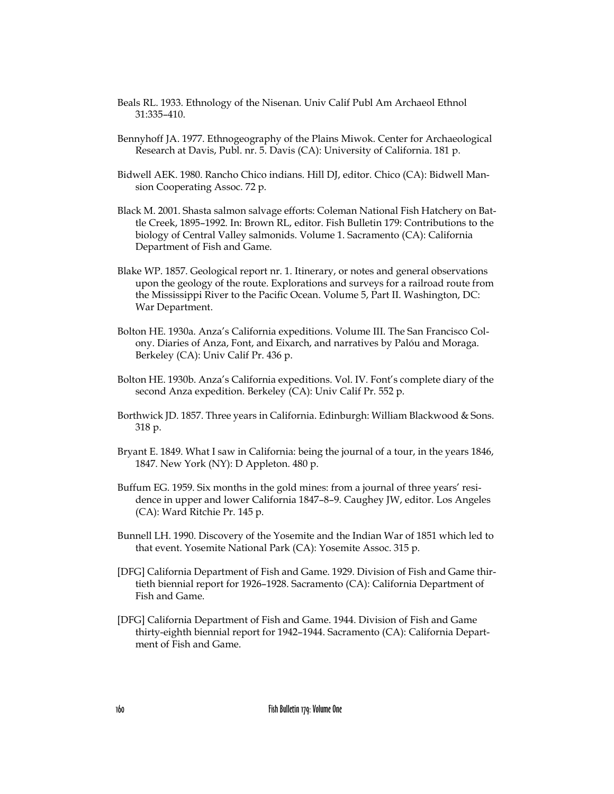- Beals RL. 1933. Ethnology of the Nisenan. Univ Calif Publ Am Archaeol Ethnol 31:335–410.
- Bennyhoff JA. 1977. Ethnogeography of the Plains Miwok. Center for Archaeological Research at Davis, Publ. nr. 5. Davis (CA): University of California. 181 p.
- Bidwell AEK. 1980. Rancho Chico indians. Hill DJ, editor. Chico (CA): Bidwell Mansion Cooperating Assoc. 72 p.
- Black M. 2001. Shasta salmon salvage efforts: Coleman National Fish Hatchery on Battle Creek, 1895–1992. In: Brown RL, editor. Fish Bulletin 179: Contributions to the biology of Central Valley salmonids. Volume 1. Sacramento (CA): California Department of Fish and Game.
- Blake WP. 1857. Geological report nr. 1. Itinerary, or notes and general observations upon the geology of the route. Explorations and surveys for a railroad route from the Mississippi River to the Pacific Ocean. Volume 5, Part II. Washington, DC: War Department.
- Bolton HE. 1930a. Anza's California expeditions. Volume III. The San Francisco Colony. Diaries of Anza, Font, and Eixarch, and narratives by Palóu and Moraga. Berkeley (CA): Univ Calif Pr. 436 p.
- Bolton HE. 1930b. Anza's California expeditions. Vol. IV. Font's complete diary of the second Anza expedition. Berkeley (CA): Univ Calif Pr. 552 p.
- Borthwick JD. 1857. Three years in California. Edinburgh: William Blackwood & Sons. 318 p.
- Bryant E. 1849. What I saw in California: being the journal of a tour, in the years 1846, 1847. New York (NY): D Appleton. 480 p.
- Buffum EG. 1959. Six months in the gold mines: from a journal of three years' residence in upper and lower California 1847–8–9. Caughey JW, editor. Los Angeles (CA): Ward Ritchie Pr. 145 p.
- Bunnell LH. 1990. Discovery of the Yosemite and the Indian War of 1851 which led to that event. Yosemite National Park (CA): Yosemite Assoc. 315 p.
- [DFG] California Department of Fish and Game. 1929. Division of Fish and Game thirtieth biennial report for 1926–1928. Sacramento (CA): California Department of Fish and Game.
- [DFG] California Department of Fish and Game. 1944. Division of Fish and Game thirty-eighth biennial report for 1942–1944. Sacramento (CA): California Department of Fish and Game.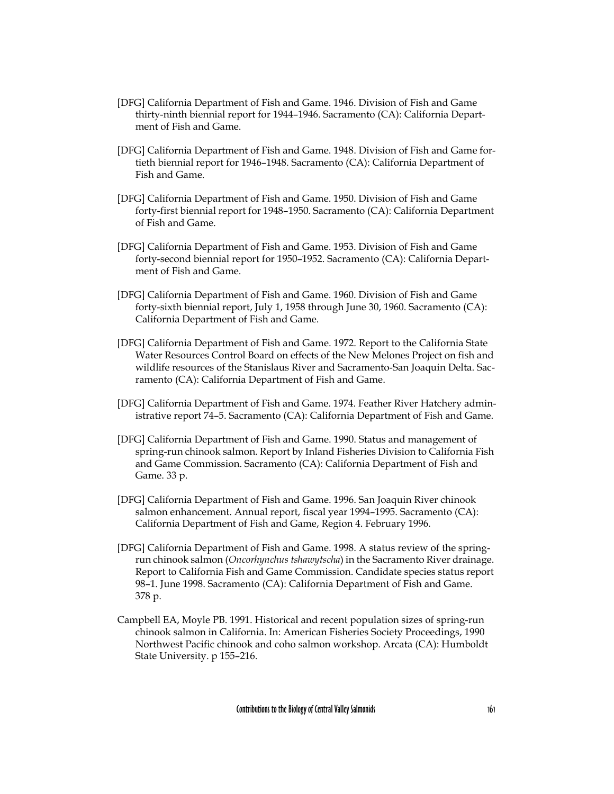- [DFG] California Department of Fish and Game. 1946. Division of Fish and Game thirty-ninth biennial report for 1944–1946. Sacramento (CA): California Department of Fish and Game.
- [DFG] California Department of Fish and Game. 1948. Division of Fish and Game fortieth biennial report for 1946–1948. Sacramento (CA): California Department of Fish and Game.
- [DFG] California Department of Fish and Game. 1950. Division of Fish and Game forty-first biennial report for 1948–1950. Sacramento (CA): California Department of Fish and Game.
- [DFG] California Department of Fish and Game. 1953. Division of Fish and Game forty-second biennial report for 1950–1952. Sacramento (CA): California Department of Fish and Game.
- [DFG] California Department of Fish and Game. 1960. Division of Fish and Game forty-sixth biennial report, July 1, 1958 through June 30, 1960. Sacramento (CA): California Department of Fish and Game.
- [DFG] California Department of Fish and Game. 1972. Report to the California State Water Resources Control Board on effects of the New Melones Project on fish and wildlife resources of the Stanislaus River and Sacramento-San Joaquin Delta. Sacramento (CA): California Department of Fish and Game.
- [DFG] California Department of Fish and Game. 1974. Feather River Hatchery administrative report 74–5. Sacramento (CA): California Department of Fish and Game.
- [DFG] California Department of Fish and Game. 1990. Status and management of spring-run chinook salmon. Report by Inland Fisheries Division to California Fish and Game Commission. Sacramento (CA): California Department of Fish and Game. 33 p.
- [DFG] California Department of Fish and Game. 1996. San Joaquin River chinook salmon enhancement. Annual report, fiscal year 1994–1995. Sacramento (CA): California Department of Fish and Game, Region 4. February 1996.
- [DFG] California Department of Fish and Game. 1998. A status review of the springrun chinook salmon (*Oncorhynchus tshawytscha*) in the Sacramento River drainage. Report to California Fish and Game Commission. Candidate species status report 98–1. June 1998. Sacramento (CA): California Department of Fish and Game. 378 p.
- Campbell EA, Moyle PB. 1991. Historical and recent population sizes of spring-run chinook salmon in California. In: American Fisheries Society Proceedings, 1990 Northwest Pacific chinook and coho salmon workshop. Arcata (CA): Humboldt State University. p 155–216.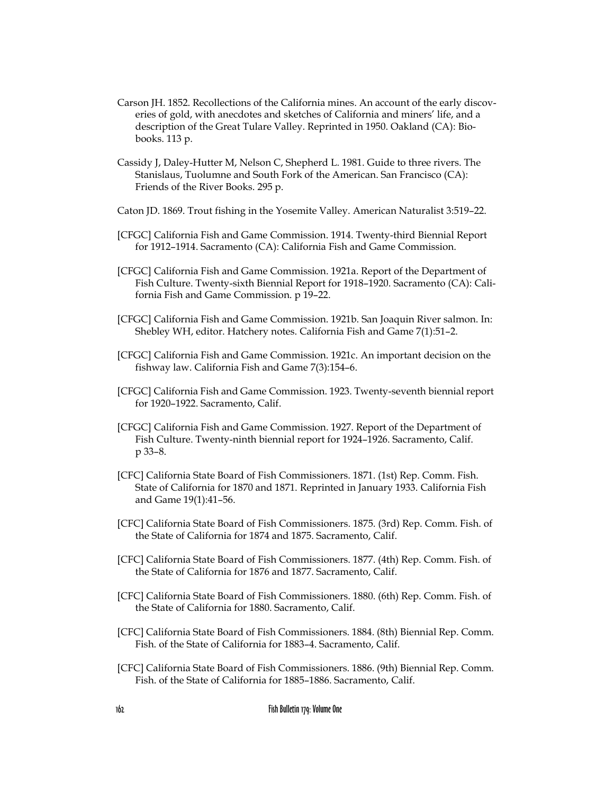- Carson JH. 1852. Recollections of the California mines. An account of the early discoveries of gold, with anecdotes and sketches of California and miners' life, and a description of the Great Tulare Valley. Reprinted in 1950. Oakland (CA): Biobooks. 113 p.
- Cassidy J, Daley-Hutter M, Nelson C, Shepherd L. 1981. Guide to three rivers. The Stanislaus, Tuolumne and South Fork of the American. San Francisco (CA): Friends of the River Books. 295 p.
- Caton JD. 1869. Trout fishing in the Yosemite Valley. American Naturalist 3:519–22.
- [CFGC] California Fish and Game Commission. 1914. Twenty-third Biennial Report for 1912–1914. Sacramento (CA): California Fish and Game Commission.
- [CFGC] California Fish and Game Commission. 1921a. Report of the Department of Fish Culture. Twenty-sixth Biennial Report for 1918–1920. Sacramento (CA): California Fish and Game Commission. p 19–22.
- [CFGC] California Fish and Game Commission. 1921b. San Joaquin River salmon. In: Shebley WH, editor. Hatchery notes. California Fish and Game 7(1):51–2.
- [CFGC] California Fish and Game Commission. 1921c. An important decision on the fishway law. California Fish and Game 7(3):154–6.
- [CFGC] California Fish and Game Commission. 1923. Twenty-seventh biennial report for 1920–1922. Sacramento, Calif.
- [CFGC] California Fish and Game Commission. 1927. Report of the Department of Fish Culture. Twenty-ninth biennial report for 1924–1926. Sacramento, Calif. p 33–8.
- [CFC] California State Board of Fish Commissioners. 1871. (1st) Rep. Comm. Fish. State of California for 1870 and 1871. Reprinted in January 1933. California Fish and Game 19(1):41–56.
- [CFC] California State Board of Fish Commissioners. 1875. (3rd) Rep. Comm. Fish. of the State of California for 1874 and 1875. Sacramento, Calif.
- [CFC] California State Board of Fish Commissioners. 1877. (4th) Rep. Comm. Fish. of the State of California for 1876 and 1877. Sacramento, Calif.
- [CFC] California State Board of Fish Commissioners. 1880. (6th) Rep. Comm. Fish. of the State of California for 1880. Sacramento, Calif.
- [CFC] California State Board of Fish Commissioners. 1884. (8th) Biennial Rep. Comm. Fish. of the State of California for 1883–4. Sacramento, Calif.
- [CFC] California State Board of Fish Commissioners. 1886. (9th) Biennial Rep. Comm. Fish. of the State of California for 1885–1886. Sacramento, Calif.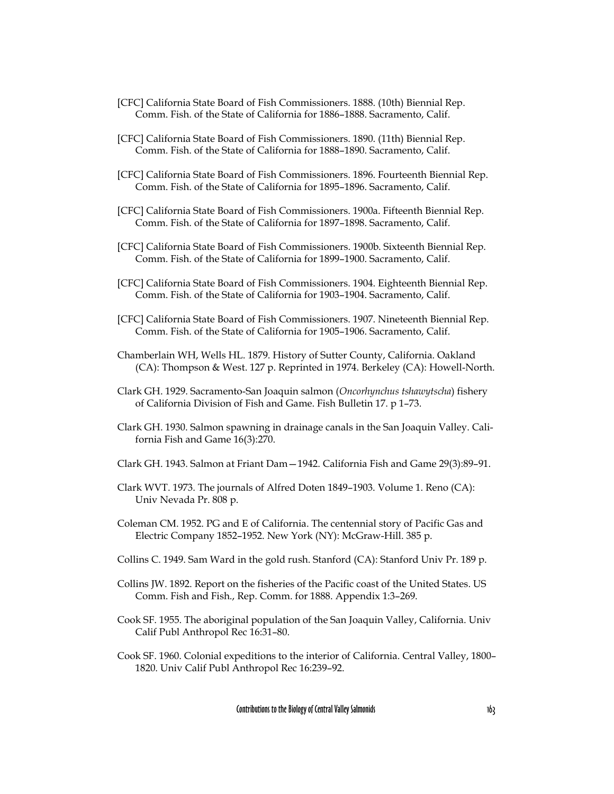- [CFC] California State Board of Fish Commissioners. 1888. (10th) Biennial Rep. Comm. Fish. of the State of California for 1886–1888. Sacramento, Calif.
- [CFC] California State Board of Fish Commissioners. 1890. (11th) Biennial Rep. Comm. Fish. of the State of California for 1888–1890. Sacramento, Calif.
- [CFC] California State Board of Fish Commissioners. 1896. Fourteenth Biennial Rep. Comm. Fish. of the State of California for 1895–1896. Sacramento, Calif.
- [CFC] California State Board of Fish Commissioners. 1900a. Fifteenth Biennial Rep. Comm. Fish. of the State of California for 1897–1898. Sacramento, Calif.
- [CFC] California State Board of Fish Commissioners. 1900b. Sixteenth Biennial Rep. Comm. Fish. of the State of California for 1899–1900. Sacramento, Calif.
- [CFC] California State Board of Fish Commissioners. 1904. Eighteenth Biennial Rep. Comm. Fish. of the State of California for 1903–1904. Sacramento, Calif.
- [CFC] California State Board of Fish Commissioners. 1907. Nineteenth Biennial Rep. Comm. Fish. of the State of California for 1905–1906. Sacramento, Calif.
- Chamberlain WH, Wells HL. 1879. History of Sutter County, California. Oakland (CA): Thompson & West. 127 p. Reprinted in 1974. Berkeley (CA): Howell-North.
- Clark GH. 1929. Sacramento-San Joaquin salmon (*Oncorhynchus tshawytscha*) fishery of California Division of Fish and Game. Fish Bulletin 17. p 1–73.
- Clark GH. 1930. Salmon spawning in drainage canals in the San Joaquin Valley. California Fish and Game 16(3):270.
- Clark GH. 1943. Salmon at Friant Dam—1942. California Fish and Game 29(3):89–91.
- Clark WVT. 1973. The journals of Alfred Doten 1849–1903. Volume 1. Reno (CA): Univ Nevada Pr. 808 p.
- Coleman CM. 1952. PG and E of California. The centennial story of Pacific Gas and Electric Company 1852–1952. New York (NY): McGraw-Hill. 385 p.
- Collins C. 1949. Sam Ward in the gold rush. Stanford (CA): Stanford Univ Pr. 189 p.
- Collins JW. 1892. Report on the fisheries of the Pacific coast of the United States. US Comm. Fish and Fish., Rep. Comm. for 1888. Appendix 1:3–269.
- Cook SF. 1955. The aboriginal population of the San Joaquin Valley, California. Univ Calif Publ Anthropol Rec 16:31–80.
- Cook SF. 1960. Colonial expeditions to the interior of California. Central Valley, 1800– 1820. Univ Calif Publ Anthropol Rec 16:239–92.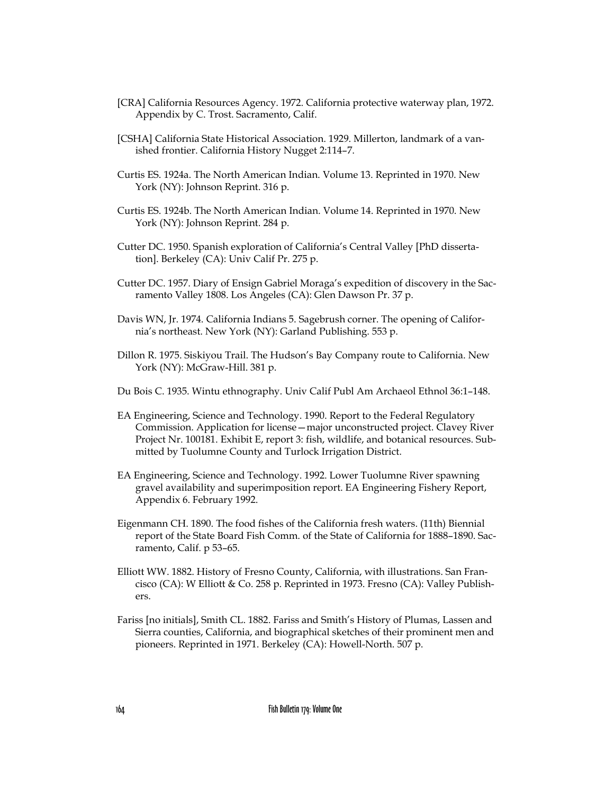- [CRA] California Resources Agency. 1972. California protective waterway plan, 1972. Appendix by C. Trost. Sacramento, Calif.
- [CSHA] California State Historical Association. 1929. Millerton, landmark of a vanished frontier. California History Nugget 2:114–7.
- Curtis ES. 1924a. The North American Indian. Volume 13. Reprinted in 1970. New York (NY): Johnson Reprint. 316 p.
- Curtis ES. 1924b. The North American Indian. Volume 14. Reprinted in 1970. New York (NY): Johnson Reprint. 284 p.
- Cutter DC. 1950. Spanish exploration of California's Central Valley [PhD dissertation]. Berkeley (CA): Univ Calif Pr. 275 p.
- Cutter DC. 1957. Diary of Ensign Gabriel Moraga's expedition of discovery in the Sacramento Valley 1808. Los Angeles (CA): Glen Dawson Pr. 37 p.
- Davis WN, Jr. 1974. California Indians 5. Sagebrush corner. The opening of California's northeast. New York (NY): Garland Publishing. 553 p.
- Dillon R. 1975. Siskiyou Trail. The Hudson's Bay Company route to California. New York (NY): McGraw-Hill. 381 p.
- Du Bois C. 1935. Wintu ethnography. Univ Calif Publ Am Archaeol Ethnol 36:1–148.
- EA Engineering, Science and Technology. 1990. Report to the Federal Regulatory Commission. Application for license—major unconstructed project. Clavey River Project Nr. 100181. Exhibit E, report 3: fish, wildlife, and botanical resources. Submitted by Tuolumne County and Turlock Irrigation District.
- EA Engineering, Science and Technology. 1992. Lower Tuolumne River spawning gravel availability and superimposition report. EA Engineering Fishery Report, Appendix 6. February 1992.
- Eigenmann CH. 1890. The food fishes of the California fresh waters. (11th) Biennial report of the State Board Fish Comm. of the State of California for 1888–1890. Sacramento, Calif. p 53–65.
- Elliott WW. 1882. History of Fresno County, California, with illustrations. San Francisco (CA): W Elliott & Co. 258 p. Reprinted in 1973. Fresno (CA): Valley Publishers.
- Fariss [no initials], Smith CL. 1882. Fariss and Smith's History of Plumas, Lassen and Sierra counties, California, and biographical sketches of their prominent men and pioneers. Reprinted in 1971. Berkeley (CA): Howell-North. 507 p.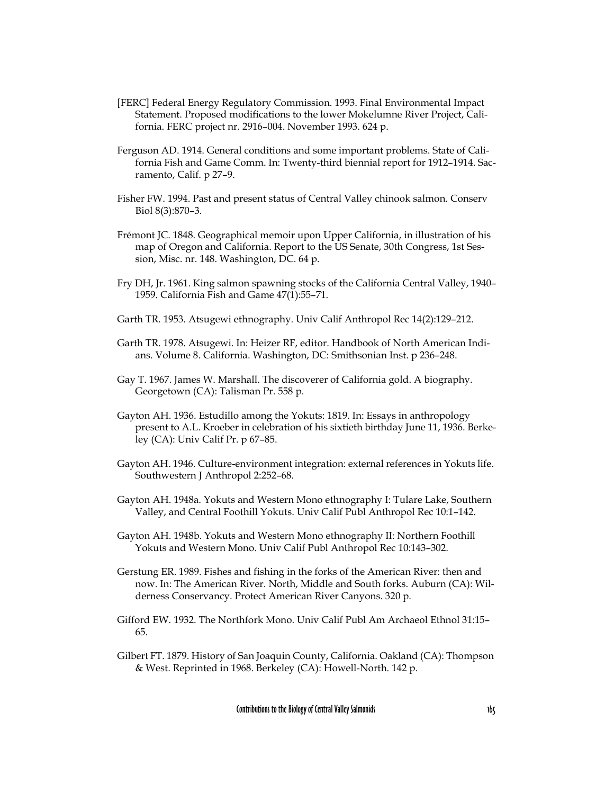- [FERC] Federal Energy Regulatory Commission. 1993. Final Environmental Impact Statement. Proposed modifications to the lower Mokelumne River Project, California. FERC project nr. 2916–004. November 1993. 624 p.
- Ferguson AD. 1914. General conditions and some important problems. State of California Fish and Game Comm. In: Twenty-third biennial report for 1912–1914. Sacramento, Calif. p 27–9.
- Fisher FW. 1994. Past and present status of Central Valley chinook salmon. Conserv Biol 8(3):870–3.
- Frémont JC. 1848. Geographical memoir upon Upper California, in illustration of his map of Oregon and California. Report to the US Senate, 30th Congress, 1st Session, Misc. nr. 148. Washington, DC. 64 p.
- Fry DH, Jr. 1961. King salmon spawning stocks of the California Central Valley, 1940– 1959. California Fish and Game 47(1):55–71.
- Garth TR. 1953. Atsugewi ethnography. Univ Calif Anthropol Rec 14(2):129–212.
- Garth TR. 1978. Atsugewi. In: Heizer RF, editor. Handbook of North American Indians. Volume 8. California. Washington, DC: Smithsonian Inst. p 236–248.
- Gay T. 1967. James W. Marshall. The discoverer of California gold. A biography. Georgetown (CA): Talisman Pr. 558 p.
- Gayton AH. 1936. Estudillo among the Yokuts: 1819. In: Essays in anthropology present to A.L. Kroeber in celebration of his sixtieth birthday June 11, 1936. Berkeley (CA): Univ Calif Pr. p 67–85.
- Gayton AH. 1946. Culture-environment integration: external references in Yokuts life. Southwestern J Anthropol 2:252–68.
- Gayton AH. 1948a. Yokuts and Western Mono ethnography I: Tulare Lake, Southern Valley, and Central Foothill Yokuts. Univ Calif Publ Anthropol Rec 10:1–142.
- Gayton AH. 1948b. Yokuts and Western Mono ethnography II: Northern Foothill Yokuts and Western Mono. Univ Calif Publ Anthropol Rec 10:143–302.
- Gerstung ER. 1989. Fishes and fishing in the forks of the American River: then and now. In: The American River. North, Middle and South forks. Auburn (CA): Wilderness Conservancy. Protect American River Canyons. 320 p.
- Gifford EW. 1932. The Northfork Mono. Univ Calif Publ Am Archaeol Ethnol 31:15– 65.
- Gilbert FT. 1879. History of San Joaquin County, California. Oakland (CA): Thompson & West. Reprinted in 1968. Berkeley (CA): Howell-North. 142 p.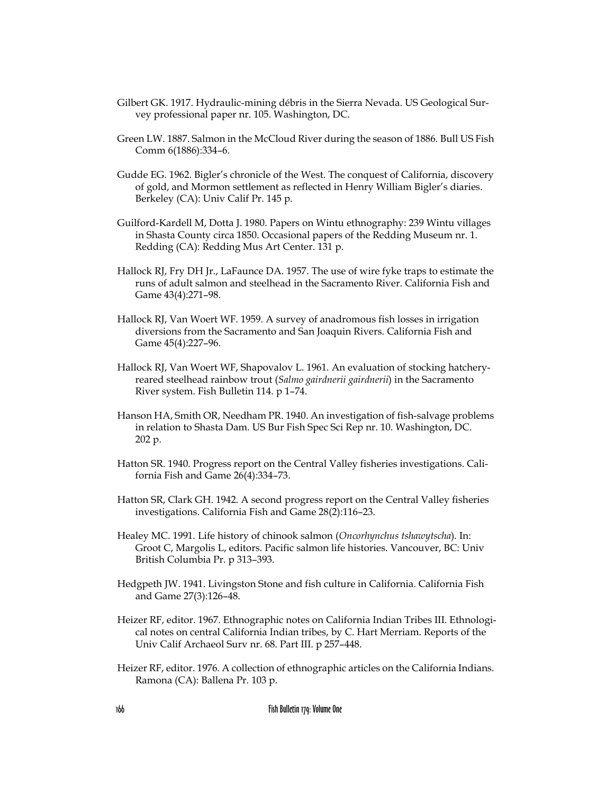- Gilbert GK. 1917. Hydraulic-mining débris in the Sierra Nevada. US Geological Survey professional paper nr. 105. Washington, DC.
- Green LW. 1887. Salmon in the McCloud River during the season of 1886. Bull US Fish Comm 6(1886):334–6.
- Gudde EG. 1962. Bigler's chronicle of the West. The conquest of California, discovery of gold, and Mormon settlement as reflected in Henry William Bigler's diaries. Berkeley (CA): Univ Calif Pr. 145 p.
- Guilford-Kardell M, Dotta J. 1980. Papers on Wintu ethnography: 239 Wintu villages in Shasta County circa 1850. Occasional papers of the Redding Museum nr. 1. Redding (CA): Redding Mus Art Center. 131 p.
- Hallock RJ, Fry DH Jr., LaFaunce DA. 1957. The use of wire fyke traps to estimate the runs of adult salmon and steelhead in the Sacramento River. California Fish and Game 43(4):271–98.
- Hallock RJ, Van Woert WF. 1959. A survey of anadromous fish losses in irrigation diversions from the Sacramento and San Joaquin Rivers. California Fish and Game 45(4):227–96.
- Hallock RJ, Van Woert WF, Shapovalov L. 1961. An evaluation of stocking hatcheryreared steelhead rainbow trout (*Salmo gairdnerii gairdnerii*) in the Sacramento River system. Fish Bulletin 114. p 1–74.
- Hanson HA, Smith OR, Needham PR. 1940. An investigation of fish-salvage problems in relation to Shasta Dam. US Bur Fish Spec Sci Rep nr. 10. Washington, DC. 202 p.
- Hatton SR. 1940. Progress report on the Central Valley fisheries investigations. California Fish and Game 26(4):334–73.
- Hatton SR, Clark GH. 1942. A second progress report on the Central Valley fisheries investigations. California Fish and Game 28(2):116–23.
- Healey MC. 1991. Life history of chinook salmon (*Oncorhynchus tshawytscha*). In: Groot C, Margolis L, editors. Pacific salmon life histories. Vancouver, BC: Univ British Columbia Pr. p 313–393.
- Hedgpeth JW. 1941. Livingston Stone and fish culture in California. California Fish and Game 27(3):126–48.
- Heizer RF, editor. 1967. Ethnographic notes on California Indian Tribes III. Ethnological notes on central California Indian tribes, by C. Hart Merriam. Reports of the Univ Calif Archaeol Surv nr. 68. Part III. p 257–448.
- Heizer RF, editor. 1976. A collection of ethnographic articles on the California Indians. Ramona (CA): Ballena Pr. 103 p.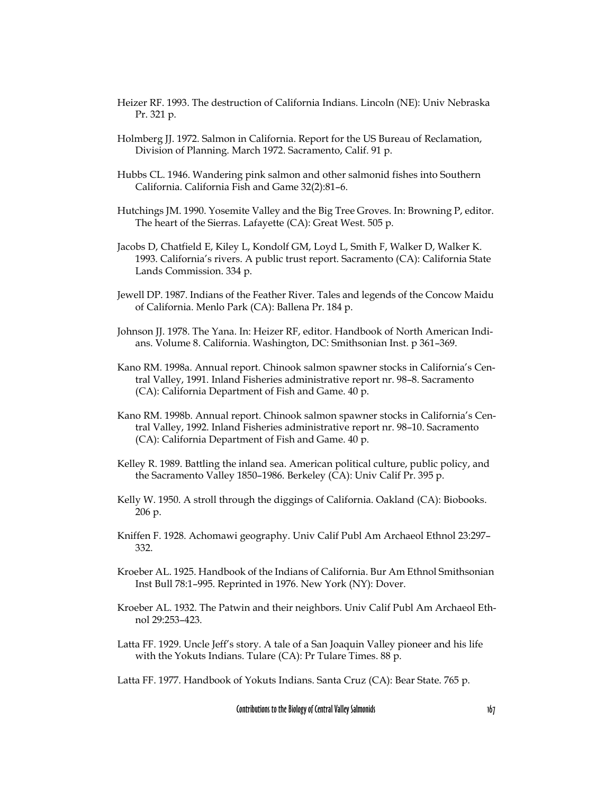- Heizer RF. 1993. The destruction of California Indians. Lincoln (NE): Univ Nebraska Pr. 321 p.
- Holmberg JJ. 1972. Salmon in California. Report for the US Bureau of Reclamation, Division of Planning. March 1972. Sacramento, Calif. 91 p.
- Hubbs CL. 1946. Wandering pink salmon and other salmonid fishes into Southern California. California Fish and Game 32(2):81–6.
- Hutchings JM. 1990. Yosemite Valley and the Big Tree Groves. In: Browning P, editor. The heart of the Sierras. Lafayette (CA): Great West. 505 p.
- Jacobs D, Chatfield E, Kiley L, Kondolf GM, Loyd L, Smith F, Walker D, Walker K. 1993. California's rivers. A public trust report. Sacramento (CA): California State Lands Commission. 334 p.
- Jewell DP. 1987. Indians of the Feather River. Tales and legends of the Concow Maidu of California. Menlo Park (CA): Ballena Pr. 184 p.
- Johnson JJ. 1978. The Yana. In: Heizer RF, editor. Handbook of North American Indians. Volume 8. California. Washington, DC: Smithsonian Inst. p 361–369.
- Kano RM. 1998a. Annual report. Chinook salmon spawner stocks in California's Central Valley, 1991. Inland Fisheries administrative report nr. 98–8. Sacramento (CA): California Department of Fish and Game. 40 p.
- Kano RM. 1998b. Annual report. Chinook salmon spawner stocks in California's Central Valley, 1992. Inland Fisheries administrative report nr. 98–10. Sacramento (CA): California Department of Fish and Game. 40 p.
- Kelley R. 1989. Battling the inland sea. American political culture, public policy, and the Sacramento Valley 1850–1986. Berkeley (CA): Univ Calif Pr. 395 p.
- Kelly W. 1950. A stroll through the diggings of California. Oakland (CA): Biobooks. 206 p.
- Kniffen F. 1928. Achomawi geography. Univ Calif Publ Am Archaeol Ethnol 23:297– 332.
- Kroeber AL. 1925. Handbook of the Indians of California. Bur Am Ethnol Smithsonian Inst Bull 78:1–995. Reprinted in 1976. New York (NY): Dover.
- Kroeber AL. 1932. The Patwin and their neighbors. Univ Calif Publ Am Archaeol Ethnol 29:253–423.
- Latta FF. 1929. Uncle Jeff's story. A tale of a San Joaquin Valley pioneer and his life with the Yokuts Indians. Tulare (CA): Pr Tulare Times. 88 p.

Latta FF. 1977. Handbook of Yokuts Indians. Santa Cruz (CA): Bear State. 765 p.

Contributions to the Biology of Central Valley Salmonids 167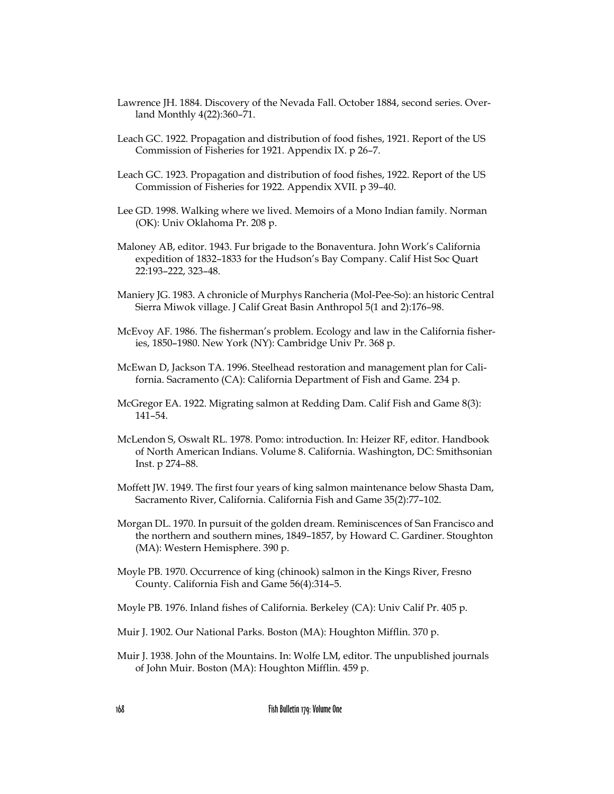- Lawrence JH. 1884. Discovery of the Nevada Fall. October 1884, second series. Overland Monthly 4(22):360–71.
- Leach GC. 1922. Propagation and distribution of food fishes, 1921. Report of the US Commission of Fisheries for 1921. Appendix IX. p 26–7.
- Leach GC. 1923. Propagation and distribution of food fishes, 1922. Report of the US Commission of Fisheries for 1922. Appendix XVII. p 39–40.
- Lee GD. 1998. Walking where we lived. Memoirs of a Mono Indian family. Norman (OK): Univ Oklahoma Pr. 208 p.
- Maloney AB, editor. 1943. Fur brigade to the Bonaventura. John Work's California expedition of 1832–1833 for the Hudson's Bay Company. Calif Hist Soc Quart 22:193–222, 323–48.
- Maniery JG. 1983. A chronicle of Murphys Rancheria (Mol-Pee-So): an historic Central Sierra Miwok village. J Calif Great Basin Anthropol 5(1 and 2):176–98.
- McEvoy AF. 1986. The fisherman's problem. Ecology and law in the California fisheries, 1850–1980. New York (NY): Cambridge Univ Pr. 368 p.
- McEwan D, Jackson TA. 1996. Steelhead restoration and management plan for California. Sacramento (CA): California Department of Fish and Game. 234 p.
- McGregor EA. 1922. Migrating salmon at Redding Dam. Calif Fish and Game 8(3): 141–54.
- McLendon S, Oswalt RL. 1978. Pomo: introduction. In: Heizer RF, editor. Handbook of North American Indians. Volume 8. California. Washington, DC: Smithsonian Inst. p 274–88.
- Moffett JW. 1949. The first four years of king salmon maintenance below Shasta Dam, Sacramento River, California. California Fish and Game 35(2):77–102.
- Morgan DL. 1970. In pursuit of the golden dream. Reminiscences of San Francisco and the northern and southern mines, 1849–1857, by Howard C. Gardiner. Stoughton (MA): Western Hemisphere. 390 p.
- Moyle PB. 1970. Occurrence of king (chinook) salmon in the Kings River, Fresno County. California Fish and Game 56(4):314–5.
- Moyle PB. 1976. Inland fishes of California. Berkeley (CA): Univ Calif Pr. 405 p.
- Muir J. 1902. Our National Parks. Boston (MA): Houghton Mifflin. 370 p.
- Muir J. 1938. John of the Mountains. In: Wolfe LM, editor. The unpublished journals of John Muir. Boston (MA): Houghton Mifflin. 459 p.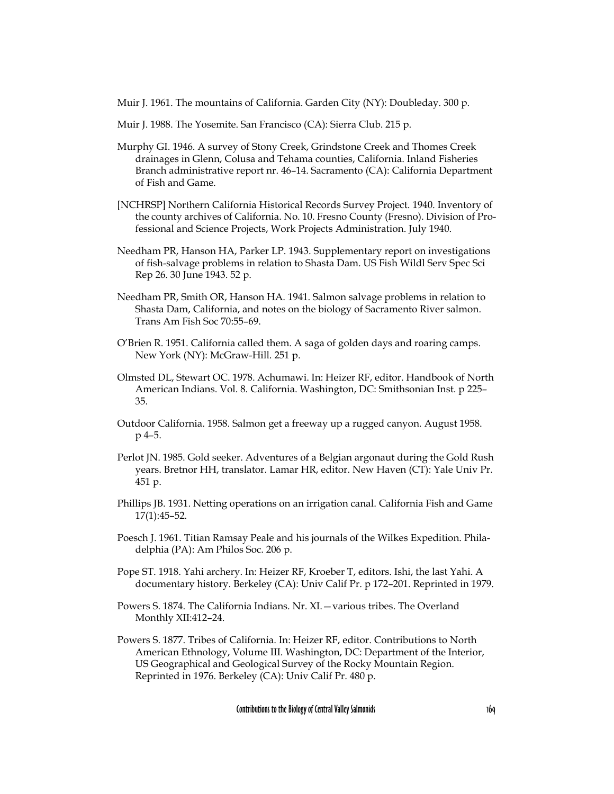Muir J. 1961. The mountains of California. Garden City (NY): Doubleday. 300 p.

- Muir J. 1988. The Yosemite. San Francisco (CA): Sierra Club. 215 p.
- Murphy GI. 1946. A survey of Stony Creek, Grindstone Creek and Thomes Creek drainages in Glenn, Colusa and Tehama counties, California. Inland Fisheries Branch administrative report nr. 46–14. Sacramento (CA): California Department of Fish and Game.
- [NCHRSP] Northern California Historical Records Survey Project. 1940. Inventory of the county archives of California. No. 10. Fresno County (Fresno). Division of Professional and Science Projects, Work Projects Administration. July 1940.
- Needham PR, Hanson HA, Parker LP. 1943. Supplementary report on investigations of fish-salvage problems in relation to Shasta Dam. US Fish Wildl Serv Spec Sci Rep 26. 30 June 1943. 52 p.
- Needham PR, Smith OR, Hanson HA. 1941. Salmon salvage problems in relation to Shasta Dam, California, and notes on the biology of Sacramento River salmon. Trans Am Fish Soc 70:55–69.
- O'Brien R. 1951. California called them. A saga of golden days and roaring camps. New York (NY): McGraw-Hill. 251 p.
- Olmsted DL, Stewart OC. 1978. Achumawi. In: Heizer RF, editor. Handbook of North American Indians. Vol. 8. California. Washington, DC: Smithsonian Inst. p 225– 35.
- Outdoor California. 1958. Salmon get a freeway up a rugged canyon. August 1958. p 4–5.
- Perlot JN. 1985. Gold seeker. Adventures of a Belgian argonaut during the Gold Rush years. Bretnor HH, translator. Lamar HR, editor. New Haven (CT): Yale Univ Pr. 451 p.
- Phillips JB. 1931. Netting operations on an irrigation canal. California Fish and Game 17(1):45–52.
- Poesch J. 1961. Titian Ramsay Peale and his journals of the Wilkes Expedition. Philadelphia (PA): Am Philos Soc. 206 p.
- Pope ST. 1918. Yahi archery. In: Heizer RF, Kroeber T, editors. Ishi, the last Yahi. A documentary history. Berkeley (CA): Univ Calif Pr. p 172–201. Reprinted in 1979.
- Powers S. 1874. The California Indians. Nr. XI.—various tribes. The Overland Monthly XII:412–24.
- Powers S. 1877. Tribes of California. In: Heizer RF, editor. Contributions to North American Ethnology, Volume III. Washington, DC: Department of the Interior, US Geographical and Geological Survey of the Rocky Mountain Region. Reprinted in 1976. Berkeley (CA): Univ Calif Pr. 480 p.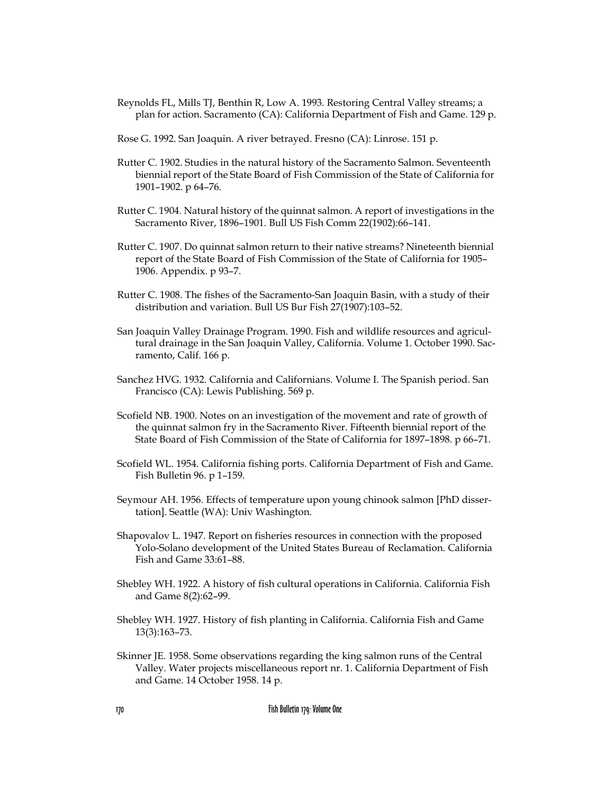- Reynolds FL, Mills TJ, Benthin R, Low A. 1993. Restoring Central Valley streams; a plan for action. Sacramento (CA): California Department of Fish and Game. 129 p.
- Rose G. 1992. San Joaquin. A river betrayed. Fresno (CA): Linrose. 151 p.
- Rutter C. 1902. Studies in the natural history of the Sacramento Salmon. Seventeenth biennial report of the State Board of Fish Commission of the State of California for 1901–1902. p 64–76.
- Rutter C. 1904. Natural history of the quinnat salmon. A report of investigations in the Sacramento River, 1896–1901. Bull US Fish Comm 22(1902):66–141.
- Rutter C. 1907. Do quinnat salmon return to their native streams? Nineteenth biennial report of the State Board of Fish Commission of the State of California for 1905– 1906. Appendix. p 93–7.
- Rutter C. 1908. The fishes of the Sacramento-San Joaquin Basin, with a study of their distribution and variation. Bull US Bur Fish 27(1907):103–52.
- San Joaquin Valley Drainage Program. 1990. Fish and wildlife resources and agricultural drainage in the San Joaquin Valley, California. Volume 1. October 1990. Sacramento, Calif. 166 p.
- Sanchez HVG. 1932. California and Californians. Volume I. The Spanish period. San Francisco (CA): Lewis Publishing. 569 p.
- Scofield NB. 1900. Notes on an investigation of the movement and rate of growth of the quinnat salmon fry in the Sacramento River. Fifteenth biennial report of the State Board of Fish Commission of the State of California for 1897–1898. p 66–71.
- Scofield WL. 1954. California fishing ports. California Department of Fish and Game. Fish Bulletin 96. p 1–159.
- Seymour AH. 1956. Effects of temperature upon young chinook salmon [PhD dissertation]. Seattle (WA): Univ Washington.
- Shapovalov L. 1947. Report on fisheries resources in connection with the proposed Yolo-Solano development of the United States Bureau of Reclamation. California Fish and Game 33:61–88.
- Shebley WH. 1922. A history of fish cultural operations in California. California Fish and Game 8(2):62–99.
- Shebley WH. 1927. History of fish planting in California. California Fish and Game 13(3):163–73.
- Skinner JE. 1958. Some observations regarding the king salmon runs of the Central Valley. Water projects miscellaneous report nr. 1. California Department of Fish and Game. 14 October 1958. 14 p.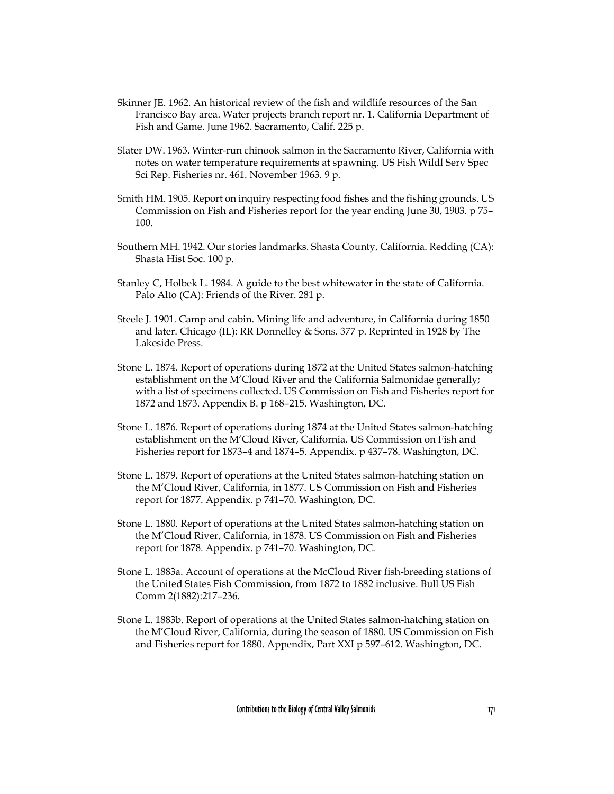- Skinner JE. 1962. An historical review of the fish and wildlife resources of the San Francisco Bay area. Water projects branch report nr. 1. California Department of Fish and Game. June 1962. Sacramento, Calif. 225 p.
- Slater DW. 1963. Winter-run chinook salmon in the Sacramento River, California with notes on water temperature requirements at spawning. US Fish Wildl Serv Spec Sci Rep. Fisheries nr. 461. November 1963. 9 p.
- Smith HM. 1905. Report on inquiry respecting food fishes and the fishing grounds. US Commission on Fish and Fisheries report for the year ending June 30, 1903. p 75– 100.
- Southern MH. 1942. Our stories landmarks. Shasta County, California. Redding (CA): Shasta Hist Soc. 100 p.
- Stanley C, Holbek L. 1984. A guide to the best whitewater in the state of California. Palo Alto (CA): Friends of the River. 281 p.
- Steele J. 1901. Camp and cabin. Mining life and adventure, in California during 1850 and later. Chicago (IL): RR Donnelley & Sons. 377 p. Reprinted in 1928 by The Lakeside Press.
- Stone L. 1874. Report of operations during 1872 at the United States salmon-hatching establishment on the M'Cloud River and the California Salmonidae generally; with a list of specimens collected. US Commission on Fish and Fisheries report for 1872 and 1873. Appendix B. p 168–215. Washington, DC.
- Stone L. 1876. Report of operations during 1874 at the United States salmon-hatching establishment on the M'Cloud River, California. US Commission on Fish and Fisheries report for 1873–4 and 1874–5. Appendix. p 437–78. Washington, DC.
- Stone L. 1879. Report of operations at the United States salmon-hatching station on the M'Cloud River, California, in 1877. US Commission on Fish and Fisheries report for 1877. Appendix. p 741–70. Washington, DC.
- Stone L. 1880. Report of operations at the United States salmon-hatching station on the M'Cloud River, California, in 1878. US Commission on Fish and Fisheries report for 1878. Appendix. p 741–70. Washington, DC.
- Stone L. 1883a. Account of operations at the McCloud River fish-breeding stations of the United States Fish Commission, from 1872 to 1882 inclusive. Bull US Fish Comm 2(1882):217–236.
- Stone L. 1883b. Report of operations at the United States salmon-hatching station on the M'Cloud River, California, during the season of 1880. US Commission on Fish and Fisheries report for 1880. Appendix, Part XXI p 597–612. Washington, DC.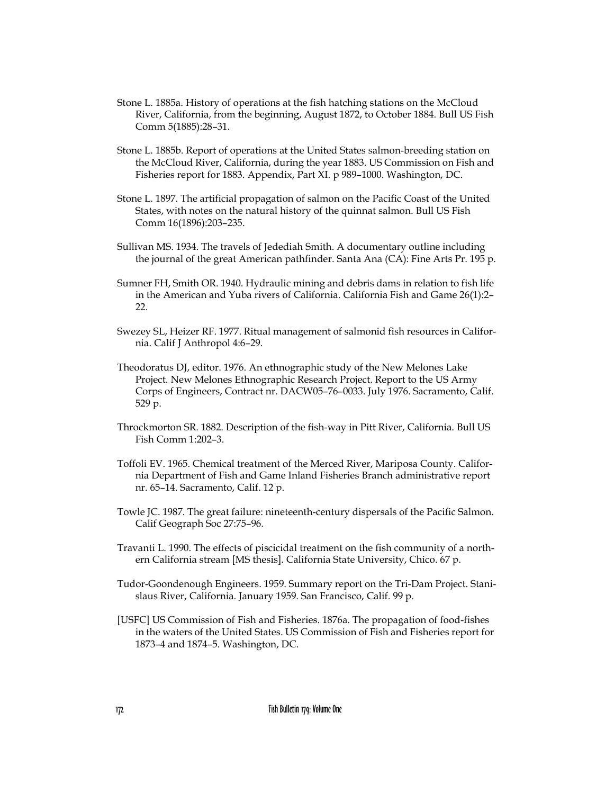- Stone L. 1885a. History of operations at the fish hatching stations on the McCloud River, California, from the beginning, August 1872, to October 1884. Bull US Fish Comm 5(1885):28–31.
- Stone L. 1885b. Report of operations at the United States salmon-breeding station on the McCloud River, California, during the year 1883. US Commission on Fish and Fisheries report for 1883. Appendix, Part XI. p 989–1000. Washington, DC.
- Stone L. 1897. The artificial propagation of salmon on the Pacific Coast of the United States, with notes on the natural history of the quinnat salmon. Bull US Fish Comm 16(1896):203–235.
- Sullivan MS. 1934. The travels of Jedediah Smith. A documentary outline including the journal of the great American pathfinder. Santa Ana (CA): Fine Arts Pr. 195 p.
- Sumner FH, Smith OR. 1940. Hydraulic mining and debris dams in relation to fish life in the American and Yuba rivers of California. California Fish and Game 26(1):2– 22.
- Swezey SL, Heizer RF. 1977. Ritual management of salmonid fish resources in California. Calif J Anthropol 4:6–29.
- Theodoratus DJ, editor. 1976. An ethnographic study of the New Melones Lake Project. New Melones Ethnographic Research Project. Report to the US Army Corps of Engineers, Contract nr. DACW05–76–0033. July 1976. Sacramento, Calif. 529 p.
- Throckmorton SR. 1882. Description of the fish-way in Pitt River, California. Bull US Fish Comm 1:202–3.
- Toffoli EV. 1965. Chemical treatment of the Merced River, Mariposa County. California Department of Fish and Game Inland Fisheries Branch administrative report nr. 65–14. Sacramento, Calif. 12 p.
- Towle JC. 1987. The great failure: nineteenth-century dispersals of the Pacific Salmon. Calif Geograph Soc 27:75–96.
- Travanti L. 1990. The effects of piscicidal treatment on the fish community of a northern California stream [MS thesis]. California State University, Chico. 67 p.
- Tudor-Goondenough Engineers. 1959. Summary report on the Tri-Dam Project. Stanislaus River, California. January 1959. San Francisco, Calif. 99 p.
- [USFC] US Commission of Fish and Fisheries. 1876a. The propagation of food-fishes in the waters of the United States. US Commission of Fish and Fisheries report for 1873–4 and 1874–5. Washington, DC.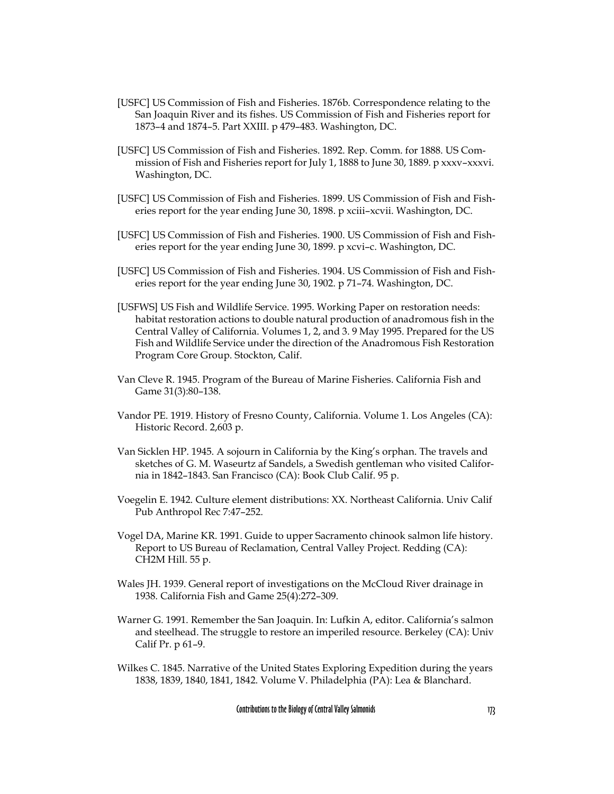- [USFC] US Commission of Fish and Fisheries. 1876b. Correspondence relating to the San Joaquin River and its fishes. US Commission of Fish and Fisheries report for 1873–4 and 1874–5. Part XXIII. p 479–483. Washington, DC.
- [USFC] US Commission of Fish and Fisheries. 1892. Rep. Comm. for 1888. US Commission of Fish and Fisheries report for July 1, 1888 to June 30, 1889. p xxxv–xxxvi. Washington, DC.
- [USFC] US Commission of Fish and Fisheries. 1899. US Commission of Fish and Fisheries report for the year ending June 30, 1898. p xciii–xcvii. Washington, DC.
- [USFC] US Commission of Fish and Fisheries. 1900. US Commission of Fish and Fisheries report for the year ending June 30, 1899. p xcvi–c. Washington, DC.
- [USFC] US Commission of Fish and Fisheries. 1904. US Commission of Fish and Fisheries report for the year ending June 30, 1902. p 71–74. Washington, DC.
- [USFWS] US Fish and Wildlife Service. 1995. Working Paper on restoration needs: habitat restoration actions to double natural production of anadromous fish in the Central Valley of California. Volumes 1, 2, and 3. 9 May 1995. Prepared for the US Fish and Wildlife Service under the direction of the Anadromous Fish Restoration Program Core Group. Stockton, Calif.
- Van Cleve R. 1945. Program of the Bureau of Marine Fisheries. California Fish and Game 31(3):80–138.
- Vandor PE. 1919. History of Fresno County, California. Volume 1. Los Angeles (CA): Historic Record. 2,603 p.
- Van Sicklen HP. 1945. A sojourn in California by the King's orphan. The travels and sketches of G. M. Waseurtz af Sandels, a Swedish gentleman who visited California in 1842–1843. San Francisco (CA): Book Club Calif. 95 p.
- Voegelin E. 1942. Culture element distributions: XX. Northeast California. Univ Calif Pub Anthropol Rec 7:47–252.
- Vogel DA, Marine KR. 1991. Guide to upper Sacramento chinook salmon life history. Report to US Bureau of Reclamation, Central Valley Project. Redding (CA): CH2M Hill. 55 p.
- Wales JH. 1939. General report of investigations on the McCloud River drainage in 1938. California Fish and Game 25(4):272–309.
- Warner G. 1991. Remember the San Joaquin. In: Lufkin A, editor. California's salmon and steelhead. The struggle to restore an imperiled resource. Berkeley (CA): Univ Calif Pr. p 61–9.
- Wilkes C. 1845. Narrative of the United States Exploring Expedition during the years 1838, 1839, 1840, 1841, 1842. Volume V. Philadelphia (PA): Lea & Blanchard.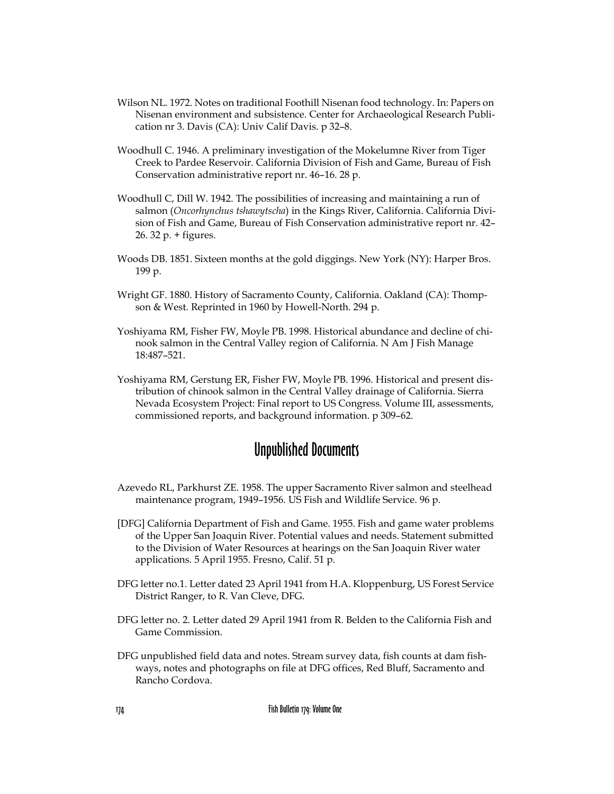- Wilson NL. 1972. Notes on traditional Foothill Nisenan food technology. In: Papers on Nisenan environment and subsistence. Center for Archaeological Research Publication nr 3. Davis (CA): Univ Calif Davis. p 32–8.
- Woodhull C. 1946. A preliminary investigation of the Mokelumne River from Tiger Creek to Pardee Reservoir. California Division of Fish and Game, Bureau of Fish Conservation administrative report nr. 46–16. 28 p.
- Woodhull C, Dill W. 1942. The possibilities of increasing and maintaining a run of salmon (*Oncorhynchus tshawytscha*) in the Kings River, California. California Division of Fish and Game, Bureau of Fish Conservation administrative report nr. 42– 26. 32 p. + figures.
- Woods DB. 1851. Sixteen months at the gold diggings. New York (NY): Harper Bros. 199 p.
- Wright GF. 1880. History of Sacramento County, California. Oakland (CA): Thompson & West. Reprinted in 1960 by Howell-North. 294 p.
- Yoshiyama RM, Fisher FW, Moyle PB. 1998. Historical abundance and decline of chinook salmon in the Central Valley region of California. N Am J Fish Manage 18:487–521.
- Yoshiyama RM, Gerstung ER, Fisher FW, Moyle PB. 1996. Historical and present distribution of chinook salmon in the Central Valley drainage of California. Sierra Nevada Ecosystem Project: Final report to US Congress. Volume III, assessments, commissioned reports, and background information. p 309–62.

## Unpublished Documents

- Azevedo RL, Parkhurst ZE. 1958. The upper Sacramento River salmon and steelhead maintenance program, 1949–1956. US Fish and Wildlife Service. 96 p.
- [DFG] California Department of Fish and Game. 1955. Fish and game water problems of the Upper San Joaquin River. Potential values and needs. Statement submitted to the Division of Water Resources at hearings on the San Joaquin River water applications. 5 April 1955. Fresno, Calif. 51 p.
- DFG letter no.1. Letter dated 23 April 1941 from H.A. Kloppenburg, US Forest Service District Ranger, to R. Van Cleve, DFG.
- DFG letter no. 2. Letter dated 29 April 1941 from R. Belden to the California Fish and Game Commission.
- DFG unpublished field data and notes. Stream survey data, fish counts at dam fishways, notes and photographs on file at DFG offices, Red Bluff, Sacramento and Rancho Cordova.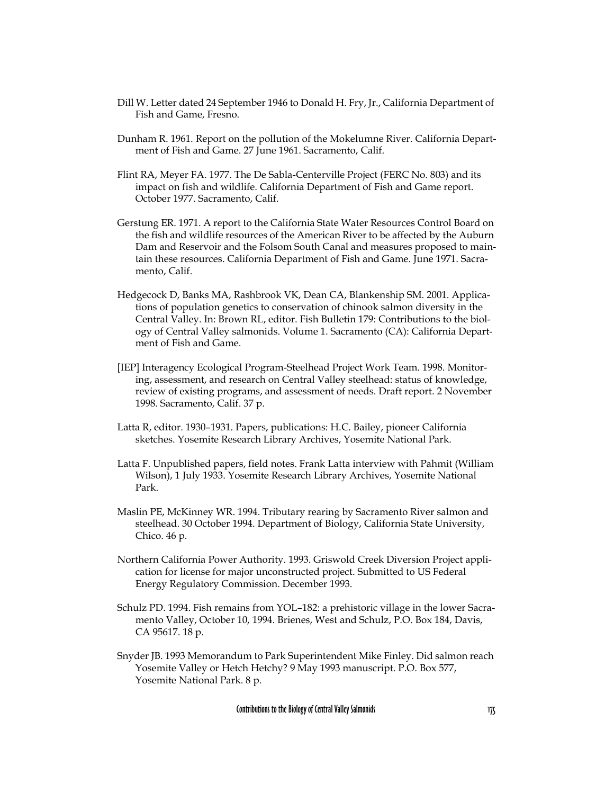- Dill W. Letter dated 24 September 1946 to Donald H. Fry, Jr., California Department of Fish and Game, Fresno.
- Dunham R. 1961. Report on the pollution of the Mokelumne River. California Department of Fish and Game. 27 June 1961. Sacramento, Calif.
- Flint RA, Meyer FA. 1977. The De Sabla-Centerville Project (FERC No. 803) and its impact on fish and wildlife. California Department of Fish and Game report. October 1977. Sacramento, Calif.
- Gerstung ER. 1971. A report to the California State Water Resources Control Board on the fish and wildlife resources of the American River to be affected by the Auburn Dam and Reservoir and the Folsom South Canal and measures proposed to maintain these resources. California Department of Fish and Game. June 1971. Sacramento, Calif.
- Hedgecock D, Banks MA, Rashbrook VK, Dean CA, Blankenship SM. 2001. Applications of population genetics to conservation of chinook salmon diversity in the Central Valley. In: Brown RL, editor. Fish Bulletin 179: Contributions to the biology of Central Valley salmonids. Volume 1. Sacramento (CA): California Department of Fish and Game.
- [IEP] Interagency Ecological Program-Steelhead Project Work Team. 1998. Monitoring, assessment, and research on Central Valley steelhead: status of knowledge, review of existing programs, and assessment of needs. Draft report. 2 November 1998. Sacramento, Calif. 37 p.
- Latta R, editor. 1930–1931. Papers, publications: H.C. Bailey, pioneer California sketches. Yosemite Research Library Archives, Yosemite National Park.
- Latta F. Unpublished papers, field notes. Frank Latta interview with Pahmit (William Wilson), 1 July 1933. Yosemite Research Library Archives, Yosemite National Park.
- Maslin PE, McKinney WR. 1994. Tributary rearing by Sacramento River salmon and steelhead. 30 October 1994. Department of Biology, California State University, Chico. 46 p.
- Northern California Power Authority. 1993. Griswold Creek Diversion Project application for license for major unconstructed project. Submitted to US Federal Energy Regulatory Commission. December 1993.
- Schulz PD. 1994. Fish remains from YOL–182: a prehistoric village in the lower Sacramento Valley, October 10, 1994. Brienes, West and Schulz, P.O. Box 184, Davis, CA 95617. 18 p.
- Snyder JB. 1993 Memorandum to Park Superintendent Mike Finley. Did salmon reach Yosemite Valley or Hetch Hetchy? 9 May 1993 manuscript. P.O. Box 577, Yosemite National Park. 8 p.